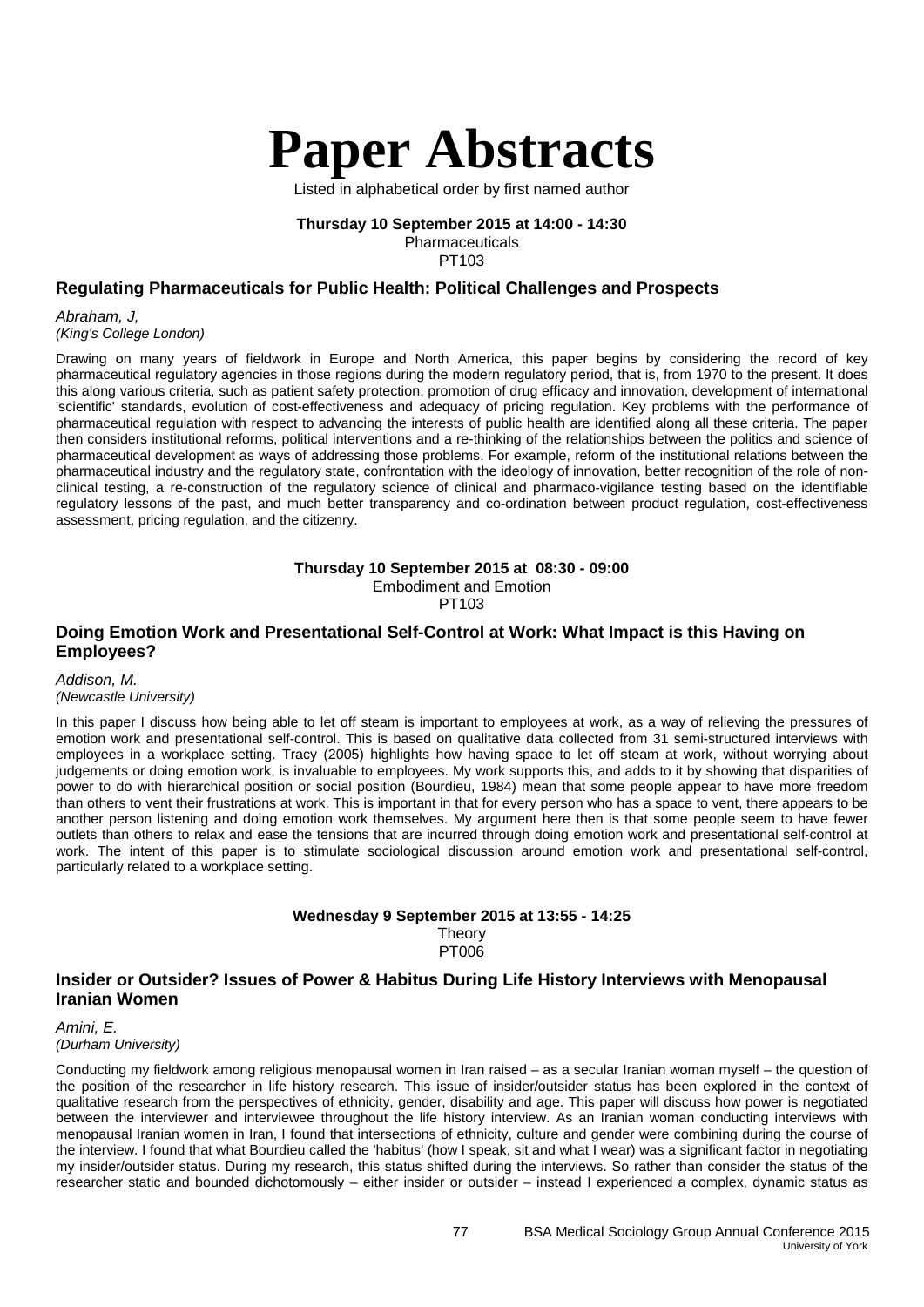

Listed in alphabetical order by first named author

#### **Thursday 10 September 2015 at 14:00 - 14:30** Pharmaceuticals

PT103

## **Regulating Pharmaceuticals for Public Health: Political Challenges and Prospects**

*Abraham, J,* 

*(King's College London)*

Drawing on many years of fieldwork in Europe and North America, this paper begins by considering the record of key pharmaceutical regulatory agencies in those regions during the modern regulatory period, that is, from 1970 to the present. It does this along various criteria, such as patient safety protection, promotion of drug efficacy and innovation, development of international 'scientific' standards, evolution of cost-effectiveness and adequacy of pricing regulation. Key problems with the performance of pharmaceutical regulation with respect to advancing the interests of public health are identified along all these criteria. The paper then considers institutional reforms, political interventions and a re-thinking of the relationships between the politics and science of pharmaceutical development as ways of addressing those problems. For example, reform of the institutional relations between the pharmaceutical industry and the regulatory state, confrontation with the ideology of innovation, better recognition of the role of nonclinical testing, a re-construction of the regulatory science of clinical and pharmaco-vigilance testing based on the identifiable regulatory lessons of the past, and much better transparency and co-ordination between product regulation, cost-effectiveness assessment, pricing regulation, and the citizenry.

**Thursday 10 September 2015 at 08:30 - 09:00**

Embodiment and Emotion

PT103

## **Doing Emotion Work and Presentational Self-Control at Work: What Impact is this Having on Employees?**

*Addison, M. (Newcastle University)*

In this paper I discuss how being able to let off steam is important to employees at work, as a way of relieving the pressures of emotion work and presentational self-control. This is based on qualitative data collected from 31 semi-structured interviews with employees in a workplace setting. Tracy (2005) highlights how having space to let off steam at work, without worrying about judgements or doing emotion work, is invaluable to employees. My work supports this, and adds to it by showing that disparities of power to do with hierarchical position or social position (Bourdieu, 1984) mean that some people appear to have more freedom than others to vent their frustrations at work. This is important in that for every person who has a space to vent, there appears to be another person listening and doing emotion work themselves. My argument here then is that some people seem to have fewer outlets than others to relax and ease the tensions that are incurred through doing emotion work and presentational self-control at work. The intent of this paper is to stimulate sociological discussion around emotion work and presentational self-control, particularly related to a workplace setting.

#### **Wednesday 9 September 2015 at 13:55 - 14:25 Theory** PT006

#### **Insider or Outsider? Issues of Power & Habitus During Life History Interviews with Menopausal Iranian Women**

*Amini, E. (Durham University)*

Conducting my fieldwork among religious menopausal women in Iran raised – as a secular Iranian woman myself – the question of the position of the researcher in life history research. This issue of insider/outsider status has been explored in the context of qualitative research from the perspectives of ethnicity, gender, disability and age. This paper will discuss how power is negotiated between the interviewer and interviewee throughout the life history interview. As an Iranian woman conducting interviews with menopausal Iranian women in Iran, I found that intersections of ethnicity, culture and gender were combining during the course of the interview. I found that what Bourdieu called the 'habitus' (how I speak, sit and what I wear) was a significant factor in negotiating my insider/outsider status. During my research, this status shifted during the interviews. So rather than consider the status of the researcher static and bounded dichotomously – either insider or outsider – instead I experienced a complex, dynamic status as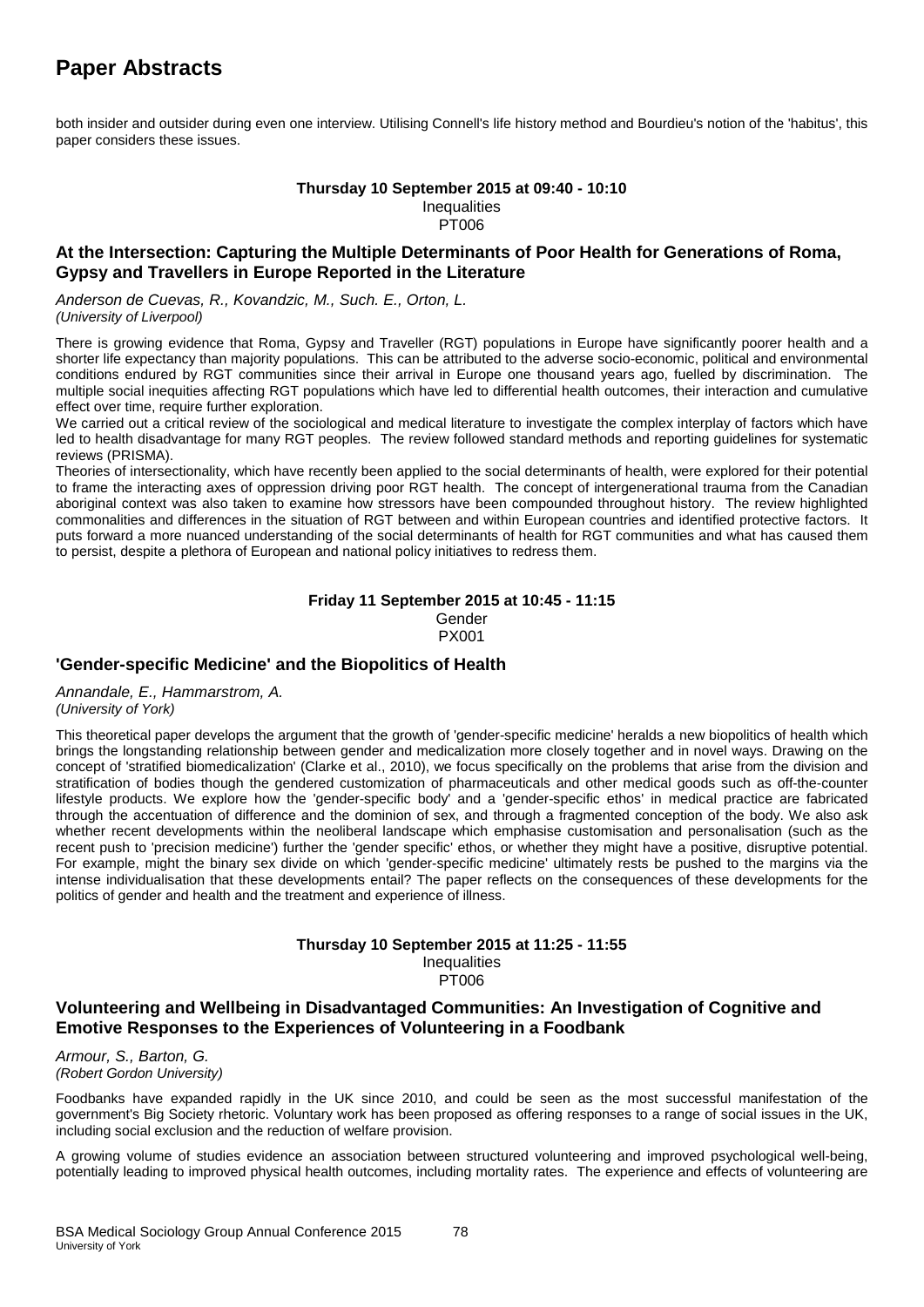both insider and outsider during even one interview. Utilising Connell's life history method and Bourdieu's notion of the 'habitus', this paper considers these issues.

#### **Thursday 10 September 2015 at 09:40 - 10:10 Inequalities** PT006

## **At the Intersection: Capturing the Multiple Determinants of Poor Health for Generations of Roma, Gypsy and Travellers in Europe Reported in the Literature**

*Anderson de Cuevas, R., Kovandzic, M., Such. E., Orton, L. (University of Liverpool)*

There is growing evidence that Roma, Gypsy and Traveller (RGT) populations in Europe have significantly poorer health and a shorter life expectancy than majority populations. This can be attributed to the adverse socio-economic, political and environmental conditions endured by RGT communities since their arrival in Europe one thousand years ago, fuelled by discrimination. The multiple social inequities affecting RGT populations which have led to differential health outcomes, their interaction and cumulative effect over time, require further exploration.

We carried out a critical review of the sociological and medical literature to investigate the complex interplay of factors which have led to health disadvantage for many RGT peoples. The review followed standard methods and reporting guidelines for systematic reviews (PRISMA).

Theories of intersectionality, which have recently been applied to the social determinants of health, were explored for their potential to frame the interacting axes of oppression driving poor RGT health. The concept of intergenerational trauma from the Canadian aboriginal context was also taken to examine how stressors have been compounded throughout history. The review highlighted commonalities and differences in the situation of RGT between and within European countries and identified protective factors. It puts forward a more nuanced understanding of the social determinants of health for RGT communities and what has caused them to persist, despite a plethora of European and national policy initiatives to redress them.

#### **Friday 11 September 2015 at 10:45 - 11:15** Gender PX001

## **'Gender-specific Medicine' and the Biopolitics of Health**

*Annandale, E., Hammarstrom, A. (University of York)*

This theoretical paper develops the argument that the growth of 'gender-specific medicine' heralds a new biopolitics of health which brings the longstanding relationship between gender and medicalization more closely together and in novel ways. Drawing on the concept of 'stratified biomedicalization' (Clarke et al., 2010), we focus specifically on the problems that arise from the division and stratification of bodies though the gendered customization of pharmaceuticals and other medical goods such as off-the-counter lifestyle products. We explore how the 'gender-specific body' and a 'gender-specific ethos' in medical practice are fabricated through the accentuation of difference and the dominion of sex, and through a fragmented conception of the body. We also ask whether recent developments within the neoliberal landscape which emphasise customisation and personalisation (such as the recent push to 'precision medicine') further the 'gender specific' ethos, or whether they might have a positive, disruptive potential. For example, might the binary sex divide on which 'gender-specific medicine' ultimately rests be pushed to the margins via the intense individualisation that these developments entail? The paper reflects on the consequences of these developments for the politics of gender and health and the treatment and experience of illness.

## **Thursday 10 September 2015 at 11:25 - 11:55**

**Inequalities** PT006

## **Volunteering and Wellbeing in Disadvantaged Communities: An Investigation of Cognitive and Emotive Responses to the Experiences of Volunteering in a Foodbank**

*Armour, S., Barton, G. (Robert Gordon University)*

Foodbanks have expanded rapidly in the UK since 2010, and could be seen as the most successful manifestation of the government's Big Society rhetoric. Voluntary work has been proposed as offering responses to a range of social issues in the UK, including social exclusion and the reduction of welfare provision.

A growing volume of studies evidence an association between structured volunteering and improved psychological well-being, potentially leading to improved physical health outcomes, including mortality rates. The experience and effects of volunteering are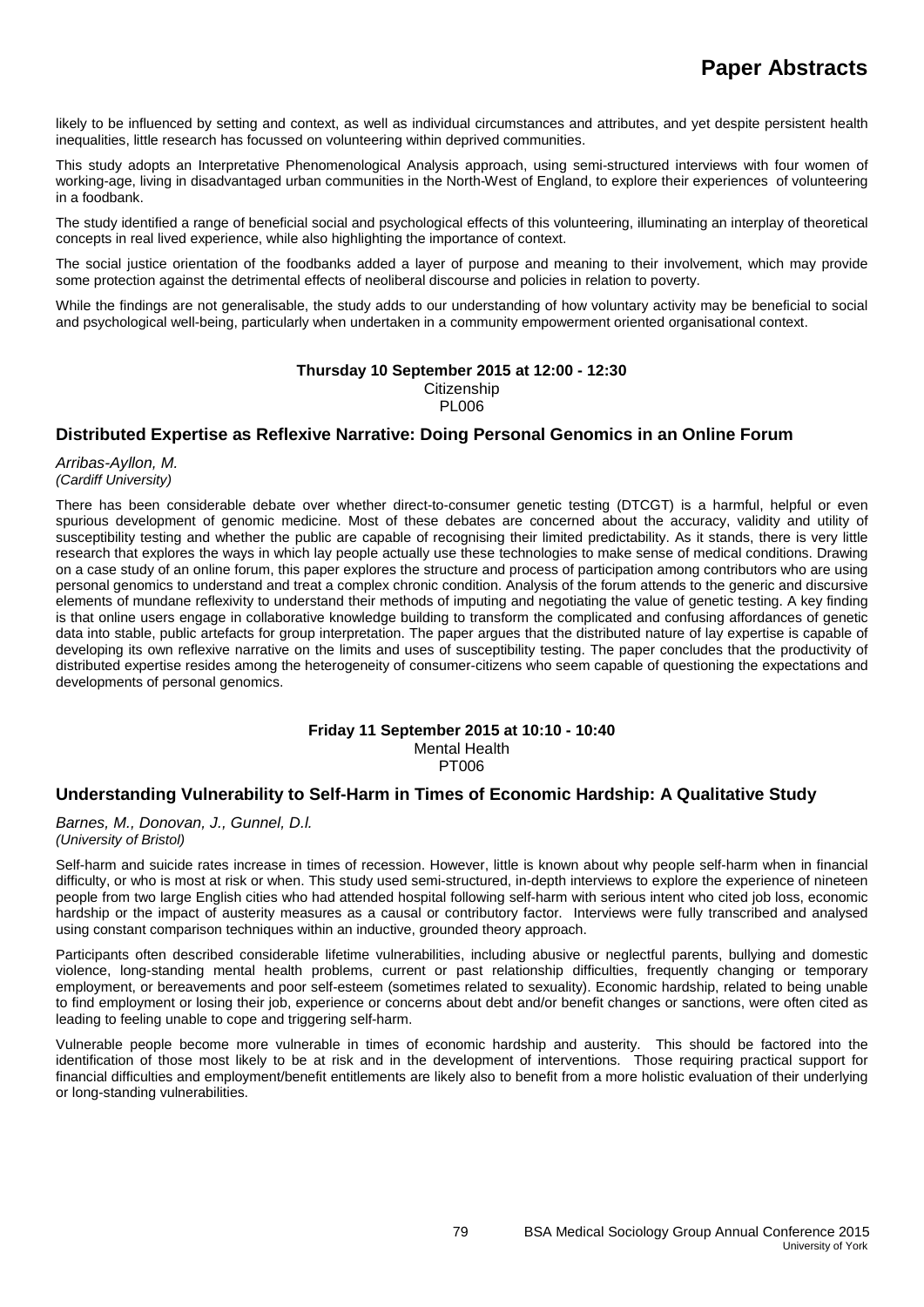likely to be influenced by setting and context, as well as individual circumstances and attributes, and yet despite persistent health inequalities, little research has focussed on volunteering within deprived communities.

This study adopts an Interpretative Phenomenological Analysis approach, using semi-structured interviews with four women of working-age, living in disadvantaged urban communities in the North-West of England, to explore their experiences of volunteering in a foodbank.

The study identified a range of beneficial social and psychological effects of this volunteering, illuminating an interplay of theoretical concepts in real lived experience, while also highlighting the importance of context.

The social justice orientation of the foodbanks added a layer of purpose and meaning to their involvement, which may provide some protection against the detrimental effects of neoliberal discourse and policies in relation to poverty.

While the findings are not generalisable, the study adds to our understanding of how voluntary activity may be beneficial to social and psychological well-being, particularly when undertaken in a community empowerment oriented organisational context.

#### **Thursday 10 September 2015 at 12:00 - 12:30**

**Citizenship** PL006

## **Distributed Expertise as Reflexive Narrative: Doing Personal Genomics in an Online Forum**

*Arribas-Ayllon, M. (Cardiff University)*

There has been considerable debate over whether direct-to-consumer genetic testing (DTCGT) is a harmful, helpful or even spurious development of genomic medicine. Most of these debates are concerned about the accuracy, validity and utility of susceptibility testing and whether the public are capable of recognising their limited predictability. As it stands, there is very little research that explores the ways in which lay people actually use these technologies to make sense of medical conditions. Drawing on a case study of an online forum, this paper explores the structure and process of participation among contributors who are using personal genomics to understand and treat a complex chronic condition. Analysis of the forum attends to the generic and discursive elements of mundane reflexivity to understand their methods of imputing and negotiating the value of genetic testing. A key finding is that online users engage in collaborative knowledge building to transform the complicated and confusing affordances of genetic data into stable, public artefacts for group interpretation. The paper argues that the distributed nature of lay expertise is capable of developing its own reflexive narrative on the limits and uses of susceptibility testing. The paper concludes that the productivity of distributed expertise resides among the heterogeneity of consumer-citizens who seem capable of questioning the expectations and developments of personal genomics.

#### **Friday 11 September 2015 at 10:10 - 10:40** Mental Health **PT006**

## **Understanding Vulnerability to Self-Harm in Times of Economic Hardship: A Qualitative Study**

*Barnes, M., Donovan, J., Gunnel, D.l. (University of Bristol)*

Self-harm and suicide rates increase in times of recession. However, little is known about why people self-harm when in financial difficulty, or who is most at risk or when. This study used semi-structured, in-depth interviews to explore the experience of nineteen people from two large English cities who had attended hospital following self-harm with serious intent who cited job loss, economic hardship or the impact of austerity measures as a causal or contributory factor. Interviews were fully transcribed and analysed using constant comparison techniques within an inductive, grounded theory approach.

Participants often described considerable lifetime vulnerabilities, including abusive or neglectful parents, bullying and domestic violence, long-standing mental health problems, current or past relationship difficulties, frequently changing or temporary employment, or bereavements and poor self-esteem (sometimes related to sexuality). Economic hardship, related to being unable to find employment or losing their job, experience or concerns about debt and/or benefit changes or sanctions, were often cited as leading to feeling unable to cope and triggering self-harm.

Vulnerable people become more vulnerable in times of economic hardship and austerity. This should be factored into the identification of those most likely to be at risk and in the development of interventions. Those requiring practical support for financial difficulties and employment/benefit entitlements are likely also to benefit from a more holistic evaluation of their underlying or long-standing vulnerabilities.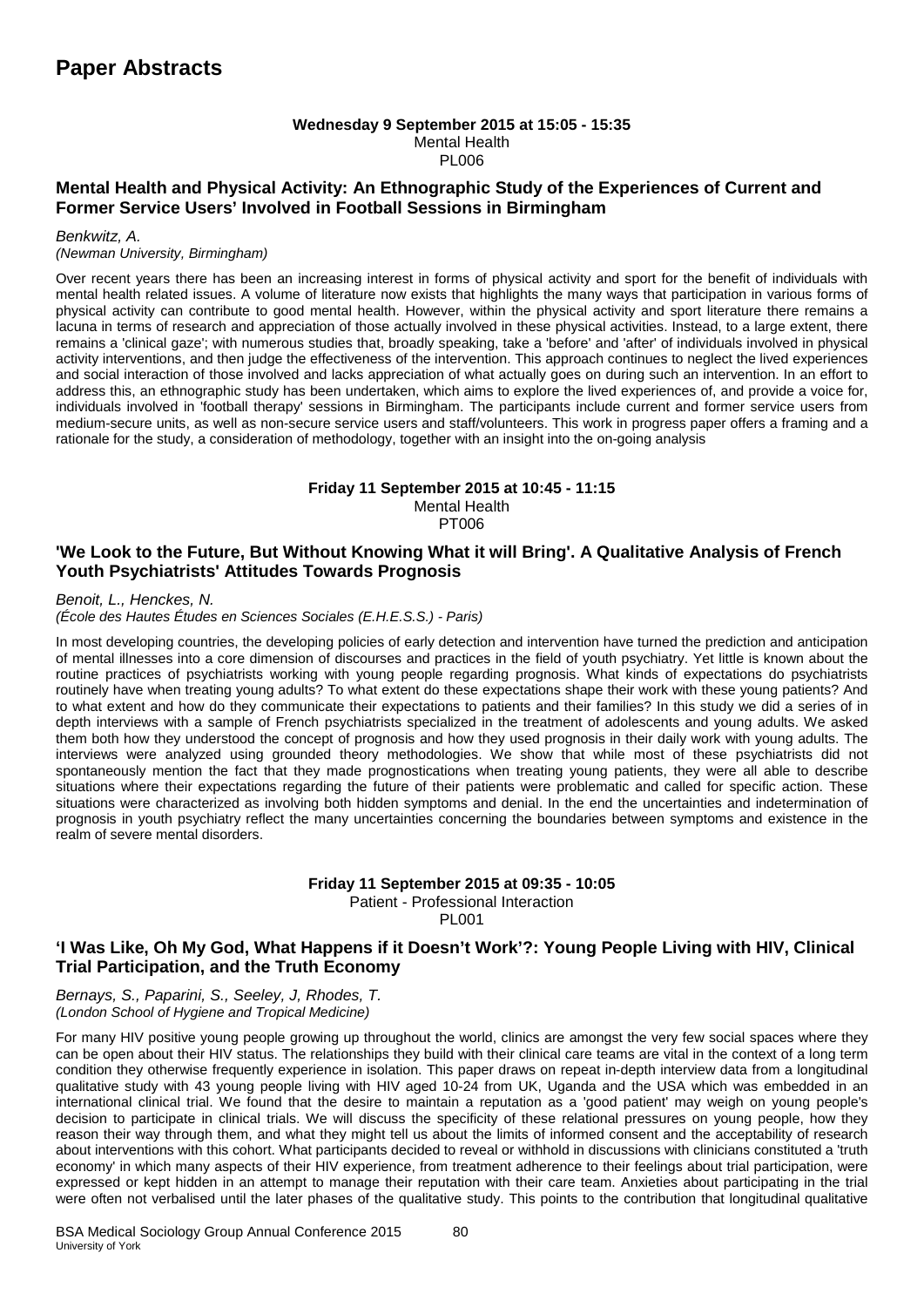#### **Wednesday 9 September 2015 at 15:05 - 15:35** Mental Health PL006

## **Mental Health and Physical Activity: An Ethnographic Study of the Experiences of Current and Former Service Users' Involved in Football Sessions in Birmingham**

#### *Benkwitz, A.*

#### *(Newman University, Birmingham)*

Over recent years there has been an increasing interest in forms of physical activity and sport for the benefit of individuals with mental health related issues. A volume of literature now exists that highlights the many ways that participation in various forms of physical activity can contribute to good mental health. However, within the physical activity and sport literature there remains a lacuna in terms of research and appreciation of those actually involved in these physical activities. Instead, to a large extent, there remains a 'clinical gaze'; with numerous studies that, broadly speaking, take a 'before' and 'after' of individuals involved in physical activity interventions, and then judge the effectiveness of the intervention. This approach continues to neglect the lived experiences and social interaction of those involved and lacks appreciation of what actually goes on during such an intervention. In an effort to address this, an ethnographic study has been undertaken, which aims to explore the lived experiences of, and provide a voice for, individuals involved in 'football therapy' sessions in Birmingham. The participants include current and former service users from medium-secure units, as well as non-secure service users and staff/volunteers. This work in progress paper offers a framing and a rationale for the study, a consideration of methodology, together with an insight into the on-going analysis

#### **Friday 11 September 2015 at 10:45 - 11:15** Mental Health

**PT006** 

## **'We Look to the Future, But Without Knowing What it will Bring'. A Qualitative Analysis of French Youth Psychiatrists' Attitudes Towards Prognosis**

*Benoit, L., Henckes, N. (École des Hautes Études en Sciences Sociales (E.H.E.S.S.) - Paris)*

In most developing countries, the developing policies of early detection and intervention have turned the prediction and anticipation of mental illnesses into a core dimension of discourses and practices in the field of youth psychiatry. Yet little is known about the routine practices of psychiatrists working with young people regarding prognosis. What kinds of expectations do psychiatrists routinely have when treating young adults? To what extent do these expectations shape their work with these young patients? And to what extent and how do they communicate their expectations to patients and their families? In this study we did a series of in depth interviews with a sample of French psychiatrists specialized in the treatment of adolescents and young adults. We asked them both how they understood the concept of prognosis and how they used prognosis in their daily work with young adults. The interviews were analyzed using grounded theory methodologies. We show that while most of these psychiatrists did not spontaneously mention the fact that they made prognostications when treating young patients, they were all able to describe situations where their expectations regarding the future of their patients were problematic and called for specific action. These situations were characterized as involving both hidden symptoms and denial. In the end the uncertainties and indetermination of prognosis in youth psychiatry reflect the many uncertainties concerning the boundaries between symptoms and existence in the realm of severe mental disorders.

#### **Friday 11 September 2015 at 09:35 - 10:05** Patient - Professional Interaction

PL001

## **'I Was Like, Oh My God, What Happens if it Doesn't Work'?: Young People Living with HIV, Clinical Trial Participation, and the Truth Economy**

*Bernays, S., Paparini, S., Seeley, J, Rhodes, T. (London School of Hygiene and Tropical Medicine)*

For many HIV positive young people growing up throughout the world, clinics are amongst the very few social spaces where they can be open about their HIV status. The relationships they build with their clinical care teams are vital in the context of a long term condition they otherwise frequently experience in isolation. This paper draws on repeat in-depth interview data from a longitudinal qualitative study with 43 young people living with HIV aged 10-24 from UK, Uganda and the USA which was embedded in an international clinical trial. We found that the desire to maintain a reputation as a 'good patient' may weigh on young people's decision to participate in clinical trials. We will discuss the specificity of these relational pressures on young people, how they reason their way through them, and what they might tell us about the limits of informed consent and the acceptability of research about interventions with this cohort. What participants decided to reveal or withhold in discussions with clinicians constituted a 'truth economy' in which many aspects of their HIV experience, from treatment adherence to their feelings about trial participation, were expressed or kept hidden in an attempt to manage their reputation with their care team. Anxieties about participating in the trial were often not verbalised until the later phases of the qualitative study. This points to the contribution that longitudinal qualitative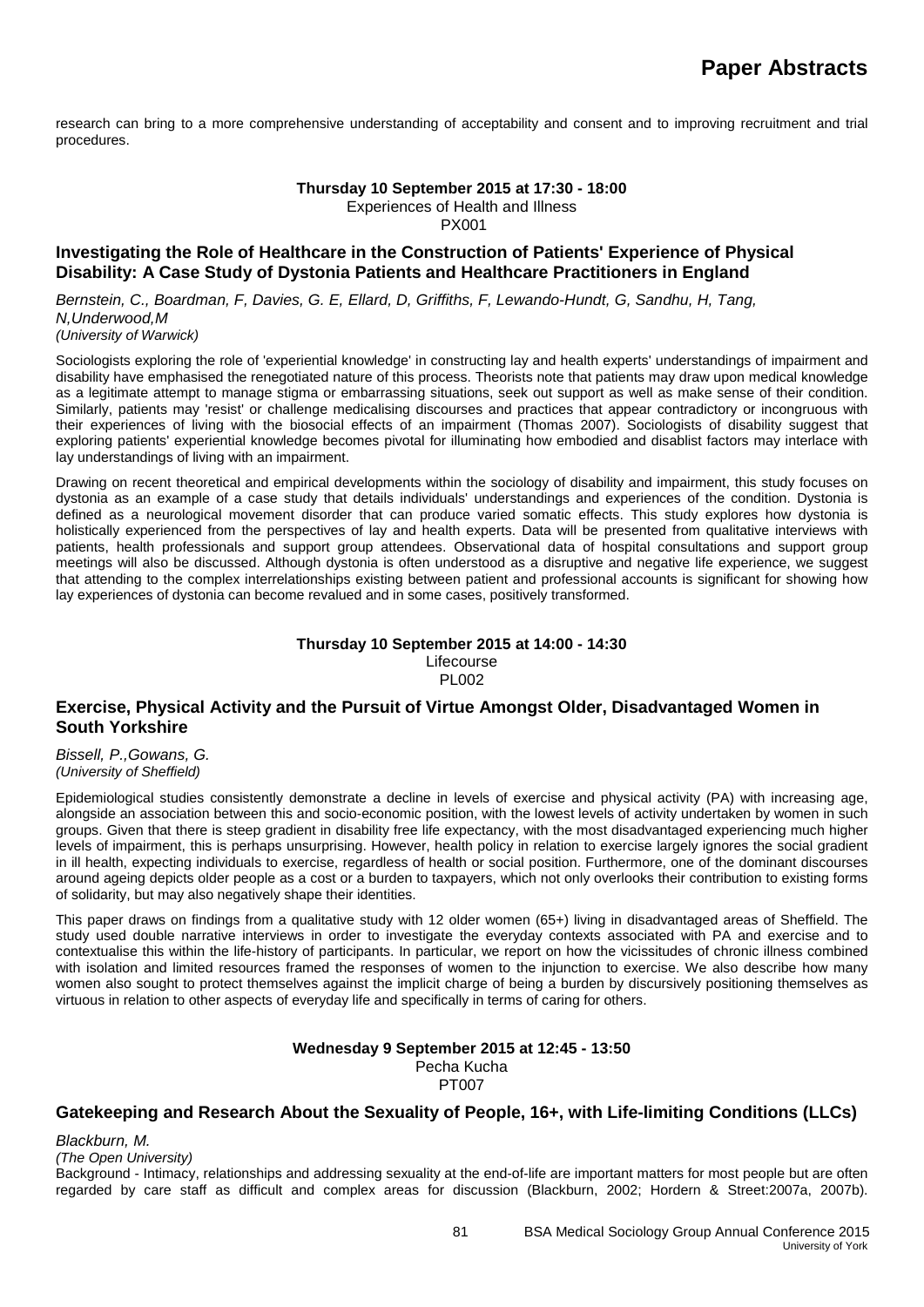research can bring to a more comprehensive understanding of acceptability and consent and to improving recruitment and trial procedures.

#### **Thursday 10 September 2015 at 17:30 - 18:00**

Experiences of Health and Illness

PX001

## **Investigating the Role of Healthcare in the Construction of Patients' Experience of Physical Disability: A Case Study of Dystonia Patients and Healthcare Practitioners in England**

*Bernstein, C., Boardman, F, Davies, G. E, Ellard, D, Griffiths, F, Lewando-Hundt, G, Sandhu, H, Tang, N,Underwood,M (University of Warwick)*

Sociologists exploring the role of 'experiential knowledge' in constructing lay and health experts' understandings of impairment and disability have emphasised the renegotiated nature of this process. Theorists note that patients may draw upon medical knowledge as a legitimate attempt to manage stigma or embarrassing situations, seek out support as well as make sense of their condition. Similarly, patients may 'resist' or challenge medicalising discourses and practices that appear contradictory or incongruous with their experiences of living with the biosocial effects of an impairment (Thomas 2007). Sociologists of disability suggest that exploring patients' experiential knowledge becomes pivotal for illuminating how embodied and disablist factors may interlace with lay understandings of living with an impairment.

Drawing on recent theoretical and empirical developments within the sociology of disability and impairment, this study focuses on dystonia as an example of a case study that details individuals' understandings and experiences of the condition. Dystonia is defined as a neurological movement disorder that can produce varied somatic effects. This study explores how dystonia is holistically experienced from the perspectives of lay and health experts. Data will be presented from qualitative interviews with patients, health professionals and support group attendees. Observational data of hospital consultations and support group meetings will also be discussed. Although dystonia is often understood as a disruptive and negative life experience, we suggest that attending to the complex interrelationships existing between patient and professional accounts is significant for showing how lay experiences of dystonia can become revalued and in some cases, positively transformed.

#### **Thursday 10 September 2015 at 14:00 - 14:30** Lifecourse PL002

#### **Exercise, Physical Activity and the Pursuit of Virtue Amongst Older, Disadvantaged Women in South Yorkshire**

*Bissell, P.,Gowans, G. (University of Sheffield)*

Epidemiological studies consistently demonstrate a decline in levels of exercise and physical activity (PA) with increasing age, alongside an association between this and socio-economic position, with the lowest levels of activity undertaken by women in such groups. Given that there is steep gradient in disability free life expectancy, with the most disadvantaged experiencing much higher levels of impairment, this is perhaps unsurprising. However, health policy in relation to exercise largely ignores the social gradient in ill health, expecting individuals to exercise, regardless of health or social position. Furthermore, one of the dominant discourses around ageing depicts older people as a cost or a burden to taxpayers, which not only overlooks their contribution to existing forms of solidarity, but may also negatively shape their identities.

This paper draws on findings from a qualitative study with 12 older women (65+) living in disadvantaged areas of Sheffield. The study used double narrative interviews in order to investigate the everyday contexts associated with PA and exercise and to contextualise this within the life-history of participants. In particular, we report on how the vicissitudes of chronic illness combined with isolation and limited resources framed the responses of women to the injunction to exercise. We also describe how many women also sought to protect themselves against the implicit charge of being a burden by discursively positioning themselves as virtuous in relation to other aspects of everyday life and specifically in terms of caring for others.

#### **Wednesday 9 September 2015 at 12:45 - 13:50** Pecha Kucha PT007

## **Gatekeeping and Research About the Sexuality of People, 16+, with Life-limiting Conditions (LLCs)**

*Blackburn, M.*

*(The Open University)*

Background - Intimacy, relationships and addressing sexuality at the end-of-life are important matters for most people but are often regarded by care staff as difficult and complex areas for discussion (Blackburn, 2002; Hordern & Street:2007a, 2007b).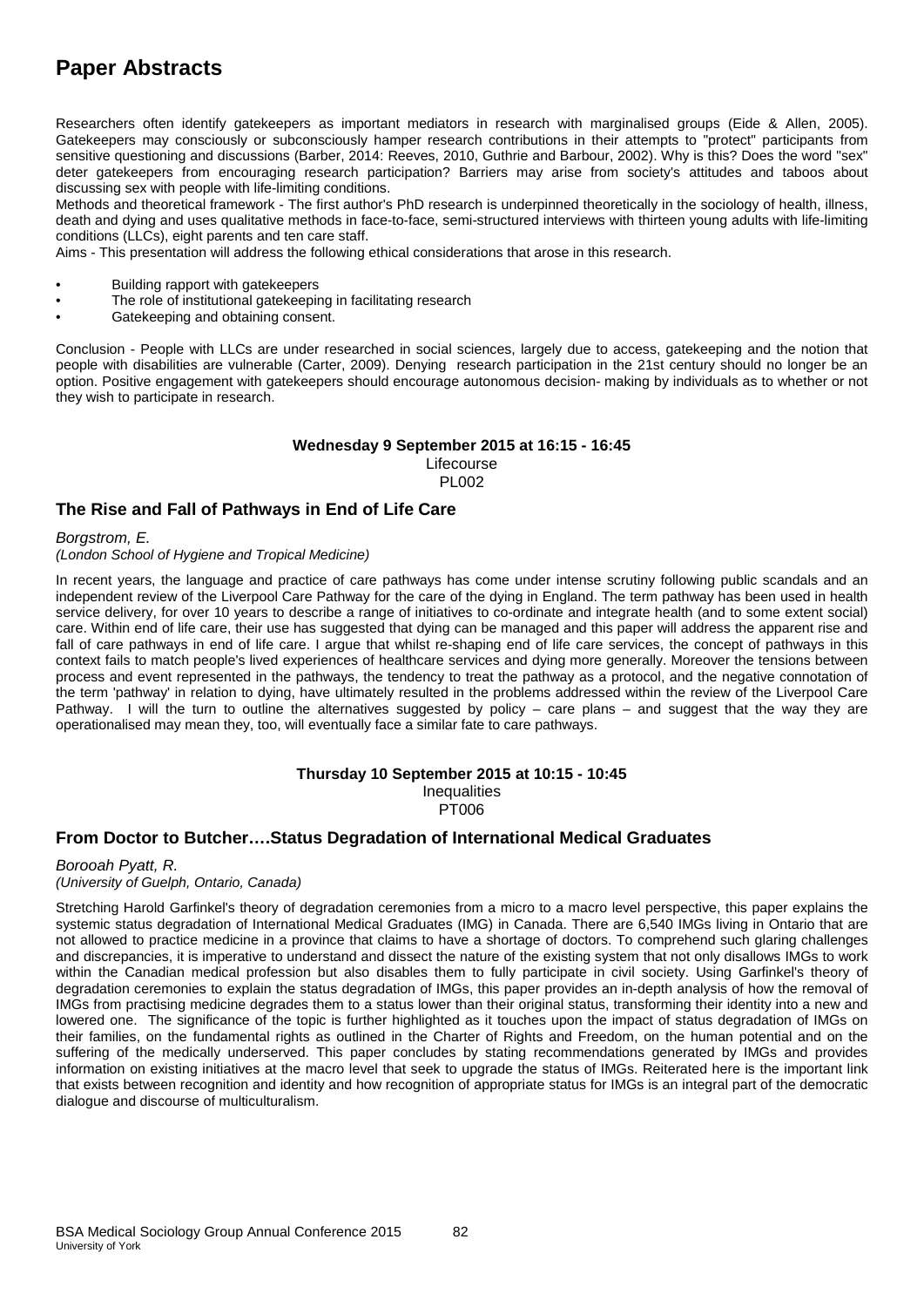# **Paper Abstracts**

Researchers often identify gatekeepers as important mediators in research with marginalised groups (Eide & Allen, 2005). Gatekeepers may consciously or subconsciously hamper research contributions in their attempts to "protect" participants from sensitive questioning and discussions (Barber, 2014: Reeves, 2010, Guthrie and Barbour, 2002). Why is this? Does the word "sex" deter gatekeepers from encouraging research participation? Barriers may arise from society's attitudes and taboos about discussing sex with people with life-limiting conditions.

Methods and theoretical framework - The first author's PhD research is underpinned theoretically in the sociology of health, illness, death and dying and uses qualitative methods in face-to-face, semi-structured interviews with thirteen young adults with life-limiting conditions (LLCs), eight parents and ten care staff.

Aims - This presentation will address the following ethical considerations that arose in this research.

- Building rapport with gatekeepers
- The role of institutional gatekeeping in facilitating research
- Gatekeeping and obtaining consent.

Conclusion - People with LLCs are under researched in social sciences, largely due to access, gatekeeping and the notion that people with disabilities are vulnerable (Carter, 2009). Denying research participation in the 21st century should no longer be an option. Positive engagement with gatekeepers should encourage autonomous decision- making by individuals as to whether or not they wish to participate in research.

#### **Wednesday 9 September 2015 at 16:15 - 16:45** Lifecourse PL002

## **The Rise and Fall of Pathways in End of Life Care**

*Borgstrom, E.* 

*(London School of Hygiene and Tropical Medicine)*

In recent years, the language and practice of care pathways has come under intense scrutiny following public scandals and an independent review of the Liverpool Care Pathway for the care of the dying in England. The term pathway has been used in health service delivery, for over 10 years to describe a range of initiatives to co-ordinate and integrate health (and to some extent social) care. Within end of life care, their use has suggested that dying can be managed and this paper will address the apparent rise and fall of care pathways in end of life care. I argue that whilst re-shaping end of life care services, the concept of pathways in this context fails to match people's lived experiences of healthcare services and dying more generally. Moreover the tensions between process and event represented in the pathways, the tendency to treat the pathway as a protocol, and the negative connotation of the term 'pathway' in relation to dying, have ultimately resulted in the problems addressed within the review of the Liverpool Care Pathway. I will the turn to outline the alternatives suggested by policy – care plans – and suggest that the way they are operationalised may mean they, too, will eventually face a similar fate to care pathways.

#### **Thursday 10 September 2015 at 10:15 - 10:45 Inequalities** PT006

## **From Doctor to Butcher….Status Degradation of International Medical Graduates**

#### *Borooah Pyatt, R. (University of Guelph, Ontario, Canada)*

Stretching Harold Garfinkel's theory of degradation ceremonies from a micro to a macro level perspective, this paper explains the systemic status degradation of International Medical Graduates (IMG) in Canada. There are 6,540 IMGs living in Ontario that are not allowed to practice medicine in a province that claims to have a shortage of doctors. To comprehend such glaring challenges and discrepancies, it is imperative to understand and dissect the nature of the existing system that not only disallows IMGs to work within the Canadian medical profession but also disables them to fully participate in civil society. Using Garfinkel's theory of degradation ceremonies to explain the status degradation of IMGs, this paper provides an in-depth analysis of how the removal of IMGs from practising medicine degrades them to a status lower than their original status, transforming their identity into a new and lowered one. The significance of the topic is further highlighted as it touches upon the impact of status degradation of IMGs on their families, on the fundamental rights as outlined in the Charter of Rights and Freedom, on the human potential and on the suffering of the medically underserved. This paper concludes by stating recommendations generated by IMGs and provides information on existing initiatives at the macro level that seek to upgrade the status of IMGs. Reiterated here is the important link that exists between recognition and identity and how recognition of appropriate status for IMGs is an integral part of the democratic dialogue and discourse of multiculturalism.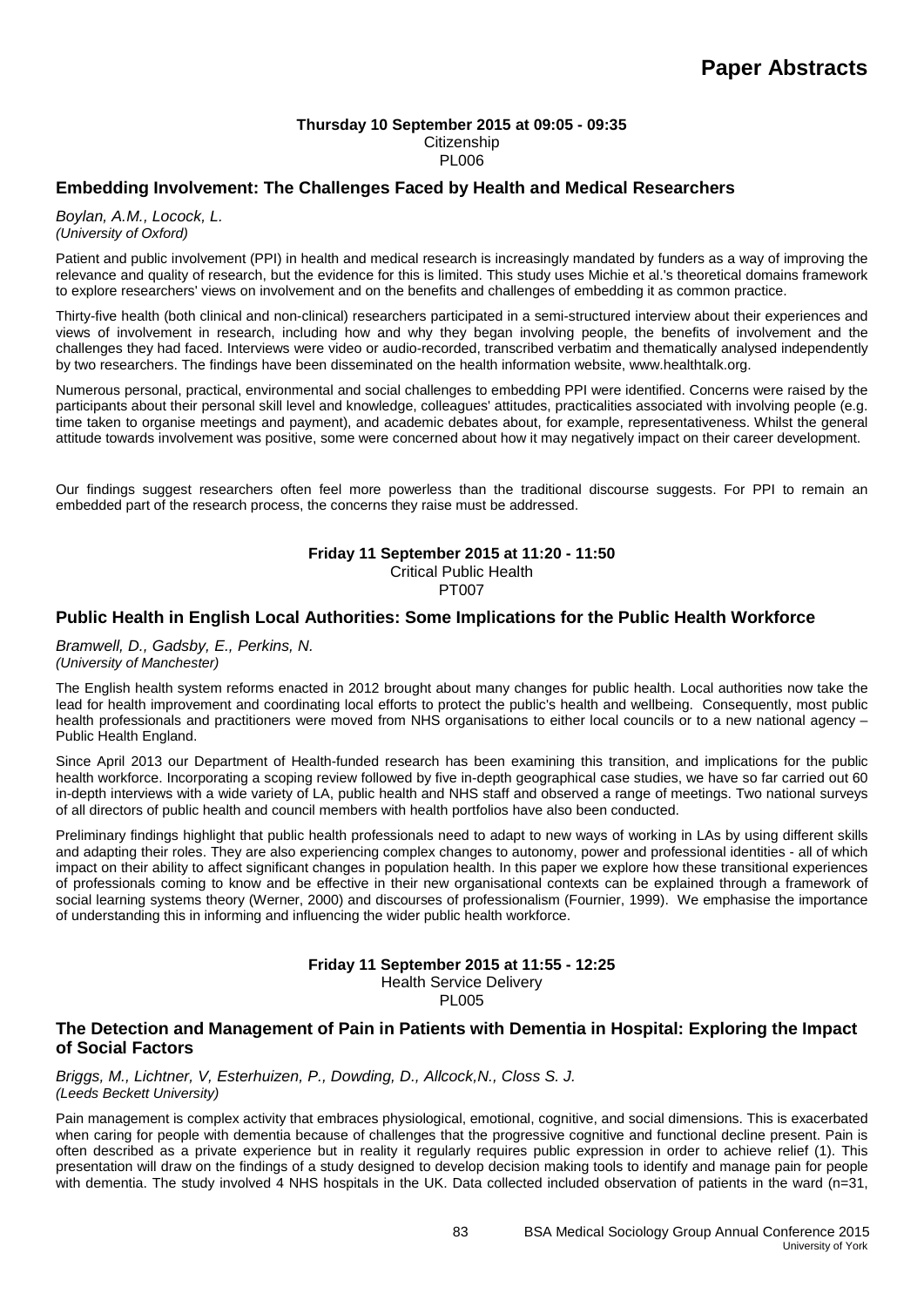#### **Thursday 10 September 2015 at 09:05 - 09:35 Citizenship** PL006

## **Embedding Involvement: The Challenges Faced by Health and Medical Researchers**

*Boylan, A.M., Locock, L. (University of Oxford)*

Patient and public involvement (PPI) in health and medical research is increasingly mandated by funders as a way of improving the relevance and quality of research, but the evidence for this is limited. This study uses Michie et al.'s theoretical domains framework to explore researchers' views on involvement and on the benefits and challenges of embedding it as common practice.

Thirty-five health (both clinical and non-clinical) researchers participated in a semi-structured interview about their experiences and views of involvement in research, including how and why they began involving people, the benefits of involvement and the challenges they had faced. Interviews were video or audio-recorded, transcribed verbatim and thematically analysed independently by two researchers. The findings have been disseminated on the health information website, www.healthtalk.org.

Numerous personal, practical, environmental and social challenges to embedding PPI were identified. Concerns were raised by the participants about their personal skill level and knowledge, colleagues' attitudes, practicalities associated with involving people (e.g. time taken to organise meetings and payment), and academic debates about, for example, representativeness. Whilst the general attitude towards involvement was positive, some were concerned about how it may negatively impact on their career development.

Our findings suggest researchers often feel more powerless than the traditional discourse suggests. For PPI to remain an embedded part of the research process, the concerns they raise must be addressed.

#### **Friday 11 September 2015 at 11:20 - 11:50** Critical Public Health PT007

# **Public Health in English Local Authorities: Some Implications for the Public Health Workforce**

*Bramwell, D., Gadsby, E., Perkins, N. (University of Manchester)*

The English health system reforms enacted in 2012 brought about many changes for public health. Local authorities now take the lead for health improvement and coordinating local efforts to protect the public's health and wellbeing. Consequently, most public health professionals and practitioners were moved from NHS organisations to either local councils or to a new national agency – Public Health England.

Since April 2013 our Department of Health-funded research has been examining this transition, and implications for the public health workforce. Incorporating a scoping review followed by five in-depth geographical case studies, we have so far carried out 60 in-depth interviews with a wide variety of LA, public health and NHS staff and observed a range of meetings. Two national surveys of all directors of public health and council members with health portfolios have also been conducted.

Preliminary findings highlight that public health professionals need to adapt to new ways of working in LAs by using different skills and adapting their roles. They are also experiencing complex changes to autonomy, power and professional identities - all of which impact on their ability to affect significant changes in population health. In this paper we explore how these transitional experiences of professionals coming to know and be effective in their new organisational contexts can be explained through a framework of social learning systems theory (Werner, 2000) and discourses of professionalism (Fournier, 1999). We emphasise the importance of understanding this in informing and influencing the wider public health workforce.

# **Friday 11 September 2015 at 11:55 - 12:25**

Health Service Delivery **PL005** 

## **The Detection and Management of Pain in Patients with Dementia in Hospital: Exploring the Impact of Social Factors**

*Briggs, M., Lichtner, V, Esterhuizen, P., Dowding, D., Allcock,N., Closs S. J. (Leeds Beckett University)*

Pain management is complex activity that embraces physiological, emotional, cognitive, and social dimensions. This is exacerbated when caring for people with dementia because of challenges that the progressive cognitive and functional decline present. Pain is often described as a private experience but in reality it regularly requires public expression in order to achieve relief (1). This presentation will draw on the findings of a study designed to develop decision making tools to identify and manage pain for people with dementia. The study involved 4 NHS hospitals in the UK. Data collected included observation of patients in the ward (n=31,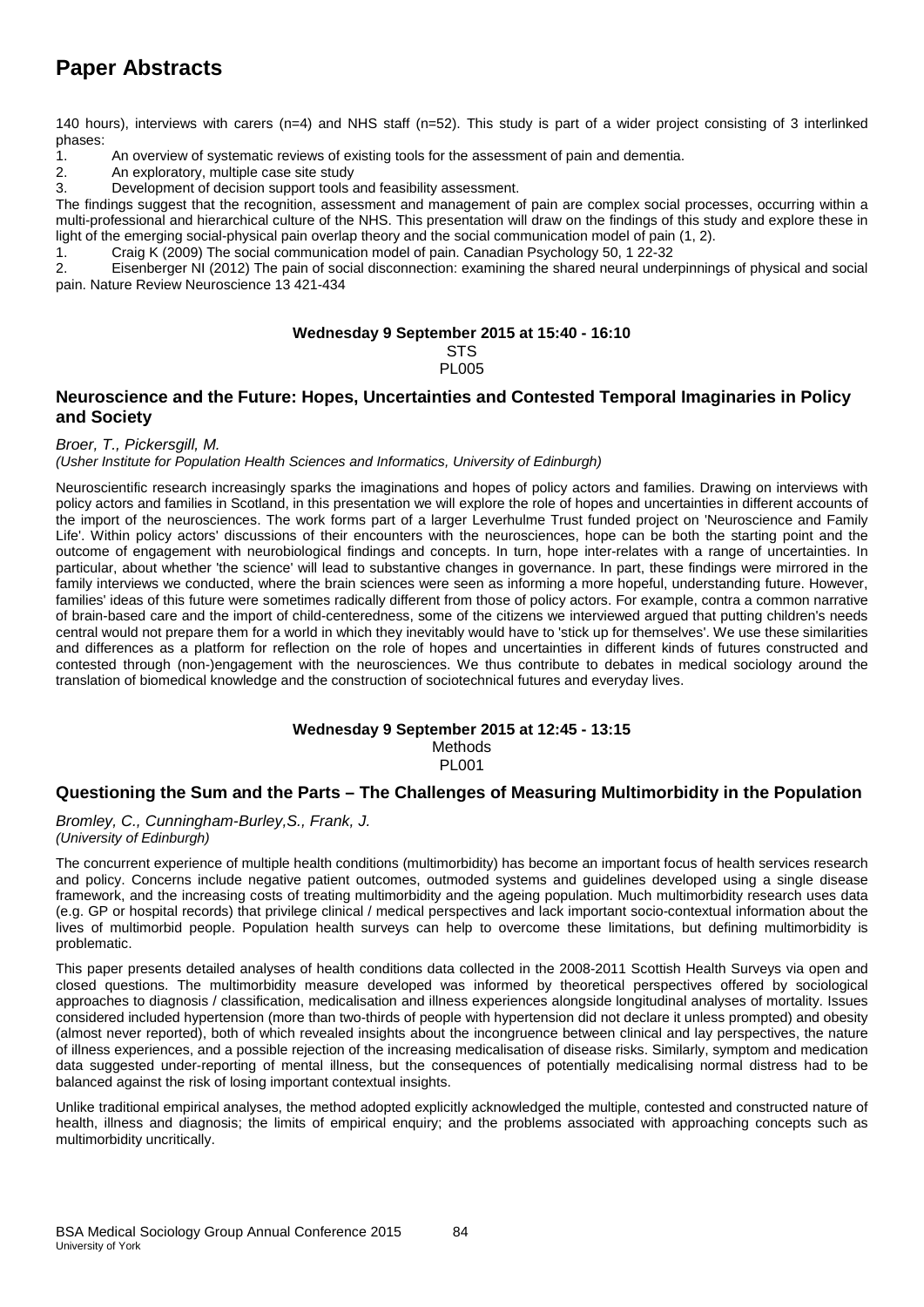# **Paper Abstracts**

140 hours), interviews with carers (n=4) and NHS staff (n=52). This study is part of a wider project consisting of 3 interlinked phases:

1. An overview of systematic reviews of existing tools for the assessment of pain and dementia.

2. An exploratory, multiple case site study

3. Development of decision support tools and feasibility assessment.

The findings suggest that the recognition, assessment and management of pain are complex social processes, occurring within a multi-professional and hierarchical culture of the NHS. This presentation will draw on the findings of this study and explore these in light of the emerging social-physical pain overlap theory and the social communication model of pain (1, 2).

1. Craig K (2009) The social communication model of pain. Canadian Psychology 50, 1 22-32

2. Eisenberger NI (2012) The pain of social disconnection: examining the shared neural underpinnings of physical and social pain. Nature Review Neuroscience 13 421-434

#### **Wednesday 9 September 2015 at 15:40 - 16:10**

#### STS **PL005**

## **Neuroscience and the Future: Hopes, Uncertainties and Contested Temporal Imaginaries in Policy and Society**

#### *Broer, T., Pickersgill, M.*

*(Usher Institute for Population Health Sciences and Informatics, University of Edinburgh)*

Neuroscientific research increasingly sparks the imaginations and hopes of policy actors and families. Drawing on interviews with policy actors and families in Scotland, in this presentation we will explore the role of hopes and uncertainties in different accounts of the import of the neurosciences. The work forms part of a larger Leverhulme Trust funded project on 'Neuroscience and Family Life'. Within policy actors' discussions of their encounters with the neurosciences, hope can be both the starting point and the outcome of engagement with neurobiological findings and concepts. In turn, hope inter-relates with a range of uncertainties. In particular, about whether 'the science' will lead to substantive changes in governance. In part, these findings were mirrored in the family interviews we conducted, where the brain sciences were seen as informing a more hopeful, understanding future. However, families' ideas of this future were sometimes radically different from those of policy actors. For example, contra a common narrative of brain-based care and the import of child-centeredness, some of the citizens we interviewed argued that putting children's needs central would not prepare them for a world in which they inevitably would have to 'stick up for themselves'. We use these similarities and differences as a platform for reflection on the role of hopes and uncertainties in different kinds of futures constructed and contested through (non-)engagement with the neurosciences. We thus contribute to debates in medical sociology around the translation of biomedical knowledge and the construction of sociotechnical futures and everyday lives.

## **Wednesday 9 September 2015 at 12:45 - 13:15**

Methods

PL001

## **Questioning the Sum and the Parts – The Challenges of Measuring Multimorbidity in the Population**

*Bromley, C., Cunningham-Burley,S., Frank, J. (University of Edinburgh)*

The concurrent experience of multiple health conditions (multimorbidity) has become an important focus of health services research and policy. Concerns include negative patient outcomes, outmoded systems and guidelines developed using a single disease framework, and the increasing costs of treating multimorbidity and the ageing population. Much multimorbidity research uses data (e.g. GP or hospital records) that privilege clinical / medical perspectives and lack important socio-contextual information about the lives of multimorbid people. Population health surveys can help to overcome these limitations, but defining multimorbidity is problematic.

This paper presents detailed analyses of health conditions data collected in the 2008-2011 Scottish Health Surveys via open and closed questions. The multimorbidity measure developed was informed by theoretical perspectives offered by sociological approaches to diagnosis / classification, medicalisation and illness experiences alongside longitudinal analyses of mortality. Issues considered included hypertension (more than two-thirds of people with hypertension did not declare it unless prompted) and obesity (almost never reported), both of which revealed insights about the incongruence between clinical and lay perspectives, the nature of illness experiences, and a possible rejection of the increasing medicalisation of disease risks. Similarly, symptom and medication data suggested under-reporting of mental illness, but the consequences of potentially medicalising normal distress had to be balanced against the risk of losing important contextual insights.

Unlike traditional empirical analyses, the method adopted explicitly acknowledged the multiple, contested and constructed nature of health, illness and diagnosis; the limits of empirical enquiry; and the problems associated with approaching concepts such as multimorbidity uncritically.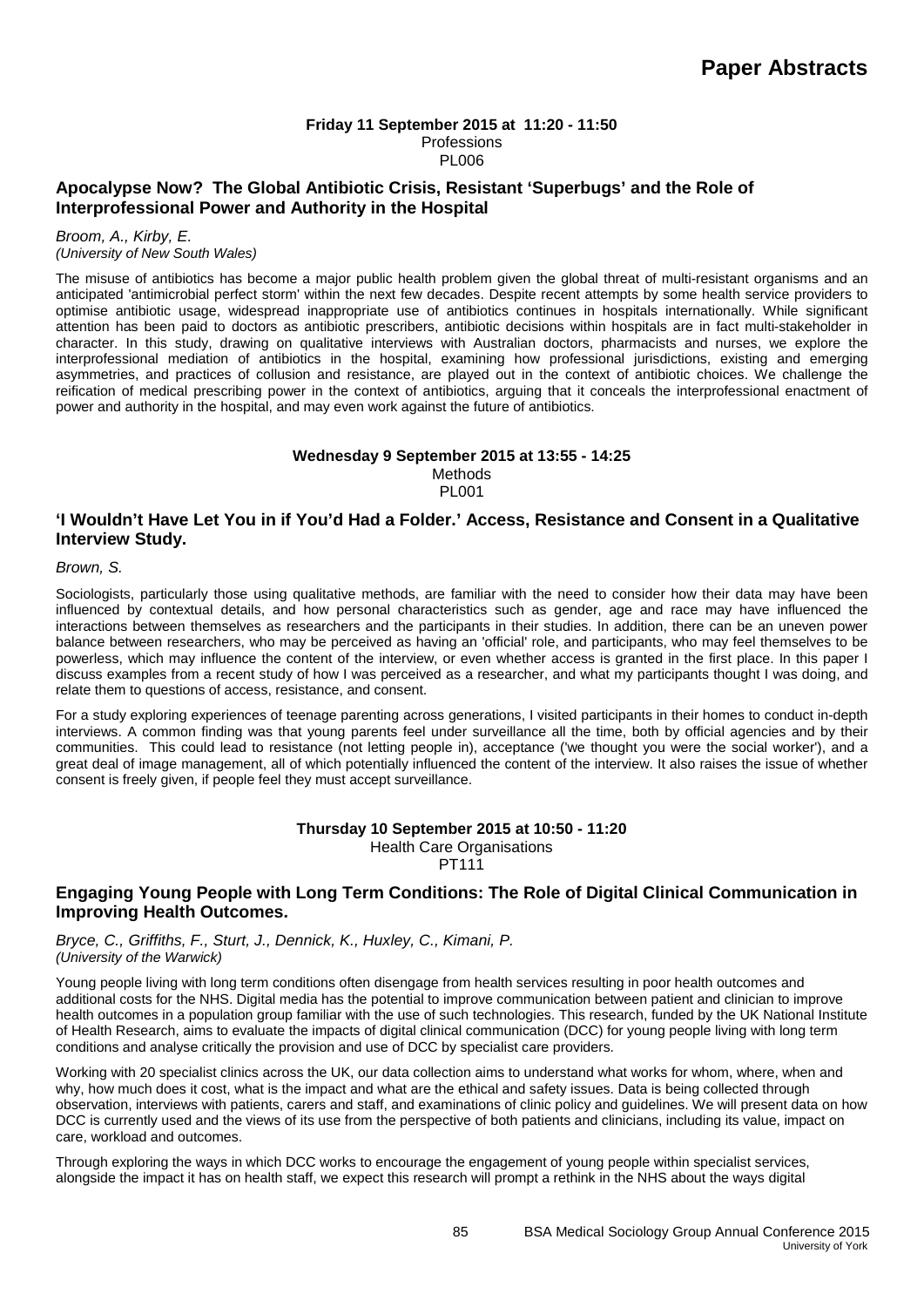#### **Friday 11 September 2015 at 11:20 - 11:50** Professions PL006

## **Apocalypse Now? The Global Antibiotic Crisis, Resistant 'Superbugs' and the Role of Interprofessional Power and Authority in the Hospital**

#### *Broom, A., Kirby, E. (University of New South Wales)*

The misuse of antibiotics has become a major public health problem given the global threat of multi-resistant organisms and an anticipated 'antimicrobial perfect storm' within the next few decades. Despite recent attempts by some health service providers to optimise antibiotic usage, widespread inappropriate use of antibiotics continues in hospitals internationally. While significant attention has been paid to doctors as antibiotic prescribers, antibiotic decisions within hospitals are in fact multi-stakeholder in character. In this study, drawing on qualitative interviews with Australian doctors, pharmacists and nurses, we explore the interprofessional mediation of antibiotics in the hospital, examining how professional jurisdictions, existing and emerging asymmetries, and practices of collusion and resistance, are played out in the context of antibiotic choices. We challenge the reification of medical prescribing power in the context of antibiotics, arguing that it conceals the interprofessional enactment of power and authority in the hospital, and may even work against the future of antibiotics.

#### **Wednesday 9 September 2015 at 13:55 - 14:25**

Methods PL001

## **'I Wouldn't Have Let You in if You'd Had a Folder.' Access, Resistance and Consent in a Qualitative Interview Study.**

*Brown, S.* 

Sociologists, particularly those using qualitative methods, are familiar with the need to consider how their data may have been influenced by contextual details, and how personal characteristics such as gender, age and race may have influenced the interactions between themselves as researchers and the participants in their studies. In addition, there can be an uneven power balance between researchers, who may be perceived as having an 'official' role, and participants, who may feel themselves to be powerless, which may influence the content of the interview, or even whether access is granted in the first place. In this paper I discuss examples from a recent study of how I was perceived as a researcher, and what my participants thought I was doing, and relate them to questions of access, resistance, and consent.

For a study exploring experiences of teenage parenting across generations, I visited participants in their homes to conduct in-depth interviews. A common finding was that young parents feel under surveillance all the time, both by official agencies and by their communities. This could lead to resistance (not letting people in), acceptance ('we thought you were the social worker'), and a great deal of image management, all of which potentially influenced the content of the interview. It also raises the issue of whether consent is freely given, if people feel they must accept surveillance.

#### **Thursday 10 September 2015 at 10:50 - 11:20** Health Care Organisations PT111

## **Engaging Young People with Long Term Conditions: The Role of Digital Clinical Communication in Improving Health Outcomes.**

*Bryce, C., Griffiths, F., Sturt, J., Dennick, K., Huxley, C., Kimani, P. (University of the Warwick)*

Young people living with long term conditions often disengage from health services resulting in poor health outcomes and additional costs for the NHS. Digital media has the potential to improve communication between patient and clinician to improve health outcomes in a population group familiar with the use of such technologies. This research, funded by the UK National Institute of Health Research, aims to evaluate the impacts of digital clinical communication (DCC) for young people living with long term conditions and analyse critically the provision and use of DCC by specialist care providers.

Working with 20 specialist clinics across the UK, our data collection aims to understand what works for whom, where, when and why, how much does it cost, what is the impact and what are the ethical and safety issues. Data is being collected through observation, interviews with patients, carers and staff, and examinations of clinic policy and guidelines. We will present data on how DCC is currently used and the views of its use from the perspective of both patients and clinicians, including its value, impact on care, workload and outcomes.

Through exploring the ways in which DCC works to encourage the engagement of young people within specialist services, alongside the impact it has on health staff, we expect this research will prompt a rethink in the NHS about the ways digital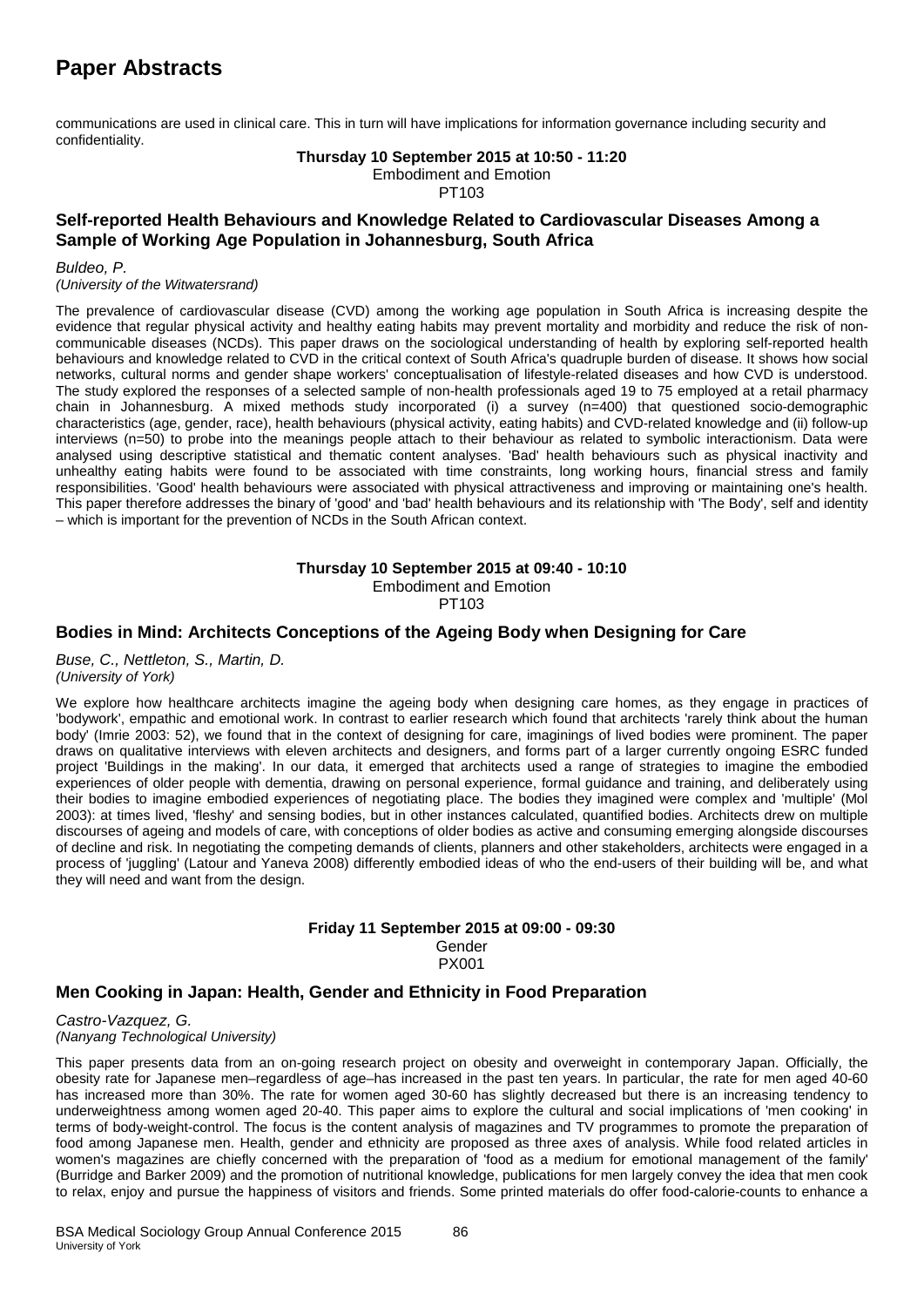# **Paper Abstracts**

communications are used in clinical care. This in turn will have implications for information governance including security and confidentiality.

#### **Thursday 10 September 2015 at 10:50 - 11:20** Embodiment and Emotion

PT103

## **Self-reported Health Behaviours and Knowledge Related to Cardiovascular Diseases Among a Sample of Working Age Population in Johannesburg, South Africa**

#### *Buldeo, P.*

*(University of the Witwatersrand)*

The prevalence of cardiovascular disease (CVD) among the working age population in South Africa is increasing despite the evidence that regular physical activity and healthy eating habits may prevent mortality and morbidity and reduce the risk of noncommunicable diseases (NCDs). This paper draws on the sociological understanding of health by exploring self-reported health behaviours and knowledge related to CVD in the critical context of South Africa's quadruple burden of disease. It shows how social networks, cultural norms and gender shape workers' conceptualisation of lifestyle-related diseases and how CVD is understood. The study explored the responses of a selected sample of non-health professionals aged 19 to 75 employed at a retail pharmacy chain in Johannesburg. A mixed methods study incorporated (i) a survey (n=400) that questioned socio-demographic characteristics (age, gender, race), health behaviours (physical activity, eating habits) and CVD-related knowledge and (ii) follow-up interviews (n=50) to probe into the meanings people attach to their behaviour as related to symbolic interactionism. Data were analysed using descriptive statistical and thematic content analyses. 'Bad' health behaviours such as physical inactivity and unhealthy eating habits were found to be associated with time constraints, long working hours, financial stress and family responsibilities. 'Good' health behaviours were associated with physical attractiveness and improving or maintaining one's health. This paper therefore addresses the binary of 'good' and 'bad' health behaviours and its relationship with 'The Body', self and identity – which is important for the prevention of NCDs in the South African context.

**Thursday 10 September 2015 at 09:40 - 10:10**

Embodiment and Emotion

PT103

## **Bodies in Mind: Architects Conceptions of the Ageing Body when Designing for Care**

*Buse, C., Nettleton, S., Martin, D. (University of York)*

We explore how healthcare architects imagine the ageing body when designing care homes, as they engage in practices of 'bodywork', empathic and emotional work. In contrast to earlier research which found that architects 'rarely think about the human body' (Imrie 2003: 52), we found that in the context of designing for care, imaginings of lived bodies were prominent. The paper draws on qualitative interviews with eleven architects and designers, and forms part of a larger currently ongoing ESRC funded project 'Buildings in the making'. In our data, it emerged that architects used a range of strategies to imagine the embodied experiences of older people with dementia, drawing on personal experience, formal guidance and training, and deliberately using their bodies to imagine embodied experiences of negotiating place. The bodies they imagined were complex and 'multiple' (Mol 2003): at times lived, 'fleshy' and sensing bodies, but in other instances calculated, quantified bodies. Architects drew on multiple discourses of ageing and models of care, with conceptions of older bodies as active and consuming emerging alongside discourses of decline and risk. In negotiating the competing demands of clients, planners and other stakeholders, architects were engaged in a process of 'juggling' (Latour and Yaneva 2008) differently embodied ideas of who the end-users of their building will be, and what they will need and want from the design.

#### **Friday 11 September 2015 at 09:00 - 09:30** Gender PX001

## **Men Cooking in Japan: Health, Gender and Ethnicity in Food Preparation**

*Castro-Vazquez, G. (Nanyang Technological University)*

This paper presents data from an on-going research project on obesity and overweight in contemporary Japan. Officially, the obesity rate for Japanese men–regardless of age–has increased in the past ten years. In particular, the rate for men aged 40-60 has increased more than 30%. The rate for women aged 30-60 has slightly decreased but there is an increasing tendency to underweightness among women aged 20-40. This paper aims to explore the cultural and social implications of 'men cooking' in terms of body-weight-control. The focus is the content analysis of magazines and TV programmes to promote the preparation of food among Japanese men. Health, gender and ethnicity are proposed as three axes of analysis. While food related articles in women's magazines are chiefly concerned with the preparation of 'food as a medium for emotional management of the family' (Burridge and Barker 2009) and the promotion of nutritional knowledge, publications for men largely convey the idea that men cook to relax, enjoy and pursue the happiness of visitors and friends. Some printed materials do offer food-calorie-counts to enhance a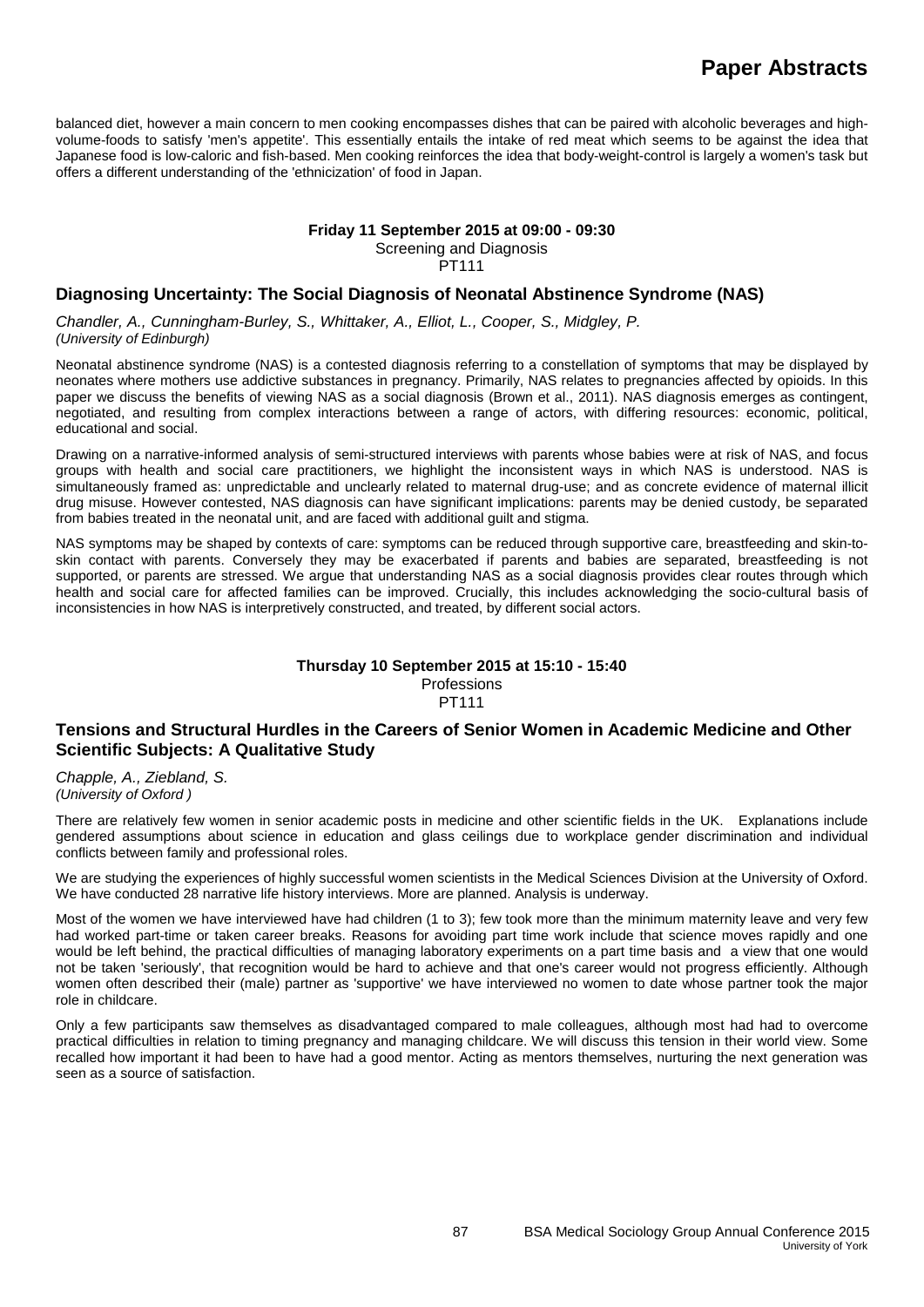balanced diet, however a main concern to men cooking encompasses dishes that can be paired with alcoholic beverages and highvolume-foods to satisfy 'men's appetite'. This essentially entails the intake of red meat which seems to be against the idea that Japanese food is low-caloric and fish-based. Men cooking reinforces the idea that body-weight-control is largely a women's task but offers a different understanding of the 'ethnicization' of food in Japan.

#### **Friday 11 September 2015 at 09:00 - 09:30**

Screening and Diagnosis

PT111

## **Diagnosing Uncertainty: The Social Diagnosis of Neonatal Abstinence Syndrome (NAS)**

*Chandler, A., Cunningham-Burley, S., Whittaker, A., Elliot, L., Cooper, S., Midgley, P. (University of Edinburgh)*

Neonatal abstinence syndrome (NAS) is a contested diagnosis referring to a constellation of symptoms that may be displayed by neonates where mothers use addictive substances in pregnancy. Primarily, NAS relates to pregnancies affected by opioids. In this paper we discuss the benefits of viewing NAS as a social diagnosis (Brown et al., 2011). NAS diagnosis emerges as contingent, negotiated, and resulting from complex interactions between a range of actors, with differing resources: economic, political, educational and social.

Drawing on a narrative-informed analysis of semi-structured interviews with parents whose babies were at risk of NAS, and focus groups with health and social care practitioners, we highlight the inconsistent ways in which NAS is understood. NAS is simultaneously framed as: unpredictable and unclearly related to maternal drug-use; and as concrete evidence of maternal illicit drug misuse. However contested, NAS diagnosis can have significant implications: parents may be denied custody, be separated from babies treated in the neonatal unit, and are faced with additional guilt and stigma.

NAS symptoms may be shaped by contexts of care: symptoms can be reduced through supportive care, breastfeeding and skin-toskin contact with parents. Conversely they may be exacerbated if parents and babies are separated, breastfeeding is not supported, or parents are stressed. We argue that understanding NAS as a social diagnosis provides clear routes through which health and social care for affected families can be improved. Crucially, this includes acknowledging the socio-cultural basis of inconsistencies in how NAS is interpretively constructed, and treated, by different social actors.

#### **Thursday 10 September 2015 at 15:10 - 15:40 Professions** PT111

## **Tensions and Structural Hurdles in the Careers of Senior Women in Academic Medicine and Other Scientific Subjects: A Qualitative Study**

*Chapple, A., Ziebland, S. (University of Oxford )*

There are relatively few women in senior academic posts in medicine and other scientific fields in the UK. Explanations include gendered assumptions about science in education and glass ceilings due to workplace gender discrimination and individual conflicts between family and professional roles.

We are studying the experiences of highly successful women scientists in the Medical Sciences Division at the University of Oxford. We have conducted 28 narrative life history interviews. More are planned. Analysis is underway.

Most of the women we have interviewed have had children (1 to 3); few took more than the minimum maternity leave and very few had worked part-time or taken career breaks. Reasons for avoiding part time work include that science moves rapidly and one would be left behind, the practical difficulties of managing laboratory experiments on a part time basis and a view that one would not be taken 'seriously', that recognition would be hard to achieve and that one's career would not progress efficiently. Although women often described their (male) partner as 'supportive' we have interviewed no women to date whose partner took the major role in childcare.

Only a few participants saw themselves as disadvantaged compared to male colleagues, although most had had to overcome practical difficulties in relation to timing pregnancy and managing childcare. We will discuss this tension in their world view. Some recalled how important it had been to have had a good mentor. Acting as mentors themselves, nurturing the next generation was seen as a source of satisfaction.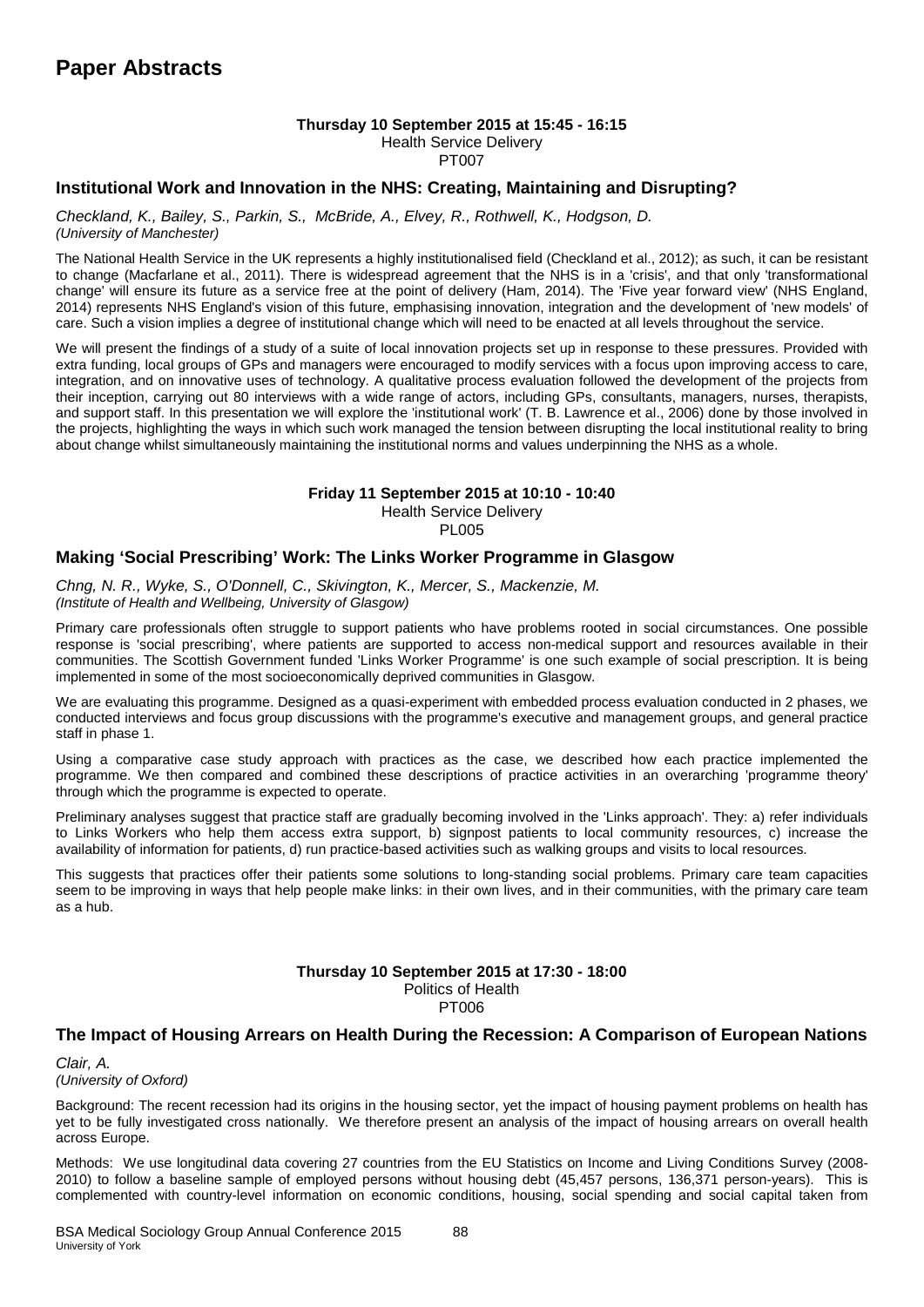#### **Thursday 10 September 2015 at 15:45 - 16:15**

Health Service Delivery

PT007

## **Institutional Work and Innovation in the NHS: Creating, Maintaining and Disrupting?**

*Checkland, K., Bailey, S., Parkin, S., McBride, A., Elvey, R., Rothwell, K., Hodgson, D. (University of Manchester)*

The National Health Service in the UK represents a highly institutionalised field (Checkland et al., 2012); as such, it can be resistant to change (Macfarlane et al., 2011). There is widespread agreement that the NHS is in a 'crisis', and that only 'transformational change' will ensure its future as a service free at the point of delivery (Ham, 2014). The 'Five year forward view' (NHS England, 2014) represents NHS England's vision of this future, emphasising innovation, integration and the development of 'new models' of care. Such a vision implies a degree of institutional change which will need to be enacted at all levels throughout the service.

We will present the findings of a study of a suite of local innovation projects set up in response to these pressures. Provided with extra funding, local groups of GPs and managers were encouraged to modify services with a focus upon improving access to care, integration, and on innovative uses of technology. A qualitative process evaluation followed the development of the projects from their inception, carrying out 80 interviews with a wide range of actors, including GPs, consultants, managers, nurses, therapists, and support staff. In this presentation we will explore the 'institutional work' (T. B. Lawrence et al., 2006) done by those involved in the projects, highlighting the ways in which such work managed the tension between disrupting the local institutional reality to bring about change whilst simultaneously maintaining the institutional norms and values underpinning the NHS as a whole.

## **Friday 11 September 2015 at 10:10 - 10:40**

Health Service Delivery **PL005** 

## **Making 'Social Prescribing' Work: The Links Worker Programme in Glasgow**

*Chng, N. R., Wyke, S., O'Donnell, C., Skivington, K., Mercer, S., Mackenzie, M. (Institute of Health and Wellbeing, University of Glasgow)*

Primary care professionals often struggle to support patients who have problems rooted in social circumstances. One possible response is 'social prescribing', where patients are supported to access non-medical support and resources available in their communities. The Scottish Government funded 'Links Worker Programme' is one such example of social prescription. It is being implemented in some of the most socioeconomically deprived communities in Glasgow.

We are evaluating this programme. Designed as a quasi-experiment with embedded process evaluation conducted in 2 phases, we conducted interviews and focus group discussions with the programme's executive and management groups, and general practice staff in phase 1.

Using a comparative case study approach with practices as the case, we described how each practice implemented the programme. We then compared and combined these descriptions of practice activities in an overarching 'programme theory' through which the programme is expected to operate.

Preliminary analyses suggest that practice staff are gradually becoming involved in the 'Links approach'. They: a) refer individuals to Links Workers who help them access extra support, b) signpost patients to local community resources, c) increase the availability of information for patients, d) run practice-based activities such as walking groups and visits to local resources.

This suggests that practices offer their patients some solutions to long-standing social problems. Primary care team capacities seem to be improving in ways that help people make links: in their own lives, and in their communities, with the primary care team as a hub.

#### **Thursday 10 September 2015 at 17:30 - 18:00** Politics of Health

PT006

## **The Impact of Housing Arrears on Health During the Recession: A Comparison of European Nations**

*Clair, A. (University of Oxford)*

Background: The recent recession had its origins in the housing sector, yet the impact of housing payment problems on health has yet to be fully investigated cross nationally. We therefore present an analysis of the impact of housing arrears on overall health across Europe.

Methods: We use longitudinal data covering 27 countries from the EU Statistics on Income and Living Conditions Survey (2008- 2010) to follow a baseline sample of employed persons without housing debt (45,457 persons, 136,371 person-years). This is complemented with country-level information on economic conditions, housing, social spending and social capital taken from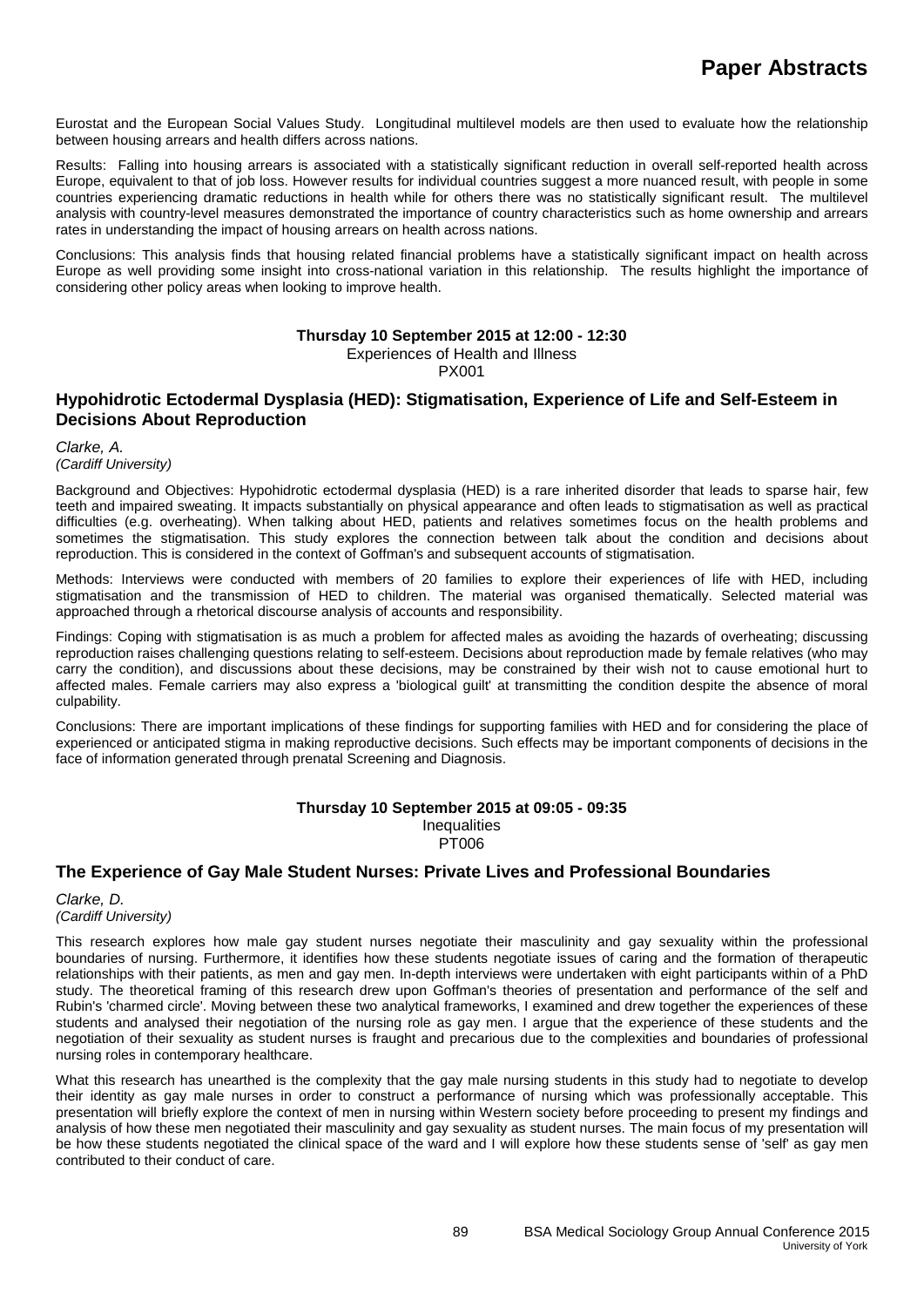Eurostat and the European Social Values Study. Longitudinal multilevel models are then used to evaluate how the relationship between housing arrears and health differs across nations.

Results: Falling into housing arrears is associated with a statistically significant reduction in overall self-reported health across Europe, equivalent to that of job loss. However results for individual countries suggest a more nuanced result, with people in some countries experiencing dramatic reductions in health while for others there was no statistically significant result. The multilevel analysis with country-level measures demonstrated the importance of country characteristics such as home ownership and arrears rates in understanding the impact of housing arrears on health across nations.

Conclusions: This analysis finds that housing related financial problems have a statistically significant impact on health across Europe as well providing some insight into cross-national variation in this relationship. The results highlight the importance of considering other policy areas when looking to improve health.

#### **Thursday 10 September 2015 at 12:00 - 12:30**

Experiences of Health and Illness

PX001

## **Hypohidrotic Ectodermal Dysplasia (HED): Stigmatisation, Experience of Life and Self-Esteem in Decisions About Reproduction**

#### *Clarke, A. (Cardiff University)*

Background and Objectives: Hypohidrotic ectodermal dysplasia (HED) is a rare inherited disorder that leads to sparse hair, few teeth and impaired sweating. It impacts substantially on physical appearance and often leads to stigmatisation as well as practical difficulties (e.g. overheating). When talking about HED, patients and relatives sometimes focus on the health problems and sometimes the stigmatisation. This study explores the connection between talk about the condition and decisions about reproduction. This is considered in the context of Goffman's and subsequent accounts of stigmatisation.

Methods: Interviews were conducted with members of 20 families to explore their experiences of life with HED, including stigmatisation and the transmission of HED to children. The material was organised thematically. Selected material was approached through a rhetorical discourse analysis of accounts and responsibility.

Findings: Coping with stigmatisation is as much a problem for affected males as avoiding the hazards of overheating; discussing reproduction raises challenging questions relating to self-esteem. Decisions about reproduction made by female relatives (who may carry the condition), and discussions about these decisions, may be constrained by their wish not to cause emotional hurt to affected males. Female carriers may also express a 'biological guilt' at transmitting the condition despite the absence of moral culpability.

Conclusions: There are important implications of these findings for supporting families with HED and for considering the place of experienced or anticipated stigma in making reproductive decisions. Such effects may be important components of decisions in the face of information generated through prenatal Screening and Diagnosis.

#### **Thursday 10 September 2015 at 09:05 - 09:35**

**Inequalities** 

PT006

## **The Experience of Gay Male Student Nurses: Private Lives and Professional Boundaries**

*Clarke, D. (Cardiff University)*

This research explores how male gay student nurses negotiate their masculinity and gay sexuality within the professional boundaries of nursing. Furthermore, it identifies how these students negotiate issues of caring and the formation of therapeutic relationships with their patients, as men and gay men. In-depth interviews were undertaken with eight participants within of a PhD study. The theoretical framing of this research drew upon Goffman's theories of presentation and performance of the self and Rubin's 'charmed circle'. Moving between these two analytical frameworks, I examined and drew together the experiences of these students and analysed their negotiation of the nursing role as gay men. I argue that the experience of these students and the negotiation of their sexuality as student nurses is fraught and precarious due to the complexities and boundaries of professional nursing roles in contemporary healthcare.

What this research has unearthed is the complexity that the gay male nursing students in this study had to negotiate to develop their identity as gay male nurses in order to construct a performance of nursing which was professionally acceptable. This presentation will briefly explore the context of men in nursing within Western society before proceeding to present my findings and analysis of how these men negotiated their masculinity and gay sexuality as student nurses. The main focus of my presentation will be how these students negotiated the clinical space of the ward and I will explore how these students sense of 'self' as gay men contributed to their conduct of care.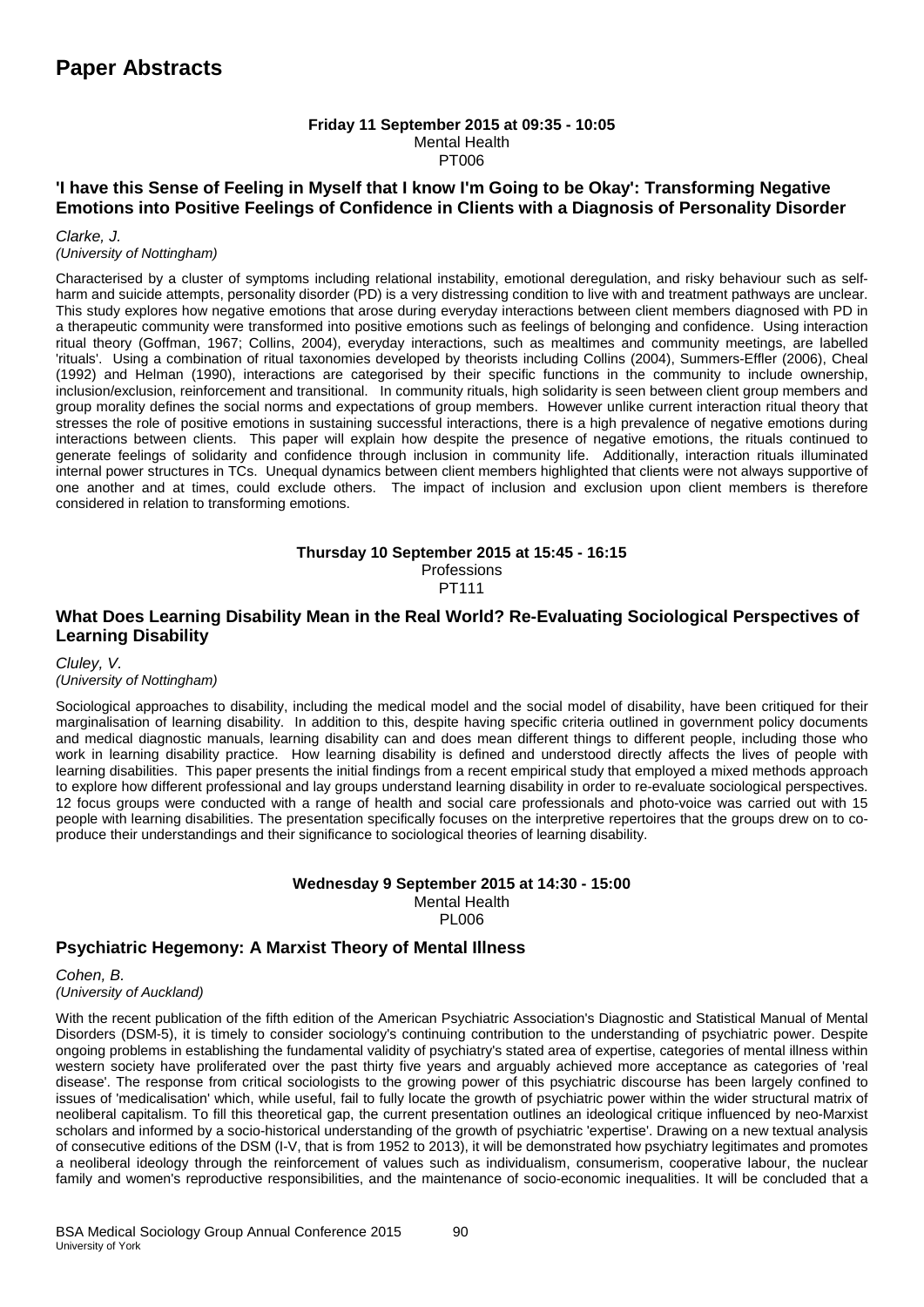#### **Friday 11 September 2015 at 09:35 - 10:05** Mental Health PT006

## **'I have this Sense of Feeling in Myself that I know I'm Going to be Okay': Transforming Negative Emotions into Positive Feelings of Confidence in Clients with a Diagnosis of Personality Disorder**

*Clarke, J.* 

#### *(University of Nottingham)*

Characterised by a cluster of symptoms including relational instability, emotional deregulation, and risky behaviour such as selfharm and suicide attempts, personality disorder (PD) is a very distressing condition to live with and treatment pathways are unclear. This study explores how negative emotions that arose during everyday interactions between client members diagnosed with PD in a therapeutic community were transformed into positive emotions such as feelings of belonging and confidence. Using interaction ritual theory (Goffman, 1967; Collins, 2004), everyday interactions, such as mealtimes and community meetings, are labelled 'rituals'. Using a combination of ritual taxonomies developed by theorists including Collins (2004), Summers-Effler (2006), Cheal (1992) and Helman (1990), interactions are categorised by their specific functions in the community to include ownership, inclusion/exclusion, reinforcement and transitional. In community rituals, high solidarity is seen between client group members and group morality defines the social norms and expectations of group members. However unlike current interaction ritual theory that stresses the role of positive emotions in sustaining successful interactions, there is a high prevalence of negative emotions during interactions between clients. This paper will explain how despite the presence of negative emotions, the rituals continued to generate feelings of solidarity and confidence through inclusion in community life. Additionally, interaction rituals illuminated internal power structures in TCs. Unequal dynamics between client members highlighted that clients were not always supportive of one another and at times, could exclude others. The impact of inclusion and exclusion upon client members is therefore considered in relation to transforming emotions.

#### **Thursday 10 September 2015 at 15:45 - 16:15** Professions PT111

## **What Does Learning Disability Mean in the Real World? Re-Evaluating Sociological Perspectives of Learning Disability**

#### *Cluley, V. (University of Nottingham)*

Sociological approaches to disability, including the medical model and the social model of disability, have been critiqued for their marginalisation of learning disability. In addition to this, despite having specific criteria outlined in government policy documents and medical diagnostic manuals, learning disability can and does mean different things to different people, including those who work in learning disability practice. How learning disability is defined and understood directly affects the lives of people with learning disabilities. This paper presents the initial findings from a recent empirical study that employed a mixed methods approach to explore how different professional and lay groups understand learning disability in order to re-evaluate sociological perspectives. 12 focus groups were conducted with a range of health and social care professionals and photo-voice was carried out with 15 people with learning disabilities. The presentation specifically focuses on the interpretive repertoires that the groups drew on to coproduce their understandings and their significance to sociological theories of learning disability.

#### **Wednesday 9 September 2015 at 14:30 - 15:00** Mental Health PL006

## **Psychiatric Hegemony: A Marxist Theory of Mental Illness**

*Cohen, B. (University of Auckland)*

With the recent publication of the fifth edition of the American Psychiatric Association's Diagnostic and Statistical Manual of Mental Disorders (DSM-5), it is timely to consider sociology's continuing contribution to the understanding of psychiatric power. Despite ongoing problems in establishing the fundamental validity of psychiatry's stated area of expertise, categories of mental illness within western society have proliferated over the past thirty five years and arguably achieved more acceptance as categories of 'real disease'. The response from critical sociologists to the growing power of this psychiatric discourse has been largely confined to issues of 'medicalisation' which, while useful, fail to fully locate the growth of psychiatric power within the wider structural matrix of neoliberal capitalism. To fill this theoretical gap, the current presentation outlines an ideological critique influenced by neo-Marxist scholars and informed by a socio-historical understanding of the growth of psychiatric 'expertise'. Drawing on a new textual analysis of consecutive editions of the DSM (I-V, that is from 1952 to 2013), it will be demonstrated how psychiatry legitimates and promotes a neoliberal ideology through the reinforcement of values such as individualism, consumerism, cooperative labour, the nuclear family and women's reproductive responsibilities, and the maintenance of socio-economic inequalities. It will be concluded that a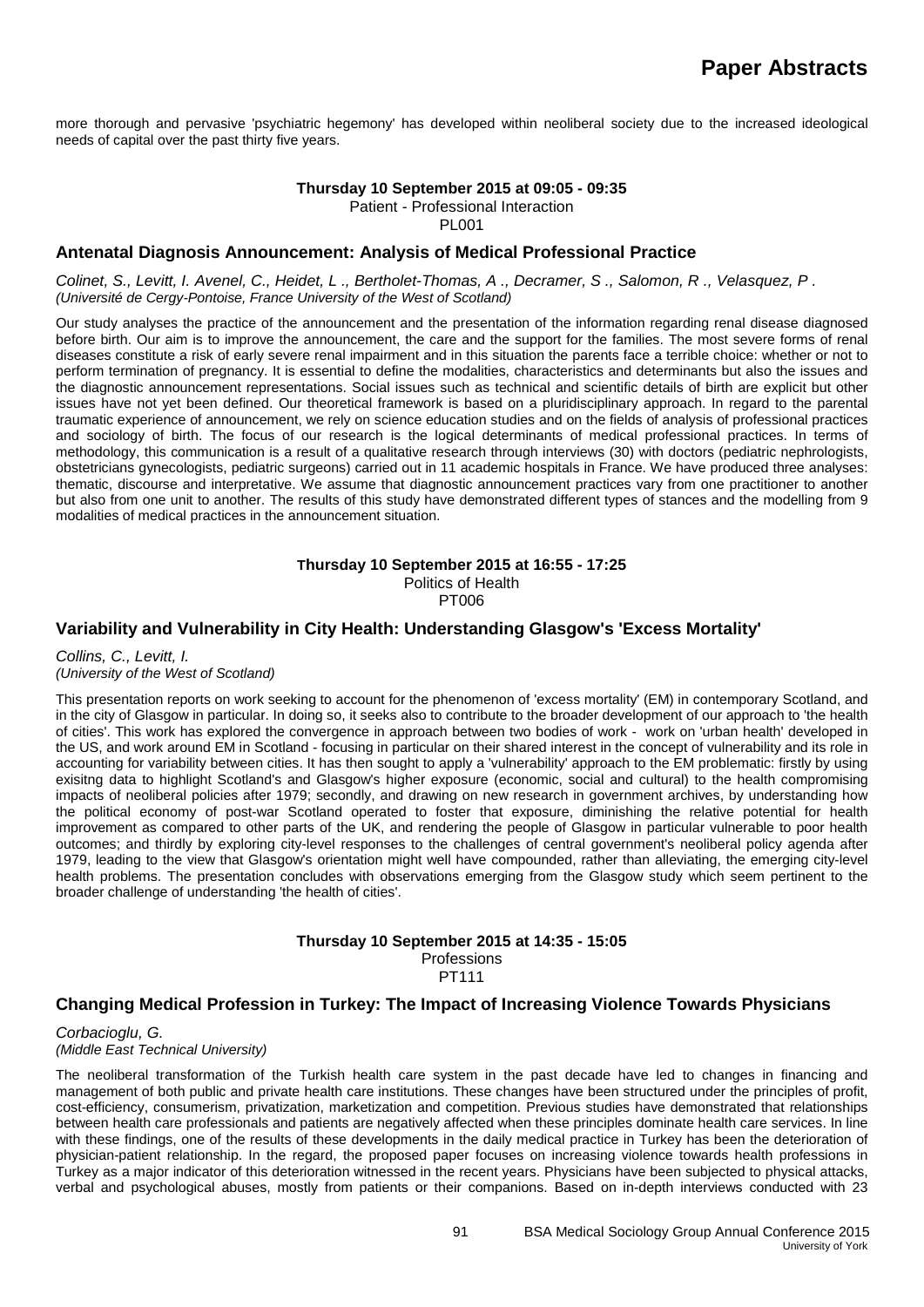more thorough and pervasive 'psychiatric hegemony' has developed within neoliberal society due to the increased ideological needs of capital over the past thirty five years.

#### **Thursday 10 September 2015 at 09:05 - 09:35**

Patient - Professional Interaction

PL001

#### **Antenatal Diagnosis Announcement: Analysis of Medical Professional Practice**

*Colinet, S., Levitt, I. Avenel, C., Heidet, L ., Bertholet-Thomas, A ., Decramer, S ., Salomon, R ., Velasquez, P . (Université de Cergy-Pontoise, France University of the West of Scotland)*

Our study analyses the practice of the announcement and the presentation of the information regarding renal disease diagnosed before birth. Our aim is to improve the announcement, the care and the support for the families. The most severe forms of renal diseases constitute a risk of early severe renal impairment and in this situation the parents face a terrible choice: whether or not to perform termination of pregnancy. It is essential to define the modalities, characteristics and determinants but also the issues and the diagnostic announcement representations. Social issues such as technical and scientific details of birth are explicit but other issues have not yet been defined. Our theoretical framework is based on a pluridisciplinary approach. In regard to the parental traumatic experience of announcement, we rely on science education studies and on the fields of analysis of professional practices and sociology of birth. The focus of our research is the logical determinants of medical professional practices. In terms of methodology, this communication is a result of a qualitative research through interviews (30) with doctors (pediatric nephrologists, obstetricians gynecologists, pediatric surgeons) carried out in 11 academic hospitals in France. We have produced three analyses: thematic, discourse and interpretative. We assume that diagnostic announcement practices vary from one practitioner to another but also from one unit to another. The results of this study have demonstrated different types of stances and the modelling from 9 modalities of medical practices in the announcement situation.

#### **Thursday 10 September 2015 at 16:55 - 17:25**

Politics of Health

PT006

#### **Variability and Vulnerability in City Health: Understanding Glasgow's 'Excess Mortality'**

*Collins, C., Levitt, I. (University of the West of Scotland)*

This presentation reports on work seeking to account for the phenomenon of 'excess mortality' (EM) in contemporary Scotland, and in the city of Glasgow in particular. In doing so, it seeks also to contribute to the broader development of our approach to 'the health of cities'. This work has explored the convergence in approach between two bodies of work - work on 'urban health' developed in the US, and work around EM in Scotland - focusing in particular on their shared interest in the concept of vulnerability and its role in accounting for variability between cities. It has then sought to apply a 'vulnerability' approach to the EM problematic: firstly by using exisitng data to highlight Scotland's and Glasgow's higher exposure (economic, social and cultural) to the health compromising impacts of neoliberal policies after 1979; secondly, and drawing on new research in government archives, by understanding how the political economy of post-war Scotland operated to foster that exposure, diminishing the relative potential for health improvement as compared to other parts of the UK, and rendering the people of Glasgow in particular vulnerable to poor health outcomes; and thirdly by exploring city-level responses to the challenges of central government's neoliberal policy agenda after 1979, leading to the view that Glasgow's orientation might well have compounded, rather than alleviating, the emerging city-level health problems. The presentation concludes with observations emerging from the Glasgow study which seem pertinent to the broader challenge of understanding 'the health of cities'.

## **Thursday 10 September 2015 at 14:35 - 15:05**

**Professions** PT111

## **Changing Medical Profession in Turkey: The Impact of Increasing Violence Towards Physicians**

*Corbacioglu, G. (Middle East Technical University)*

The neoliberal transformation of the Turkish health care system in the past decade have led to changes in financing and management of both public and private health care institutions. These changes have been structured under the principles of profit, cost-efficiency, consumerism, privatization, marketization and competition. Previous studies have demonstrated that relationships between health care professionals and patients are negatively affected when these principles dominate health care services. In line with these findings, one of the results of these developments in the daily medical practice in Turkey has been the deterioration of physician-patient relationship. In the regard, the proposed paper focuses on increasing violence towards health professions in Turkey as a major indicator of this deterioration witnessed in the recent years. Physicians have been subjected to physical attacks, verbal and psychological abuses, mostly from patients or their companions. Based on in-depth interviews conducted with 23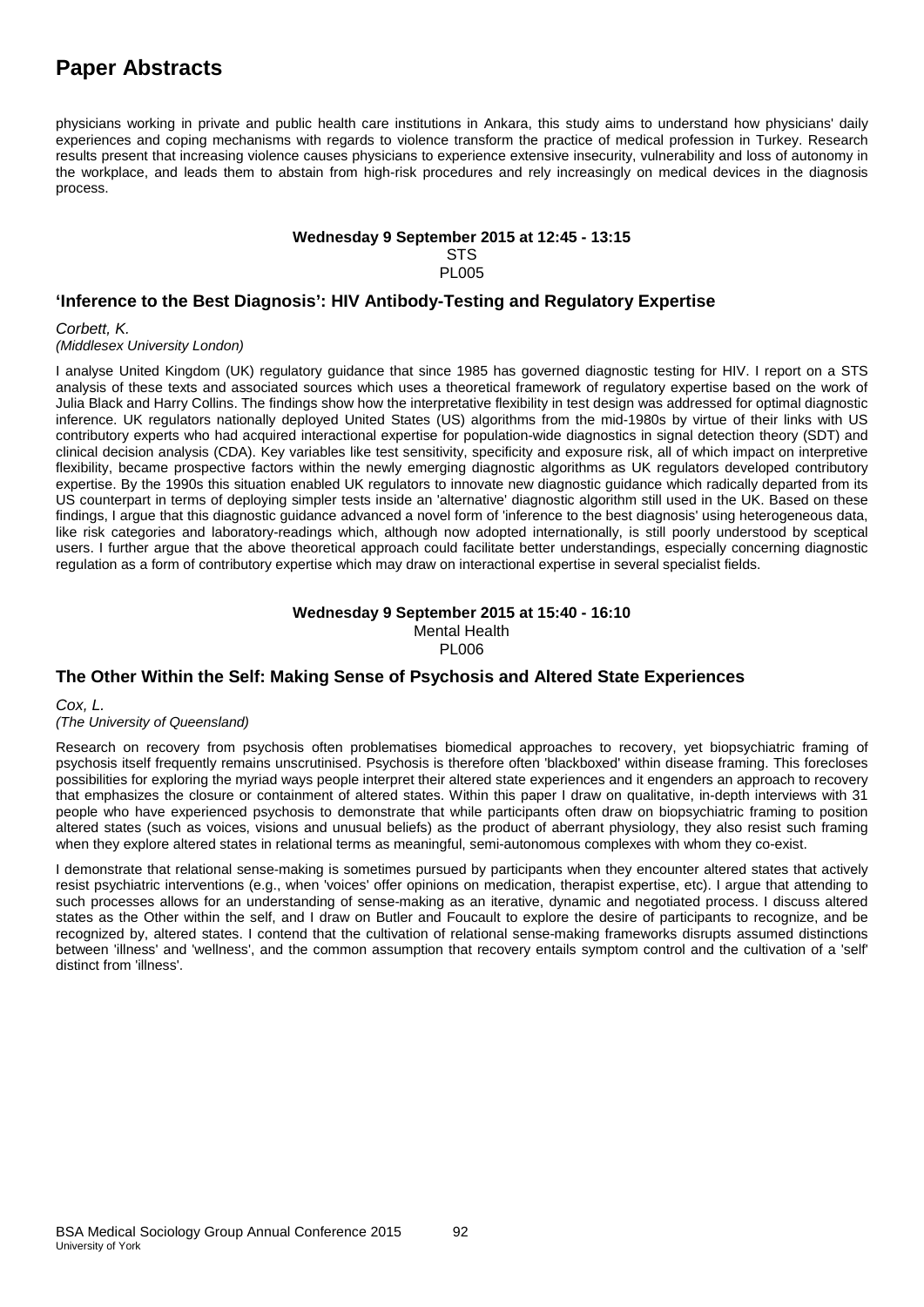# **Paper Abstracts**

physicians working in private and public health care institutions in Ankara, this study aims to understand how physicians' daily experiences and coping mechanisms with regards to violence transform the practice of medical profession in Turkey. Research results present that increasing violence causes physicians to experience extensive insecurity, vulnerability and loss of autonomy in the workplace, and leads them to abstain from high-risk procedures and rely increasingly on medical devices in the diagnosis process.

#### **Wednesday 9 September 2015 at 12:45 - 13:15**

**STS** 

PL005

## **'Inference to the Best Diagnosis': HIV Antibody-Testing and Regulatory Expertise**

*Corbett, K.*

*(Middlesex University London)*

I analyse United Kingdom (UK) regulatory guidance that since 1985 has governed diagnostic testing for HIV. I report on a STS analysis of these texts and associated sources which uses a theoretical framework of regulatory expertise based on the work of Julia Black and Harry Collins. The findings show how the interpretative flexibility in test design was addressed for optimal diagnostic inference. UK regulators nationally deployed United States (US) algorithms from the mid-1980s by virtue of their links with US contributory experts who had acquired interactional expertise for population-wide diagnostics in signal detection theory (SDT) and clinical decision analysis (CDA). Key variables like test sensitivity, specificity and exposure risk, all of which impact on interpretive flexibility, became prospective factors within the newly emerging diagnostic algorithms as UK regulators developed contributory expertise. By the 1990s this situation enabled UK regulators to innovate new diagnostic guidance which radically departed from its US counterpart in terms of deploying simpler tests inside an 'alternative' diagnostic algorithm still used in the UK. Based on these findings, I argue that this diagnostic guidance advanced a novel form of 'inference to the best diagnosis' using heterogeneous data, like risk categories and laboratory-readings which, although now adopted internationally, is still poorly understood by sceptical users. I further argue that the above theoretical approach could facilitate better understandings, especially concerning diagnostic regulation as a form of contributory expertise which may draw on interactional expertise in several specialist fields.

#### **Wednesday 9 September 2015 at 15:40 - 16:10** Mental Health PL006

## **The Other Within the Self: Making Sense of Psychosis and Altered State Experiences**

*Cox, L.* 

#### *(The University of Queensland)*

Research on recovery from psychosis often problematises biomedical approaches to recovery, yet biopsychiatric framing of psychosis itself frequently remains unscrutinised. Psychosis is therefore often 'blackboxed' within disease framing. This forecloses possibilities for exploring the myriad ways people interpret their altered state experiences and it engenders an approach to recovery that emphasizes the closure or containment of altered states. Within this paper I draw on qualitative, in-depth interviews with 31 people who have experienced psychosis to demonstrate that while participants often draw on biopsychiatric framing to position altered states (such as voices, visions and unusual beliefs) as the product of aberrant physiology, they also resist such framing when they explore altered states in relational terms as meaningful, semi-autonomous complexes with whom they co-exist.

I demonstrate that relational sense-making is sometimes pursued by participants when they encounter altered states that actively resist psychiatric interventions (e.g., when 'voices' offer opinions on medication, therapist expertise, etc). I argue that attending to such processes allows for an understanding of sense-making as an iterative, dynamic and negotiated process. I discuss altered states as the Other within the self, and I draw on Butler and Foucault to explore the desire of participants to recognize, and be recognized by, altered states. I contend that the cultivation of relational sense-making frameworks disrupts assumed distinctions between 'illness' and 'wellness', and the common assumption that recovery entails symptom control and the cultivation of a 'self' distinct from 'illness'.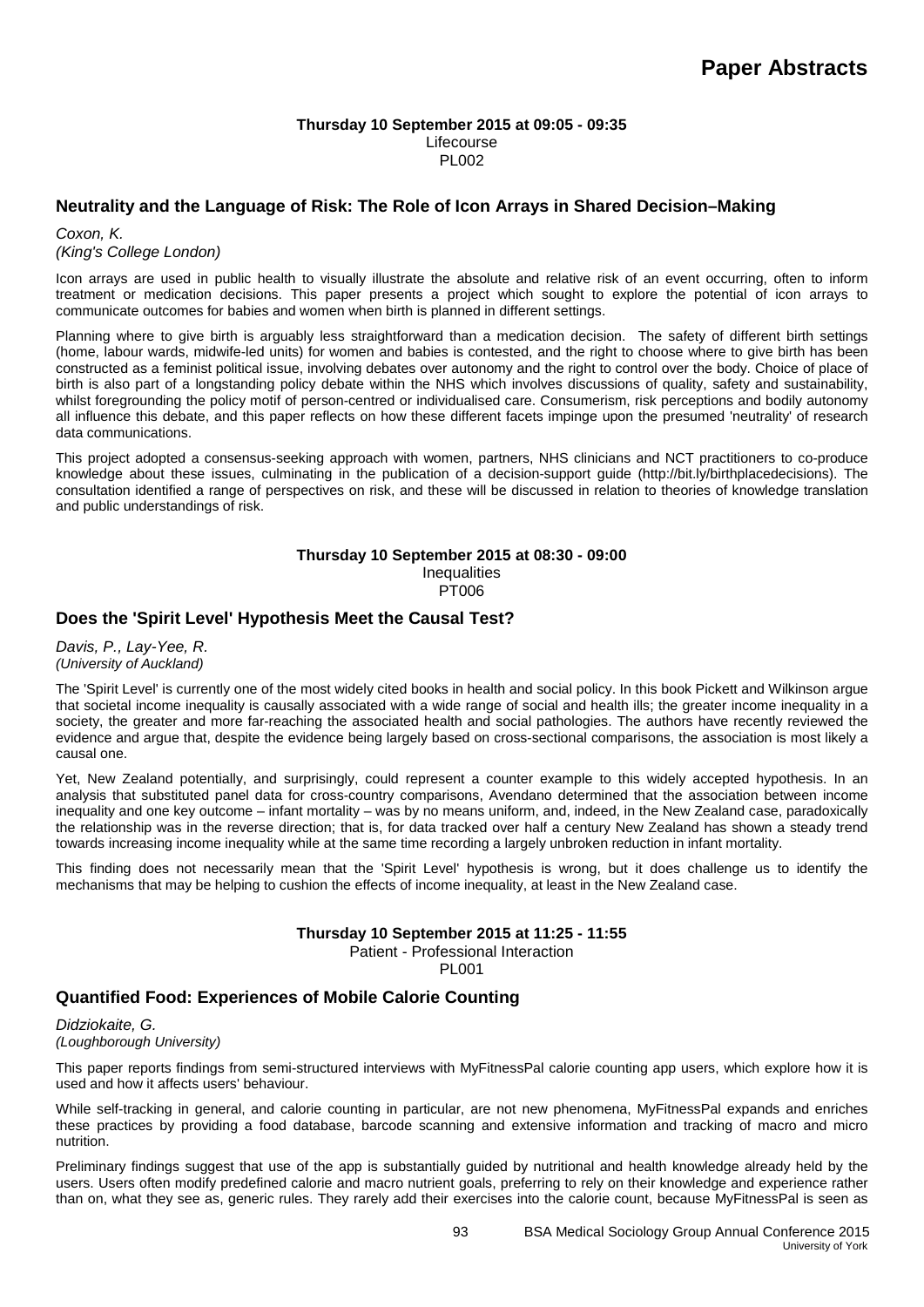#### **Thursday 10 September 2015 at 09:05 - 09:35** Lifecourse PL002

## **Neutrality and the Language of Risk: The Role of Icon Arrays in Shared Decision–Making**

*Coxon, K. (King's College London)*

Icon arrays are used in public health to visually illustrate the absolute and relative risk of an event occurring, often to inform treatment or medication decisions. This paper presents a project which sought to explore the potential of icon arrays to communicate outcomes for babies and women when birth is planned in different settings.

Planning where to give birth is arguably less straightforward than a medication decision. The safety of different birth settings (home, labour wards, midwife-led units) for women and babies is contested, and the right to choose where to give birth has been constructed as a feminist political issue, involving debates over autonomy and the right to control over the body. Choice of place of birth is also part of a longstanding policy debate within the NHS which involves discussions of quality, safety and sustainability, whilst foregrounding the policy motif of person-centred or individualised care. Consumerism, risk perceptions and bodily autonomy all influence this debate, and this paper reflects on how these different facets impinge upon the presumed 'neutrality' of research data communications.

This project adopted a consensus-seeking approach with women, partners, NHS clinicians and NCT practitioners to co-produce knowledge about these issues, culminating in the publication of a decision-support guide (http://bit.ly/birthplacedecisions). The consultation identified a range of perspectives on risk, and these will be discussed in relation to theories of knowledge translation and public understandings of risk.

#### **Thursday 10 September 2015 at 08:30 - 09:00** Inequalities PT006

## **Does the 'Spirit Level' Hypothesis Meet the Causal Test?**

*Davis, P., Lay-Yee, R. (University of Auckland)*

The 'Spirit Level' is currently one of the most widely cited books in health and social policy. In this book Pickett and Wilkinson argue that societal income inequality is causally associated with a wide range of social and health ills; the greater income inequality in a society, the greater and more far-reaching the associated health and social pathologies. The authors have recently reviewed the evidence and argue that, despite the evidence being largely based on cross-sectional comparisons, the association is most likely a causal one.

Yet, New Zealand potentially, and surprisingly, could represent a counter example to this widely accepted hypothesis. In an analysis that substituted panel data for cross-country comparisons, Avendano determined that the association between income inequality and one key outcome – infant mortality – was by no means uniform, and, indeed, in the New Zealand case, paradoxically the relationship was in the reverse direction; that is, for data tracked over half a century New Zealand has shown a steady trend towards increasing income inequality while at the same time recording a largely unbroken reduction in infant mortality.

This finding does not necessarily mean that the 'Spirit Level' hypothesis is wrong, but it does challenge us to identify the mechanisms that may be helping to cushion the effects of income inequality, at least in the New Zealand case.

## **Thursday 10 September 2015 at 11:25 - 11:55**

Patient - Professional Interaction

PL001

## **Quantified Food: Experiences of Mobile Calorie Counting**

*Didziokaite, G. (Loughborough University)*

This paper reports findings from semi-structured interviews with MyFitnessPal calorie counting app users, which explore how it is used and how it affects users' behaviour.

While self-tracking in general, and calorie counting in particular, are not new phenomena, MyFitnessPal expands and enriches these practices by providing a food database, barcode scanning and extensive information and tracking of macro and micro nutrition.

Preliminary findings suggest that use of the app is substantially guided by nutritional and health knowledge already held by the users. Users often modify predefined calorie and macro nutrient goals, preferring to rely on their knowledge and experience rather than on, what they see as, generic rules. They rarely add their exercises into the calorie count, because MyFitnessPal is seen as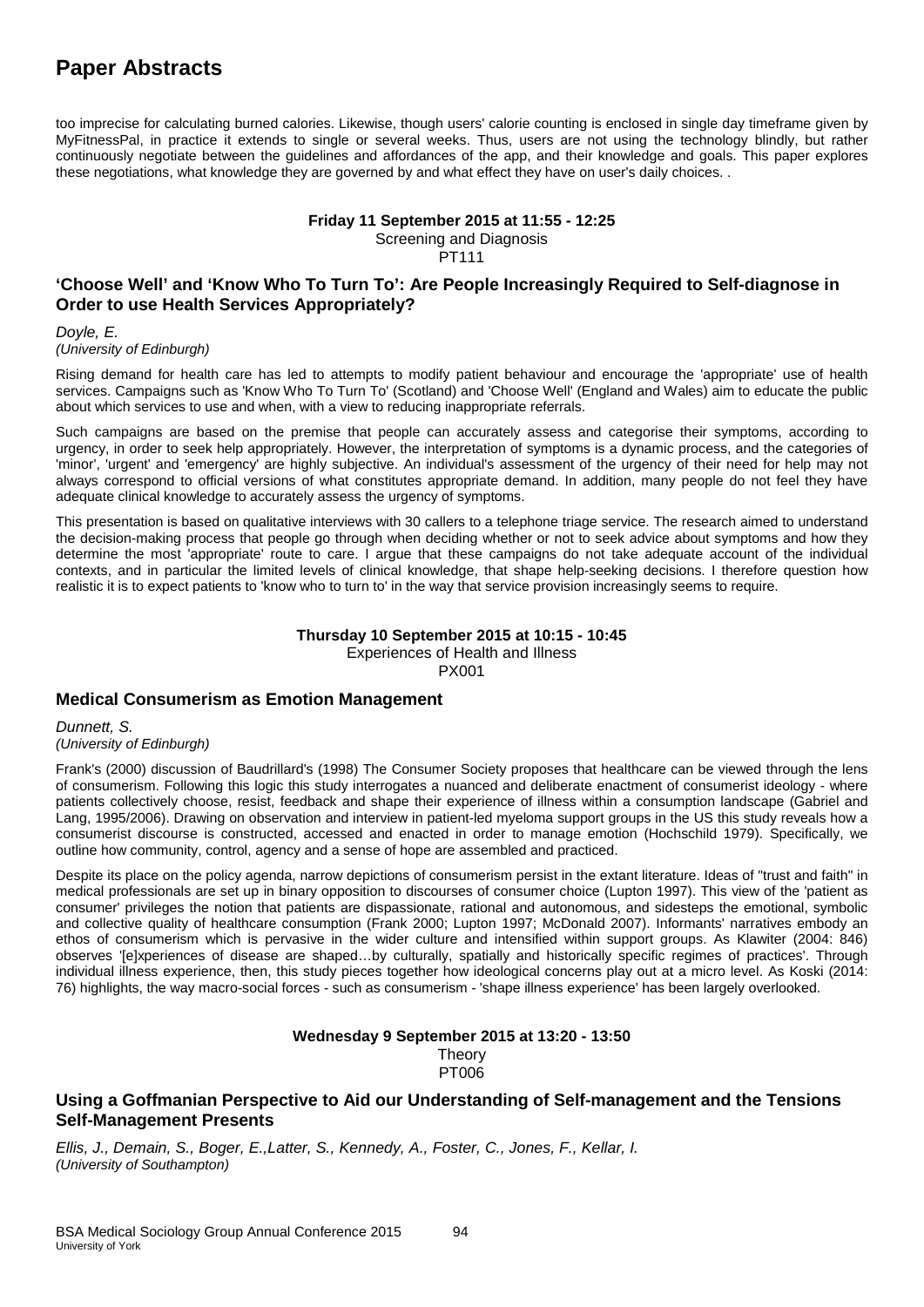# **Paper Abstracts**

too imprecise for calculating burned calories. Likewise, though users' calorie counting is enclosed in single day timeframe given by MyFitnessPal, in practice it extends to single or several weeks. Thus, users are not using the technology blindly, but rather continuously negotiate between the guidelines and affordances of the app, and their knowledge and goals. This paper explores these negotiations, what knowledge they are governed by and what effect they have on user's daily choices. .

**Friday 11 September 2015 at 11:55 - 12:25**

Screening and Diagnosis

PT111

## **'Choose Well' and 'Know Who To Turn To': Are People Increasingly Required to Self-diagnose in Order to use Health Services Appropriately?**

*Doyle, E.*

*(University of Edinburgh)*

Rising demand for health care has led to attempts to modify patient behaviour and encourage the 'appropriate' use of health services. Campaigns such as 'Know Who To Turn To' (Scotland) and 'Choose Well' (England and Wales) aim to educate the public about which services to use and when, with a view to reducing inappropriate referrals.

Such campaigns are based on the premise that people can accurately assess and categorise their symptoms, according to urgency, in order to seek help appropriately. However, the interpretation of symptoms is a dynamic process, and the categories of 'minor', 'urgent' and 'emergency' are highly subjective. An individual's assessment of the urgency of their need for help may not always correspond to official versions of what constitutes appropriate demand. In addition, many people do not feel they have adequate clinical knowledge to accurately assess the urgency of symptoms.

This presentation is based on qualitative interviews with 30 callers to a telephone triage service. The research aimed to understand the decision-making process that people go through when deciding whether or not to seek advice about symptoms and how they determine the most 'appropriate' route to care. I argue that these campaigns do not take adequate account of the individual contexts, and in particular the limited levels of clinical knowledge, that shape help-seeking decisions. I therefore question how realistic it is to expect patients to 'know who to turn to' in the way that service provision increasingly seems to require.

#### **Thursday 10 September 2015 at 10:15 - 10:45**

Experiences of Health and Illness

PX001

## **Medical Consumerism as Emotion Management**

*Dunnett, S. (University of Edinburgh)*

Frank's (2000) discussion of Baudrillard's (1998) The Consumer Society proposes that healthcare can be viewed through the lens of consumerism. Following this logic this study interrogates a nuanced and deliberate enactment of consumerist ideology - where patients collectively choose, resist, feedback and shape their experience of illness within a consumption landscape (Gabriel and Lang, 1995/2006). Drawing on observation and interview in patient-led myeloma support groups in the US this study reveals how a consumerist discourse is constructed, accessed and enacted in order to manage emotion (Hochschild 1979). Specifically, we outline how community, control, agency and a sense of hope are assembled and practiced.

Despite its place on the policy agenda, narrow depictions of consumerism persist in the extant literature. Ideas of "trust and faith" in medical professionals are set up in binary opposition to discourses of consumer choice (Lupton 1997). This view of the 'patient as consumer' privileges the notion that patients are dispassionate, rational and autonomous, and sidesteps the emotional, symbolic and collective quality of healthcare consumption (Frank 2000; Lupton 1997; McDonald 2007). Informants' narratives embody an ethos of consumerism which is pervasive in the wider culture and intensified within support groups. As Klawiter (2004: 846) observes '[e]xperiences of disease are shaped…by culturally, spatially and historically specific regimes of practices'. Through individual illness experience, then, this study pieces together how ideological concerns play out at a micro level. As Koski (2014: 76) highlights, the way macro-social forces - such as consumerism - 'shape illness experience' has been largely overlooked.

#### **Wednesday 9 September 2015 at 13:20 - 13:50 Theory** PT006

## **Using a Goffmanian Perspective to Aid our Understanding of Self-management and the Tensions Self-Management Presents**

*Ellis, J., Demain, S., Boger, E.,Latter, S., Kennedy, A., Foster, C., Jones, F., Kellar, I. (University of Southampton)*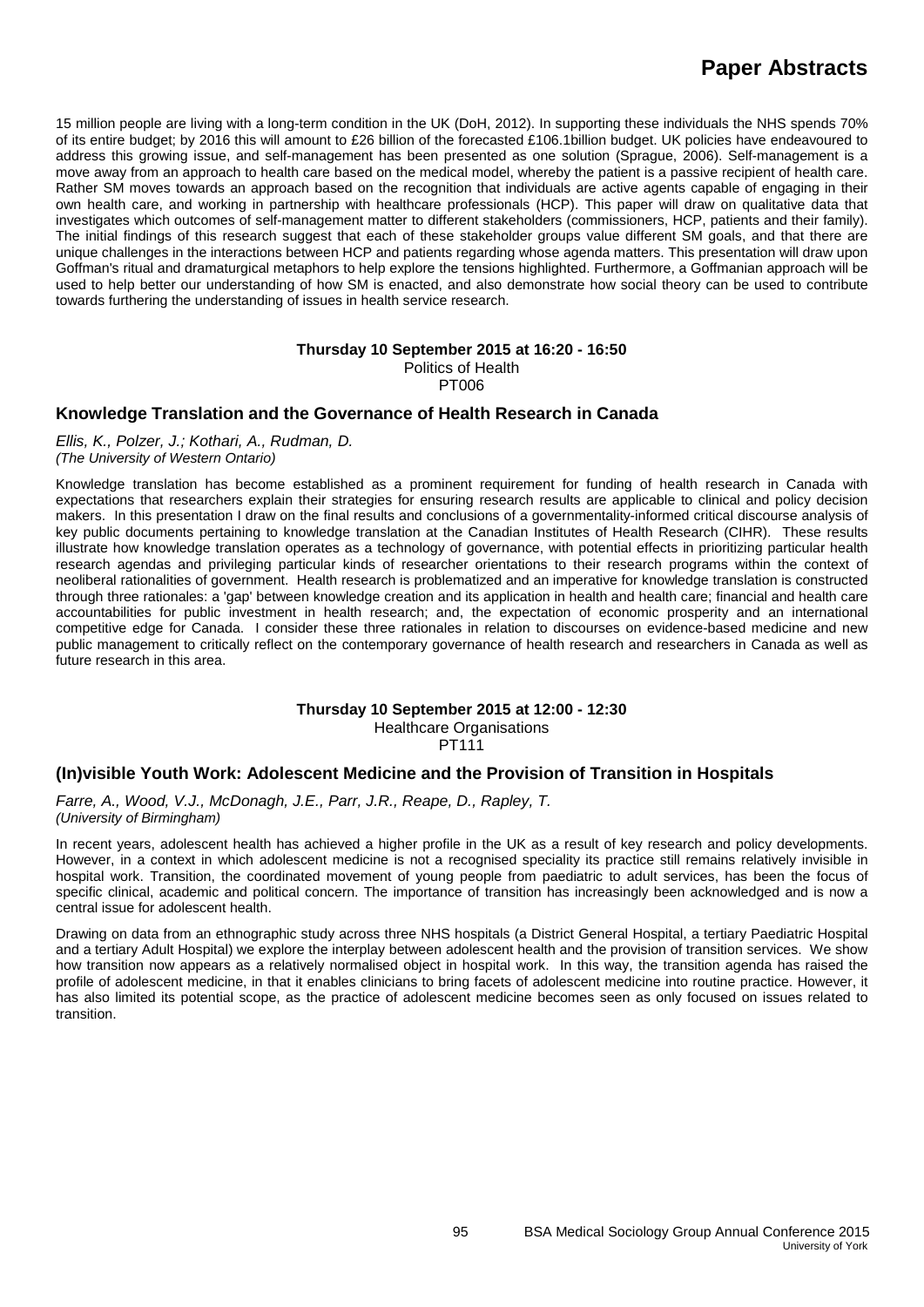15 million people are living with a long-term condition in the UK (DoH, 2012). In supporting these individuals the NHS spends 70% of its entire budget; by 2016 this will amount to £26 billion of the forecasted £106.1billion budget. UK policies have endeavoured to address this growing issue, and self-management has been presented as one solution (Sprague, 2006). Self-management is a move away from an approach to health care based on the medical model, whereby the patient is a passive recipient of health care. Rather SM moves towards an approach based on the recognition that individuals are active agents capable of engaging in their own health care, and working in partnership with healthcare professionals (HCP). This paper will draw on qualitative data that investigates which outcomes of self-management matter to different stakeholders (commissioners, HCP, patients and their family). The initial findings of this research suggest that each of these stakeholder groups value different SM goals, and that there are unique challenges in the interactions between HCP and patients regarding whose agenda matters. This presentation will draw upon Goffman's ritual and dramaturgical metaphors to help explore the tensions highlighted. Furthermore, a Goffmanian approach will be used to help better our understanding of how SM is enacted, and also demonstrate how social theory can be used to contribute towards furthering the understanding of issues in health service research.

#### **Thursday 10 September 2015 at 16:20 - 16:50** Politics of Health

PT006

## **Knowledge Translation and the Governance of Health Research in Canada**

*Ellis, K., Polzer, J.; Kothari, A., Rudman, D. (The University of Western Ontario)*

Knowledge translation has become established as a prominent requirement for funding of health research in Canada with expectations that researchers explain their strategies for ensuring research results are applicable to clinical and policy decision makers. In this presentation I draw on the final results and conclusions of a governmentality-informed critical discourse analysis of key public documents pertaining to knowledge translation at the Canadian Institutes of Health Research (CIHR). These results illustrate how knowledge translation operates as a technology of governance, with potential effects in prioritizing particular health research agendas and privileging particular kinds of researcher orientations to their research programs within the context of neoliberal rationalities of government. Health research is problematized and an imperative for knowledge translation is constructed through three rationales: a 'gap' between knowledge creation and its application in health and health care; financial and health care accountabilities for public investment in health research; and, the expectation of economic prosperity and an international competitive edge for Canada. I consider these three rationales in relation to discourses on evidence-based medicine and new public management to critically reflect on the contemporary governance of health research and researchers in Canada as well as future research in this area.

## **Thursday 10 September 2015 at 12:00 - 12:30**

Healthcare Organisations

PT111

## **(In)visible Youth Work: Adolescent Medicine and the Provision of Transition in Hospitals**

*Farre, A., Wood, V.J., McDonagh, J.E., Parr, J.R., Reape, D., Rapley, T. (University of Birmingham)*

In recent years, adolescent health has achieved a higher profile in the UK as a result of key research and policy developments. However, in a context in which adolescent medicine is not a recognised speciality its practice still remains relatively invisible in hospital work. Transition, the coordinated movement of young people from paediatric to adult services, has been the focus of specific clinical, academic and political concern. The importance of transition has increasingly been acknowledged and is now a central issue for adolescent health.

Drawing on data from an ethnographic study across three NHS hospitals (a District General Hospital, a tertiary Paediatric Hospital and a tertiary Adult Hospital) we explore the interplay between adolescent health and the provision of transition services. We show how transition now appears as a relatively normalised object in hospital work. In this way, the transition agenda has raised the profile of adolescent medicine, in that it enables clinicians to bring facets of adolescent medicine into routine practice. However, it has also limited its potential scope, as the practice of adolescent medicine becomes seen as only focused on issues related to transition.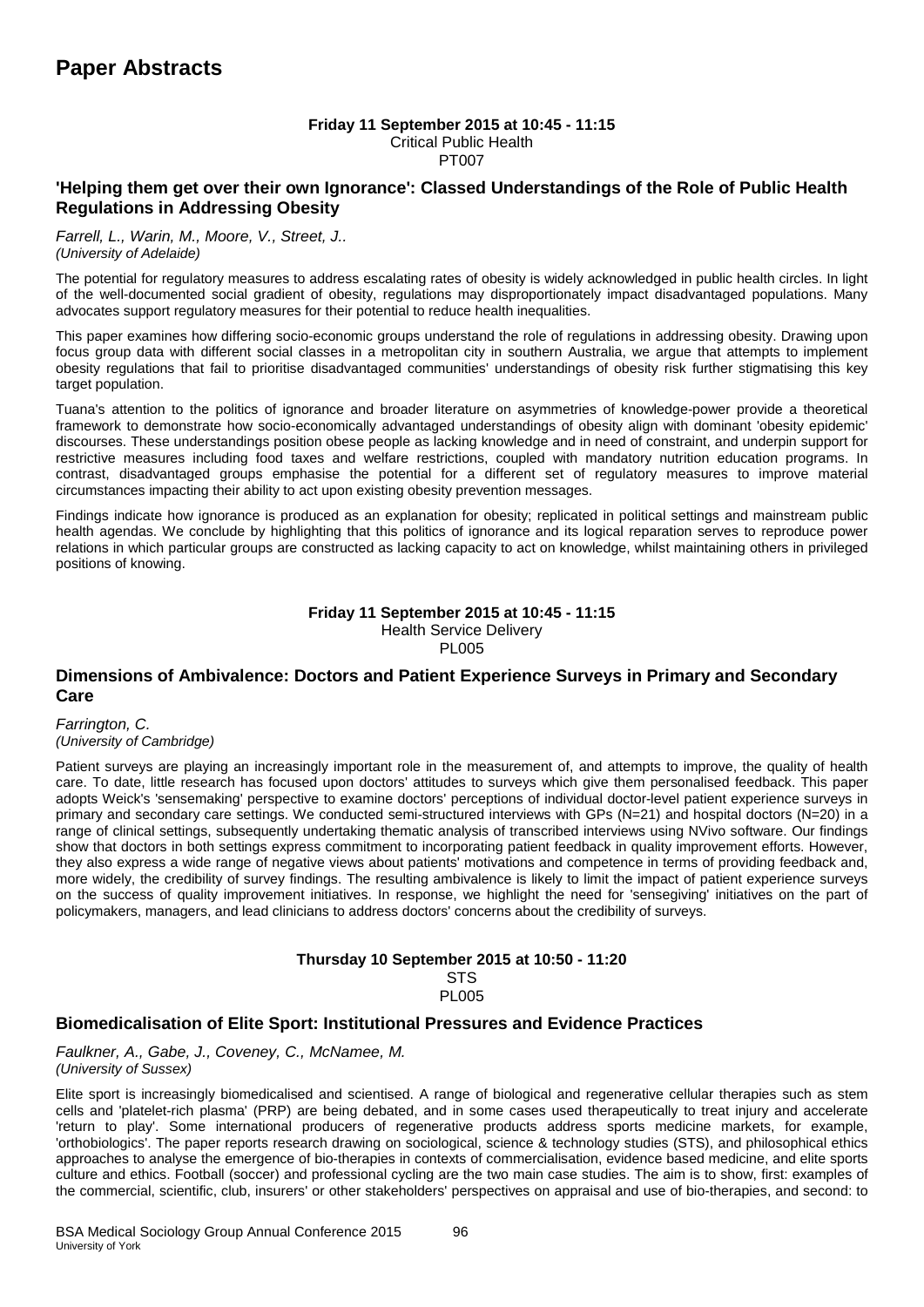#### **Friday 11 September 2015 at 10:45 - 11:15** Critical Public Health

PT007

## **'Helping them get over their own Ignorance': Classed Understandings of the Role of Public Health Regulations in Addressing Obesity**

*Farrell, L., Warin, M., Moore, V., Street, J.. (University of Adelaide)*

The potential for regulatory measures to address escalating rates of obesity is widely acknowledged in public health circles. In light of the well-documented social gradient of obesity, regulations may disproportionately impact disadvantaged populations. Many advocates support regulatory measures for their potential to reduce health inequalities.

This paper examines how differing socio-economic groups understand the role of regulations in addressing obesity. Drawing upon focus group data with different social classes in a metropolitan city in southern Australia, we argue that attempts to implement obesity regulations that fail to prioritise disadvantaged communities' understandings of obesity risk further stigmatising this key target population.

Tuana's attention to the politics of ignorance and broader literature on asymmetries of knowledge-power provide a theoretical framework to demonstrate how socio-economically advantaged understandings of obesity align with dominant 'obesity epidemic' discourses. These understandings position obese people as lacking knowledge and in need of constraint, and underpin support for restrictive measures including food taxes and welfare restrictions, coupled with mandatory nutrition education programs. In contrast, disadvantaged groups emphasise the potential for a different set of regulatory measures to improve material circumstances impacting their ability to act upon existing obesity prevention messages.

Findings indicate how ignorance is produced as an explanation for obesity; replicated in political settings and mainstream public health agendas. We conclude by highlighting that this politics of ignorance and its logical reparation serves to reproduce power relations in which particular groups are constructed as lacking capacity to act on knowledge, whilst maintaining others in privileged positions of knowing.

#### **Friday 11 September 2015 at 10:45 - 11:15** Health Service Delivery

PL005

## **Dimensions of Ambivalence: Doctors and Patient Experience Surveys in Primary and Secondary Care**

*Farrington, C. (University of Cambridge)*

Patient surveys are playing an increasingly important role in the measurement of, and attempts to improve, the quality of health care. To date, little research has focused upon doctors' attitudes to surveys which give them personalised feedback. This paper adopts Weick's 'sensemaking' perspective to examine doctors' perceptions of individual doctor-level patient experience surveys in primary and secondary care settings. We conducted semi-structured interviews with GPs (N=21) and hospital doctors (N=20) in a range of clinical settings, subsequently undertaking thematic analysis of transcribed interviews using NVivo software. Our findings show that doctors in both settings express commitment to incorporating patient feedback in quality improvement efforts. However, they also express a wide range of negative views about patients' motivations and competence in terms of providing feedback and, more widely, the credibility of survey findings. The resulting ambivalence is likely to limit the impact of patient experience surveys on the success of quality improvement initiatives. In response, we highlight the need for 'sensegiving' initiatives on the part of policymakers, managers, and lead clinicians to address doctors' concerns about the credibility of surveys.

#### **Thursday 10 September 2015 at 10:50 - 11:20 STS**

PL005

## **Biomedicalisation of Elite Sport: Institutional Pressures and Evidence Practices**

*Faulkner, A., Gabe, J., Coveney, C., McNamee, M. (University of Sussex)*

Elite sport is increasingly biomedicalised and scientised. A range of biological and regenerative cellular therapies such as stem cells and 'platelet-rich plasma' (PRP) are being debated, and in some cases used therapeutically to treat injury and accelerate 'return to play'. Some international producers of regenerative products address sports medicine markets, for example, 'orthobiologics'. The paper reports research drawing on sociological, science & technology studies (STS), and philosophical ethics approaches to analyse the emergence of bio-therapies in contexts of commercialisation, evidence based medicine, and elite sports culture and ethics. Football (soccer) and professional cycling are the two main case studies. The aim is to show, first: examples of the commercial, scientific, club, insurers' or other stakeholders' perspectives on appraisal and use of bio-therapies, and second: to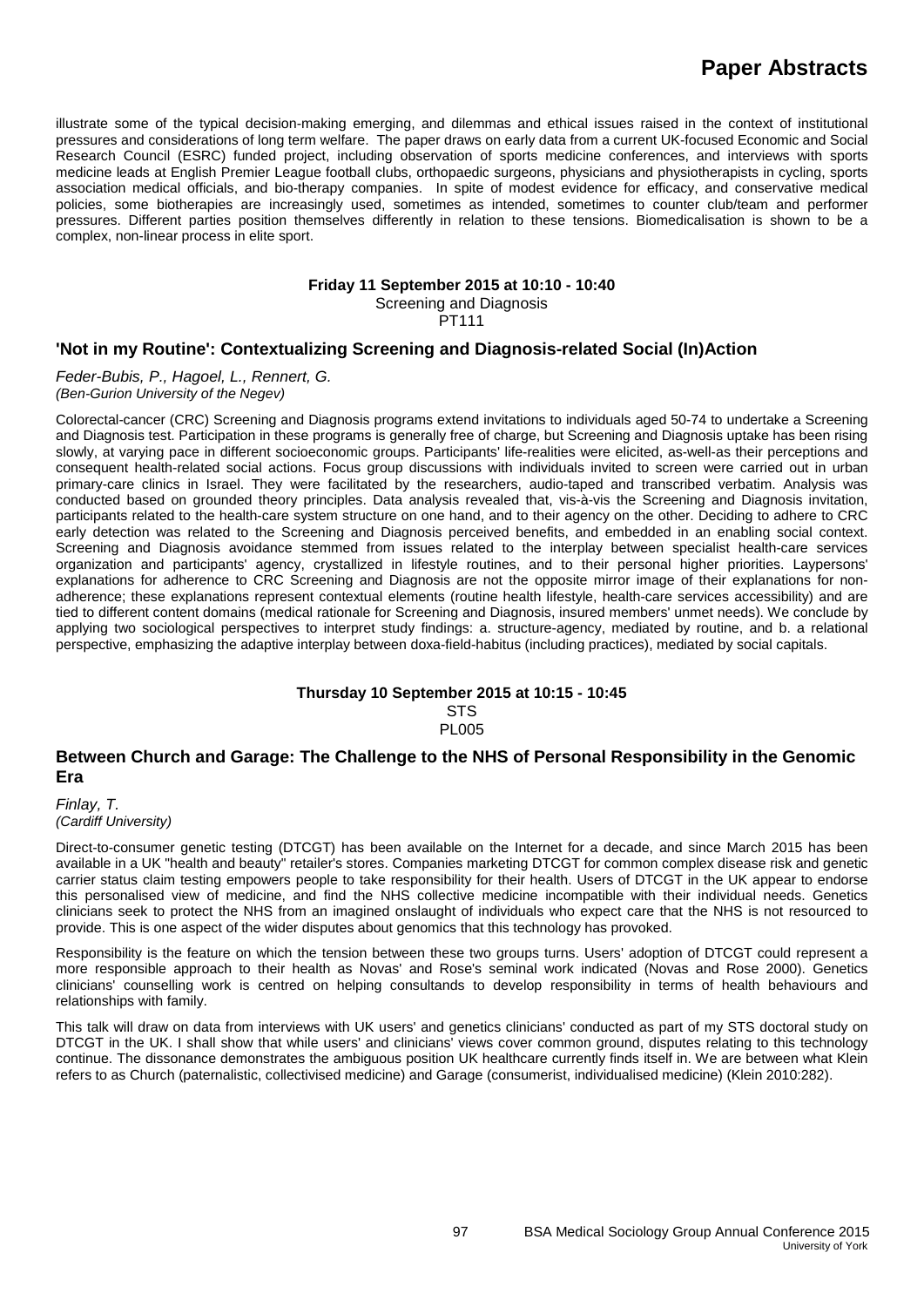illustrate some of the typical decision-making emerging, and dilemmas and ethical issues raised in the context of institutional pressures and considerations of long term welfare. The paper draws on early data from a current UK-focused Economic and Social Research Council (ESRC) funded project, including observation of sports medicine conferences, and interviews with sports medicine leads at English Premier League football clubs, orthopaedic surgeons, physicians and physiotherapists in cycling, sports association medical officials, and bio-therapy companies. In spite of modest evidence for efficacy, and conservative medical policies, some biotherapies are increasingly used, sometimes as intended, sometimes to counter club/team and performer pressures. Different parties position themselves differently in relation to these tensions. Biomedicalisation is shown to be a complex, non-linear process in elite sport.

#### **Friday 11 September 2015 at 10:10 - 10:40**

Screening and Diagnosis PT111

## **'Not in my Routine': Contextualizing Screening and Diagnosis-related Social (In)Action**

*Feder-Bubis, P., Hagoel, L., Rennert, G. (Ben-Gurion University of the Negev)*

Colorectal-cancer (CRC) Screening and Diagnosis programs extend invitations to individuals aged 50-74 to undertake a Screening and Diagnosis test. Participation in these programs is generally free of charge, but Screening and Diagnosis uptake has been rising slowly, at varying pace in different socioeconomic groups. Participants' life-realities were elicited, as-well-as their perceptions and consequent health-related social actions. Focus group discussions with individuals invited to screen were carried out in urban primary-care clinics in Israel. They were facilitated by the researchers, audio-taped and transcribed verbatim. Analysis was conducted based on grounded theory principles. Data analysis revealed that, vis-à-vis the Screening and Diagnosis invitation, participants related to the health-care system structure on one hand, and to their agency on the other. Deciding to adhere to CRC early detection was related to the Screening and Diagnosis perceived benefits, and embedded in an enabling social context. Screening and Diagnosis avoidance stemmed from issues related to the interplay between specialist health-care services organization and participants' agency, crystallized in lifestyle routines, and to their personal higher priorities. Laypersons' explanations for adherence to CRC Screening and Diagnosis are not the opposite mirror image of their explanations for nonadherence; these explanations represent contextual elements (routine health lifestyle, health-care services accessibility) and are tied to different content domains (medical rationale for Screening and Diagnosis, insured members' unmet needs). We conclude by applying two sociological perspectives to interpret study findings: a. structure-agency, mediated by routine, and b. a relational perspective, emphasizing the adaptive interplay between doxa-field-habitus (including practices), mediated by social capitals.

#### **Thursday 10 September 2015 at 10:15 - 10:45 STS PL005**

#### **Between Church and Garage: The Challenge to the NHS of Personal Responsibility in the Genomic Era**

*Finlay, T. (Cardiff University)*

Direct-to-consumer genetic testing (DTCGT) has been available on the Internet for a decade, and since March 2015 has been available in a UK "health and beauty" retailer's stores. Companies marketing DTCGT for common complex disease risk and genetic carrier status claim testing empowers people to take responsibility for their health. Users of DTCGT in the UK appear to endorse this personalised view of medicine, and find the NHS collective medicine incompatible with their individual needs. Genetics clinicians seek to protect the NHS from an imagined onslaught of individuals who expect care that the NHS is not resourced to provide. This is one aspect of the wider disputes about genomics that this technology has provoked.

Responsibility is the feature on which the tension between these two groups turns. Users' adoption of DTCGT could represent a more responsible approach to their health as Novas' and Rose's seminal work indicated (Novas and Rose 2000). Genetics clinicians' counselling work is centred on helping consultands to develop responsibility in terms of health behaviours and relationships with family.

This talk will draw on data from interviews with UK users' and genetics clinicians' conducted as part of my STS doctoral study on DTCGT in the UK. I shall show that while users' and clinicians' views cover common ground, disputes relating to this technology continue. The dissonance demonstrates the ambiguous position UK healthcare currently finds itself in. We are between what Klein refers to as Church (paternalistic, collectivised medicine) and Garage (consumerist, individualised medicine) (Klein 2010:282).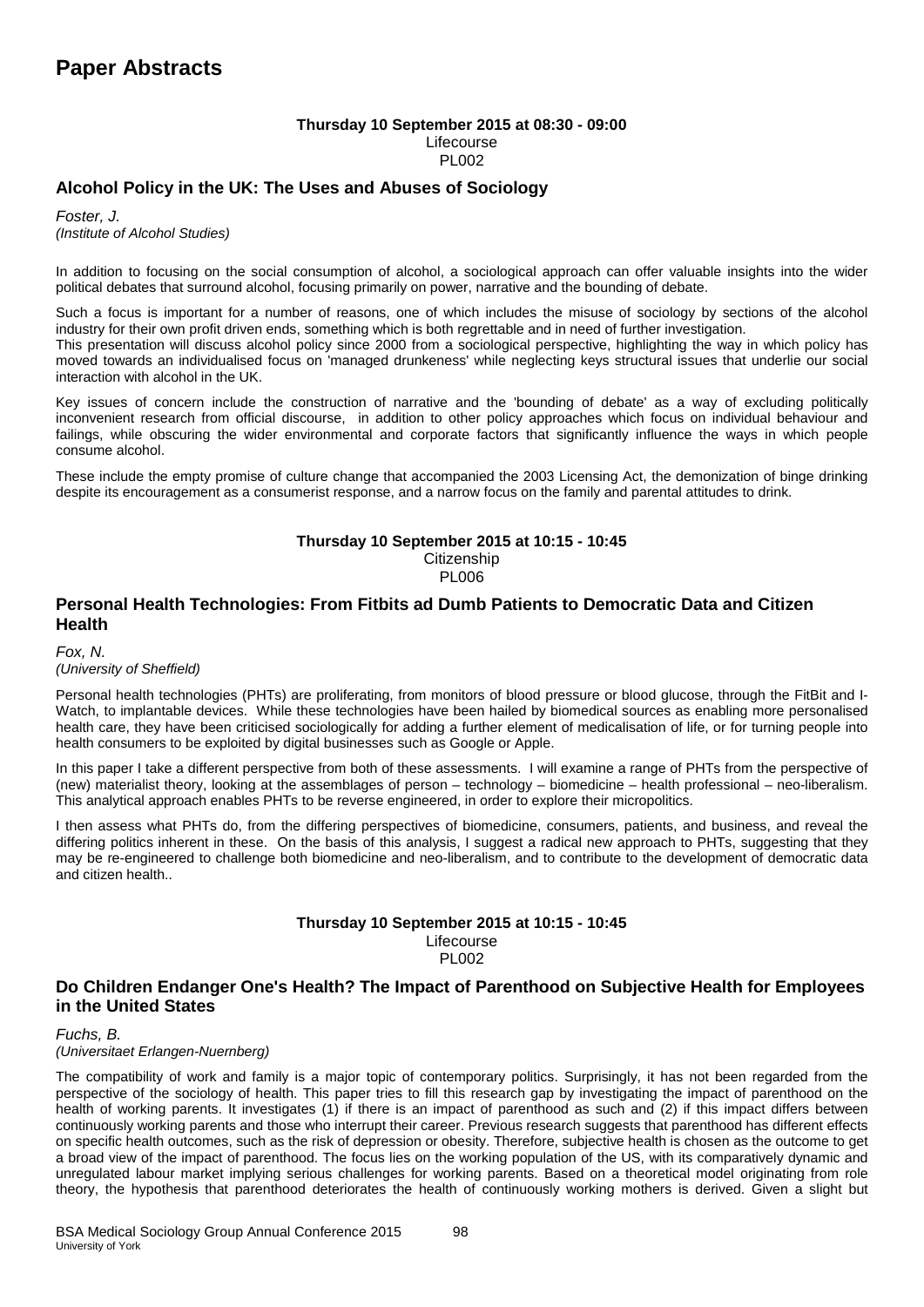#### **Thursday 10 September 2015 at 08:30 - 09:00** Lifecourse PL002

## **Alcohol Policy in the UK: The Uses and Abuses of Sociology**

*Foster, J. (Institute of Alcohol Studies)*

In addition to focusing on the social consumption of alcohol, a sociological approach can offer valuable insights into the wider political debates that surround alcohol, focusing primarily on power, narrative and the bounding of debate.

Such a focus is important for a number of reasons, one of which includes the misuse of sociology by sections of the alcohol industry for their own profit driven ends, something which is both regrettable and in need of further investigation.

This presentation will discuss alcohol policy since 2000 from a sociological perspective, highlighting the way in which policy has moved towards an individualised focus on 'managed drunkeness' while neglecting keys structural issues that underlie our social interaction with alcohol in the UK.

Key issues of concern include the construction of narrative and the 'bounding of debate' as a way of excluding politically inconvenient research from official discourse, in addition to other policy approaches which focus on individual behaviour and failings, while obscuring the wider environmental and corporate factors that significantly influence the ways in which people consume alcohol.

These include the empty promise of culture change that accompanied the 2003 Licensing Act, the demonization of binge drinking despite its encouragement as a consumerist response, and a narrow focus on the family and parental attitudes to drink.

#### **Thursday 10 September 2015 at 10:15 - 10:45**

**Citizenship** PL006

## **Personal Health Technologies: From Fitbits ad Dumb Patients to Democratic Data and Citizen Health**

#### *Fox, N. (University of Sheffield)*

Personal health technologies (PHTs) are proliferating, from monitors of blood pressure or blood glucose, through the FitBit and I-Watch, to implantable devices. While these technologies have been hailed by biomedical sources as enabling more personalised health care, they have been criticised sociologically for adding a further element of medicalisation of life, or for turning people into health consumers to be exploited by digital businesses such as Google or Apple.

In this paper I take a different perspective from both of these assessments. I will examine a range of PHTs from the perspective of (new) materialist theory, looking at the assemblages of person – technology – biomedicine – health professional – neo-liberalism. This analytical approach enables PHTs to be reverse engineered, in order to explore their micropolitics.

I then assess what PHTs do, from the differing perspectives of biomedicine, consumers, patients, and business, and reveal the differing politics inherent in these. On the basis of this analysis, I suggest a radical new approach to PHTs, suggesting that they may be re-engineered to challenge both biomedicine and neo-liberalism, and to contribute to the development of democratic data and citizen health..

#### **Thursday 10 September 2015 at 10:15 - 10:45** Lifecourse PL002

## **Do Children Endanger One's Health? The Impact of Parenthood on Subjective Health for Employees in the United States**

*Fuchs, B.* 

*(Universitaet Erlangen-Nuernberg)*

The compatibility of work and family is a major topic of contemporary politics. Surprisingly, it has not been regarded from the perspective of the sociology of health. This paper tries to fill this research gap by investigating the impact of parenthood on the health of working parents. It investigates (1) if there is an impact of parenthood as such and (2) if this impact differs between continuously working parents and those who interrupt their career. Previous research suggests that parenthood has different effects on specific health outcomes, such as the risk of depression or obesity. Therefore, subjective health is chosen as the outcome to get a broad view of the impact of parenthood. The focus lies on the working population of the US, with its comparatively dynamic and unregulated labour market implying serious challenges for working parents. Based on a theoretical model originating from role theory, the hypothesis that parenthood deteriorates the health of continuously working mothers is derived. Given a slight but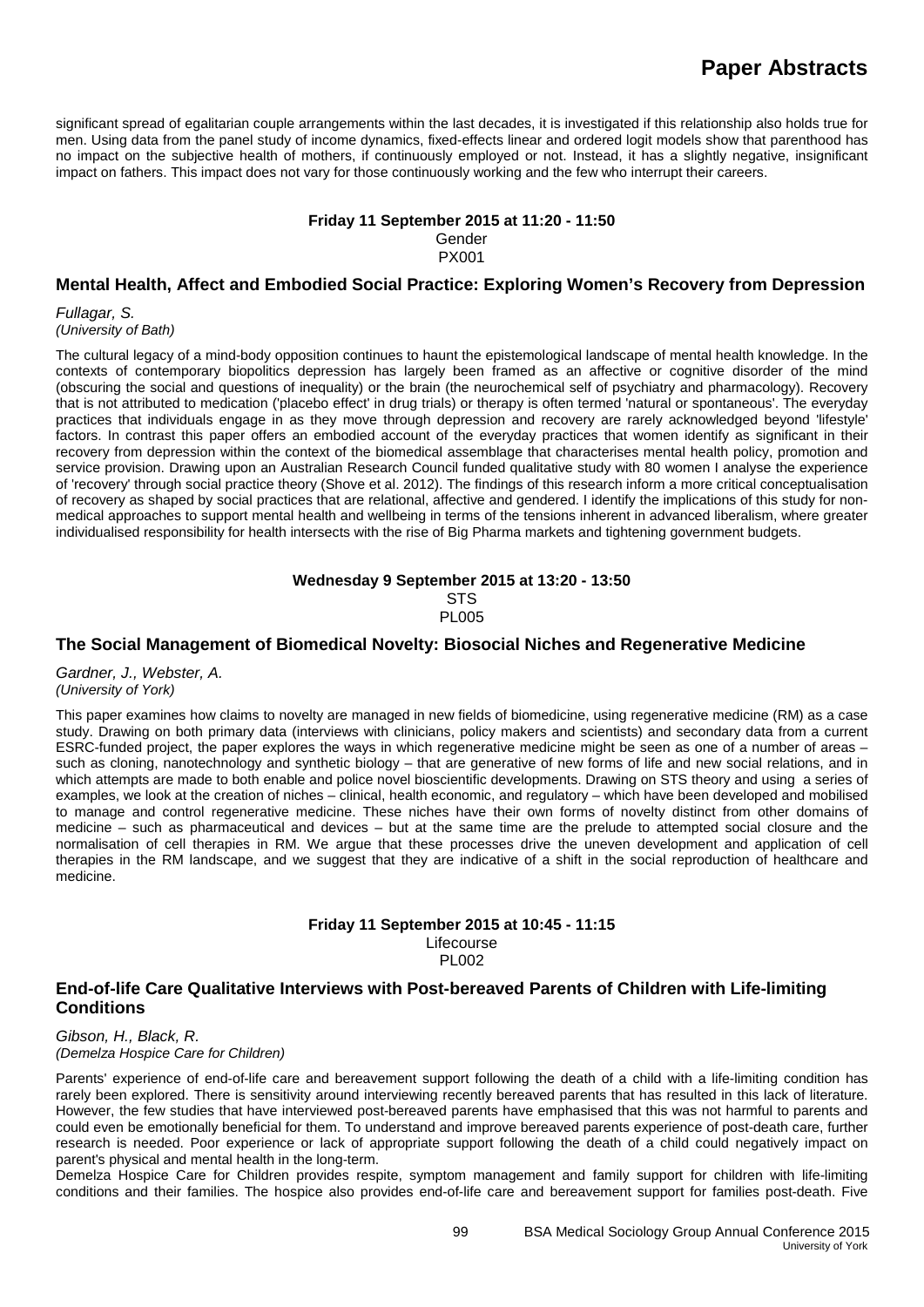significant spread of egalitarian couple arrangements within the last decades, it is investigated if this relationship also holds true for men. Using data from the panel study of income dynamics, fixed-effects linear and ordered logit models show that parenthood has no impact on the subjective health of mothers, if continuously employed or not. Instead, it has a slightly negative, insignificant impact on fathers. This impact does not vary for those continuously working and the few who interrupt their careers.

#### **Friday 11 September 2015 at 11:20 - 11:50**

Gender PX001

## **Mental Health, Affect and Embodied Social Practice: Exploring Women's Recovery from Depression**

*Fullagar, S.*

*(University of Bath)*

The cultural legacy of a mind-body opposition continues to haunt the epistemological landscape of mental health knowledge. In the contexts of contemporary biopolitics depression has largely been framed as an affective or cognitive disorder of the mind (obscuring the social and questions of inequality) or the brain (the neurochemical self of psychiatry and pharmacology). Recovery that is not attributed to medication ('placebo effect' in drug trials) or therapy is often termed 'natural or spontaneous'. The everyday practices that individuals engage in as they move through depression and recovery are rarely acknowledged beyond 'lifestyle' factors. In contrast this paper offers an embodied account of the everyday practices that women identify as significant in their recovery from depression within the context of the biomedical assemblage that characterises mental health policy, promotion and service provision. Drawing upon an Australian Research Council funded qualitative study with 80 women I analyse the experience of 'recovery' through social practice theory (Shove et al. 2012). The findings of this research inform a more critical conceptualisation of recovery as shaped by social practices that are relational, affective and gendered. I identify the implications of this study for nonmedical approaches to support mental health and wellbeing in terms of the tensions inherent in advanced liberalism, where greater individualised responsibility for health intersects with the rise of Big Pharma markets and tightening government budgets.

> **Wednesday 9 September 2015 at 13:20 - 13:50 STS** PL005

#### **The Social Management of Biomedical Novelty: Biosocial Niches and Regenerative Medicine**

*Gardner, J., Webster, A. (University of York)*

This paper examines how claims to novelty are managed in new fields of biomedicine, using regenerative medicine (RM) as a case study. Drawing on both primary data (interviews with clinicians, policy makers and scientists) and secondary data from a current ESRC-funded project, the paper explores the ways in which regenerative medicine might be seen as one of a number of areas – such as cloning, nanotechnology and synthetic biology – that are generative of new forms of life and new social relations, and in which attempts are made to both enable and police novel bioscientific developments. Drawing on STS theory and using a series of examples, we look at the creation of niches – clinical, health economic, and regulatory – which have been developed and mobilised to manage and control regenerative medicine. These niches have their own forms of novelty distinct from other domains of medicine – such as pharmaceutical and devices – but at the same time are the prelude to attempted social closure and the normalisation of cell therapies in RM. We argue that these processes drive the uneven development and application of cell therapies in the RM landscape, and we suggest that they are indicative of a shift in the social reproduction of healthcare and medicine.

#### **Friday 11 September 2015 at 10:45 - 11:15** Lifecourse PL002

#### **End-of-life Care Qualitative Interviews with Post-bereaved Parents of Children with Life-limiting Conditions**

*Gibson, H., Black, R. (Demelza Hospice Care for Children)*

Parents' experience of end-of-life care and bereavement support following the death of a child with a life-limiting condition has rarely been explored. There is sensitivity around interviewing recently bereaved parents that has resulted in this lack of literature. However, the few studies that have interviewed post-bereaved parents have emphasised that this was not harmful to parents and could even be emotionally beneficial for them. To understand and improve bereaved parents experience of post-death care, further research is needed. Poor experience or lack of appropriate support following the death of a child could negatively impact on parent's physical and mental health in the long-term.

Demelza Hospice Care for Children provides respite, symptom management and family support for children with life-limiting conditions and their families. The hospice also provides end-of-life care and bereavement support for families post-death. Five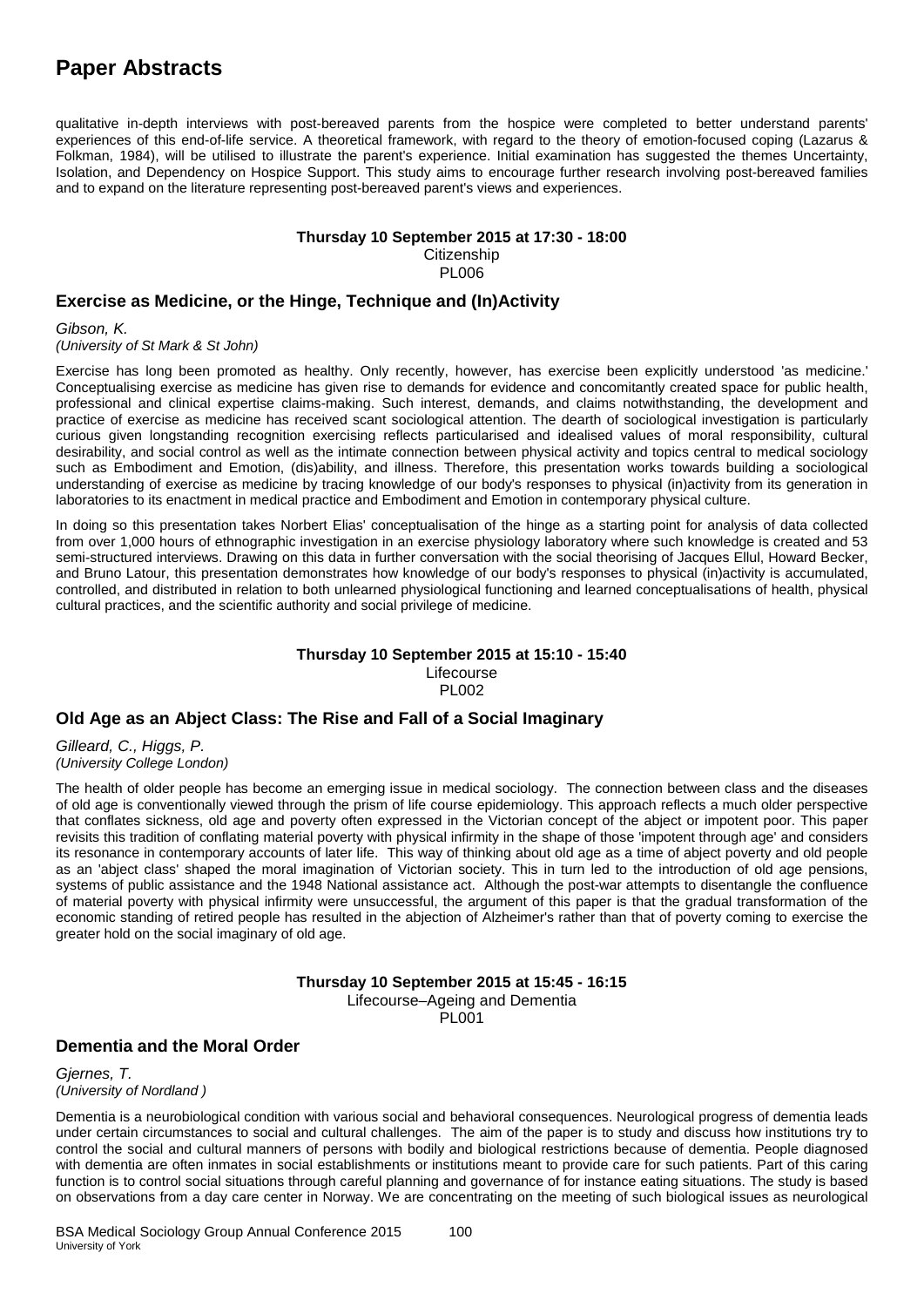# **Paper Abstracts**

qualitative in-depth interviews with post-bereaved parents from the hospice were completed to better understand parents' experiences of this end-of-life service. A theoretical framework, with regard to the theory of emotion-focused coping (Lazarus & Folkman, 1984), will be utilised to illustrate the parent's experience. Initial examination has suggested the themes Uncertainty, Isolation, and Dependency on Hospice Support. This study aims to encourage further research involving post-bereaved families and to expand on the literature representing post-bereaved parent's views and experiences.

#### **Thursday 10 September 2015 at 17:30 - 18:00**

**Citizenship** PL006

## **Exercise as Medicine, or the Hinge, Technique and (In)Activity**

*Gibson, K. (University of St Mark & St John)*

Exercise has long been promoted as healthy. Only recently, however, has exercise been explicitly understood 'as medicine.' Conceptualising exercise as medicine has given rise to demands for evidence and concomitantly created space for public health, professional and clinical expertise claims-making. Such interest, demands, and claims notwithstanding, the development and practice of exercise as medicine has received scant sociological attention. The dearth of sociological investigation is particularly curious given longstanding recognition exercising reflects particularised and idealised values of moral responsibility, cultural desirability, and social control as well as the intimate connection between physical activity and topics central to medical sociology such as Embodiment and Emotion, (dis)ability, and illness. Therefore, this presentation works towards building a sociological understanding of exercise as medicine by tracing knowledge of our body's responses to physical (in)activity from its generation in laboratories to its enactment in medical practice and Embodiment and Emotion in contemporary physical culture.

In doing so this presentation takes Norbert Elias' conceptualisation of the hinge as a starting point for analysis of data collected from over 1,000 hours of ethnographic investigation in an exercise physiology laboratory where such knowledge is created and 53 semi-structured interviews. Drawing on this data in further conversation with the social theorising of Jacques Ellul, Howard Becker, and Bruno Latour, this presentation demonstrates how knowledge of our body's responses to physical (in)activity is accumulated, controlled, and distributed in relation to both unlearned physiological functioning and learned conceptualisations of health, physical cultural practices, and the scientific authority and social privilege of medicine.

#### **Thursday 10 September 2015 at 15:10 - 15:40** Lifecourse PL002

## **Old Age as an Abject Class: The Rise and Fall of a Social Imaginary**

*Gilleard, C., Higgs, P. (University College London)*

The health of older people has become an emerging issue in medical sociology. The connection between class and the diseases of old age is conventionally viewed through the prism of life course epidemiology. This approach reflects a much older perspective that conflates sickness, old age and poverty often expressed in the Victorian concept of the abject or impotent poor. This paper revisits this tradition of conflating material poverty with physical infirmity in the shape of those 'impotent through age' and considers its resonance in contemporary accounts of later life. This way of thinking about old age as a time of abject poverty and old people as an 'abject class' shaped the moral imagination of Victorian society. This in turn led to the introduction of old age pensions, systems of public assistance and the 1948 National assistance act. Although the post-war attempts to disentangle the confluence of material poverty with physical infirmity were unsuccessful, the argument of this paper is that the gradual transformation of the economic standing of retired people has resulted in the abjection of Alzheimer's rather than that of poverty coming to exercise the greater hold on the social imaginary of old age.

> **Thursday 10 September 2015 at 15:45 - 16:15** Lifecourse–Ageing and Dementia PL001

#### **Dementia and the Moral Order**

*Gjernes, T. (University of Nordland )*

Dementia is a neurobiological condition with various social and behavioral consequences. Neurological progress of dementia leads under certain circumstances to social and cultural challenges. The aim of the paper is to study and discuss how institutions try to control the social and cultural manners of persons with bodily and biological restrictions because of dementia. People diagnosed with dementia are often inmates in social establishments or institutions meant to provide care for such patients. Part of this caring function is to control social situations through careful planning and governance of for instance eating situations. The study is based on observations from a day care center in Norway. We are concentrating on the meeting of such biological issues as neurological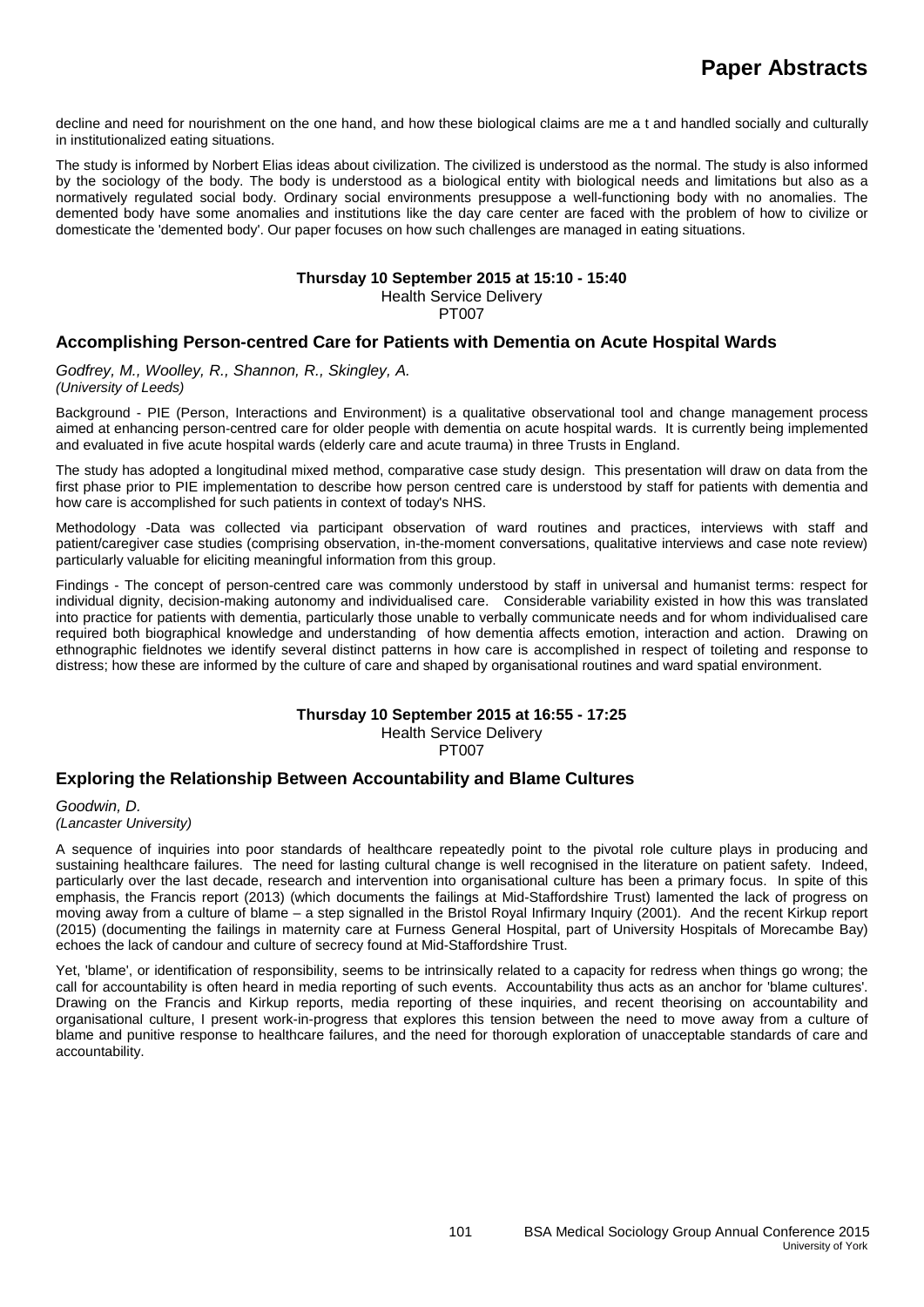decline and need for nourishment on the one hand, and how these biological claims are me a t and handled socially and culturally in institutionalized eating situations.

The study is informed by Norbert Elias ideas about civilization. The civilized is understood as the normal. The study is also informed by the sociology of the body. The body is understood as a biological entity with biological needs and limitations but also as a normatively regulated social body. Ordinary social environments presuppose a well-functioning body with no anomalies. The demented body have some anomalies and institutions like the day care center are faced with the problem of how to civilize or domesticate the 'demented body'. Our paper focuses on how such challenges are managed in eating situations.

#### **Thursday 10 September 2015 at 15:10 - 15:40**

Health Service Delivery

PT007

## **Accomplishing Person-centred Care for Patients with Dementia on Acute Hospital Wards**

*Godfrey, M., Woolley, R., Shannon, R., Skingley, A. (University of Leeds)*

Background - PIE (Person, Interactions and Environment) is a qualitative observational tool and change management process aimed at enhancing person-centred care for older people with dementia on acute hospital wards. It is currently being implemented and evaluated in five acute hospital wards (elderly care and acute trauma) in three Trusts in England.

The study has adopted a longitudinal mixed method, comparative case study design. This presentation will draw on data from the first phase prior to PIE implementation to describe how person centred care is understood by staff for patients with dementia and how care is accomplished for such patients in context of today's NHS.

Methodology -Data was collected via participant observation of ward routines and practices, interviews with staff and patient/caregiver case studies (comprising observation, in-the-moment conversations, qualitative interviews and case note review) particularly valuable for eliciting meaningful information from this group.

Findings - The concept of person-centred care was commonly understood by staff in universal and humanist terms: respect for individual dignity, decision-making autonomy and individualised care. Considerable variability existed in how this was translated into practice for patients with dementia, particularly those unable to verbally communicate needs and for whom individualised care required both biographical knowledge and understanding of how dementia affects emotion, interaction and action. Drawing on ethnographic fieldnotes we identify several distinct patterns in how care is accomplished in respect of toileting and response to distress; how these are informed by the culture of care and shaped by organisational routines and ward spatial environment.

## **Thursday 10 September 2015 at 16:55 - 17:25**

Health Service Delivery

PT007

## **Exploring the Relationship Between Accountability and Blame Cultures**

*Goodwin, D. (Lancaster University)*

A sequence of inquiries into poor standards of healthcare repeatedly point to the pivotal role culture plays in producing and sustaining healthcare failures. The need for lasting cultural change is well recognised in the literature on patient safety. Indeed, particularly over the last decade, research and intervention into organisational culture has been a primary focus. In spite of this emphasis, the Francis report (2013) (which documents the failings at Mid-Staffordshire Trust) lamented the lack of progress on moving away from a culture of blame – a step signalled in the Bristol Royal Infirmary Inquiry (2001). And the recent Kirkup report (2015) (documenting the failings in maternity care at Furness General Hospital, part of University Hospitals of Morecambe Bay) echoes the lack of candour and culture of secrecy found at Mid-Staffordshire Trust.

Yet, 'blame', or identification of responsibility, seems to be intrinsically related to a capacity for redress when things go wrong; the call for accountability is often heard in media reporting of such events. Accountability thus acts as an anchor for 'blame cultures'. Drawing on the Francis and Kirkup reports, media reporting of these inquiries, and recent theorising on accountability and organisational culture, I present work-in-progress that explores this tension between the need to move away from a culture of blame and punitive response to healthcare failures, and the need for thorough exploration of unacceptable standards of care and accountability.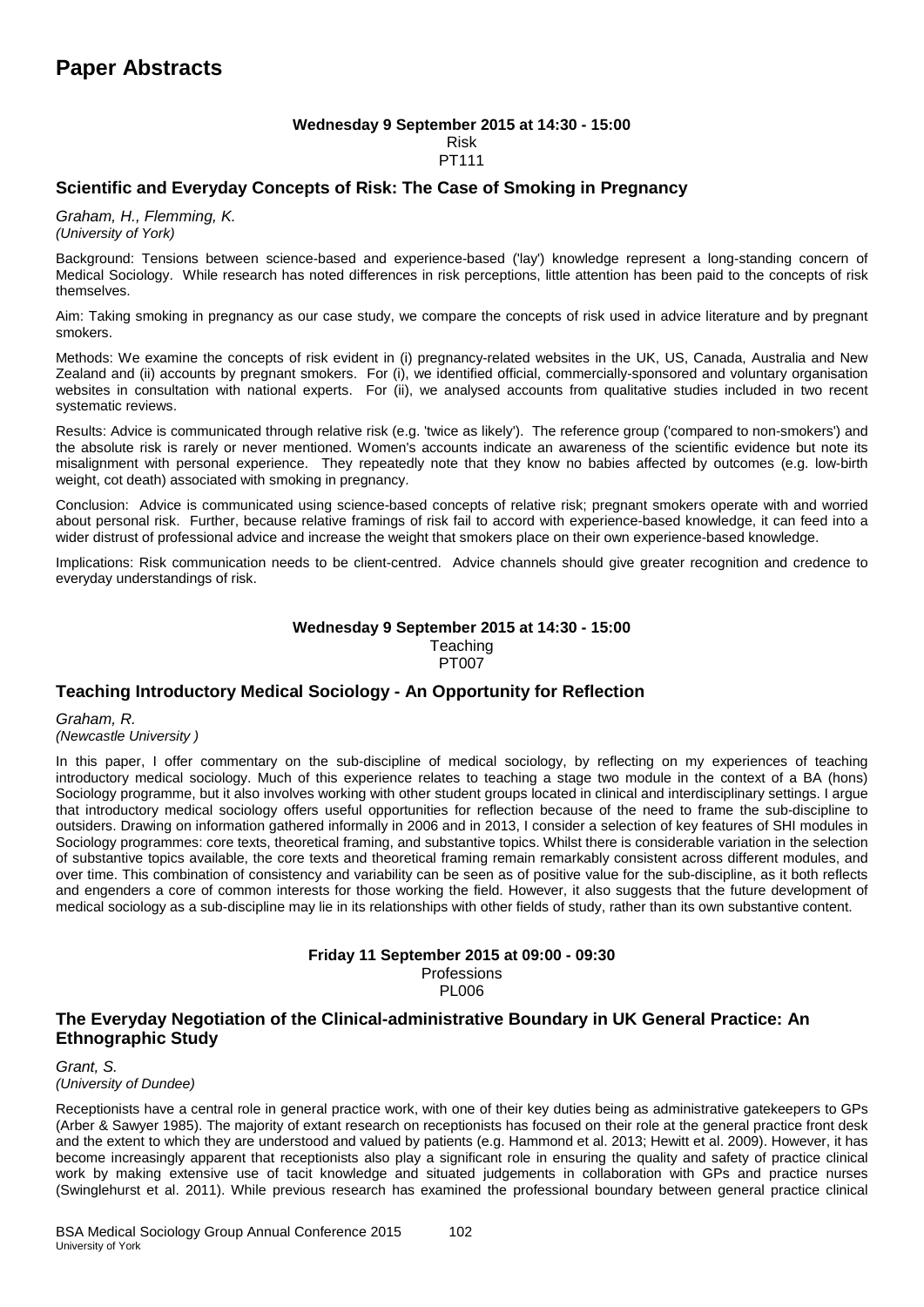#### **Wednesday 9 September 2015 at 14:30 - 15:00** Risk PT111

## **Scientific and Everyday Concepts of Risk: The Case of Smoking in Pregnancy**

*Graham, H., Flemming, K. (University of York)*

Background: Tensions between science-based and experience-based ('lay') knowledge represent a long-standing concern of Medical Sociology. While research has noted differences in risk perceptions, little attention has been paid to the concepts of risk themselves.

Aim: Taking smoking in pregnancy as our case study, we compare the concepts of risk used in advice literature and by pregnant smokers.

Methods: We examine the concepts of risk evident in (i) pregnancy-related websites in the UK, US, Canada, Australia and New Zealand and (ii) accounts by pregnant smokers. For (i), we identified official, commercially-sponsored and voluntary organisation websites in consultation with national experts. For (ii), we analysed accounts from qualitative studies included in two recent systematic reviews.

Results: Advice is communicated through relative risk (e.g. 'twice as likely'). The reference group ('compared to non-smokers') and the absolute risk is rarely or never mentioned. Women's accounts indicate an awareness of the scientific evidence but note its misalignment with personal experience. They repeatedly note that they know no babies affected by outcomes (e.g. low-birth weight, cot death) associated with smoking in pregnancy.

Conclusion: Advice is communicated using science-based concepts of relative risk; pregnant smokers operate with and worried about personal risk. Further, because relative framings of risk fail to accord with experience-based knowledge, it can feed into a wider distrust of professional advice and increase the weight that smokers place on their own experience-based knowledge.

Implications: Risk communication needs to be client-centred. Advice channels should give greater recognition and credence to everyday understandings of risk.

#### **Wednesday 9 September 2015 at 14:30 - 15:00 Teaching** PT007

## **Teaching Introductory Medical Sociology - An Opportunity for Reflection**

*Graham, R. (Newcastle University )*

In this paper, I offer commentary on the sub-discipline of medical sociology, by reflecting on my experiences of teaching introductory medical sociology. Much of this experience relates to teaching a stage two module in the context of a BA (hons) Sociology programme, but it also involves working with other student groups located in clinical and interdisciplinary settings. I argue that introductory medical sociology offers useful opportunities for reflection because of the need to frame the sub-discipline to outsiders. Drawing on information gathered informally in 2006 and in 2013, I consider a selection of key features of SHI modules in Sociology programmes: core texts, theoretical framing, and substantive topics. Whilst there is considerable variation in the selection of substantive topics available, the core texts and theoretical framing remain remarkably consistent across different modules, and over time. This combination of consistency and variability can be seen as of positive value for the sub-discipline, as it both reflects and engenders a core of common interests for those working the field. However, it also suggests that the future development of medical sociology as a sub-discipline may lie in its relationships with other fields of study, rather than its own substantive content.

## **Friday 11 September 2015 at 09:00 - 09:30 Professions**

PL006

## **The Everyday Negotiation of the Clinical-administrative Boundary in UK General Practice: An Ethnographic Study**

#### *Grant, S. (University of Dundee)*

Receptionists have a central role in general practice work, with one of their key duties being as administrative gatekeepers to GPs (Arber & Sawyer 1985). The majority of extant research on receptionists has focused on their role at the general practice front desk and the extent to which they are understood and valued by patients (e.g. Hammond et al. 2013; Hewitt et al. 2009). However, it has become increasingly apparent that receptionists also play a significant role in ensuring the quality and safety of practice clinical work by making extensive use of tacit knowledge and situated judgements in collaboration with GPs and practice nurses (Swinglehurst et al. 2011). While previous research has examined the professional boundary between general practice clinical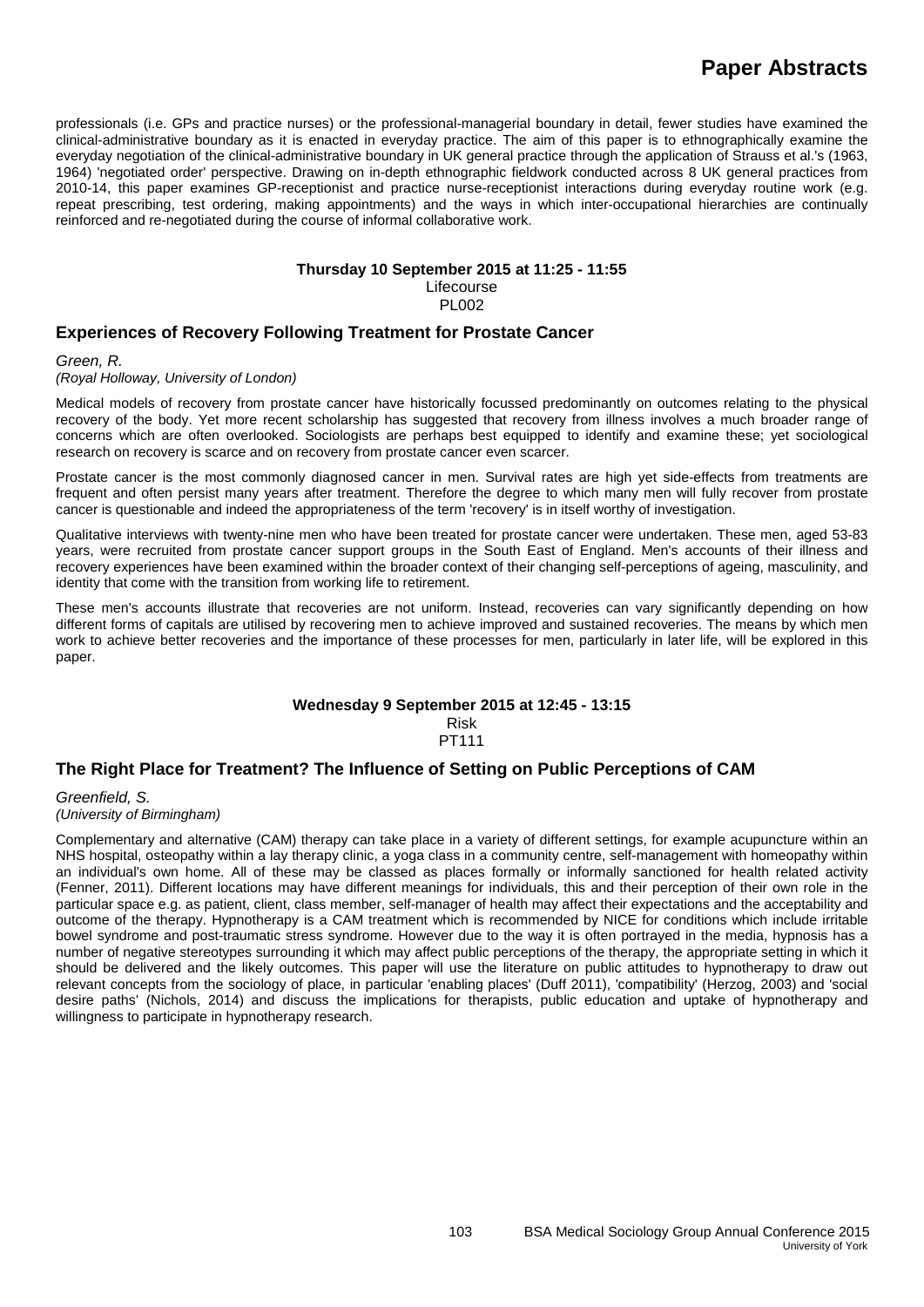professionals (i.e. GPs and practice nurses) or the professional-managerial boundary in detail, fewer studies have examined the clinical-administrative boundary as it is enacted in everyday practice. The aim of this paper is to ethnographically examine the everyday negotiation of the clinical-administrative boundary in UK general practice through the application of Strauss et al.'s (1963, 1964) 'negotiated order' perspective. Drawing on in-depth ethnographic fieldwork conducted across 8 UK general practices from 2010-14, this paper examines GP-receptionist and practice nurse-receptionist interactions during everyday routine work (e.g. repeat prescribing, test ordering, making appointments) and the ways in which inter-occupational hierarchies are continually reinforced and re-negotiated during the course of informal collaborative work.

## **Thursday 10 September 2015 at 11:25 - 11:55**

Lifecourse PL002

## **Experiences of Recovery Following Treatment for Prostate Cancer**

*Green, R.* 

#### *(Royal Holloway, University of London)*

Medical models of recovery from prostate cancer have historically focussed predominantly on outcomes relating to the physical recovery of the body. Yet more recent scholarship has suggested that recovery from illness involves a much broader range of concerns which are often overlooked. Sociologists are perhaps best equipped to identify and examine these; yet sociological research on recovery is scarce and on recovery from prostate cancer even scarcer.

Prostate cancer is the most commonly diagnosed cancer in men. Survival rates are high yet side-effects from treatments are frequent and often persist many years after treatment. Therefore the degree to which many men will fully recover from prostate cancer is questionable and indeed the appropriateness of the term 'recovery' is in itself worthy of investigation.

Qualitative interviews with twenty-nine men who have been treated for prostate cancer were undertaken. These men, aged 53-83 years, were recruited from prostate cancer support groups in the South East of England. Men's accounts of their illness and recovery experiences have been examined within the broader context of their changing self-perceptions of ageing, masculinity, and identity that come with the transition from working life to retirement.

These men's accounts illustrate that recoveries are not uniform. Instead, recoveries can vary significantly depending on how different forms of capitals are utilised by recovering men to achieve improved and sustained recoveries. The means by which men work to achieve better recoveries and the importance of these processes for men, particularly in later life, will be explored in this paper.

#### **Wednesday 9 September 2015 at 12:45 - 13:15** Risk

PT111

## **The Right Place for Treatment? The Influence of Setting on Public Perceptions of CAM**

*Greenfield, S. (University of Birmingham)*

Complementary and alternative (CAM) therapy can take place in a variety of different settings, for example acupuncture within an NHS hospital, osteopathy within a lay therapy clinic, a yoga class in a community centre, self-management with homeopathy within an individual's own home. All of these may be classed as places formally or informally sanctioned for health related activity (Fenner, 2011). Different locations may have different meanings for individuals, this and their perception of their own role in the particular space e.g. as patient, client, class member, self-manager of health may affect their expectations and the acceptability and outcome of the therapy. Hypnotherapy is a CAM treatment which is recommended by NICE for conditions which include irritable bowel syndrome and post-traumatic stress syndrome. However due to the way it is often portrayed in the media, hypnosis has a number of negative stereotypes surrounding it which may affect public perceptions of the therapy, the appropriate setting in which it should be delivered and the likely outcomes. This paper will use the literature on public attitudes to hypnotherapy to draw out relevant concepts from the sociology of place, in particular 'enabling places' (Duff 2011), 'compatibility' (Herzog, 2003) and 'social desire paths' (Nichols, 2014) and discuss the implications for therapists, public education and uptake of hypnotherapy and willingness to participate in hypnotherapy research.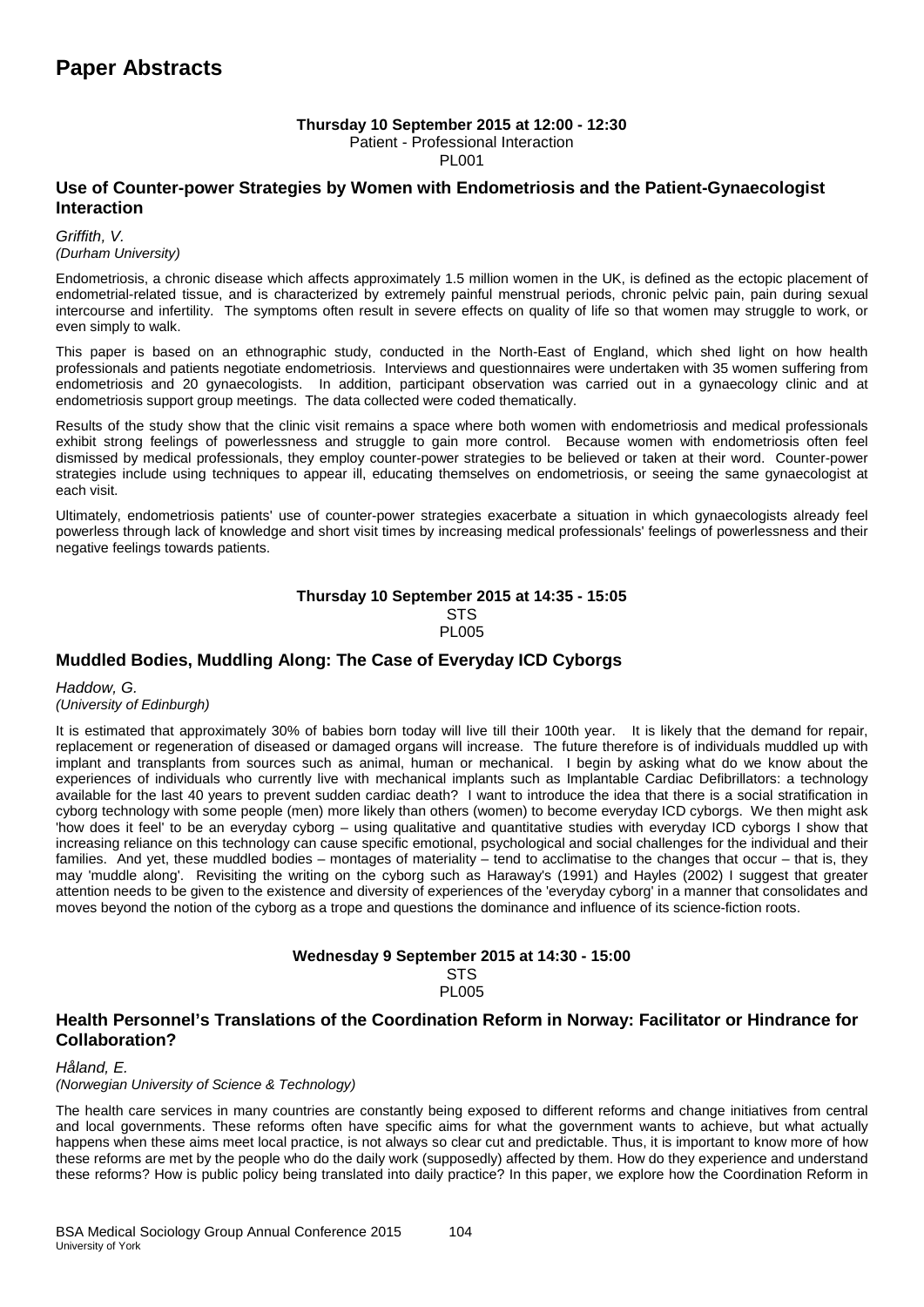#### **Thursday 10 September 2015 at 12:00 - 12:30**

Patient - Professional Interaction

PL001

## **Use of Counter-power Strategies by Women with Endometriosis and the Patient-Gynaecologist Interaction**

*Griffith, V. (Durham University)*

Endometriosis, a chronic disease which affects approximately 1.5 million women in the UK, is defined as the ectopic placement of endometrial-related tissue, and is characterized by extremely painful menstrual periods, chronic pelvic pain, pain during sexual intercourse and infertility. The symptoms often result in severe effects on quality of life so that women may struggle to work, or even simply to walk.

This paper is based on an ethnographic study, conducted in the North-East of England, which shed light on how health professionals and patients negotiate endometriosis. Interviews and questionnaires were undertaken with 35 women suffering from endometriosis and 20 gynaecologists. In addition, participant observation was carried out in a gynaecology clinic and at endometriosis support group meetings. The data collected were coded thematically.

Results of the study show that the clinic visit remains a space where both women with endometriosis and medical professionals exhibit strong feelings of powerlessness and struggle to gain more control. Because women with endometriosis often feel dismissed by medical professionals, they employ counter-power strategies to be believed or taken at their word. Counter-power strategies include using techniques to appear ill, educating themselves on endometriosis, or seeing the same gynaecologist at each visit.

Ultimately, endometriosis patients' use of counter-power strategies exacerbate a situation in which gynaecologists already feel powerless through lack of knowledge and short visit times by increasing medical professionals' feelings of powerlessness and their negative feelings towards patients.

#### **Thursday 10 September 2015 at 14:35 - 15:05** STS PL005

## **Muddled Bodies, Muddling Along: The Case of Everyday ICD Cyborgs**

*Haddow, G. (University of Edinburgh)*

It is estimated that approximately 30% of babies born today will live till their 100th year. It is likely that the demand for repair, replacement or regeneration of diseased or damaged organs will increase. The future therefore is of individuals muddled up with implant and transplants from sources such as animal, human or mechanical. I begin by asking what do we know about the experiences of individuals who currently live with mechanical implants such as Implantable Cardiac Defibrillators: a technology available for the last 40 years to prevent sudden cardiac death? I want to introduce the idea that there is a social stratification in cyborg technology with some people (men) more likely than others (women) to become everyday ICD cyborgs. We then might ask 'how does it feel' to be an everyday cyborg – using qualitative and quantitative studies with everyday ICD cyborgs I show that increasing reliance on this technology can cause specific emotional, psychological and social challenges for the individual and their families. And yet, these muddled bodies – montages of materiality – tend to acclimatise to the changes that occur – that is, they may 'muddle along'. Revisiting the writing on the cyborg such as Haraway's (1991) and Hayles (2002) I suggest that greater attention needs to be given to the existence and diversity of experiences of the 'everyday cyborg' in a manner that consolidates and moves beyond the notion of the cyborg as a trope and questions the dominance and influence of its science-fiction roots.

# **Wednesday 9 September 2015 at 14:30 - 15:00**

**STS** PL005

**Health Personnel's Translations of the Coordination Reform in Norway: Facilitator or Hindrance for Collaboration?**

*Håland, E.* 

*(Norwegian University of Science & Technology)*

The health care services in many countries are constantly being exposed to different reforms and change initiatives from central and local governments. These reforms often have specific aims for what the government wants to achieve, but what actually happens when these aims meet local practice, is not always so clear cut and predictable. Thus, it is important to know more of how these reforms are met by the people who do the daily work (supposedly) affected by them. How do they experience and understand these reforms? How is public policy being translated into daily practice? In this paper, we explore how the Coordination Reform in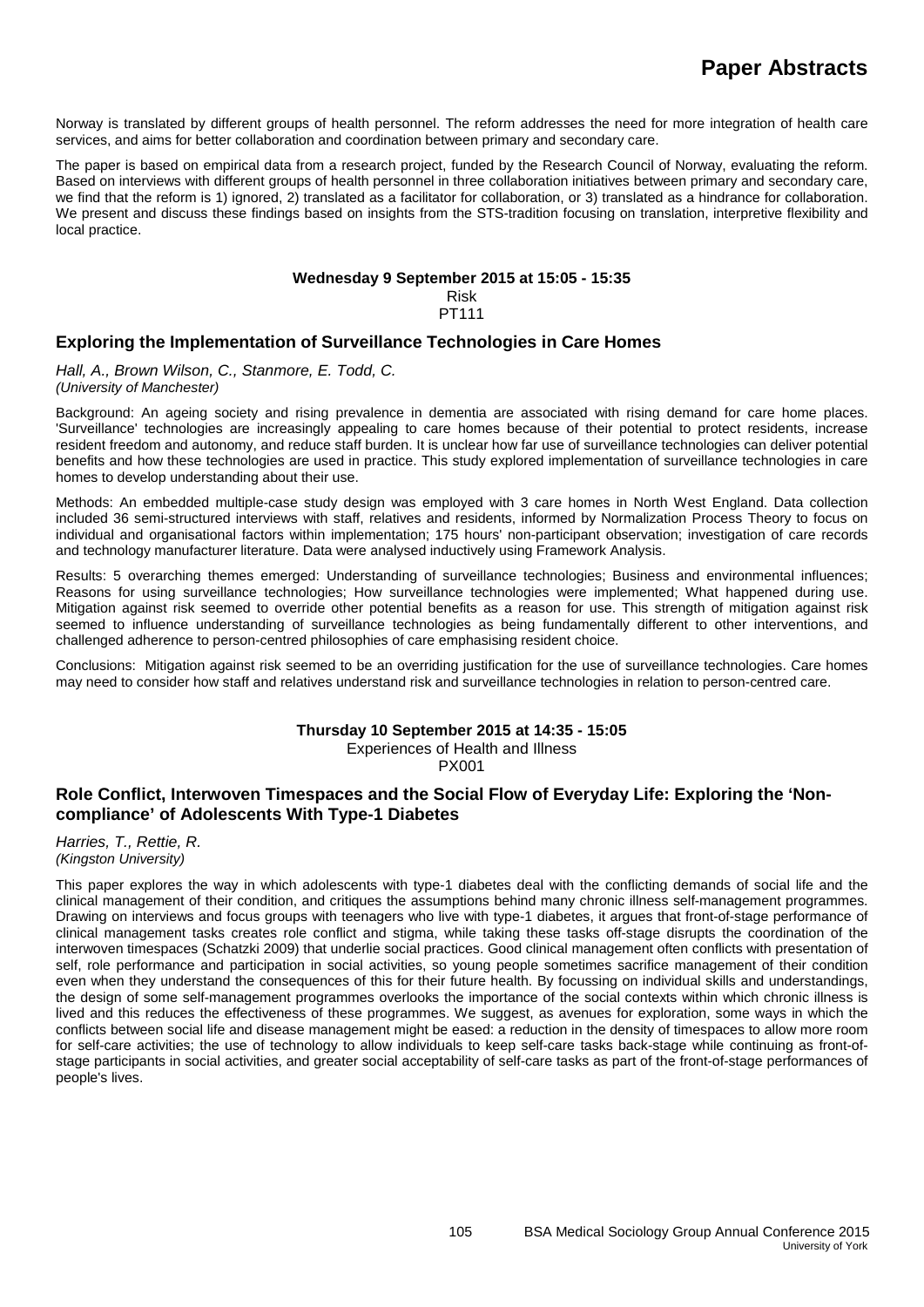Norway is translated by different groups of health personnel. The reform addresses the need for more integration of health care services, and aims for better collaboration and coordination between primary and secondary care.

The paper is based on empirical data from a research project, funded by the Research Council of Norway, evaluating the reform. Based on interviews with different groups of health personnel in three collaboration initiatives between primary and secondary care, we find that the reform is 1) ignored, 2) translated as a facilitator for collaboration, or 3) translated as a hindrance for collaboration. We present and discuss these findings based on insights from the STS-tradition focusing on translation, interpretive flexibility and local practice.

#### **Wednesday 9 September 2015 at 15:05 - 15:35** Risk PT111

## **Exploring the Implementation of Surveillance Technologies in Care Homes**

*Hall, A., Brown Wilson, C., Stanmore, E. Todd, C. (University of Manchester)*

Background: An ageing society and rising prevalence in dementia are associated with rising demand for care home places. 'Surveillance' technologies are increasingly appealing to care homes because of their potential to protect residents, increase resident freedom and autonomy, and reduce staff burden. It is unclear how far use of surveillance technologies can deliver potential benefits and how these technologies are used in practice. This study explored implementation of surveillance technologies in care homes to develop understanding about their use.

Methods: An embedded multiple-case study design was employed with 3 care homes in North West England. Data collection included 36 semi-structured interviews with staff, relatives and residents, informed by Normalization Process Theory to focus on individual and organisational factors within implementation; 175 hours' non-participant observation; investigation of care records and technology manufacturer literature. Data were analysed inductively using Framework Analysis.

Results: 5 overarching themes emerged: Understanding of surveillance technologies; Business and environmental influences; Reasons for using surveillance technologies; How surveillance technologies were implemented; What happened during use. Mitigation against risk seemed to override other potential benefits as a reason for use. This strength of mitigation against risk seemed to influence understanding of surveillance technologies as being fundamentally different to other interventions, and challenged adherence to person-centred philosophies of care emphasising resident choice.

Conclusions: Mitigation against risk seemed to be an overriding justification for the use of surveillance technologies. Care homes may need to consider how staff and relatives understand risk and surveillance technologies in relation to person-centred care.

#### **Thursday 10 September 2015 at 14:35 - 15:05**

Experiences of Health and Illness

PX001

## **Role Conflict, Interwoven Timespaces and the Social Flow of Everyday Life: Exploring the 'Noncompliance' of Adolescents With Type-1 Diabetes**

*Harries, T., Rettie, R. (Kingston University)*

This paper explores the way in which adolescents with type-1 diabetes deal with the conflicting demands of social life and the clinical management of their condition, and critiques the assumptions behind many chronic illness self-management programmes. Drawing on interviews and focus groups with teenagers who live with type-1 diabetes, it argues that front-of-stage performance of clinical management tasks creates role conflict and stigma, while taking these tasks off-stage disrupts the coordination of the interwoven timespaces (Schatzki 2009) that underlie social practices. Good clinical management often conflicts with presentation of self, role performance and participation in social activities, so young people sometimes sacrifice management of their condition even when they understand the consequences of this for their future health. By focussing on individual skills and understandings, the design of some self-management programmes overlooks the importance of the social contexts within which chronic illness is lived and this reduces the effectiveness of these programmes. We suggest, as avenues for exploration, some ways in which the conflicts between social life and disease management might be eased: a reduction in the density of timespaces to allow more room for self-care activities; the use of technology to allow individuals to keep self-care tasks back-stage while continuing as front-ofstage participants in social activities, and greater social acceptability of self-care tasks as part of the front-of-stage performances of people's lives.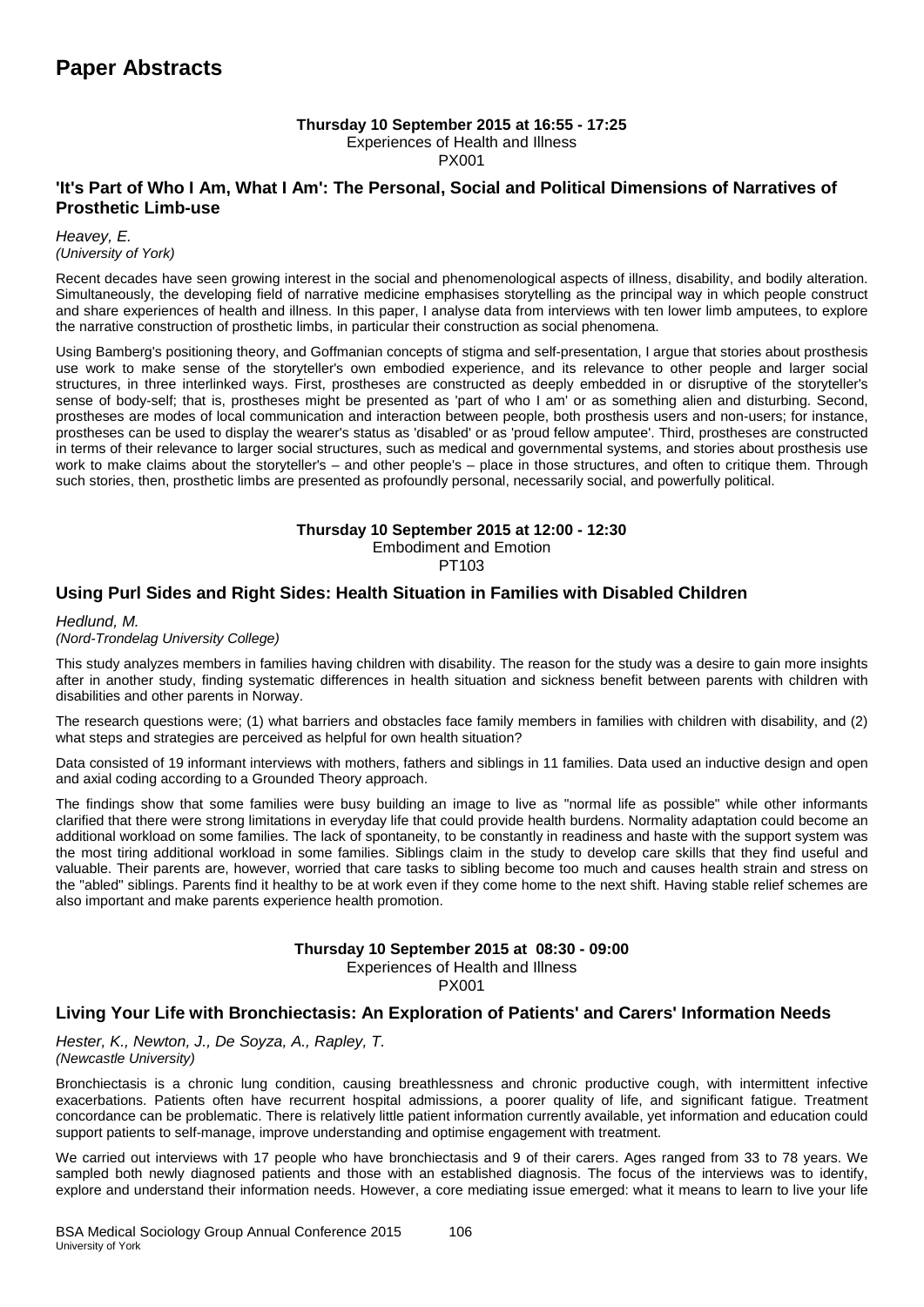#### **Thursday 10 September 2015 at 16:55 - 17:25** Experiences of Health and Illness PX001

## **'It's Part of Who I Am, What I Am': The Personal, Social and Political Dimensions of Narratives of Prosthetic Limb-use**

*Heavey, E. (University of York)*

Recent decades have seen growing interest in the social and phenomenological aspects of illness, disability, and bodily alteration. Simultaneously, the developing field of narrative medicine emphasises storytelling as the principal way in which people construct and share experiences of health and illness. In this paper, I analyse data from interviews with ten lower limb amputees, to explore the narrative construction of prosthetic limbs, in particular their construction as social phenomena.

Using Bamberg's positioning theory, and Goffmanian concepts of stigma and self-presentation, I argue that stories about prosthesis use work to make sense of the storyteller's own embodied experience, and its relevance to other people and larger social structures, in three interlinked ways. First, prostheses are constructed as deeply embedded in or disruptive of the storyteller's sense of body-self; that is, prostheses might be presented as 'part of who I am' or as something alien and disturbing. Second, prostheses are modes of local communication and interaction between people, both prosthesis users and non-users; for instance, prostheses can be used to display the wearer's status as 'disabled' or as 'proud fellow amputee'. Third, prostheses are constructed in terms of their relevance to larger social structures, such as medical and governmental systems, and stories about prosthesis use work to make claims about the storyteller's – and other people's – place in those structures, and often to critique them. Through such stories, then, prosthetic limbs are presented as profoundly personal, necessarily social, and powerfully political.

#### **Thursday 10 September 2015 at 12:00 - 12:30** Embodiment and Emotion PT103

## **Using Purl Sides and Right Sides: Health Situation in Families with Disabled Children**

*Hedlund, M.* 

*(Nord-Trondelag University College)*

This study analyzes members in families having children with disability. The reason for the study was a desire to gain more insights after in another study, finding systematic differences in health situation and sickness benefit between parents with children with disabilities and other parents in Norway.

The research questions were; (1) what barriers and obstacles face family members in families with children with disability, and (2) what steps and strategies are perceived as helpful for own health situation?

Data consisted of 19 informant interviews with mothers, fathers and siblings in 11 families. Data used an inductive design and open and axial coding according to a Grounded Theory approach.

The findings show that some families were busy building an image to live as "normal life as possible" while other informants clarified that there were strong limitations in everyday life that could provide health burdens. Normality adaptation could become an additional workload on some families. The lack of spontaneity, to be constantly in readiness and haste with the support system was the most tiring additional workload in some families. Siblings claim in the study to develop care skills that they find useful and valuable. Their parents are, however, worried that care tasks to sibling become too much and causes health strain and stress on the "abled" siblings. Parents find it healthy to be at work even if they come home to the next shift. Having stable relief schemes are also important and make parents experience health promotion.

#### **Thursday 10 September 2015 at 08:30 - 09:00**

Experiences of Health and Illness

PX001

## **Living Your Life with Bronchiectasis: An Exploration of Patients' and Carers' Information Needs**

*Hester, K., Newton, J., De Soyza, A., Rapley, T. (Newcastle University)*

Bronchiectasis is a chronic lung condition, causing breathlessness and chronic productive cough, with intermittent infective exacerbations. Patients often have recurrent hospital admissions, a poorer quality of life, and significant fatigue. Treatment concordance can be problematic. There is relatively little patient information currently available, yet information and education could support patients to self-manage, improve understanding and optimise engagement with treatment.

We carried out interviews with 17 people who have bronchiectasis and 9 of their carers. Ages ranged from 33 to 78 years. We sampled both newly diagnosed patients and those with an established diagnosis. The focus of the interviews was to identify, explore and understand their information needs. However, a core mediating issue emerged: what it means to learn to live your life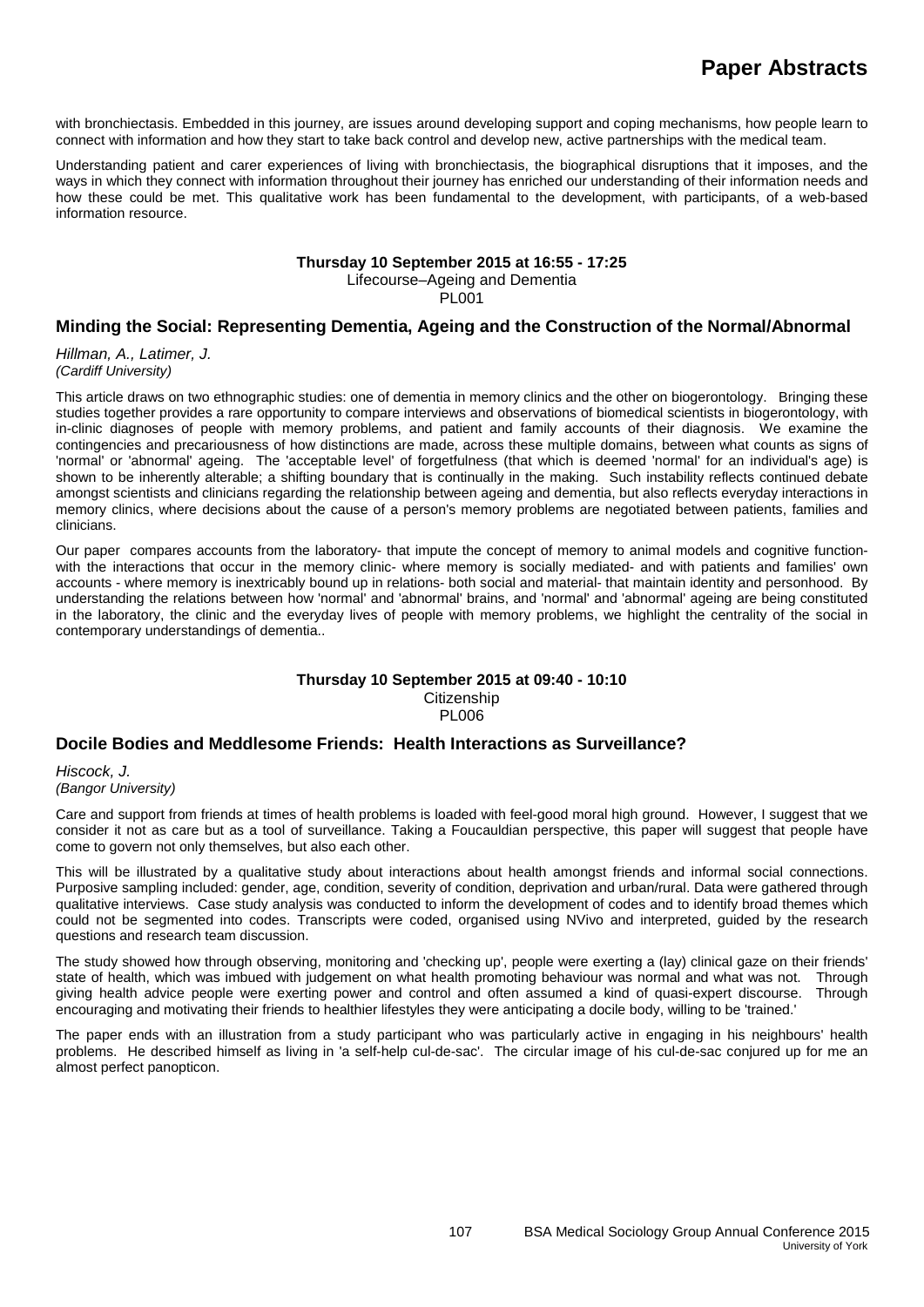with bronchiectasis. Embedded in this journey, are issues around developing support and coping mechanisms, how people learn to connect with information and how they start to take back control and develop new, active partnerships with the medical team.

Understanding patient and carer experiences of living with bronchiectasis, the biographical disruptions that it imposes, and the ways in which they connect with information throughout their journey has enriched our understanding of their information needs and how these could be met. This qualitative work has been fundamental to the development, with participants, of a web-based information resource.

## **Thursday 10 September 2015 at 16:55 - 17:25**

Lifecourse–Ageing and Dementia

PL001

## **Minding the Social: Representing Dementia, Ageing and the Construction of the Normal/Abnormal**

*Hillman, A., Latimer, J. (Cardiff University)*

This article draws on two ethnographic studies: one of dementia in memory clinics and the other on biogerontology. Bringing these studies together provides a rare opportunity to compare interviews and observations of biomedical scientists in biogerontology, with in-clinic diagnoses of people with memory problems, and patient and family accounts of their diagnosis. We examine the contingencies and precariousness of how distinctions are made, across these multiple domains, between what counts as signs of 'normal' or 'abnormal' ageing. The 'acceptable level' of forgetfulness (that which is deemed 'normal' for an individual's age) is shown to be inherently alterable; a shifting boundary that is continually in the making. Such instability reflects continued debate amongst scientists and clinicians regarding the relationship between ageing and dementia, but also reflects everyday interactions in memory clinics, where decisions about the cause of a person's memory problems are negotiated between patients, families and clinicians.

Our paper compares accounts from the laboratory- that impute the concept of memory to animal models and cognitive functionwith the interactions that occur in the memory clinic- where memory is socially mediated- and with patients and families' own accounts - where memory is inextricably bound up in relations- both social and material- that maintain identity and personhood. By understanding the relations between how 'normal' and 'abnormal' brains, and 'normal' and 'abnormal' ageing are being constituted in the laboratory, the clinic and the everyday lives of people with memory problems, we highlight the centrality of the social in contemporary understandings of dementia..

#### **Thursday 10 September 2015 at 09:40 - 10:10 Citizenship** PL006

#### **Docile Bodies and Meddlesome Friends: Health Interactions as Surveillance?**

*Hiscock, J. (Bangor University)*

Care and support from friends at times of health problems is loaded with feel-good moral high ground. However, I suggest that we consider it not as care but as a tool of surveillance. Taking a Foucauldian perspective, this paper will suggest that people have come to govern not only themselves, but also each other.

This will be illustrated by a qualitative study about interactions about health amongst friends and informal social connections. Purposive sampling included: gender, age, condition, severity of condition, deprivation and urban/rural. Data were gathered through qualitative interviews. Case study analysis was conducted to inform the development of codes and to identify broad themes which could not be segmented into codes. Transcripts were coded, organised using NVivo and interpreted, guided by the research questions and research team discussion.

The study showed how through observing, monitoring and 'checking up', people were exerting a (lay) clinical gaze on their friends' state of health, which was imbued with judgement on what health promoting behaviour was normal and what was not. Through giving health advice people were exerting power and control and often assumed a kind of quasi-expert discourse. Through encouraging and motivating their friends to healthier lifestyles they were anticipating a docile body, willing to be 'trained.'

The paper ends with an illustration from a study participant who was particularly active in engaging in his neighbours' health problems. He described himself as living in 'a self-help cul-de-sac'. The circular image of his cul-de-sac conjured up for me an almost perfect panopticon.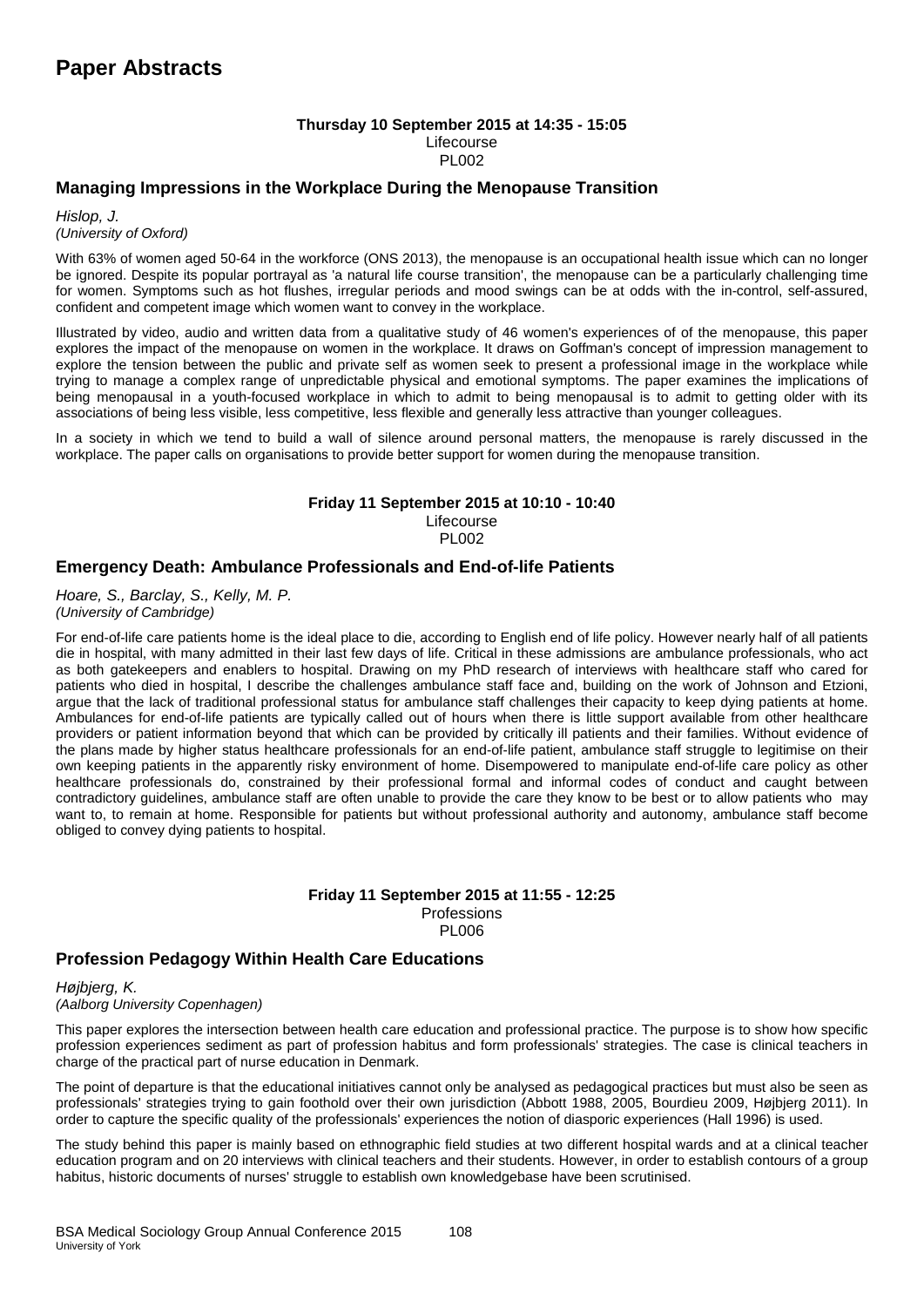#### **Thursday 10 September 2015 at 14:35 - 15:05** Lifecourse PL002

### **Managing Impressions in the Workplace During the Menopause Transition**

*Hislop, J. (University of Oxford)*

With 63% of women aged 50-64 in the workforce (ONS 2013), the menopause is an occupational health issue which can no longer be ignored. Despite its popular portrayal as 'a natural life course transition', the menopause can be a particularly challenging time for women. Symptoms such as hot flushes, irregular periods and mood swings can be at odds with the in-control, self-assured, confident and competent image which women want to convey in the workplace.

Illustrated by video, audio and written data from a qualitative study of 46 women's experiences of of the menopause, this paper explores the impact of the menopause on women in the workplace. It draws on Goffman's concept of impression management to explore the tension between the public and private self as women seek to present a professional image in the workplace while trying to manage a complex range of unpredictable physical and emotional symptoms. The paper examines the implications of being menopausal in a youth-focused workplace in which to admit to being menopausal is to admit to getting older with its associations of being less visible, less competitive, less flexible and generally less attractive than younger colleagues.

In a society in which we tend to build a wall of silence around personal matters, the menopause is rarely discussed in the workplace. The paper calls on organisations to provide better support for women during the menopause transition.

#### **Friday 11 September 2015 at 10:10 - 10:40**

Lifecourse PL002

## **Emergency Death: Ambulance Professionals and End-of-life Patients**

*Hoare, S., Barclay, S., Kelly, M. P. (University of Cambridge)*

For end-of-life care patients home is the ideal place to die, according to English end of life policy. However nearly half of all patients die in hospital, with many admitted in their last few days of life. Critical in these admissions are ambulance professionals, who act as both gatekeepers and enablers to hospital. Drawing on my PhD research of interviews with healthcare staff who cared for patients who died in hospital, I describe the challenges ambulance staff face and, building on the work of Johnson and Etzioni, argue that the lack of traditional professional status for ambulance staff challenges their capacity to keep dying patients at home. Ambulances for end-of-life patients are typically called out of hours when there is little support available from other healthcare providers or patient information beyond that which can be provided by critically ill patients and their families. Without evidence of the plans made by higher status healthcare professionals for an end-of-life patient, ambulance staff struggle to legitimise on their own keeping patients in the apparently risky environment of home. Disempowered to manipulate end-of-life care policy as other healthcare professionals do, constrained by their professional formal and informal codes of conduct and caught between contradictory guidelines, ambulance staff are often unable to provide the care they know to be best or to allow patients who may want to, to remain at home. Responsible for patients but without professional authority and autonomy, ambulance staff become obliged to convey dying patients to hospital.

#### **Friday 11 September 2015 at 11:55 - 12:25** Professions PL006

## **Profession Pedagogy Within Health Care Educations**

*Højbjerg, K. (Aalborg University Copenhagen)*

This paper explores the intersection between health care education and professional practice. The purpose is to show how specific profession experiences sediment as part of profession habitus and form professionals' strategies. The case is clinical teachers in charge of the practical part of nurse education in Denmark.

The point of departure is that the educational initiatives cannot only be analysed as pedagogical practices but must also be seen as professionals' strategies trying to gain foothold over their own jurisdiction (Abbott 1988, 2005, Bourdieu 2009, Højbjerg 2011). In order to capture the specific quality of the professionals' experiences the notion of diasporic experiences (Hall 1996) is used.

The study behind this paper is mainly based on ethnographic field studies at two different hospital wards and at a clinical teacher education program and on 20 interviews with clinical teachers and their students. However, in order to establish contours of a group habitus, historic documents of nurses' struggle to establish own knowledgebase have been scrutinised.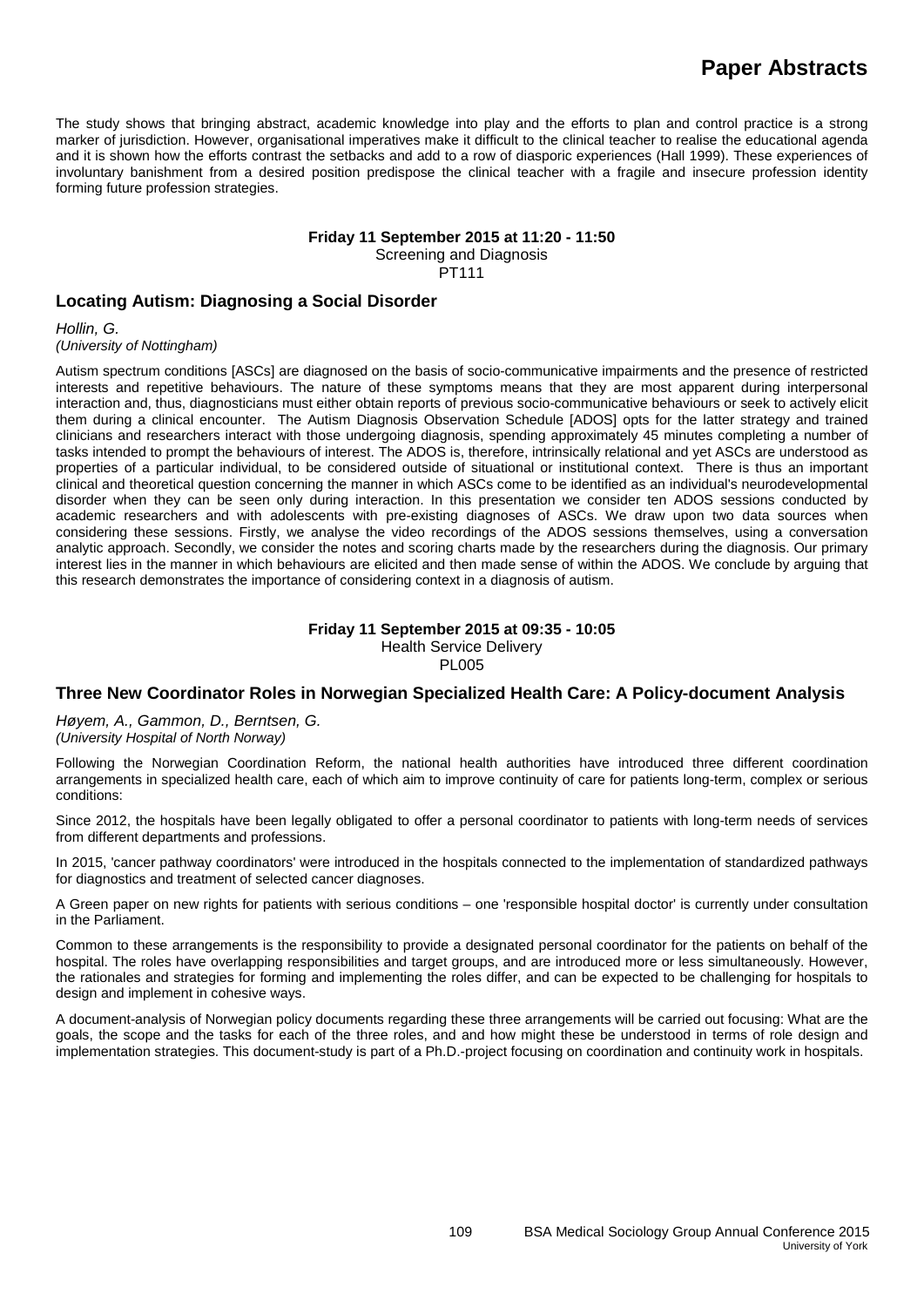The study shows that bringing abstract, academic knowledge into play and the efforts to plan and control practice is a strong marker of jurisdiction. However, organisational imperatives make it difficult to the clinical teacher to realise the educational agenda and it is shown how the efforts contrast the setbacks and add to a row of diasporic experiences (Hall 1999). These experiences of involuntary banishment from a desired position predispose the clinical teacher with a fragile and insecure profession identity forming future profession strategies.

#### **Friday 11 September 2015 at 11:20 - 11:50**

Screening and Diagnosis

PT111

### **Locating Autism: Diagnosing a Social Disorder**

*Hollin, G. (University of Nottingham)*

Autism spectrum conditions [ASCs] are diagnosed on the basis of socio-communicative impairments and the presence of restricted interests and repetitive behaviours. The nature of these symptoms means that they are most apparent during interpersonal interaction and, thus, diagnosticians must either obtain reports of previous socio-communicative behaviours or seek to actively elicit them during a clinical encounter. The Autism Diagnosis Observation Schedule [ADOS] opts for the latter strategy and trained clinicians and researchers interact with those undergoing diagnosis, spending approximately 45 minutes completing a number of tasks intended to prompt the behaviours of interest. The ADOS is, therefore, intrinsically relational and yet ASCs are understood as properties of a particular individual, to be considered outside of situational or institutional context. There is thus an important clinical and theoretical question concerning the manner in which ASCs come to be identified as an individual's neurodevelopmental disorder when they can be seen only during interaction. In this presentation we consider ten ADOS sessions conducted by academic researchers and with adolescents with pre-existing diagnoses of ASCs. We draw upon two data sources when considering these sessions. Firstly, we analyse the video recordings of the ADOS sessions themselves, using a conversation analytic approach. Secondly, we consider the notes and scoring charts made by the researchers during the diagnosis. Our primary interest lies in the manner in which behaviours are elicited and then made sense of within the ADOS. We conclude by arguing that this research demonstrates the importance of considering context in a diagnosis of autism.

#### **Friday 11 September 2015 at 09:35 - 10:05** Health Service Delivery PL005

## **Three New Coordinator Roles in Norwegian Specialized Health Care: A Policy-document Analysis**

*Høyem, A., Gammon, D., Berntsen, G. (University Hospital of North Norway)*

Following the Norwegian Coordination Reform, the national health authorities have introduced three different coordination arrangements in specialized health care, each of which aim to improve continuity of care for patients long-term, complex or serious conditions:

Since 2012, the hospitals have been legally obligated to offer a personal coordinator to patients with long-term needs of services from different departments and professions.

In 2015, 'cancer pathway coordinators' were introduced in the hospitals connected to the implementation of standardized pathways for diagnostics and treatment of selected cancer diagnoses.

A Green paper on new rights for patients with serious conditions – one 'responsible hospital doctor' is currently under consultation in the Parliament.

Common to these arrangements is the responsibility to provide a designated personal coordinator for the patients on behalf of the hospital. The roles have overlapping responsibilities and target groups, and are introduced more or less simultaneously. However, the rationales and strategies for forming and implementing the roles differ, and can be expected to be challenging for hospitals to design and implement in cohesive ways.

A document-analysis of Norwegian policy documents regarding these three arrangements will be carried out focusing: What are the goals, the scope and the tasks for each of the three roles, and and how might these be understood in terms of role design and implementation strategies. This document-study is part of a Ph.D.-project focusing on coordination and continuity work in hospitals.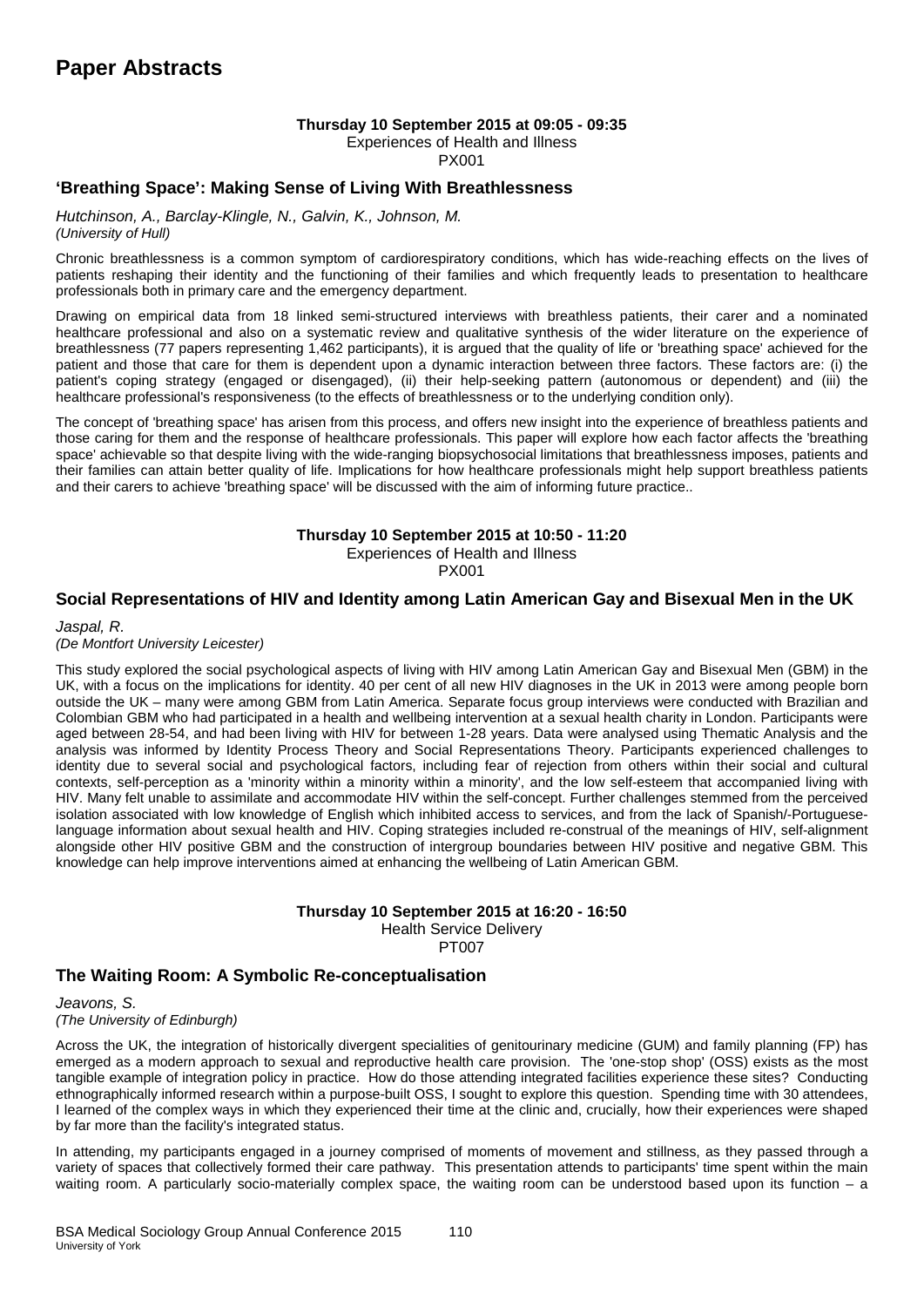#### **Thursday 10 September 2015 at 09:05 - 09:35**

Experiences of Health and Illness

PX001

#### **'Breathing Space': Making Sense of Living With Breathlessness**

*Hutchinson, A., Barclay-Klingle, N., Galvin, K., Johnson, M. (University of Hull)*

Chronic breathlessness is a common symptom of cardiorespiratory conditions, which has wide-reaching effects on the lives of patients reshaping their identity and the functioning of their families and which frequently leads to presentation to healthcare professionals both in primary care and the emergency department.

Drawing on empirical data from 18 linked semi-structured interviews with breathless patients, their carer and a nominated healthcare professional and also on a systematic review and qualitative synthesis of the wider literature on the experience of breathlessness (77 papers representing 1,462 participants), it is argued that the quality of life or 'breathing space' achieved for the patient and those that care for them is dependent upon a dynamic interaction between three factors. These factors are: (i) the patient's coping strategy (engaged or disengaged), (ii) their help-seeking pattern (autonomous or dependent) and (iii) the healthcare professional's responsiveness (to the effects of breathlessness or to the underlying condition only).

The concept of 'breathing space' has arisen from this process, and offers new insight into the experience of breathless patients and those caring for them and the response of healthcare professionals. This paper will explore how each factor affects the 'breathing space' achievable so that despite living with the wide-ranging biopsychosocial limitations that breathlessness imposes, patients and their families can attain better quality of life. Implications for how healthcare professionals might help support breathless patients and their carers to achieve 'breathing space' will be discussed with the aim of informing future practice..

#### **Thursday 10 September 2015 at 10:50 - 11:20**

Experiences of Health and Illness

PX001

#### **Social Representations of HIV and Identity among Latin American Gay and Bisexual Men in the UK**

*Jaspal, R.* 

*(De Montfort University Leicester)*

This study explored the social psychological aspects of living with HIV among Latin American Gay and Bisexual Men (GBM) in the UK, with a focus on the implications for identity. 40 per cent of all new HIV diagnoses in the UK in 2013 were among people born outside the UK – many were among GBM from Latin America. Separate focus group interviews were conducted with Brazilian and Colombian GBM who had participated in a health and wellbeing intervention at a sexual health charity in London. Participants were aged between 28-54, and had been living with HIV for between 1-28 years. Data were analysed using Thematic Analysis and the analysis was informed by Identity Process Theory and Social Representations Theory. Participants experienced challenges to identity due to several social and psychological factors, including fear of rejection from others within their social and cultural contexts, self-perception as a 'minority within a minority within a minority', and the low self-esteem that accompanied living with HIV. Many felt unable to assimilate and accommodate HIV within the self-concept. Further challenges stemmed from the perceived isolation associated with low knowledge of English which inhibited access to services, and from the lack of Spanish/-Portugueselanguage information about sexual health and HIV. Coping strategies included re-construal of the meanings of HIV, self-alignment alongside other HIV positive GBM and the construction of intergroup boundaries between HIV positive and negative GBM. This knowledge can help improve interventions aimed at enhancing the wellbeing of Latin American GBM.

#### **Thursday 10 September 2015 at 16:20 - 16:50**

Health Service Delivery

PT007

## **The Waiting Room: A Symbolic Re-conceptualisation**

*Jeavons, S. (The University of Edinburgh)*

Across the UK, the integration of historically divergent specialities of genitourinary medicine (GUM) and family planning (FP) has emerged as a modern approach to sexual and reproductive health care provision. The 'one-stop shop' (OSS) exists as the most tangible example of integration policy in practice. How do those attending integrated facilities experience these sites? Conducting ethnographically informed research within a purpose-built OSS, I sought to explore this question. Spending time with 30 attendees, I learned of the complex ways in which they experienced their time at the clinic and, crucially, how their experiences were shaped by far more than the facility's integrated status.

In attending, my participants engaged in a journey comprised of moments of movement and stillness, as they passed through a variety of spaces that collectively formed their care pathway. This presentation attends to participants' time spent within the main waiting room. A particularly socio-materially complex space, the waiting room can be understood based upon its function – a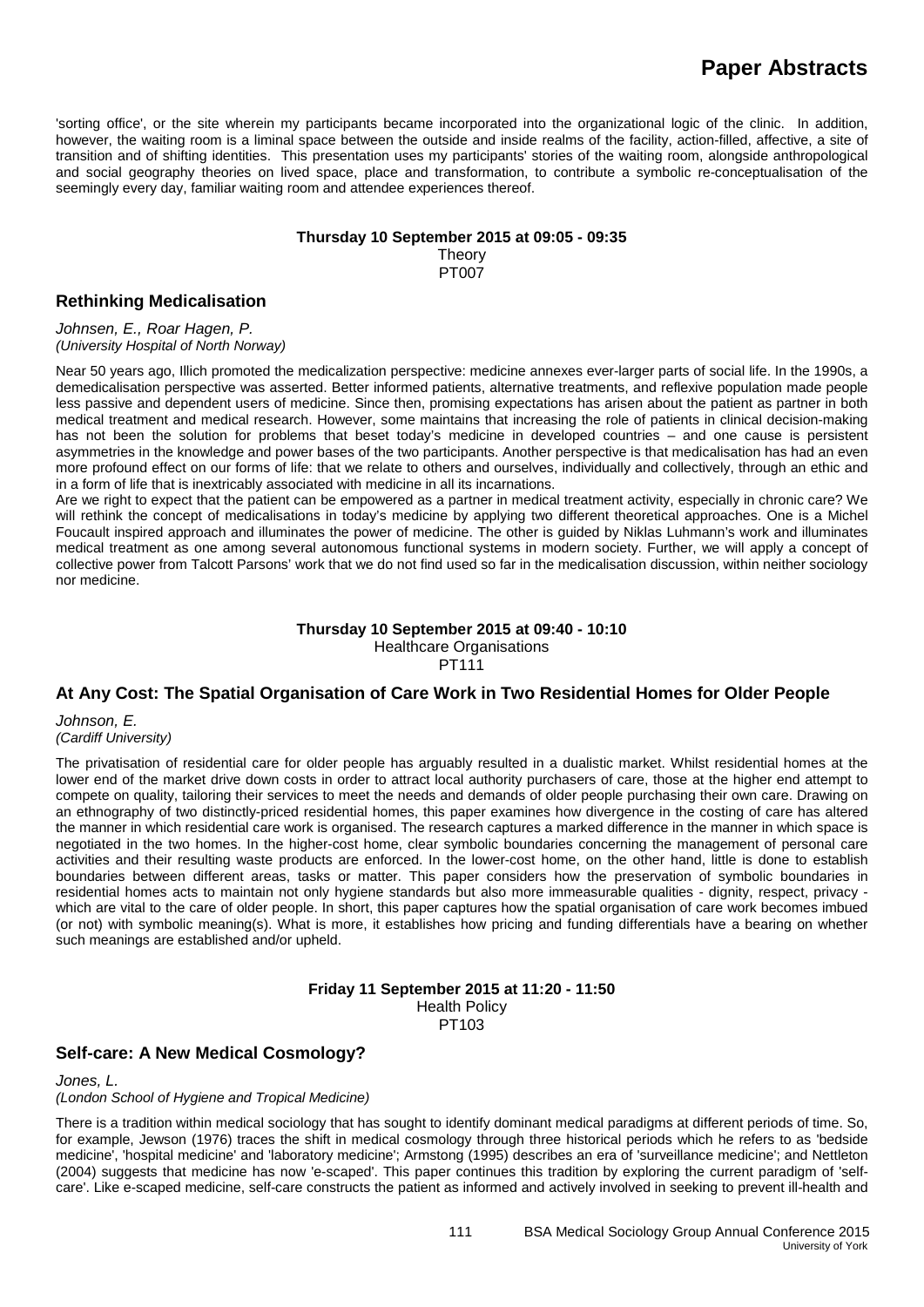'sorting office', or the site wherein my participants became incorporated into the organizational logic of the clinic. In addition, however, the waiting room is a liminal space between the outside and inside realms of the facility, action-filled, affective, a site of transition and of shifting identities. This presentation uses my participants' stories of the waiting room, alongside anthropological and social geography theories on lived space, place and transformation, to contribute a symbolic re-conceptualisation of the seemingly every day, familiar waiting room and attendee experiences thereof.

#### **Thursday 10 September 2015 at 09:05 - 09:35**

**Theory** PT007

### **Rethinking Medicalisation**

*Johnsen, E., Roar Hagen, P. (University Hospital of North Norway)*

Near 50 years ago, Illich promoted the medicalization perspective: medicine annexes ever-larger parts of social life. In the 1990s, a demedicalisation perspective was asserted. Better informed patients, alternative treatments, and reflexive population made people less passive and dependent users of medicine. Since then, promising expectations has arisen about the patient as partner in both medical treatment and medical research. However, some maintains that increasing the role of patients in clinical decision-making has not been the solution for problems that beset today's medicine in developed countries – and one cause is persistent asymmetries in the knowledge and power bases of the two participants. Another perspective is that medicalisation has had an even more profound effect on our forms of life: that we relate to others and ourselves, individually and collectively, through an ethic and in a form of life that is inextricably associated with medicine in all its incarnations.

Are we right to expect that the patient can be empowered as a partner in medical treatment activity, especially in chronic care? We will rethink the concept of medicalisations in today's medicine by applying two different theoretical approaches. One is a Michel Foucault inspired approach and illuminates the power of medicine. The other is guided by Niklas Luhmann's work and illuminates medical treatment as one among several autonomous functional systems in modern society. Further, we will apply a concept of collective power from Talcott Parsons' work that we do not find used so far in the medicalisation discussion, within neither sociology nor medicine.

#### **Thursday 10 September 2015 at 09:40 - 10:10** Healthcare Organisations PT111

## **At Any Cost: The Spatial Organisation of Care Work in Two Residential Homes for Older People**

*Johnson, E. (Cardiff University)*

The privatisation of residential care for older people has arguably resulted in a dualistic market. Whilst residential homes at the lower end of the market drive down costs in order to attract local authority purchasers of care, those at the higher end attempt to compete on quality, tailoring their services to meet the needs and demands of older people purchasing their own care. Drawing on an ethnography of two distinctly-priced residential homes, this paper examines how divergence in the costing of care has altered the manner in which residential care work is organised. The research captures a marked difference in the manner in which space is negotiated in the two homes. In the higher-cost home, clear symbolic boundaries concerning the management of personal care activities and their resulting waste products are enforced. In the lower-cost home, on the other hand, little is done to establish boundaries between different areas, tasks or matter. This paper considers how the preservation of symbolic boundaries in residential homes acts to maintain not only hygiene standards but also more immeasurable qualities - dignity, respect, privacy which are vital to the care of older people. In short, this paper captures how the spatial organisation of care work becomes imbued (or not) with symbolic meaning(s). What is more, it establishes how pricing and funding differentials have a bearing on whether such meanings are established and/or upheld.

> **Friday 11 September 2015 at 11:20 - 11:50** Health Policy PT103

## **Self-care: A New Medical Cosmology?**

*Jones, L.*

*(London School of Hygiene and Tropical Medicine)*

There is a tradition within medical sociology that has sought to identify dominant medical paradigms at different periods of time. So, for example, Jewson (1976) traces the shift in medical cosmology through three historical periods which he refers to as 'bedside medicine', 'hospital medicine' and 'laboratory medicine'; Armstong (1995) describes an era of 'surveillance medicine'; and Nettleton (2004) suggests that medicine has now 'e-scaped'. This paper continues this tradition by exploring the current paradigm of 'selfcare'. Like e-scaped medicine, self-care constructs the patient as informed and actively involved in seeking to prevent ill-health and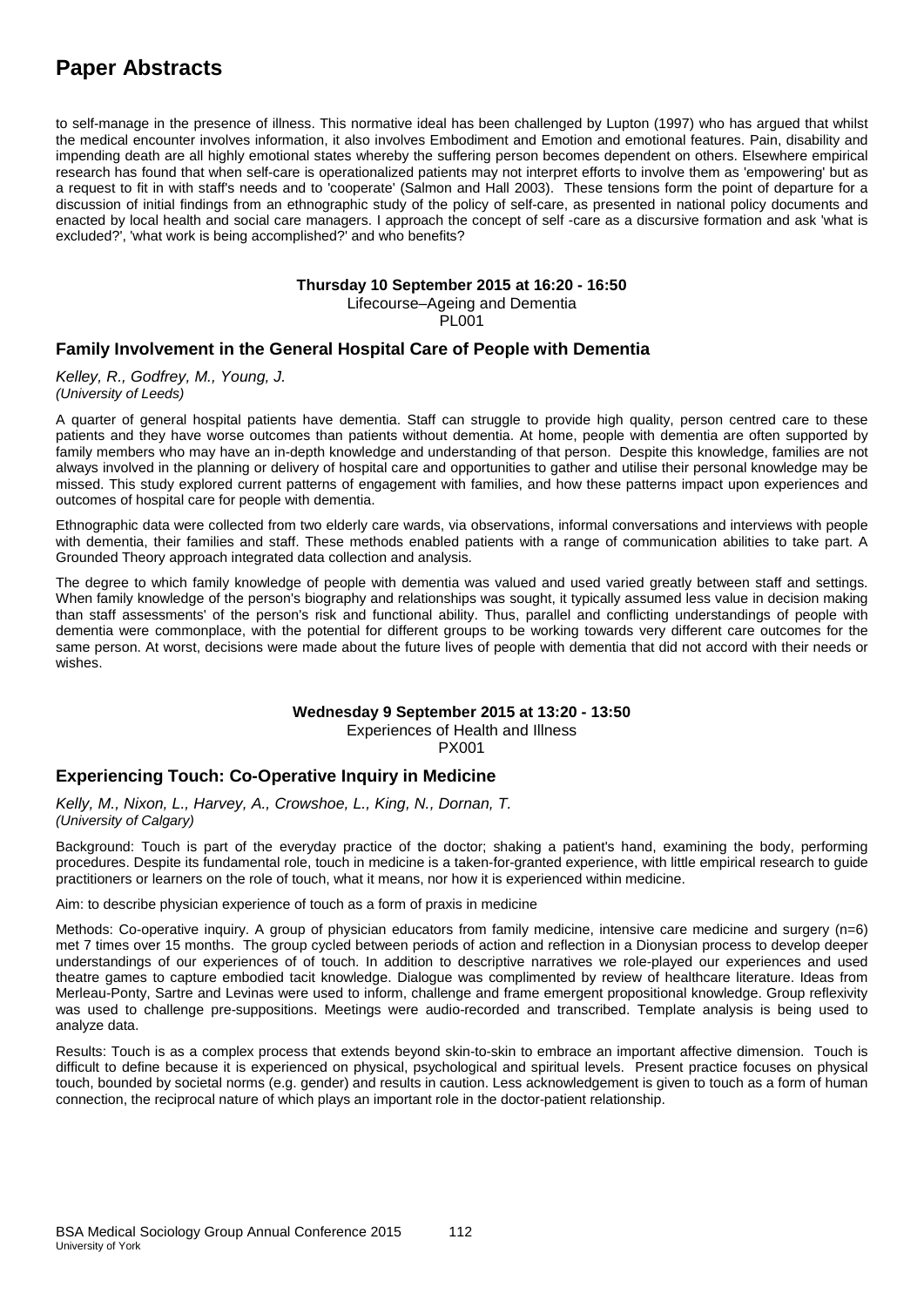# **Paper Abstracts**

to self-manage in the presence of illness. This normative ideal has been challenged by Lupton (1997) who has argued that whilst the medical encounter involves information, it also involves Embodiment and Emotion and emotional features. Pain, disability and impending death are all highly emotional states whereby the suffering person becomes dependent on others. Elsewhere empirical research has found that when self-care is operationalized patients may not interpret efforts to involve them as 'empowering' but as a request to fit in with staff's needs and to 'cooperate' (Salmon and Hall 2003). These tensions form the point of departure for a discussion of initial findings from an ethnographic study of the policy of self-care, as presented in national policy documents and enacted by local health and social care managers. I approach the concept of self -care as a discursive formation and ask 'what is excluded?', 'what work is being accomplished?' and who benefits?

## **Thursday 10 September 2015 at 16:20 - 16:50**

Lifecourse–Ageing and Dementia

PL001

## **Family Involvement in the General Hospital Care of People with Dementia**

*Kelley, R., Godfrey, M., Young, J. (University of Leeds)*

A quarter of general hospital patients have dementia. Staff can struggle to provide high quality, person centred care to these patients and they have worse outcomes than patients without dementia. At home, people with dementia are often supported by family members who may have an in-depth knowledge and understanding of that person. Despite this knowledge, families are not always involved in the planning or delivery of hospital care and opportunities to gather and utilise their personal knowledge may be missed. This study explored current patterns of engagement with families, and how these patterns impact upon experiences and outcomes of hospital care for people with dementia.

Ethnographic data were collected from two elderly care wards, via observations, informal conversations and interviews with people with dementia, their families and staff. These methods enabled patients with a range of communication abilities to take part. A Grounded Theory approach integrated data collection and analysis.

The degree to which family knowledge of people with dementia was valued and used varied greatly between staff and settings. When family knowledge of the person's biography and relationships was sought, it typically assumed less value in decision making than staff assessments' of the person's risk and functional ability. Thus, parallel and conflicting understandings of people with dementia were commonplace, with the potential for different groups to be working towards very different care outcomes for the same person. At worst, decisions were made about the future lives of people with dementia that did not accord with their needs or wishes.

## **Wednesday 9 September 2015 at 13:20 - 13:50**

Experiences of Health and Illness

PX001

## **Experiencing Touch: Co-Operative Inquiry in Medicine**

*Kelly, M., Nixon, L., Harvey, A., Crowshoe, L., King, N., Dornan, T. (University of Calgary)*

Background: Touch is part of the everyday practice of the doctor; shaking a patient's hand, examining the body, performing procedures. Despite its fundamental role, touch in medicine is a taken-for-granted experience, with little empirical research to guide practitioners or learners on the role of touch, what it means, nor how it is experienced within medicine.

Aim: to describe physician experience of touch as a form of praxis in medicine

Methods: Co-operative inquiry. A group of physician educators from family medicine, intensive care medicine and surgery (n=6) met 7 times over 15 months. The group cycled between periods of action and reflection in a Dionysian process to develop deeper understandings of our experiences of of touch. In addition to descriptive narratives we role-played our experiences and used theatre games to capture embodied tacit knowledge. Dialogue was complimented by review of healthcare literature. Ideas from Merleau-Ponty, Sartre and Levinas were used to inform, challenge and frame emergent propositional knowledge. Group reflexivity was used to challenge pre-suppositions. Meetings were audio-recorded and transcribed. Template analysis is being used to analyze data.

Results: Touch is as a complex process that extends beyond skin-to-skin to embrace an important affective dimension. Touch is difficult to define because it is experienced on physical, psychological and spiritual levels. Present practice focuses on physical touch, bounded by societal norms (e.g. gender) and results in caution. Less acknowledgement is given to touch as a form of human connection, the reciprocal nature of which plays an important role in the doctor-patient relationship.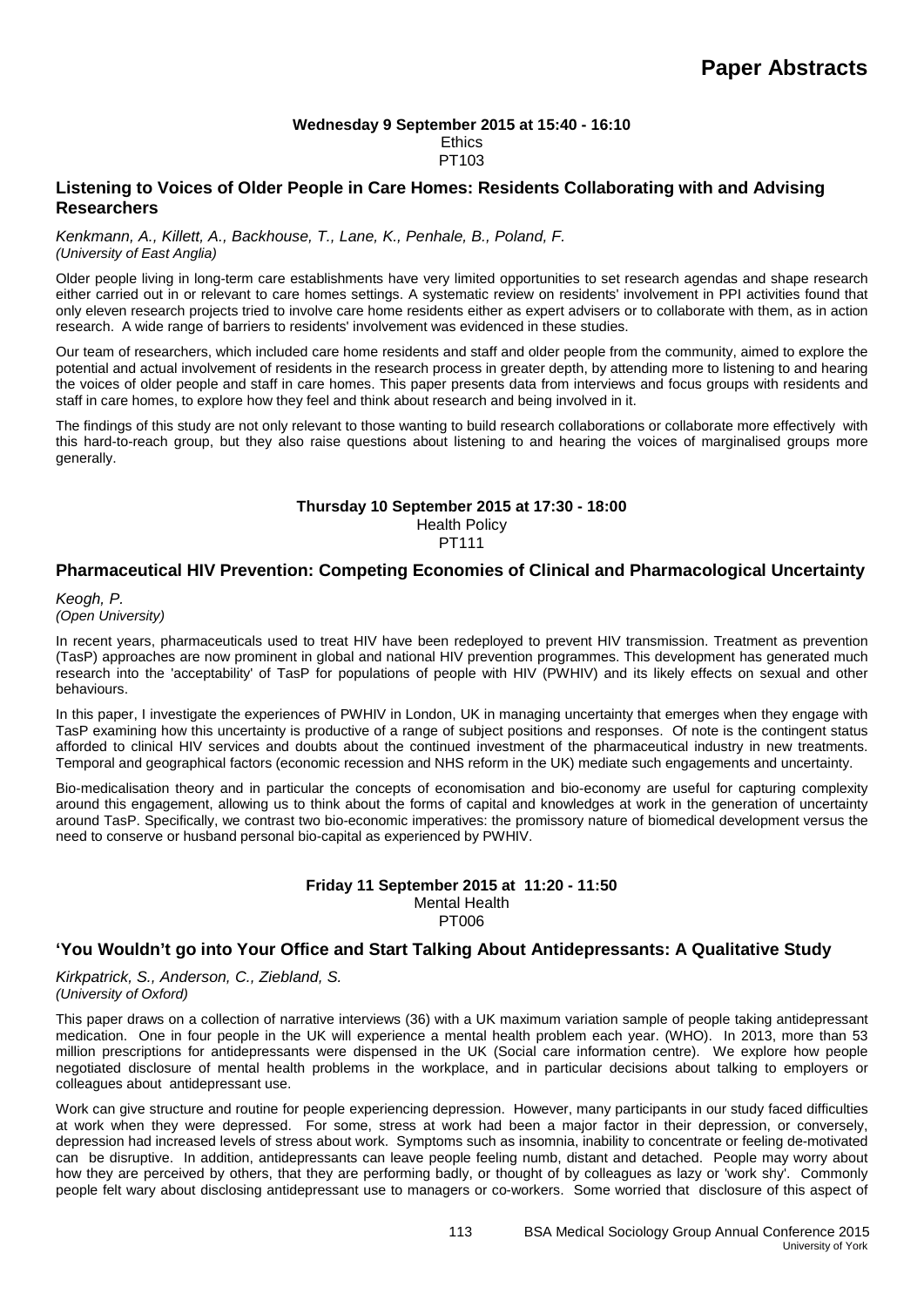#### **Wednesday 9 September 2015 at 15:40 - 16:10 Ethics** PT103

### **Listening to Voices of Older People in Care Homes: Residents Collaborating with and Advising Researchers**

*Kenkmann, A., Killett, A., Backhouse, T., Lane, K., Penhale, B., Poland, F. (University of East Anglia)*

Older people living in long-term care establishments have very limited opportunities to set research agendas and shape research either carried out in or relevant to care homes settings. A systematic review on residents' involvement in PPI activities found that only eleven research projects tried to involve care home residents either as expert advisers or to collaborate with them, as in action research. A wide range of barriers to residents' involvement was evidenced in these studies.

Our team of researchers, which included care home residents and staff and older people from the community, aimed to explore the potential and actual involvement of residents in the research process in greater depth, by attending more to listening to and hearing the voices of older people and staff in care homes. This paper presents data from interviews and focus groups with residents and staff in care homes, to explore how they feel and think about research and being involved in it.

The findings of this study are not only relevant to those wanting to build research collaborations or collaborate more effectively with this hard-to-reach group, but they also raise questions about listening to and hearing the voices of marginalised groups more generally.

### **Thursday 10 September 2015 at 17:30 - 18:00**

Health Policy

### PT111

### **Pharmaceutical HIV Prevention: Competing Economies of Clinical and Pharmacological Uncertainty**

*Keogh, P. (Open University)*

In recent years, pharmaceuticals used to treat HIV have been redeployed to prevent HIV transmission. Treatment as prevention (TasP) approaches are now prominent in global and national HIV prevention programmes. This development has generated much research into the 'acceptability' of TasP for populations of people with HIV (PWHIV) and its likely effects on sexual and other behaviours.

In this paper. I investigate the experiences of PWHIV in London, UK in managing uncertainty that emerges when they engage with TasP examining how this uncertainty is productive of a range of subject positions and responses. Of note is the contingent status afforded to clinical HIV services and doubts about the continued investment of the pharmaceutical industry in new treatments. Temporal and geographical factors (economic recession and NHS reform in the UK) mediate such engagements and uncertainty.

Bio-medicalisation theory and in particular the concepts of economisation and bio-economy are useful for capturing complexity around this engagement, allowing us to think about the forms of capital and knowledges at work in the generation of uncertainty around TasP. Specifically, we contrast two bio-economic imperatives: the promissory nature of biomedical development versus the need to conserve or husband personal bio-capital as experienced by PWHIV.

#### **Friday 11 September 2015 at 11:20 - 11:50** Mental Health PT006

### **'You Wouldn't go into Your Office and Start Talking About Antidepressants: A Qualitative Study**

*Kirkpatrick, S., Anderson, C., Ziebland, S. (University of Oxford)*

This paper draws on a collection of narrative interviews (36) with a UK maximum variation sample of people taking antidepressant medication. One in four people in the UK will experience a mental health problem each year. (WHO). In 2013, more than 53 million prescriptions for antidepressants were dispensed in the UK (Social care information centre). We explore how people negotiated disclosure of mental health problems in the workplace, and in particular decisions about talking to employers or colleagues about antidepressant use.

Work can give structure and routine for people experiencing depression. However, many participants in our study faced difficulties at work when they were depressed. For some, stress at work had been a major factor in their depression, or conversely, depression had increased levels of stress about work. Symptoms such as insomnia, inability to concentrate or feeling de-motivated can be disruptive. In addition, antidepressants can leave people feeling numb, distant and detached. People may worry about how they are perceived by others, that they are performing badly, or thought of by colleagues as lazy or 'work shy'. Commonly people felt wary about disclosing antidepressant use to managers or co-workers. Some worried that disclosure of this aspect of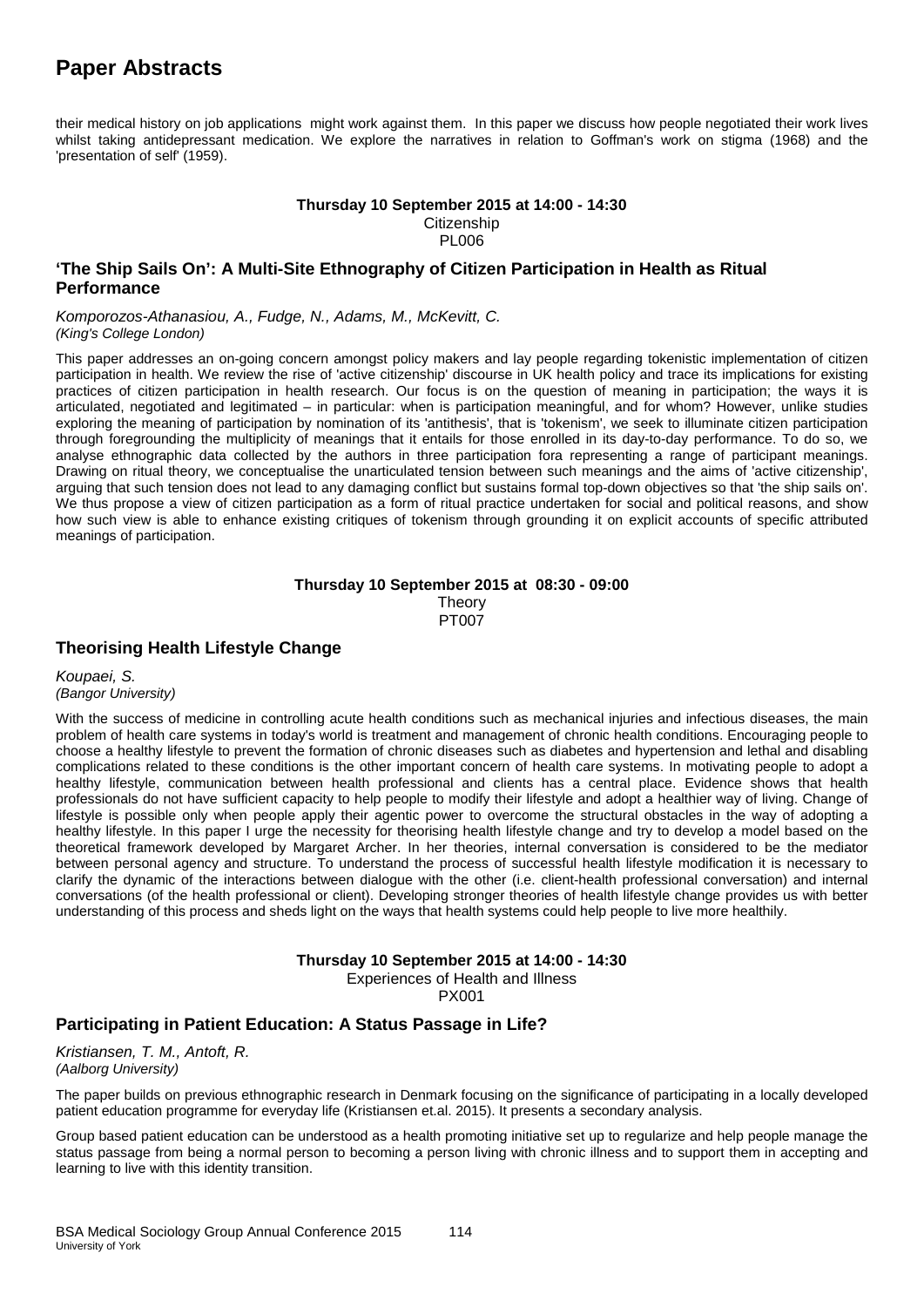their medical history on job applications might work against them. In this paper we discuss how people negotiated their work lives whilst taking antidepressant medication. We explore the narratives in relation to Goffman's work on stigma (1968) and the 'presentation of self' (1959).

#### **Thursday 10 September 2015 at 14:00 - 14:30 Citizenship** PL006

#### **'The Ship Sails On': A Multi-Site Ethnography of Citizen Participation in Health as Ritual Performance**

*Komporozos-Athanasiou, A., Fudge, N., Adams, M., McKevitt, C. (King's College London)*

This paper addresses an on-going concern amongst policy makers and lay people regarding tokenistic implementation of citizen participation in health. We review the rise of 'active citizenship' discourse in UK health policy and trace its implications for existing practices of citizen participation in health research. Our focus is on the question of meaning in participation; the ways it is articulated, negotiated and legitimated – in particular: when is participation meaningful, and for whom? However, unlike studies exploring the meaning of participation by nomination of its 'antithesis', that is 'tokenism', we seek to illuminate citizen participation through foregrounding the multiplicity of meanings that it entails for those enrolled in its day-to-day performance. To do so, we analyse ethnographic data collected by the authors in three participation fora representing a range of participant meanings. Drawing on ritual theory, we conceptualise the unarticulated tension between such meanings and the aims of 'active citizenship', arguing that such tension does not lead to any damaging conflict but sustains formal top-down objectives so that 'the ship sails on'. We thus propose a view of citizen participation as a form of ritual practice undertaken for social and political reasons, and show how such view is able to enhance existing critiques of tokenism through grounding it on explicit accounts of specific attributed meanings of participation.

#### **Thursday 10 September 2015 at 08:30 - 09:00 Theory** PT007

### **Theorising Health Lifestyle Change**

*Koupaei, S. (Bangor University)*

With the success of medicine in controlling acute health conditions such as mechanical injuries and infectious diseases, the main problem of health care systems in today's world is treatment and management of chronic health conditions. Encouraging people to choose a healthy lifestyle to prevent the formation of chronic diseases such as diabetes and hypertension and lethal and disabling complications related to these conditions is the other important concern of health care systems. In motivating people to adopt a healthy lifestyle, communication between health professional and clients has a central place. Evidence shows that health professionals do not have sufficient capacity to help people to modify their lifestyle and adopt a healthier way of living. Change of lifestyle is possible only when people apply their agentic power to overcome the structural obstacles in the way of adopting a healthy lifestyle. In this paper I urge the necessity for theorising health lifestyle change and try to develop a model based on the theoretical framework developed by Margaret Archer. In her theories, internal conversation is considered to be the mediator between personal agency and structure. To understand the process of successful health lifestyle modification it is necessary to clarify the dynamic of the interactions between dialogue with the other (i.e. client-health professional conversation) and internal conversations (of the health professional or client). Developing stronger theories of health lifestyle change provides us with better understanding of this process and sheds light on the ways that health systems could help people to live more healthily.

#### **Thursday 10 September 2015 at 14:00 - 14:30** Experiences of Health and Illness

PX001

### **Participating in Patient Education: A Status Passage in Life?**

*Kristiansen, T. M., Antoft, R. (Aalborg University)*

The paper builds on previous ethnographic research in Denmark focusing on the significance of participating in a locally developed patient education programme for everyday life (Kristiansen et.al. 2015). It presents a secondary analysis.

Group based patient education can be understood as a health promoting initiative set up to regularize and help people manage the status passage from being a normal person to becoming a person living with chronic illness and to support them in accepting and learning to live with this identity transition.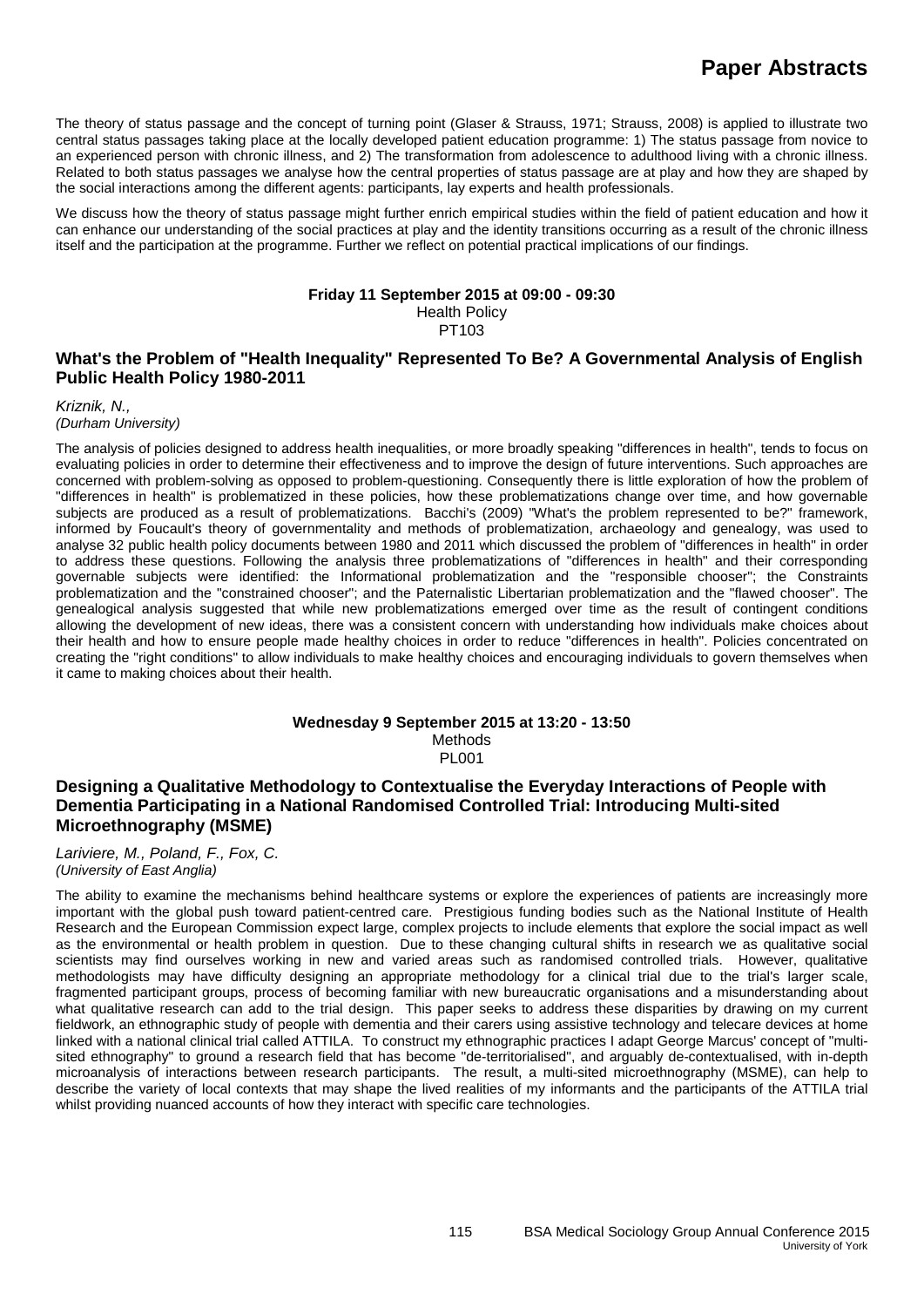The theory of status passage and the concept of turning point (Glaser & Strauss, 1971; Strauss, 2008) is applied to illustrate two central status passages taking place at the locally developed patient education programme: 1) The status passage from novice to an experienced person with chronic illness, and 2) The transformation from adolescence to adulthood living with a chronic illness. Related to both status passages we analyse how the central properties of status passage are at play and how they are shaped by the social interactions among the different agents: participants, lay experts and health professionals.

We discuss how the theory of status passage might further enrich empirical studies within the field of patient education and how it can enhance our understanding of the social practices at play and the identity transitions occurring as a result of the chronic illness itself and the participation at the programme. Further we reflect on potential practical implications of our findings.

#### **Friday 11 September 2015 at 09:00 - 09:30**

Health Policy

PT103

### **What's the Problem of "Health Inequality" Represented To Be? A Governmental Analysis of English Public Health Policy 1980-2011**

*Kriznik, N., (Durham University)*

The analysis of policies designed to address health inequalities, or more broadly speaking "differences in health", tends to focus on evaluating policies in order to determine their effectiveness and to improve the design of future interventions. Such approaches are concerned with problem-solving as opposed to problem-questioning. Consequently there is little exploration of how the problem of "differences in health" is problematized in these policies, how these problematizations change over time, and how governable subjects are produced as a result of problematizations. Bacchi's (2009) "What's the problem represented to be?" framework, informed by Foucault's theory of governmentality and methods of problematization, archaeology and genealogy, was used to analyse 32 public health policy documents between 1980 and 2011 which discussed the problem of "differences in health" in order to address these questions. Following the analysis three problematizations of "differences in health" and their corresponding governable subjects were identified: the Informational problematization and the "responsible chooser"; the Constraints problematization and the "constrained chooser"; and the Paternalistic Libertarian problematization and the "flawed chooser". The genealogical analysis suggested that while new problematizations emerged over time as the result of contingent conditions allowing the development of new ideas, there was a consistent concern with understanding how individuals make choices about their health and how to ensure people made healthy choices in order to reduce "differences in health". Policies concentrated on creating the "right conditions" to allow individuals to make healthy choices and encouraging individuals to govern themselves when it came to making choices about their health.

#### **Wednesday 9 September 2015 at 13:20 - 13:50** Methods PL001

### **Designing a Qualitative Methodology to Contextualise the Everyday Interactions of People with Dementia Participating in a National Randomised Controlled Trial: Introducing Multi-sited Microethnography (MSME)**

*Lariviere, M., Poland, F., Fox, C. (University of East Anglia)*

The ability to examine the mechanisms behind healthcare systems or explore the experiences of patients are increasingly more important with the global push toward patient-centred care. Prestigious funding bodies such as the National Institute of Health Research and the European Commission expect large, complex projects to include elements that explore the social impact as well as the environmental or health problem in question. Due to these changing cultural shifts in research we as qualitative social scientists may find ourselves working in new and varied areas such as randomised controlled trials. However, qualitative methodologists may have difficulty designing an appropriate methodology for a clinical trial due to the trial's larger scale, fragmented participant groups, process of becoming familiar with new bureaucratic organisations and a misunderstanding about what qualitative research can add to the trial design. This paper seeks to address these disparities by drawing on my current fieldwork, an ethnographic study of people with dementia and their carers using assistive technology and telecare devices at home linked with a national clinical trial called ATTILA. To construct my ethnographic practices I adapt George Marcus' concept of "multisited ethnography" to ground a research field that has become "de-territorialised", and arguably de-contextualised, with in-depth microanalysis of interactions between research participants. The result, a multi-sited microethnography (MSME), can help to describe the variety of local contexts that may shape the lived realities of my informants and the participants of the ATTILA trial whilst providing nuanced accounts of how they interact with specific care technologies.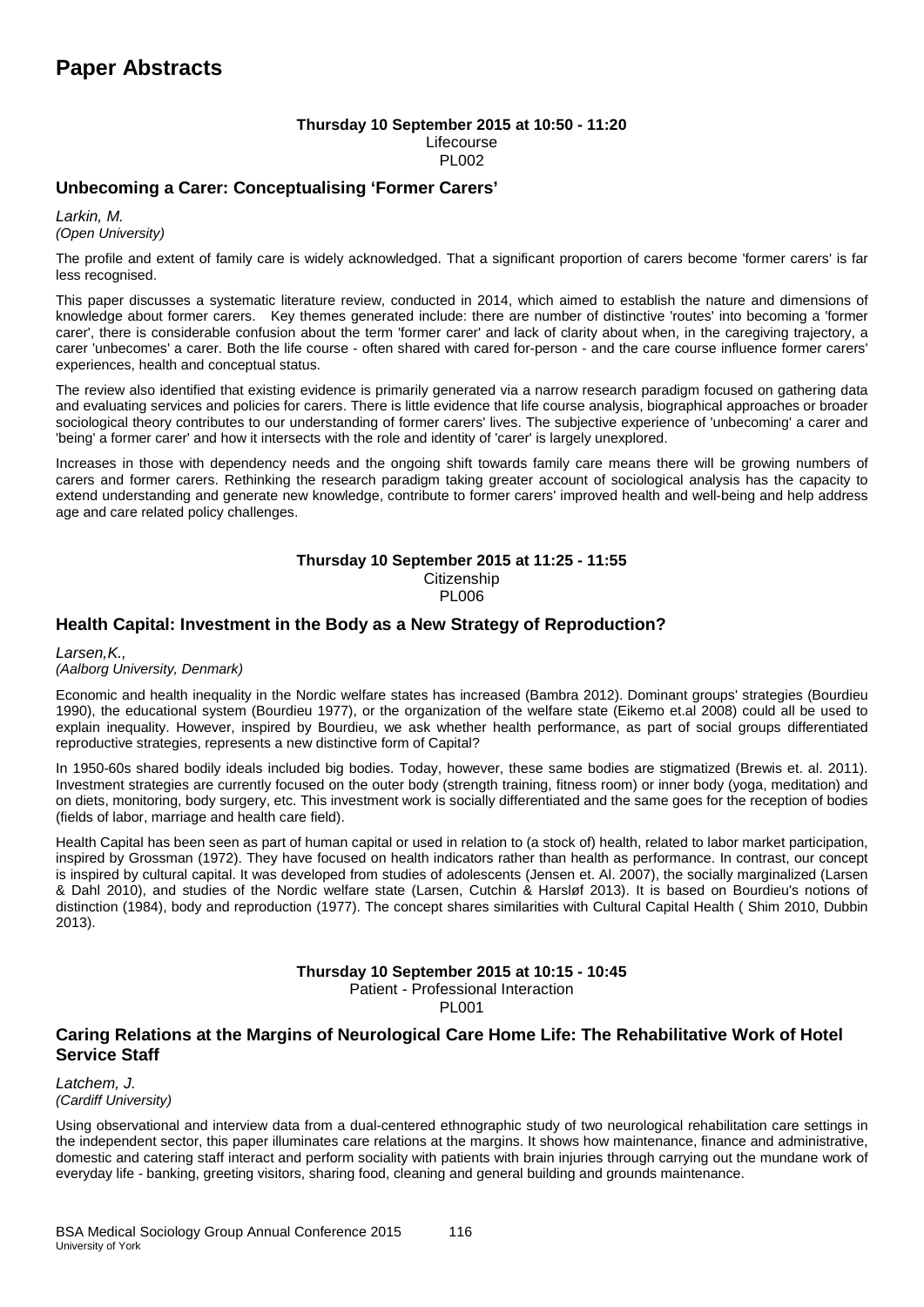#### **Thursday 10 September 2015 at 10:50 - 11:20** Lifecourse PL002

### **Unbecoming a Carer: Conceptualising 'Former Carers'**

*Larkin, M. (Open University)*

The profile and extent of family care is widely acknowledged. That a significant proportion of carers become 'former carers' is far less recognised.

This paper discusses a systematic literature review, conducted in 2014, which aimed to establish the nature and dimensions of knowledge about former carers. Key themes generated include: there are number of distinctive 'routes' into becoming a 'former carer', there is considerable confusion about the term 'former carer' and lack of clarity about when, in the caregiving trajectory, a carer 'unbecomes' a carer. Both the life course - often shared with cared for-person - and the care course influence former carers' experiences, health and conceptual status.

The review also identified that existing evidence is primarily generated via a narrow research paradigm focused on gathering data and evaluating services and policies for carers. There is little evidence that life course analysis, biographical approaches or broader sociological theory contributes to our understanding of former carers' lives. The subjective experience of 'unbecoming' a carer and 'being' a former carer' and how it intersects with the role and identity of 'carer' is largely unexplored.

Increases in those with dependency needs and the ongoing shift towards family care means there will be growing numbers of carers and former carers. Rethinking the research paradigm taking greater account of sociological analysis has the capacity to extend understanding and generate new knowledge, contribute to former carers' improved health and well-being and help address age and care related policy challenges.

## **Thursday 10 September 2015 at 11:25 - 11:55**

**Citizenship** PL006

### **Health Capital: Investment in the Body as a New Strategy of Reproduction?**

*Larsen,K., (Aalborg University, Denmark)*

Economic and health inequality in the Nordic welfare states has increased (Bambra 2012). Dominant groups' strategies (Bourdieu 1990), the educational system (Bourdieu 1977), or the organization of the welfare state (Eikemo et.al 2008) could all be used to explain inequality. However, inspired by Bourdieu, we ask whether health performance, as part of social groups differentiated reproductive strategies, represents a new distinctive form of Capital?

In 1950-60s shared bodily ideals included big bodies. Today, however, these same bodies are stigmatized (Brewis et. al. 2011). Investment strategies are currently focused on the outer body (strength training, fitness room) or inner body (yoga, meditation) and on diets, monitoring, body surgery, etc. This investment work is socially differentiated and the same goes for the reception of bodies (fields of labor, marriage and health care field).

Health Capital has been seen as part of human capital or used in relation to (a stock of) health, related to labor market participation, inspired by Grossman (1972). They have focused on health indicators rather than health as performance. In contrast, our concept is inspired by cultural capital. It was developed from studies of adolescents (Jensen et. Al. 2007), the socially marginalized (Larsen & Dahl 2010), and studies of the Nordic welfare state (Larsen, Cutchin & Harsløf 2013). It is based on Bourdieu's notions of distinction (1984), body and reproduction (1977). The concept shares similarities with Cultural Capital Health ( Shim 2010, Dubbin 2013).

### **Thursday 10 September 2015 at 10:15 - 10:45**

Patient - Professional Interaction

PL001

#### **Caring Relations at the Margins of Neurological Care Home Life: The Rehabilitative Work of Hotel Service Staff**

*Latchem, J. (Cardiff University)*

Using observational and interview data from a dual-centered ethnographic study of two neurological rehabilitation care settings in the independent sector, this paper illuminates care relations at the margins. It shows how maintenance, finance and administrative, domestic and catering staff interact and perform sociality with patients with brain injuries through carrying out the mundane work of everyday life - banking, greeting visitors, sharing food, cleaning and general building and grounds maintenance.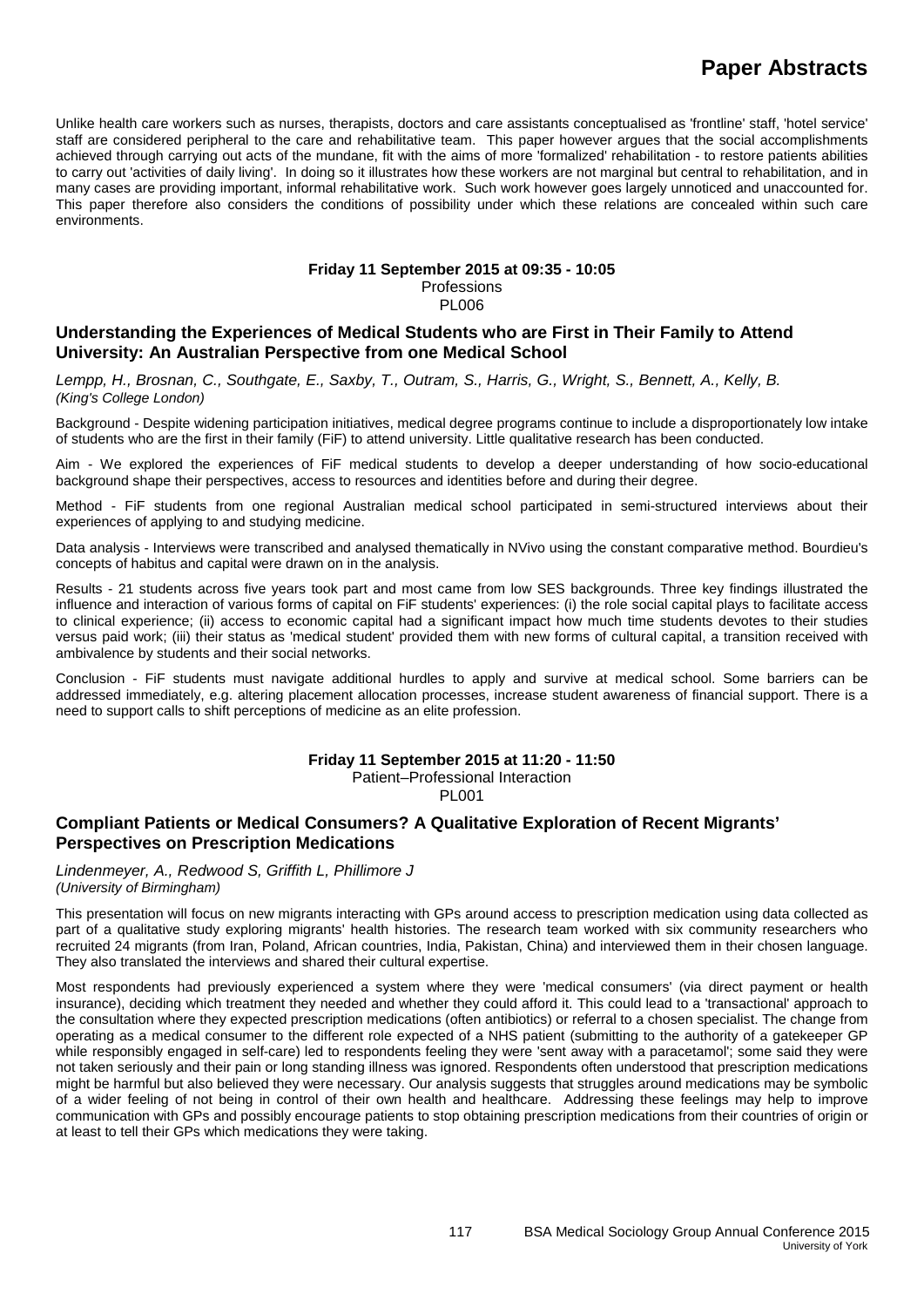Unlike health care workers such as nurses, therapists, doctors and care assistants conceptualised as 'frontline' staff, 'hotel service' staff are considered peripheral to the care and rehabilitative team. This paper however argues that the social accomplishments achieved through carrying out acts of the mundane, fit with the aims of more 'formalized' rehabilitation - to restore patients abilities to carry out 'activities of daily living'. In doing so it illustrates how these workers are not marginal but central to rehabilitation, and in many cases are providing important, informal rehabilitative work. Such work however goes largely unnoticed and unaccounted for. This paper therefore also considers the conditions of possibility under which these relations are concealed within such care environments.

### **Friday 11 September 2015 at 09:35 - 10:05**

Professions PL006

### **Understanding the Experiences of Medical Students who are First in Their Family to Attend University: An Australian Perspective from one Medical School**

*Lempp, H., Brosnan, C., Southgate, E., Saxby, T., Outram, S., Harris, G., Wright, S., Bennett, A., Kelly, B. (King's College London)*

Background - Despite widening participation initiatives, medical degree programs continue to include a disproportionately low intake of students who are the first in their family (FiF) to attend university. Little qualitative research has been conducted.

Aim - We explored the experiences of FiF medical students to develop a deeper understanding of how socio-educational background shape their perspectives, access to resources and identities before and during their degree.

Method - FiF students from one regional Australian medical school participated in semi-structured interviews about their experiences of applying to and studying medicine.

Data analysis - Interviews were transcribed and analysed thematically in NVivo using the constant comparative method. Bourdieu's concepts of habitus and capital were drawn on in the analysis.

Results - 21 students across five years took part and most came from low SES backgrounds. Three key findings illustrated the influence and interaction of various forms of capital on FiF students' experiences: (i) the role social capital plays to facilitate access to clinical experience; (ii) access to economic capital had a significant impact how much time students devotes to their studies versus paid work; (iii) their status as 'medical student' provided them with new forms of cultural capital, a transition received with ambivalence by students and their social networks.

Conclusion - FiF students must navigate additional hurdles to apply and survive at medical school. Some barriers can be addressed immediately, e.g. altering placement allocation processes, increase student awareness of financial support. There is a need to support calls to shift perceptions of medicine as an elite profession.

#### **Friday 11 September 2015 at 11:20 - 11:50**

Patient–Professional Interaction PL001

### **Compliant Patients or Medical Consumers? A Qualitative Exploration of Recent Migrants' Perspectives on Prescription Medications**

*Lindenmeyer, A., Redwood S, Griffith L, Phillimore J (University of Birmingham)*

This presentation will focus on new migrants interacting with GPs around access to prescription medication using data collected as part of a qualitative study exploring migrants' health histories. The research team worked with six community researchers who recruited 24 migrants (from Iran, Poland, African countries, India, Pakistan, China) and interviewed them in their chosen language. They also translated the interviews and shared their cultural expertise.

Most respondents had previously experienced a system where they were 'medical consumers' (via direct payment or health insurance), deciding which treatment they needed and whether they could afford it. This could lead to a 'transactional' approach to the consultation where they expected prescription medications (often antibiotics) or referral to a chosen specialist. The change from operating as a medical consumer to the different role expected of a NHS patient (submitting to the authority of a gatekeeper GP while responsibly engaged in self-care) led to respondents feeling they were 'sent away with a paracetamol'; some said they were not taken seriously and their pain or long standing illness was ignored. Respondents often understood that prescription medications might be harmful but also believed they were necessary. Our analysis suggests that struggles around medications may be symbolic of a wider feeling of not being in control of their own health and healthcare. Addressing these feelings may help to improve communication with GPs and possibly encourage patients to stop obtaining prescription medications from their countries of origin or at least to tell their GPs which medications they were taking.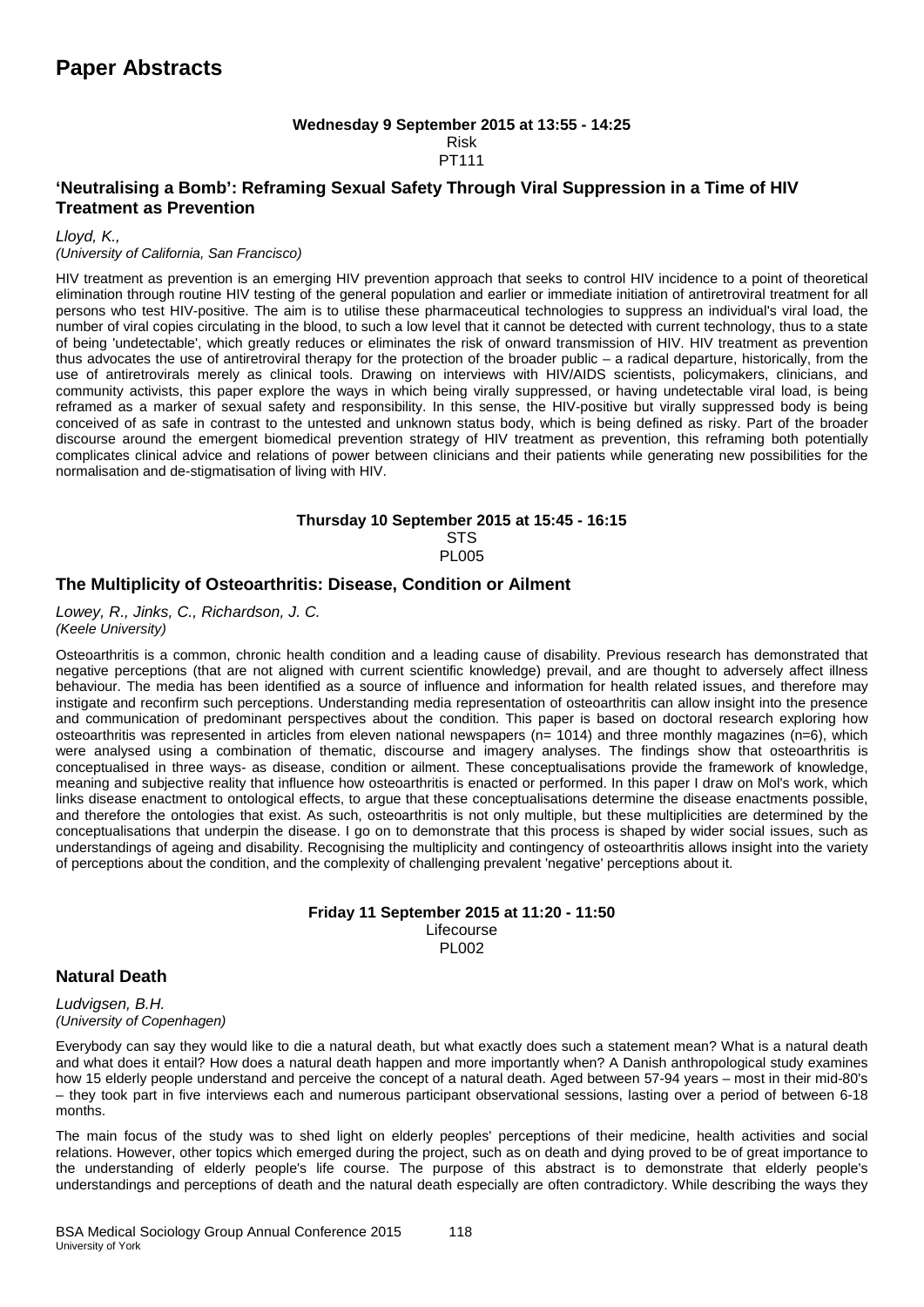#### **Wednesday 9 September 2015 at 13:55 - 14:25** Risk PT111

### **'Neutralising a Bomb': Reframing Sexual Safety Through Viral Suppression in a Time of HIV Treatment as Prevention**

*Lloyd, K.,*

#### *(University of California, San Francisco)*

HIV treatment as prevention is an emerging HIV prevention approach that seeks to control HIV incidence to a point of theoretical elimination through routine HIV testing of the general population and earlier or immediate initiation of antiretroviral treatment for all persons who test HIV-positive. The aim is to utilise these pharmaceutical technologies to suppress an individual's viral load, the number of viral copies circulating in the blood, to such a low level that it cannot be detected with current technology, thus to a state of being 'undetectable', which greatly reduces or eliminates the risk of onward transmission of HIV. HIV treatment as prevention thus advocates the use of antiretroviral therapy for the protection of the broader public – a radical departure, historically, from the use of antiretrovirals merely as clinical tools. Drawing on interviews with HIV/AIDS scientists, policymakers, clinicians, and community activists, this paper explore the ways in which being virally suppressed, or having undetectable viral load, is being reframed as a marker of sexual safety and responsibility. In this sense, the HIV-positive but virally suppressed body is being conceived of as safe in contrast to the untested and unknown status body, which is being defined as risky. Part of the broader discourse around the emergent biomedical prevention strategy of HIV treatment as prevention, this reframing both potentially complicates clinical advice and relations of power between clinicians and their patients while generating new possibilities for the normalisation and de-stigmatisation of living with HIV.

#### **Thursday 10 September 2015 at 15:45 - 16:15 STS** PL005

#### **The Multiplicity of Osteoarthritis: Disease, Condition or Ailment**

*Lowey, R., Jinks, C., Richardson, J. C. (Keele University)*

Osteoarthritis is a common, chronic health condition and a leading cause of disability. Previous research has demonstrated that negative perceptions (that are not aligned with current scientific knowledge) prevail, and are thought to adversely affect illness behaviour. The media has been identified as a source of influence and information for health related issues, and therefore may instigate and reconfirm such perceptions. Understanding media representation of osteoarthritis can allow insight into the presence and communication of predominant perspectives about the condition. This paper is based on doctoral research exploring how osteoarthritis was represented in articles from eleven national newspapers ( $n=1014$ ) and three monthly magazines ( $n=6$ ), which were analysed using a combination of thematic, discourse and imagery analyses. The findings show that osteoarthritis is conceptualised in three ways- as disease, condition or ailment. These conceptualisations provide the framework of knowledge, meaning and subjective reality that influence how osteoarthritis is enacted or performed. In this paper I draw on Mol's work, which links disease enactment to ontological effects, to argue that these conceptualisations determine the disease enactments possible, and therefore the ontologies that exist. As such, osteoarthritis is not only multiple, but these multiplicities are determined by the conceptualisations that underpin the disease. I go on to demonstrate that this process is shaped by wider social issues, such as understandings of ageing and disability. Recognising the multiplicity and contingency of osteoarthritis allows insight into the variety of perceptions about the condition, and the complexity of challenging prevalent 'negative' perceptions about it.

#### **Friday 11 September 2015 at 11:20 - 11:50** Lifecourse PL002

#### **Natural Death**

*Ludvigsen, B.H. (University of Copenhagen)*

Everybody can say they would like to die a natural death, but what exactly does such a statement mean? What is a natural death and what does it entail? How does a natural death happen and more importantly when? A Danish anthropological study examines how 15 elderly people understand and perceive the concept of a natural death. Aged between 57-94 years – most in their mid-80's – they took part in five interviews each and numerous participant observational sessions, lasting over a period of between 6-18 months.

The main focus of the study was to shed light on elderly peoples' perceptions of their medicine, health activities and social relations. However, other topics which emerged during the project, such as on death and dying proved to be of great importance to the understanding of elderly people's life course. The purpose of this abstract is to demonstrate that elderly people's understandings and perceptions of death and the natural death especially are often contradictory. While describing the ways they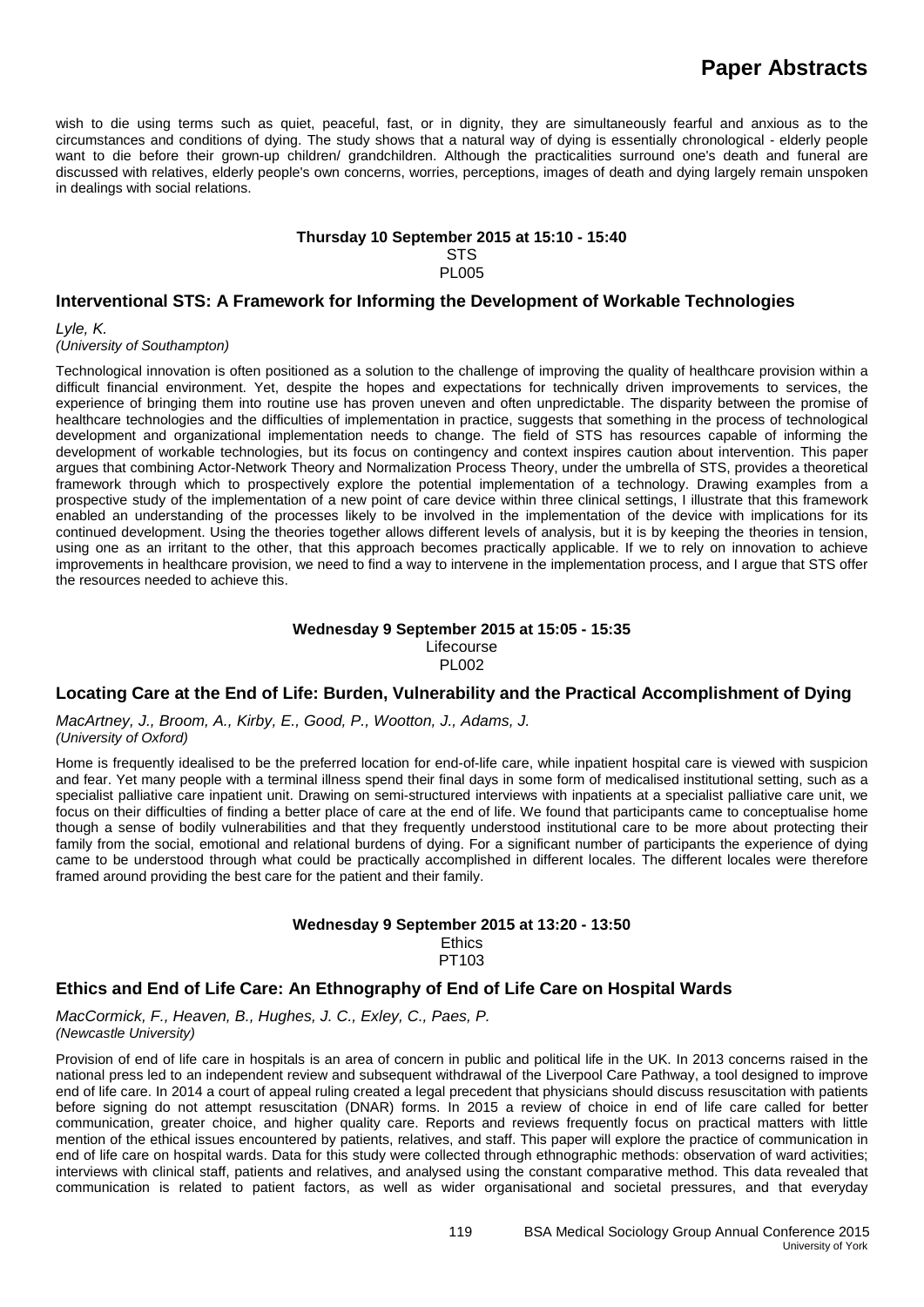wish to die using terms such as quiet, peaceful, fast, or in dignity, they are simultaneously fearful and anxious as to the circumstances and conditions of dying. The study shows that a natural way of dying is essentially chronological - elderly people want to die before their grown-up children/ grandchildren. Although the practicalities surround one's death and funeral are discussed with relatives, elderly people's own concerns, worries, perceptions, images of death and dying largely remain unspoken in dealings with social relations.

#### **Thursday 10 September 2015 at 15:10 - 15:40**

**STS** 

PL005

#### **Interventional STS: A Framework for Informing the Development of Workable Technologies**

*Lyle, K.*

*(University of Southampton)*

Technological innovation is often positioned as a solution to the challenge of improving the quality of healthcare provision within a difficult financial environment. Yet, despite the hopes and expectations for technically driven improvements to services, the experience of bringing them into routine use has proven uneven and often unpredictable. The disparity between the promise of healthcare technologies and the difficulties of implementation in practice, suggests that something in the process of technological development and organizational implementation needs to change. The field of STS has resources capable of informing the development of workable technologies, but its focus on contingency and context inspires caution about intervention. This paper argues that combining Actor-Network Theory and Normalization Process Theory, under the umbrella of STS, provides a theoretical framework through which to prospectively explore the potential implementation of a technology. Drawing examples from a prospective study of the implementation of a new point of care device within three clinical settings, I illustrate that this framework enabled an understanding of the processes likely to be involved in the implementation of the device with implications for its continued development. Using the theories together allows different levels of analysis, but it is by keeping the theories in tension, using one as an irritant to the other, that this approach becomes practically applicable. If we to rely on innovation to achieve improvements in healthcare provision, we need to find a way to intervene in the implementation process, and I argue that STS offer the resources needed to achieve this.

#### **Wednesday 9 September 2015 at 15:05 - 15:35** Lifecourse PL002

### **Locating Care at the End of Life: Burden, Vulnerability and the Practical Accomplishment of Dying**

*MacArtney, J., Broom, A., Kirby, E., Good, P., Wootton, J., Adams, J. (University of Oxford)*

Home is frequently idealised to be the preferred location for end-of-life care, while inpatient hospital care is viewed with suspicion and fear. Yet many people with a terminal illness spend their final days in some form of medicalised institutional setting, such as a specialist palliative care inpatient unit. Drawing on semi-structured interviews with inpatients at a specialist palliative care unit, we focus on their difficulties of finding a better place of care at the end of life. We found that participants came to conceptualise home though a sense of bodily vulnerabilities and that they frequently understood institutional care to be more about protecting their family from the social, emotional and relational burdens of dying. For a significant number of participants the experience of dying came to be understood through what could be practically accomplished in different locales. The different locales were therefore framed around providing the best care for the patient and their family.

### **Wednesday 9 September 2015 at 13:20 - 13:50**

**Ethics** PT103

### **Ethics and End of Life Care: An Ethnography of End of Life Care on Hospital Wards**

*MacCormick, F., Heaven, B., Hughes, J. C., Exley, C., Paes, P. (Newcastle University)*

Provision of end of life care in hospitals is an area of concern in public and political life in the UK. In 2013 concerns raised in the national press led to an independent review and subsequent withdrawal of the Liverpool Care Pathway, a tool designed to improve end of life care. In 2014 a court of appeal ruling created a legal precedent that physicians should discuss resuscitation with patients before signing do not attempt resuscitation (DNAR) forms. In 2015 a review of choice in end of life care called for better communication, greater choice, and higher quality care. Reports and reviews frequently focus on practical matters with little mention of the ethical issues encountered by patients, relatives, and staff. This paper will explore the practice of communication in end of life care on hospital wards. Data for this study were collected through ethnographic methods: observation of ward activities; interviews with clinical staff, patients and relatives, and analysed using the constant comparative method. This data revealed that communication is related to patient factors, as well as wider organisational and societal pressures, and that everyday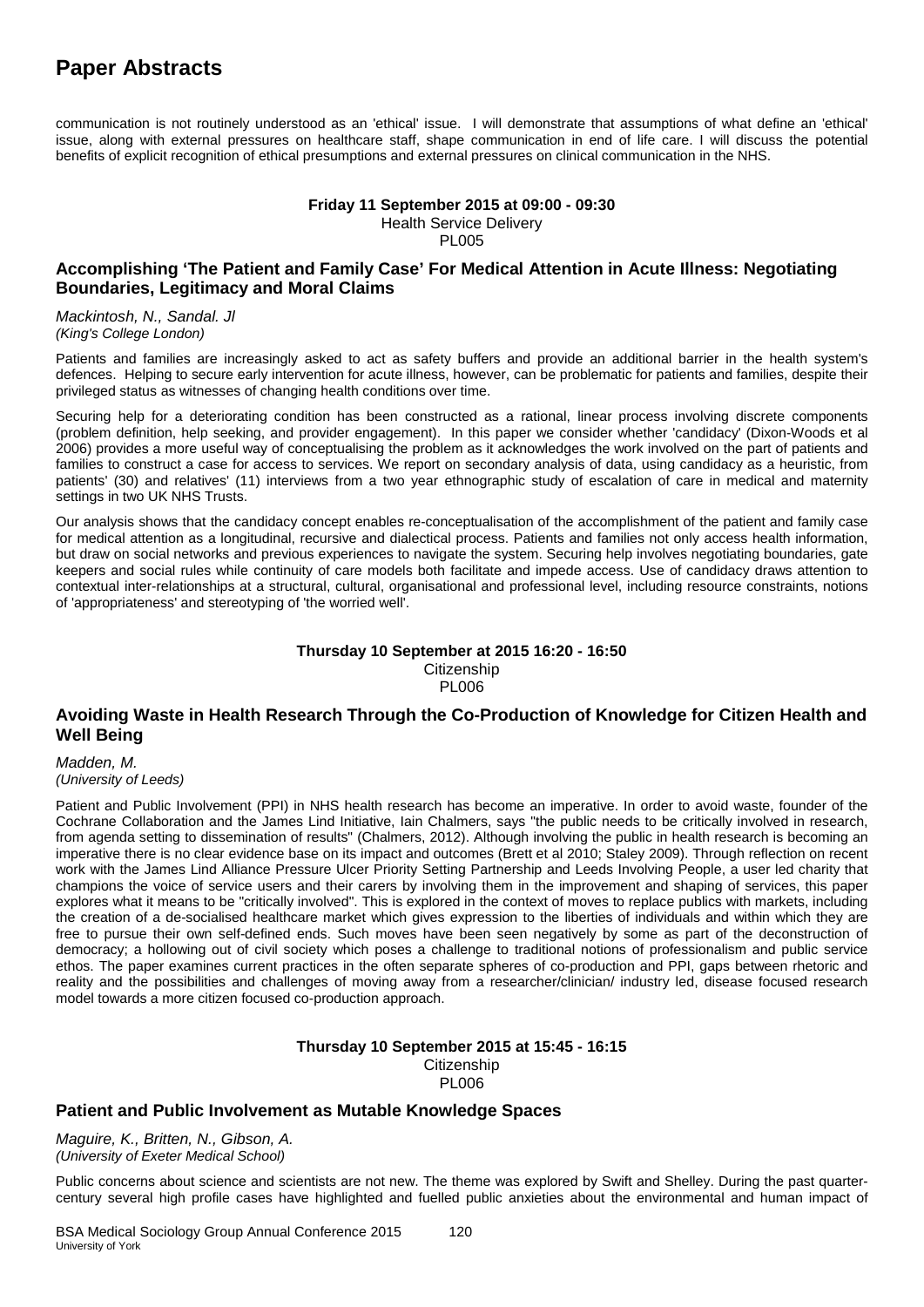communication is not routinely understood as an 'ethical' issue. I will demonstrate that assumptions of what define an 'ethical' issue, along with external pressures on healthcare staff, shape communication in end of life care. I will discuss the potential benefits of explicit recognition of ethical presumptions and external pressures on clinical communication in the NHS.

#### **Friday 11 September 2015 at 09:00 - 09:30** Health Service Delivery PL005

### **Accomplishing 'The Patient and Family Case' For Medical Attention in Acute Illness: Negotiating Boundaries, Legitimacy and Moral Claims**

*Mackintosh, N., Sandal. Jl (King's College London)*

Patients and families are increasingly asked to act as safety buffers and provide an additional barrier in the health system's defences. Helping to secure early intervention for acute illness, however, can be problematic for patients and families, despite their privileged status as witnesses of changing health conditions over time.

Securing help for a deteriorating condition has been constructed as a rational, linear process involving discrete components (problem definition, help seeking, and provider engagement). In this paper we consider whether 'candidacy' (Dixon-Woods et al 2006) provides a more useful way of conceptualising the problem as it acknowledges the work involved on the part of patients and families to construct a case for access to services. We report on secondary analysis of data, using candidacy as a heuristic, from patients' (30) and relatives' (11) interviews from a two year ethnographic study of escalation of care in medical and maternity settings in two UK NHS Trusts.

Our analysis shows that the candidacy concept enables re-conceptualisation of the accomplishment of the patient and family case for medical attention as a longitudinal, recursive and dialectical process. Patients and families not only access health information, but draw on social networks and previous experiences to navigate the system. Securing help involves negotiating boundaries, gate keepers and social rules while continuity of care models both facilitate and impede access. Use of candidacy draws attention to contextual inter-relationships at a structural, cultural, organisational and professional level, including resource constraints, notions of 'appropriateness' and stereotyping of 'the worried well'.

## **Thursday 10 September at 2015 16:20 - 16:50**

**Citizenship PL006** 

### **Avoiding Waste in Health Research Through the Co-Production of Knowledge for Citizen Health and Well Being**

*Madden, M. (University of Leeds)*

Patient and Public Involvement (PPI) in NHS health research has become an imperative. In order to avoid waste, founder of the Cochrane Collaboration and the James Lind Initiative, Iain Chalmers, says "the public needs to be critically involved in research, from agenda setting to dissemination of results" (Chalmers, 2012). Although involving the public in health research is becoming an imperative there is no clear evidence base on its impact and outcomes (Brett et al 2010; Staley 2009). Through reflection on recent work with the James Lind Alliance Pressure Ulcer Priority Setting Partnership and Leeds Involving People, a user led charity that champions the voice of service users and their carers by involving them in the improvement and shaping of services, this paper explores what it means to be "critically involved". This is explored in the context of moves to replace publics with markets, including the creation of a de-socialised healthcare market which gives expression to the liberties of individuals and within which they are free to pursue their own self-defined ends. Such moves have been seen negatively by some as part of the deconstruction of democracy; a hollowing out of civil society which poses a challenge to traditional notions of professionalism and public service ethos. The paper examines current practices in the often separate spheres of co-production and PPI, gaps between rhetoric and reality and the possibilities and challenges of moving away from a researcher/clinician/ industry led, disease focused research model towards a more citizen focused co-production approach.

#### **Thursday 10 September 2015 at 15:45 - 16:15 Citizenship** PL006

### **Patient and Public Involvement as Mutable Knowledge Spaces**

*Maguire, K., Britten, N., Gibson, A. (University of Exeter Medical School)*

Public concerns about science and scientists are not new. The theme was explored by Swift and Shelley. During the past quartercentury several high profile cases have highlighted and fuelled public anxieties about the environmental and human impact of

BSA Medical Sociology Group Annual Conference 2015 120 University of York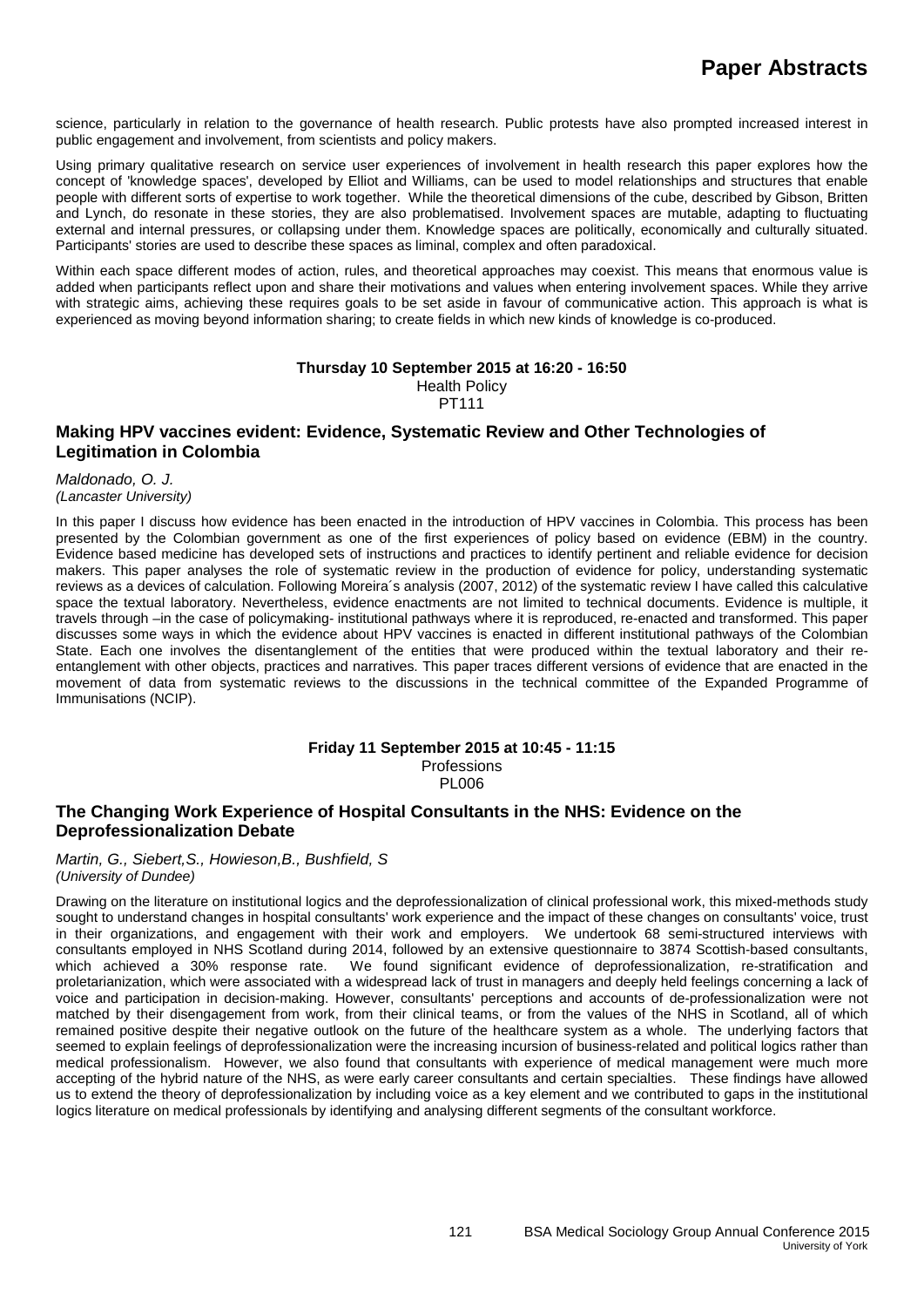science, particularly in relation to the governance of health research. Public protests have also prompted increased interest in public engagement and involvement, from scientists and policy makers.

Using primary qualitative research on service user experiences of involvement in health research this paper explores how the concept of 'knowledge spaces', developed by Elliot and Williams, can be used to model relationships and structures that enable people with different sorts of expertise to work together. While the theoretical dimensions of the cube, described by Gibson, Britten and Lynch, do resonate in these stories, they are also problematised. Involvement spaces are mutable, adapting to fluctuating external and internal pressures, or collapsing under them. Knowledge spaces are politically, economically and culturally situated. Participants' stories are used to describe these spaces as liminal, complex and often paradoxical.

Within each space different modes of action, rules, and theoretical approaches may coexist. This means that enormous value is added when participants reflect upon and share their motivations and values when entering involvement spaces. While they arrive with strategic aims, achieving these requires goals to be set aside in favour of communicative action. This approach is what is experienced as moving beyond information sharing; to create fields in which new kinds of knowledge is co-produced.

#### **Thursday 10 September 2015 at 16:20 - 16:50** Health Policy PT111

### **Making HPV vaccines evident: Evidence, Systematic Review and Other Technologies of Legitimation in Colombia**

*Maldonado, O. J. (Lancaster University)*

In this paper I discuss how evidence has been enacted in the introduction of HPV vaccines in Colombia. This process has been presented by the Colombian government as one of the first experiences of policy based on evidence (EBM) in the country. Evidence based medicine has developed sets of instructions and practices to identify pertinent and reliable evidence for decision makers. This paper analyses the role of systematic review in the production of evidence for policy, understanding systematic reviews as a devices of calculation. Following Moreira´s analysis (2007, 2012) of the systematic review I have called this calculative space the textual laboratory. Nevertheless, evidence enactments are not limited to technical documents. Evidence is multiple, it travels through –in the case of policymaking- institutional pathways where it is reproduced, re-enacted and transformed. This paper discusses some ways in which the evidence about HPV vaccines is enacted in different institutional pathways of the Colombian State. Each one involves the disentanglement of the entities that were produced within the textual laboratory and their reentanglement with other objects, practices and narratives. This paper traces different versions of evidence that are enacted in the movement of data from systematic reviews to the discussions in the technical committee of the Expanded Programme of Immunisations (NCIP).

## **Friday 11 September 2015 at 10:45 - 11:15**

**Professions** PL006

### **The Changing Work Experience of Hospital Consultants in the NHS: Evidence on the Deprofessionalization Debate**

*Martin, G., Siebert,S., Howieson,B., Bushfield, S (University of Dundee)*

Drawing on the literature on institutional logics and the deprofessionalization of clinical professional work, this mixed-methods study sought to understand changes in hospital consultants' work experience and the impact of these changes on consultants' voice, trust in their organizations, and engagement with their work and employers. We undertook 68 semi-structured interviews with consultants employed in NHS Scotland during 2014, followed by an extensive questionnaire to 3874 Scottish-based consultants, We found significant evidence of deprofessionalization, re-stratification and proletarianization, which were associated with a widespread lack of trust in managers and deeply held feelings concerning a lack of voice and participation in decision-making. However, consultants' perceptions and accounts of de-professionalization were not matched by their disengagement from work, from their clinical teams, or from the values of the NHS in Scotland, all of which remained positive despite their negative outlook on the future of the healthcare system as a whole. The underlying factors that seemed to explain feelings of deprofessionalization were the increasing incursion of business-related and political logics rather than medical professionalism. However, we also found that consultants with experience of medical management were much more accepting of the hybrid nature of the NHS, as were early career consultants and certain specialties. These findings have allowed us to extend the theory of deprofessionalization by including voice as a key element and we contributed to gaps in the institutional logics literature on medical professionals by identifying and analysing different segments of the consultant workforce.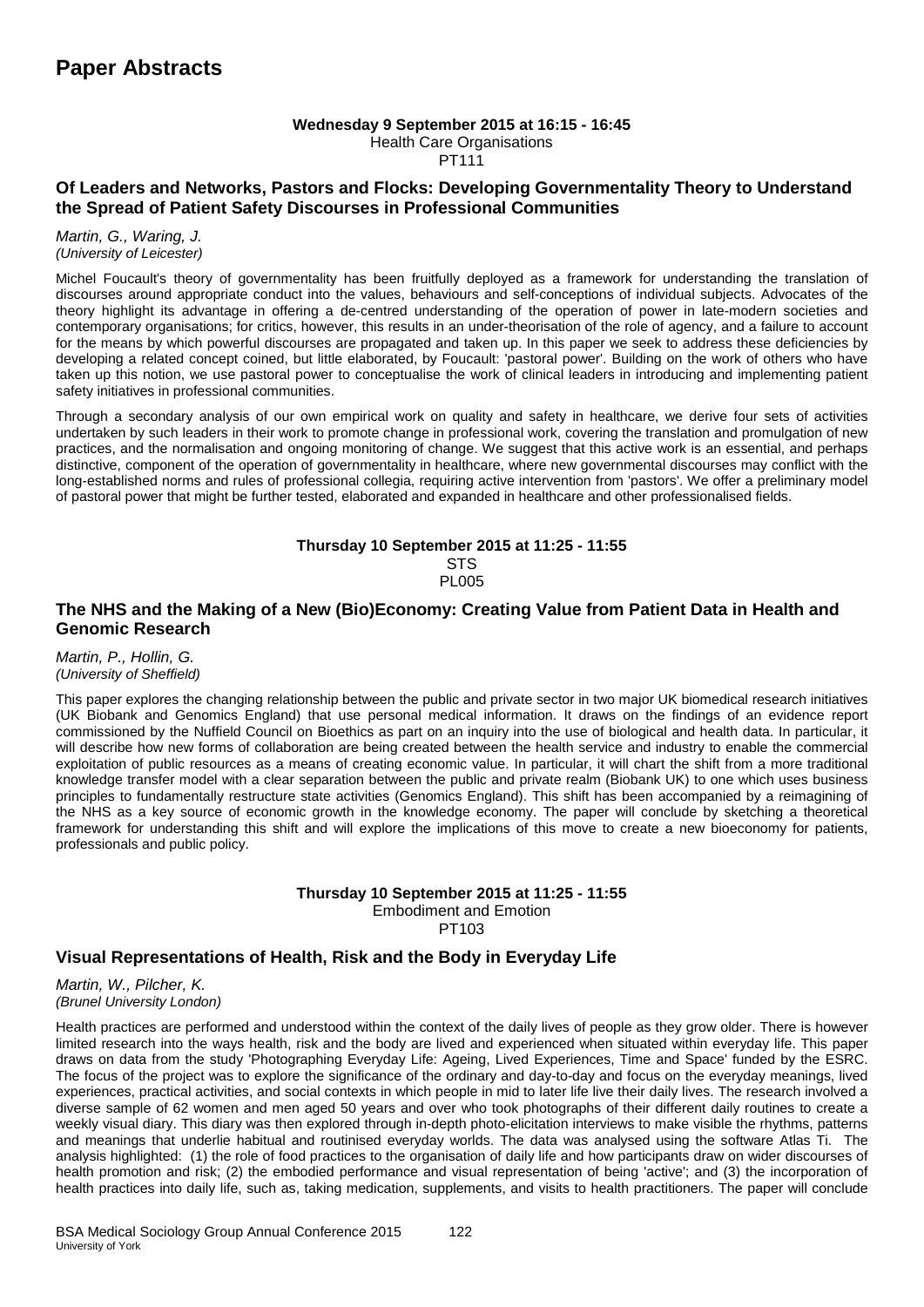#### **Wednesday 9 September 2015 at 16:15 - 16:45**

Health Care Organisations

PT111

### **Of Leaders and Networks, Pastors and Flocks: Developing Governmentality Theory to Understand the Spread of Patient Safety Discourses in Professional Communities**

#### *Martin, G., Waring, J. (University of Leicester)*

Michel Foucault's theory of governmentality has been fruitfully deployed as a framework for understanding the translation of discourses around appropriate conduct into the values, behaviours and self-conceptions of individual subjects. Advocates of the theory highlight its advantage in offering a de-centred understanding of the operation of power in late-modern societies and contemporary organisations; for critics, however, this results in an under-theorisation of the role of agency, and a failure to account for the means by which powerful discourses are propagated and taken up. In this paper we seek to address these deficiencies by developing a related concept coined, but little elaborated, by Foucault: 'pastoral power'. Building on the work of others who have taken up this notion, we use pastoral power to conceptualise the work of clinical leaders in introducing and implementing patient safety initiatives in professional communities.

Through a secondary analysis of our own empirical work on quality and safety in healthcare, we derive four sets of activities undertaken by such leaders in their work to promote change in professional work, covering the translation and promulgation of new practices, and the normalisation and ongoing monitoring of change. We suggest that this active work is an essential, and perhaps distinctive, component of the operation of governmentality in healthcare, where new governmental discourses may conflict with the long-established norms and rules of professional collegia, requiring active intervention from 'pastors'. We offer a preliminary model of pastoral power that might be further tested, elaborated and expanded in healthcare and other professionalised fields.

#### **Thursday 10 September 2015 at 11:25 - 11:55 STS PL005**

### **The NHS and the Making of a New (Bio)Economy: Creating Value from Patient Data in Health and Genomic Research**

*Martin, P., Hollin, G. (University of Sheffield)*

This paper explores the changing relationship between the public and private sector in two major UK biomedical research initiatives (UK Biobank and Genomics England) that use personal medical information. It draws on the findings of an evidence report commissioned by the Nuffield Council on Bioethics as part on an inquiry into the use of biological and health data. In particular, it will describe how new forms of collaboration are being created between the health service and industry to enable the commercial exploitation of public resources as a means of creating economic value. In particular, it will chart the shift from a more traditional knowledge transfer model with a clear separation between the public and private realm (Biobank UK) to one which uses business principles to fundamentally restructure state activities (Genomics England). This shift has been accompanied by a reimagining of the NHS as a key source of economic growth in the knowledge economy. The paper will conclude by sketching a theoretical framework for understanding this shift and will explore the implications of this move to create a new bioeconomy for patients, professionals and public policy.

### **Thursday 10 September 2015 at 11:25 - 11:55**

Embodiment and Emotion PT103

### **Visual Representations of Health, Risk and the Body in Everyday Life**

*Martin, W., Pilcher, K. (Brunel University London)*

Health practices are performed and understood within the context of the daily lives of people as they grow older. There is however limited research into the ways health, risk and the body are lived and experienced when situated within everyday life. This paper draws on data from the study 'Photographing Everyday Life: Ageing, Lived Experiences, Time and Space' funded by the ESRC. The focus of the project was to explore the significance of the ordinary and day-to-day and focus on the everyday meanings, lived experiences, practical activities, and social contexts in which people in mid to later life live their daily lives. The research involved a diverse sample of 62 women and men aged 50 years and over who took photographs of their different daily routines to create a weekly visual diary. This diary was then explored through in-depth photo-elicitation interviews to make visible the rhythms, patterns and meanings that underlie habitual and routinised everyday worlds. The data was analysed using the software Atlas Ti. The analysis highlighted: (1) the role of food practices to the organisation of daily life and how participants draw on wider discourses of health promotion and risk; (2) the embodied performance and visual representation of being 'active'; and (3) the incorporation of health practices into daily life, such as, taking medication, supplements, and visits to health practitioners. The paper will conclude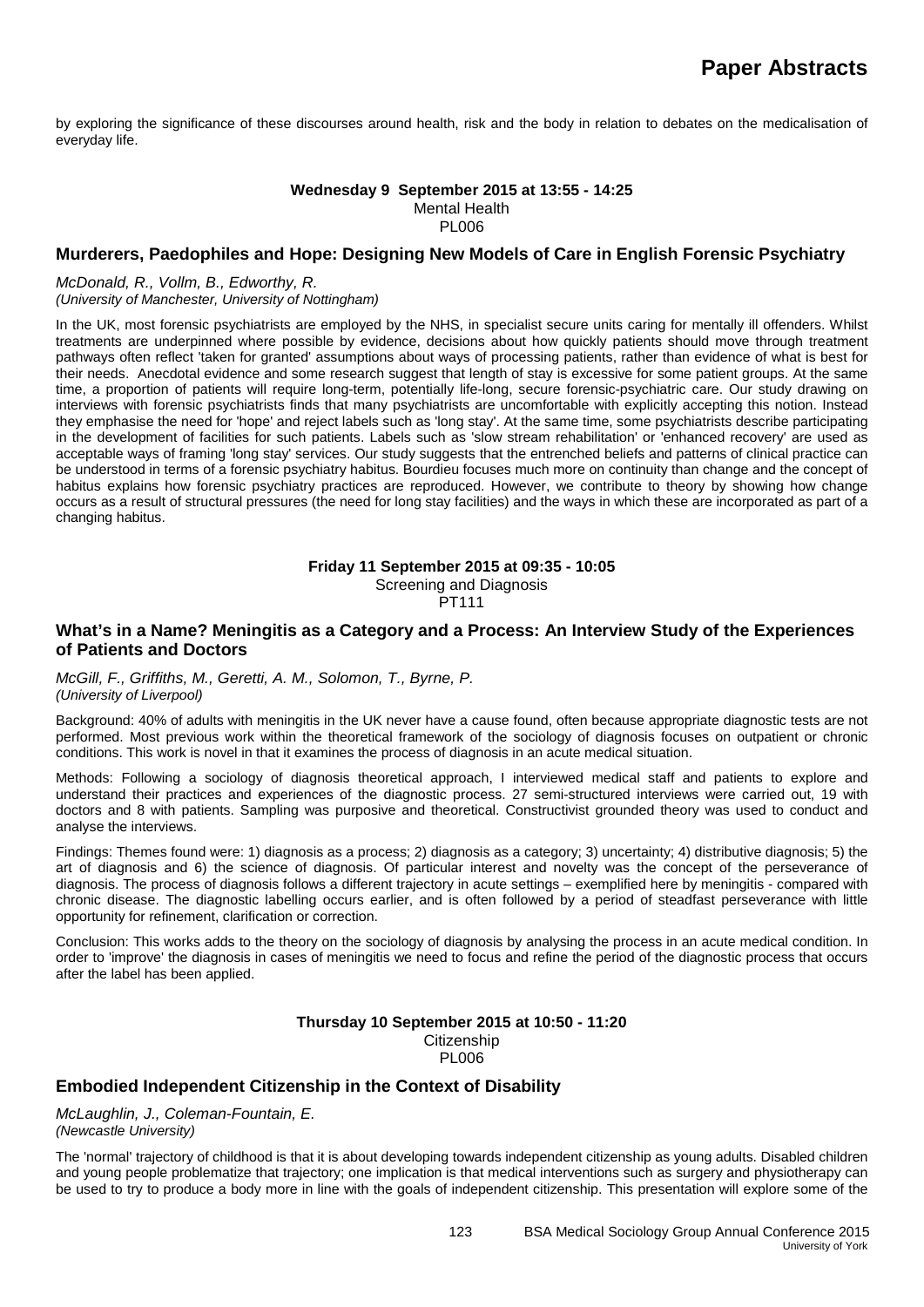by exploring the significance of these discourses around health, risk and the body in relation to debates on the medicalisation of everyday life.

#### **Wednesday 9 September 2015 at 13:55 - 14:25** Mental Health PL006

### **Murderers, Paedophiles and Hope: Designing New Models of Care in English Forensic Psychiatry**

#### *McDonald, R., Vollm, B., Edworthy, R.*

*(University of Manchester, University of Nottingham)*

In the UK, most forensic psychiatrists are employed by the NHS, in specialist secure units caring for mentally ill offenders. Whilst treatments are underpinned where possible by evidence, decisions about how quickly patients should move through treatment pathways often reflect 'taken for granted' assumptions about ways of processing patients, rather than evidence of what is best for their needs. Anecdotal evidence and some research suggest that length of stay is excessive for some patient groups. At the same time, a proportion of patients will require long-term, potentially life-long, secure forensic-psychiatric care. Our study drawing on interviews with forensic psychiatrists finds that many psychiatrists are uncomfortable with explicitly accepting this notion. Instead they emphasise the need for 'hope' and reject labels such as 'long stay'. At the same time, some psychiatrists describe participating in the development of facilities for such patients. Labels such as 'slow stream rehabilitation' or 'enhanced recovery' are used as acceptable ways of framing 'long stay' services. Our study suggests that the entrenched beliefs and patterns of clinical practice can be understood in terms of a forensic psychiatry habitus. Bourdieu focuses much more on continuity than change and the concept of habitus explains how forensic psychiatry practices are reproduced. However, we contribute to theory by showing how change occurs as a result of structural pressures (the need for long stay facilities) and the ways in which these are incorporated as part of a changing habitus.

**Friday 11 September 2015 at 09:35 - 10:05**

Screening and Diagnosis

# PT111

#### **What's in a Name? Meningitis as a Category and a Process: An Interview Study of the Experiences of Patients and Doctors**

#### *McGill, F., Griffiths, M., Geretti, A. M., Solomon, T., Byrne, P. (University of Liverpool)*

Background: 40% of adults with meningitis in the UK never have a cause found, often because appropriate diagnostic tests are not performed. Most previous work within the theoretical framework of the sociology of diagnosis focuses on outpatient or chronic conditions. This work is novel in that it examines the process of diagnosis in an acute medical situation.

Methods: Following a sociology of diagnosis theoretical approach, I interviewed medical staff and patients to explore and understand their practices and experiences of the diagnostic process. 27 semi-structured interviews were carried out, 19 with doctors and 8 with patients. Sampling was purposive and theoretical. Constructivist grounded theory was used to conduct and analyse the interviews.

Findings: Themes found were: 1) diagnosis as a process; 2) diagnosis as a category; 3) uncertainty; 4) distributive diagnosis; 5) the art of diagnosis and 6) the science of diagnosis. Of particular interest and novelty was the concept of the perseverance of diagnosis. The process of diagnosis follows a different trajectory in acute settings – exemplified here by meningitis - compared with chronic disease. The diagnostic labelling occurs earlier, and is often followed by a period of steadfast perseverance with little opportunity for refinement, clarification or correction.

Conclusion: This works adds to the theory on the sociology of diagnosis by analysing the process in an acute medical condition. In order to 'improve' the diagnosis in cases of meningitis we need to focus and refine the period of the diagnostic process that occurs after the label has been applied.

#### **Thursday 10 September 2015 at 10:50 - 11:20 Citizenship** PL006

#### **Embodied Independent Citizenship in the Context of Disability**

*McLaughlin, J., Coleman-Fountain, E. (Newcastle University)*

The 'normal' trajectory of childhood is that it is about developing towards independent citizenship as young adults. Disabled children and young people problematize that trajectory; one implication is that medical interventions such as surgery and physiotherapy can be used to try to produce a body more in line with the goals of independent citizenship. This presentation will explore some of the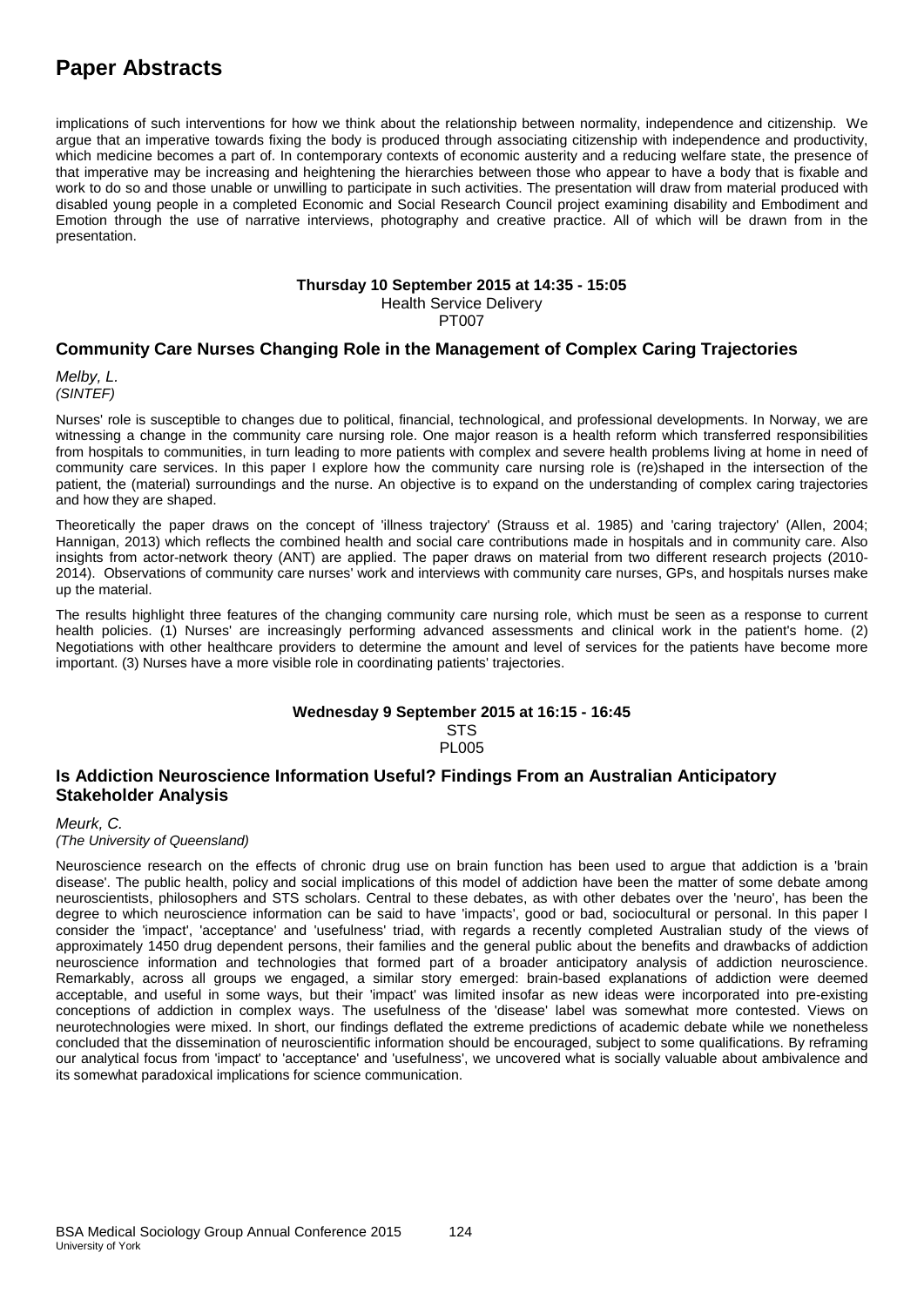implications of such interventions for how we think about the relationship between normality, independence and citizenship. We argue that an imperative towards fixing the body is produced through associating citizenship with independence and productivity, which medicine becomes a part of. In contemporary contexts of economic austerity and a reducing welfare state, the presence of that imperative may be increasing and heightening the hierarchies between those who appear to have a body that is fixable and work to do so and those unable or unwilling to participate in such activities. The presentation will draw from material produced with disabled young people in a completed Economic and Social Research Council project examining disability and Embodiment and Emotion through the use of narrative interviews, photography and creative practice. All of which will be drawn from in the presentation.

#### **Thursday 10 September 2015 at 14:35 - 15:05**

Health Service Delivery PT007

### **Community Care Nurses Changing Role in the Management of Complex Caring Trajectories**

*Melby, L. (SINTEF)*

Nurses' role is susceptible to changes due to political, financial, technological, and professional developments. In Norway, we are witnessing a change in the community care nursing role. One major reason is a health reform which transferred responsibilities from hospitals to communities, in turn leading to more patients with complex and severe health problems living at home in need of community care services. In this paper I explore how the community care nursing role is (re)shaped in the intersection of the patient, the (material) surroundings and the nurse. An objective is to expand on the understanding of complex caring trajectories and how they are shaped.

Theoretically the paper draws on the concept of 'illness trajectory' (Strauss et al. 1985) and 'caring trajectory' (Allen, 2004; Hannigan, 2013) which reflects the combined health and social care contributions made in hospitals and in community care. Also insights from actor-network theory (ANT) are applied. The paper draws on material from two different research projects (2010- 2014). Observations of community care nurses' work and interviews with community care nurses, GPs, and hospitals nurses make up the material.

The results highlight three features of the changing community care nursing role, which must be seen as a response to current health policies. (1) Nurses' are increasingly performing advanced assessments and clinical work in the patient's home. (2) Negotiations with other healthcare providers to determine the amount and level of services for the patients have become more important. (3) Nurses have a more visible role in coordinating patients' trajectories.

#### **Wednesday 9 September 2015 at 16:15 - 16:45 STS**

**PL005** 

### **Is Addiction Neuroscience Information Useful? Findings From an Australian Anticipatory Stakeholder Analysis**

*Meurk, C.*

*(The University of Queensland)*

Neuroscience research on the effects of chronic drug use on brain function has been used to argue that addiction is a 'brain disease'. The public health, policy and social implications of this model of addiction have been the matter of some debate among neuroscientists, philosophers and STS scholars. Central to these debates, as with other debates over the 'neuro', has been the degree to which neuroscience information can be said to have 'impacts', good or bad, sociocultural or personal. In this paper I consider the 'impact', 'acceptance' and 'usefulness' triad, with regards a recently completed Australian study of the views of approximately 1450 drug dependent persons, their families and the general public about the benefits and drawbacks of addiction neuroscience information and technologies that formed part of a broader anticipatory analysis of addiction neuroscience. Remarkably, across all groups we engaged, a similar story emerged: brain-based explanations of addiction were deemed acceptable, and useful in some ways, but their 'impact' was limited insofar as new ideas were incorporated into pre-existing conceptions of addiction in complex ways. The usefulness of the 'disease' label was somewhat more contested. Views on neurotechnologies were mixed. In short, our findings deflated the extreme predictions of academic debate while we nonetheless concluded that the dissemination of neuroscientific information should be encouraged, subject to some qualifications. By reframing our analytical focus from 'impact' to 'acceptance' and 'usefulness', we uncovered what is socially valuable about ambivalence and its somewhat paradoxical implications for science communication.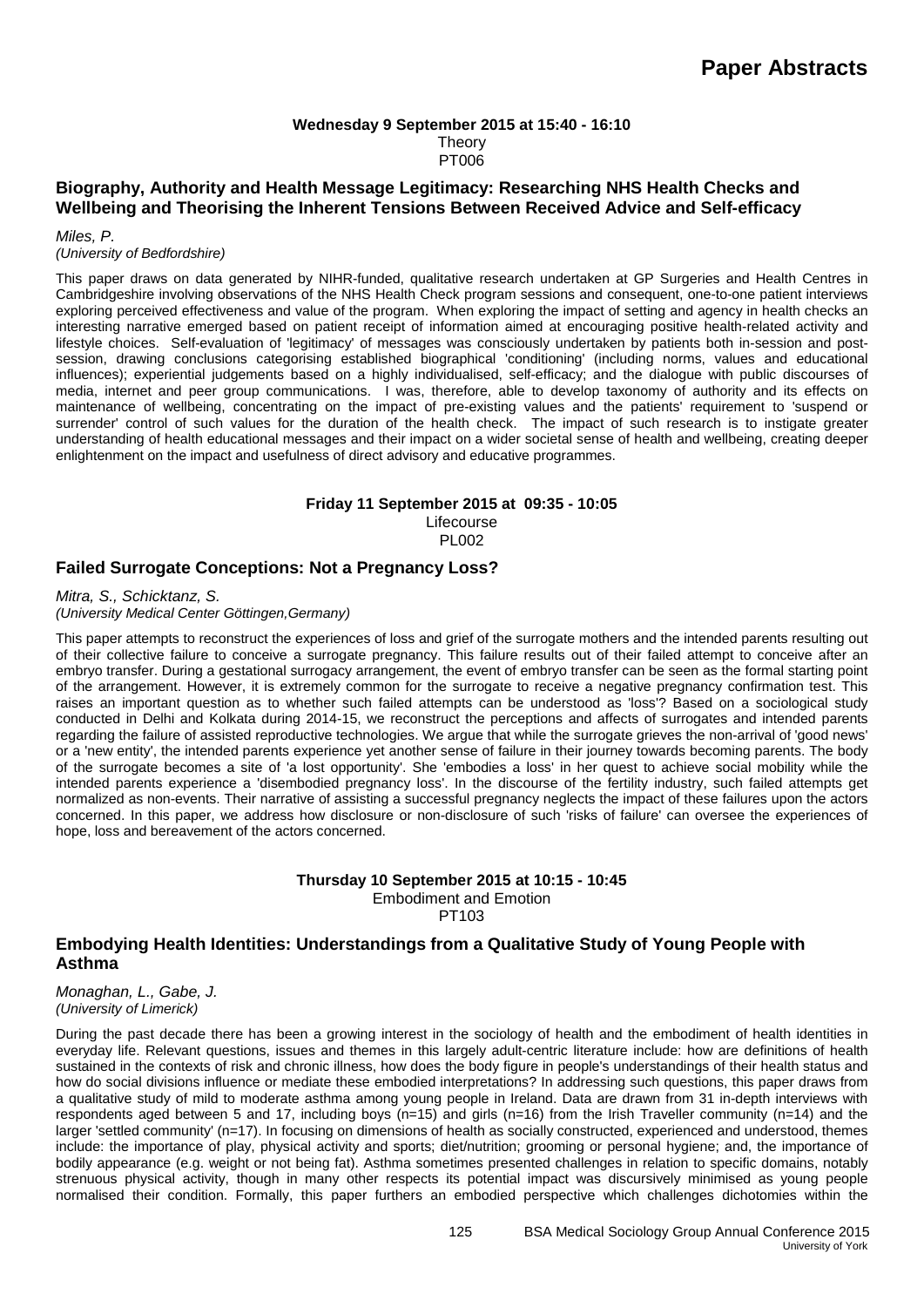#### **Wednesday 9 September 2015 at 15:40 - 16:10 Theory** PT006

### **Biography, Authority and Health Message Legitimacy: Researching NHS Health Checks and Wellbeing and Theorising the Inherent Tensions Between Received Advice and Self-efficacy**

*Miles, P.*

#### *(University of Bedfordshire)*

This paper draws on data generated by NIHR-funded, qualitative research undertaken at GP Surgeries and Health Centres in Cambridgeshire involving observations of the NHS Health Check program sessions and consequent, one-to-one patient interviews exploring perceived effectiveness and value of the program. When exploring the impact of setting and agency in health checks an interesting narrative emerged based on patient receipt of information aimed at encouraging positive health-related activity and lifestyle choices. Self-evaluation of 'legitimacy' of messages was consciously undertaken by patients both in-session and postsession, drawing conclusions categorising established biographical 'conditioning' (including norms, values and educational influences); experiential judgements based on a highly individualised, self-efficacy; and the dialogue with public discourses of media, internet and peer group communications. I was, therefore, able to develop taxonomy of authority and its effects on maintenance of wellbeing, concentrating on the impact of pre-existing values and the patients' requirement to 'suspend or surrender' control of such values for the duration of the health check. The impact of such research is to instigate greater understanding of health educational messages and their impact on a wider societal sense of health and wellbeing, creating deeper enlightenment on the impact and usefulness of direct advisory and educative programmes.

### **Friday 11 September 2015 at 09:35 - 10:05**

Lifecourse PL002

### **Failed Surrogate Conceptions: Not a Pregnancy Loss?**

*Mitra, S., Schicktanz, S. (University Medical Center Göttingen,Germany)*

This paper attempts to reconstruct the experiences of loss and grief of the surrogate mothers and the intended parents resulting out of their collective failure to conceive a surrogate pregnancy. This failure results out of their failed attempt to conceive after an embryo transfer. During a gestational surrogacy arrangement, the event of embryo transfer can be seen as the formal starting point of the arrangement. However, it is extremely common for the surrogate to receive a negative pregnancy confirmation test. This raises an important question as to whether such failed attempts can be understood as 'loss'? Based on a sociological study conducted in Delhi and Kolkata during 2014-15, we reconstruct the perceptions and affects of surrogates and intended parents regarding the failure of assisted reproductive technologies. We argue that while the surrogate grieves the non-arrival of 'good news' or a 'new entity', the intended parents experience yet another sense of failure in their journey towards becoming parents. The body of the surrogate becomes a site of 'a lost opportunity'. She 'embodies a loss' in her quest to achieve social mobility while the intended parents experience a 'disembodied pregnancy loss'. In the discourse of the fertility industry, such failed attempts get normalized as non-events. Their narrative of assisting a successful pregnancy neglects the impact of these failures upon the actors concerned. In this paper, we address how disclosure or non-disclosure of such 'risks of failure' can oversee the experiences of hope, loss and bereavement of the actors concerned.

### **Thursday 10 September 2015 at 10:15 - 10:45** Embodiment and Emotion

PT103

### **Embodying Health Identities: Understandings from a Qualitative Study of Young People with Asthma**

*Monaghan, L., Gabe, J. (University of Limerick)*

During the past decade there has been a growing interest in the sociology of health and the embodiment of health identities in everyday life. Relevant questions, issues and themes in this largely adult-centric literature include: how are definitions of health sustained in the contexts of risk and chronic illness, how does the body figure in people's understandings of their health status and how do social divisions influence or mediate these embodied interpretations? In addressing such questions, this paper draws from a qualitative study of mild to moderate asthma among young people in Ireland. Data are drawn from 31 in-depth interviews with respondents aged between 5 and 17, including boys ( $n=15$ ) and girls ( $n=16$ ) from the Irish Traveller community ( $n=14$ ) and the larger 'settled community' (n=17). In focusing on dimensions of health as socially constructed, experienced and understood, themes include: the importance of play, physical activity and sports; diet/nutrition; grooming or personal hygiene; and, the importance of bodily appearance (e.g. weight or not being fat). Asthma sometimes presented challenges in relation to specific domains, notably strenuous physical activity, though in many other respects its potential impact was discursively minimised as young people normalised their condition. Formally, this paper furthers an embodied perspective which challenges dichotomies within the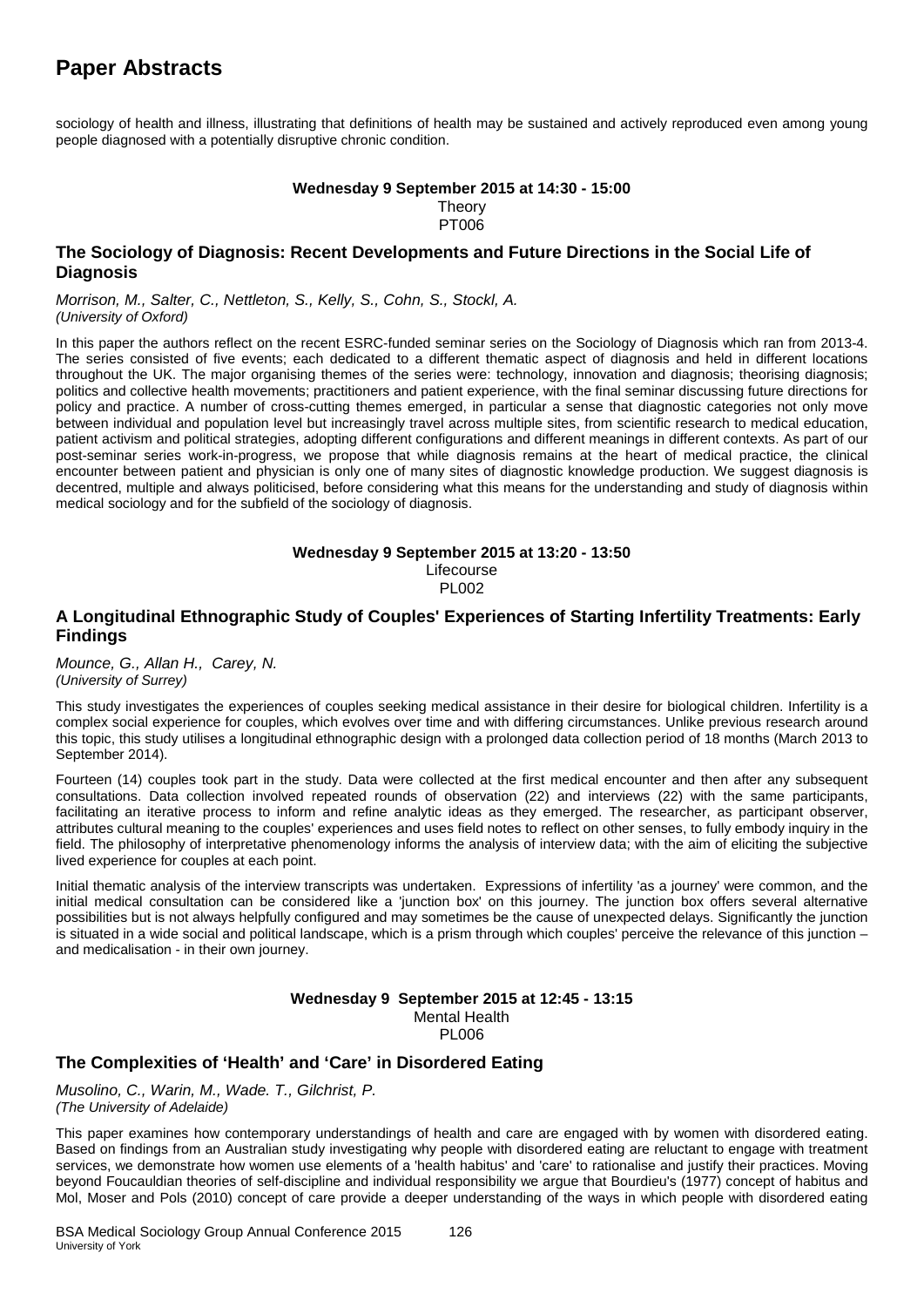sociology of health and illness, illustrating that definitions of health may be sustained and actively reproduced even among young people diagnosed with a potentially disruptive chronic condition.

#### **Wednesday 9 September 2015 at 14:30 - 15:00 Theory** PT006

### **The Sociology of Diagnosis: Recent Developments and Future Directions in the Social Life of Diagnosis**

*Morrison, M., Salter, C., Nettleton, S., Kelly, S., Cohn, S., Stockl, A. (University of Oxford)*

In this paper the authors reflect on the recent ESRC-funded seminar series on the Sociology of Diagnosis which ran from 2013-4. The series consisted of five events; each dedicated to a different thematic aspect of diagnosis and held in different locations throughout the UK. The major organising themes of the series were: technology, innovation and diagnosis; theorising diagnosis; politics and collective health movements; practitioners and patient experience, with the final seminar discussing future directions for policy and practice. A number of cross-cutting themes emerged, in particular a sense that diagnostic categories not only move between individual and population level but increasingly travel across multiple sites, from scientific research to medical education, patient activism and political strategies, adopting different configurations and different meanings in different contexts. As part of our post-seminar series work-in-progress, we propose that while diagnosis remains at the heart of medical practice, the clinical encounter between patient and physician is only one of many sites of diagnostic knowledge production. We suggest diagnosis is decentred, multiple and always politicised, before considering what this means for the understanding and study of diagnosis within medical sociology and for the subfield of the sociology of diagnosis.

#### **Wednesday 9 September 2015 at 13:20 - 13:50** Lifecourse PL002

### **A Longitudinal Ethnographic Study of Couples' Experiences of Starting Infertility Treatments: Early Findings**

*Mounce, G., Allan H., Carey, N. (University of Surrey)*

This study investigates the experiences of couples seeking medical assistance in their desire for biological children. Infertility is a complex social experience for couples, which evolves over time and with differing circumstances. Unlike previous research around this topic, this study utilises a longitudinal ethnographic design with a prolonged data collection period of 18 months (March 2013 to September 2014).

Fourteen (14) couples took part in the study. Data were collected at the first medical encounter and then after any subsequent consultations. Data collection involved repeated rounds of observation (22) and interviews (22) with the same participants, facilitating an iterative process to inform and refine analytic ideas as they emerged. The researcher, as participant observer, attributes cultural meaning to the couples' experiences and uses field notes to reflect on other senses, to fully embody inquiry in the field. The philosophy of interpretative phenomenology informs the analysis of interview data; with the aim of eliciting the subjective lived experience for couples at each point.

Initial thematic analysis of the interview transcripts was undertaken. Expressions of infertility 'as a journey' were common, and the initial medical consultation can be considered like a 'junction box' on this journey. The junction box offers several alternative possibilities but is not always helpfully configured and may sometimes be the cause of unexpected delays. Significantly the junction is situated in a wide social and political landscape, which is a prism through which couples' perceive the relevance of this junction – and medicalisation - in their own journey.

> **Wednesday 9 September 2015 at 12:45 - 13:15** Mental Health

**PL006** 

### **The Complexities of 'Health' and 'Care' in Disordered Eating**

*Musolino, C., Warin, M., Wade. T., Gilchrist, P. (The University of Adelaide)*

This paper examines how contemporary understandings of health and care are engaged with by women with disordered eating. Based on findings from an Australian study investigating why people with disordered eating are reluctant to engage with treatment services, we demonstrate how women use elements of a 'health habitus' and 'care' to rationalise and justify their practices. Moving beyond Foucauldian theories of self-discipline and individual responsibility we argue that Bourdieu's (1977) concept of habitus and Mol, Moser and Pols (2010) concept of care provide a deeper understanding of the ways in which people with disordered eating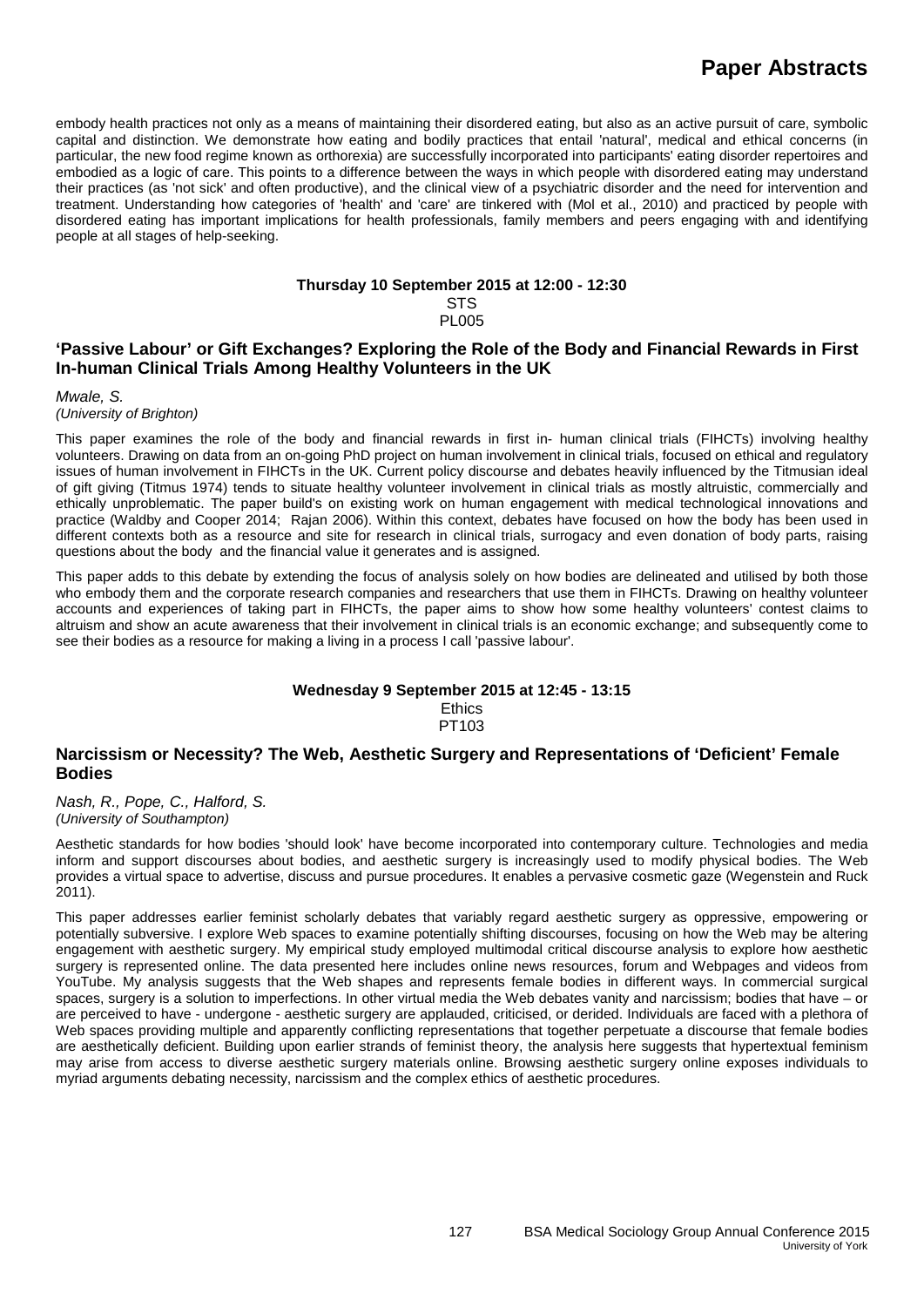embody health practices not only as a means of maintaining their disordered eating, but also as an active pursuit of care, symbolic capital and distinction. We demonstrate how eating and bodily practices that entail 'natural', medical and ethical concerns (in particular, the new food regime known as orthorexia) are successfully incorporated into participants' eating disorder repertoires and embodied as a logic of care. This points to a difference between the ways in which people with disordered eating may understand their practices (as 'not sick' and often productive), and the clinical view of a psychiatric disorder and the need for intervention and treatment. Understanding how categories of 'health' and 'care' are tinkered with (Mol et al., 2010) and practiced by people with disordered eating has important implications for health professionals, family members and peers engaging with and identifying people at all stages of help-seeking.

#### **Thursday 10 September 2015 at 12:00 - 12:30 STS**

PL005

### **'Passive Labour' or Gift Exchanges? Exploring the Role of the Body and Financial Rewards in First In-human Clinical Trials Among Healthy Volunteers in the UK**

*Mwale, S.* 

*(University of Brighton)*

This paper examines the role of the body and financial rewards in first in- human clinical trials (FIHCTs) involving healthy volunteers. Drawing on data from an on-going PhD project on human involvement in clinical trials, focused on ethical and regulatory issues of human involvement in FIHCTs in the UK. Current policy discourse and debates heavily influenced by the Titmusian ideal of gift giving (Titmus 1974) tends to situate healthy volunteer involvement in clinical trials as mostly altruistic, commercially and ethically unproblematic. The paper build's on existing work on human engagement with medical technological innovations and practice (Waldby and Cooper 2014; Rajan 2006). Within this context, debates have focused on how the body has been used in different contexts both as a resource and site for research in clinical trials, surrogacy and even donation of body parts, raising questions about the body and the financial value it generates and is assigned.

This paper adds to this debate by extending the focus of analysis solely on how bodies are delineated and utilised by both those who embody them and the corporate research companies and researchers that use them in FIHCTs. Drawing on healthy volunteer accounts and experiences of taking part in FIHCTs, the paper aims to show how some healthy volunteers' contest claims to altruism and show an acute awareness that their involvement in clinical trials is an economic exchange; and subsequently come to see their bodies as a resource for making a living in a process I call 'passive labour'.

#### **Wednesday 9 September 2015 at 12:45 - 13:15 Ethics** PT103

### **Narcissism or Necessity? The Web, Aesthetic Surgery and Representations of 'Deficient' Female Bodies**

*Nash, R., Pope, C., Halford, S. (University of Southampton)*

Aesthetic standards for how bodies 'should look' have become incorporated into contemporary culture. Technologies and media inform and support discourses about bodies, and aesthetic surgery is increasingly used to modify physical bodies. The Web provides a virtual space to advertise, discuss and pursue procedures. It enables a pervasive cosmetic gaze (Wegenstein and Ruck 2011).

This paper addresses earlier feminist scholarly debates that variably regard aesthetic surgery as oppressive, empowering or potentially subversive. I explore Web spaces to examine potentially shifting discourses, focusing on how the Web may be altering engagement with aesthetic surgery. My empirical study employed multimodal critical discourse analysis to explore how aesthetic surgery is represented online. The data presented here includes online news resources, forum and Webpages and videos from YouTube. My analysis suggests that the Web shapes and represents female bodies in different ways. In commercial surgical spaces, surgery is a solution to imperfections. In other virtual media the Web debates vanity and narcissism; bodies that have – or are perceived to have - undergone - aesthetic surgery are applauded, criticised, or derided. Individuals are faced with a plethora of Web spaces providing multiple and apparently conflicting representations that together perpetuate a discourse that female bodies are aesthetically deficient. Building upon earlier strands of feminist theory, the analysis here suggests that hypertextual feminism may arise from access to diverse aesthetic surgery materials online. Browsing aesthetic surgery online exposes individuals to myriad arguments debating necessity, narcissism and the complex ethics of aesthetic procedures.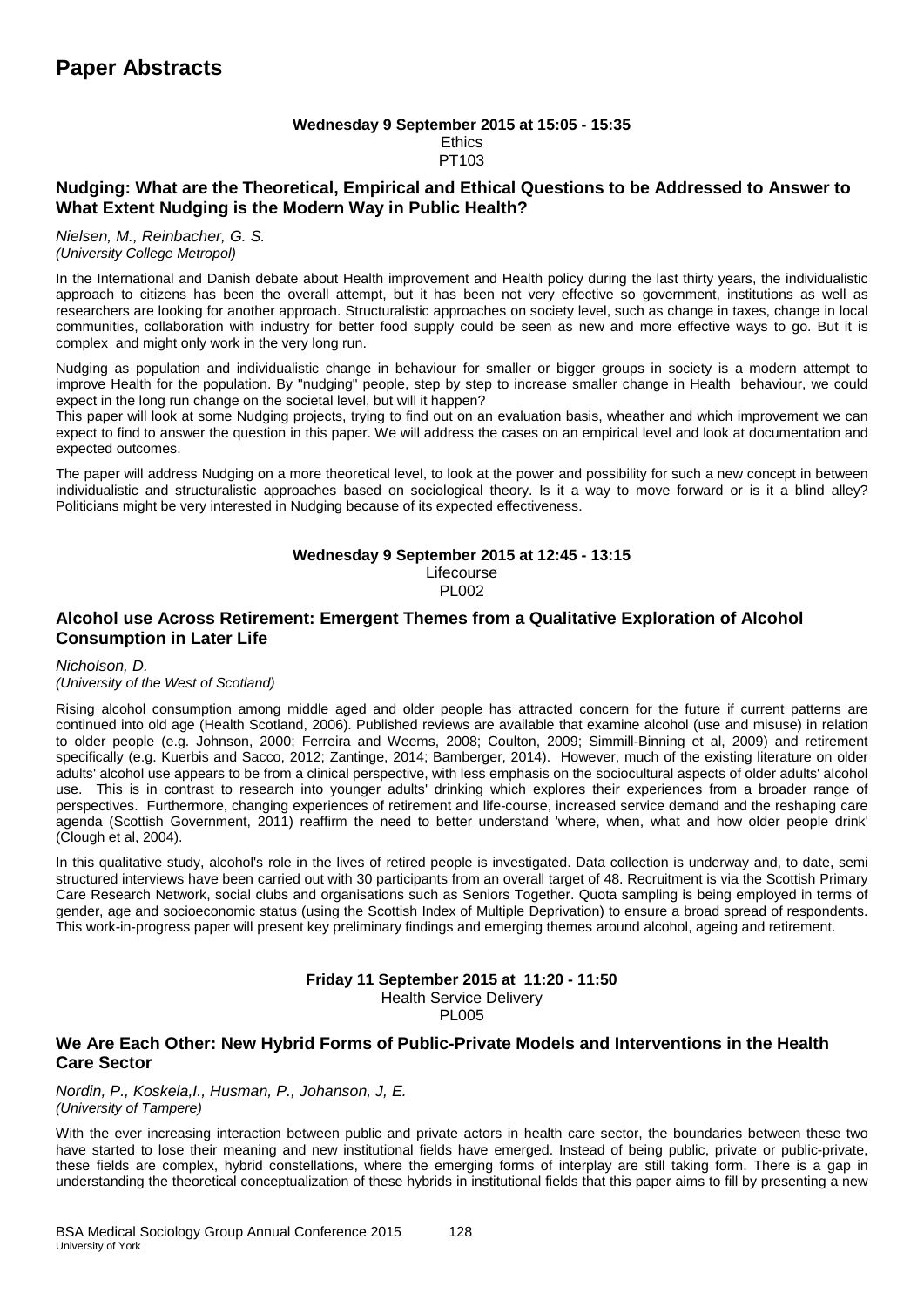#### **Wednesday 9 September 2015 at 15:05 - 15:35 Ethics** PT103

### **Nudging: What are the Theoretical, Empirical and Ethical Questions to be Addressed to Answer to What Extent Nudging is the Modern Way in Public Health?**

*Nielsen, M., Reinbacher, G. S. (University College Metropol)*

In the International and Danish debate about Health improvement and Health policy during the last thirty years, the individualistic approach to citizens has been the overall attempt, but it has been not very effective so government, institutions as well as researchers are looking for another approach. Structuralistic approaches on society level, such as change in taxes, change in local communities, collaboration with industry for better food supply could be seen as new and more effective ways to go. But it is complex and might only work in the very long run.

Nudging as population and individualistic change in behaviour for smaller or bigger groups in society is a modern attempt to improve Health for the population. By "nudging" people, step by step to increase smaller change in Health behaviour, we could expect in the long run change on the societal level, but will it happen?

This paper will look at some Nudging projects, trying to find out on an evaluation basis, wheather and which improvement we can expect to find to answer the question in this paper. We will address the cases on an empirical level and look at documentation and expected outcomes.

The paper will address Nudging on a more theoretical level, to look at the power and possibility for such a new concept in between individualistic and structuralistic approaches based on sociological theory. Is it a way to move forward or is it a blind alley? Politicians might be very interested in Nudging because of its expected effectiveness.

#### **Wednesday 9 September 2015 at 12:45 - 13:15** Lifecourse PL002

### **Alcohol use Across Retirement: Emergent Themes from a Qualitative Exploration of Alcohol Consumption in Later Life**

#### *Nicholson, D.*

#### *(University of the West of Scotland)*

Rising alcohol consumption among middle aged and older people has attracted concern for the future if current patterns are continued into old age (Health Scotland, 2006). Published reviews are available that examine alcohol (use and misuse) in relation to older people (e.g. Johnson, 2000; Ferreira and Weems, 2008; Coulton, 2009; Simmill-Binning et al, 2009) and retirement specifically (e.g. Kuerbis and Sacco, 2012; Zantinge, 2014; Bamberger, 2014). However, much of the existing literature on older adults' alcohol use appears to be from a clinical perspective, with less emphasis on the sociocultural aspects of older adults' alcohol use. This is in contrast to research into younger adults' drinking which explores their experiences from a broader range of perspectives. Furthermore, changing experiences of retirement and life-course, increased service demand and the reshaping care agenda (Scottish Government, 2011) reaffirm the need to better understand 'where, when, what and how older people drink' (Clough et al, 2004).

In this qualitative study, alcohol's role in the lives of retired people is investigated. Data collection is underway and, to date, semi structured interviews have been carried out with 30 participants from an overall target of 48. Recruitment is via the Scottish Primary Care Research Network, social clubs and organisations such as Seniors Together. Quota sampling is being employed in terms of gender, age and socioeconomic status (using the Scottish Index of Multiple Deprivation) to ensure a broad spread of respondents. This work-in-progress paper will present key preliminary findings and emerging themes around alcohol, ageing and retirement.

### **Friday 11 September 2015 at 11:20 - 11:50**

Health Service Delivery

PL005

#### **We Are Each Other: New Hybrid Forms of Public-Private Models and Interventions in the Health Care Sector**

*Nordin, P., Koskela,I., Husman, P., Johanson, J, E. (University of Tampere)*

With the ever increasing interaction between public and private actors in health care sector, the boundaries between these two have started to lose their meaning and new institutional fields have emerged. Instead of being public, private or public-private, these fields are complex, hybrid constellations, where the emerging forms of interplay are still taking form. There is a gap in understanding the theoretical conceptualization of these hybrids in institutional fields that this paper aims to fill by presenting a new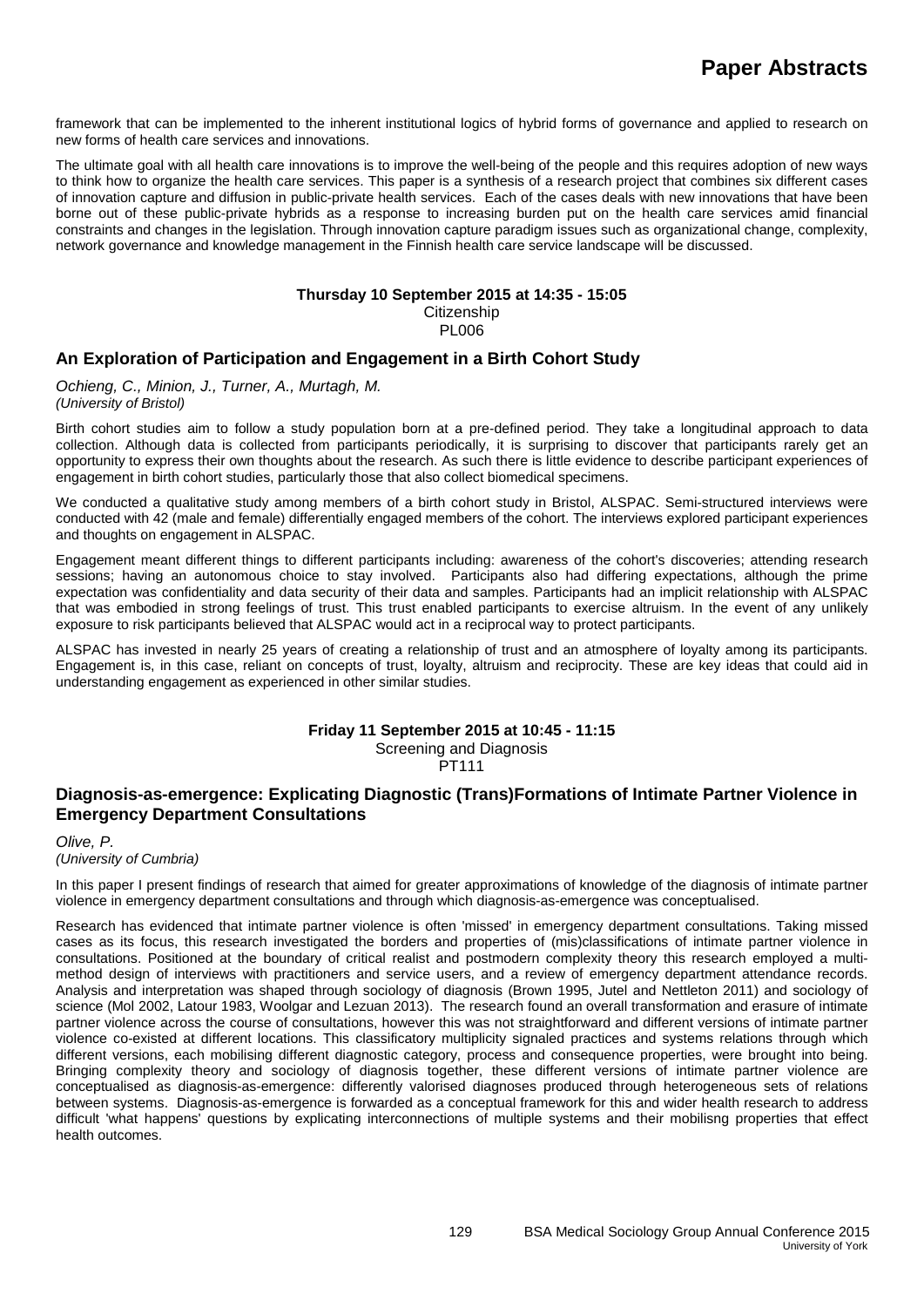framework that can be implemented to the inherent institutional logics of hybrid forms of governance and applied to research on new forms of health care services and innovations.

The ultimate goal with all health care innovations is to improve the well-being of the people and this requires adoption of new ways to think how to organize the health care services. This paper is a synthesis of a research project that combines six different cases of innovation capture and diffusion in public-private health services. Each of the cases deals with new innovations that have been borne out of these public-private hybrids as a response to increasing burden put on the health care services amid financial constraints and changes in the legislation. Through innovation capture paradigm issues such as organizational change, complexity, network governance and knowledge management in the Finnish health care service landscape will be discussed.

#### **Thursday 10 September 2015 at 14:35 - 15:05 Citizenship**

#### PL006

### **An Exploration of Participation and Engagement in a Birth Cohort Study**

*Ochieng, C., Minion, J., Turner, A., Murtagh, M. (University of Bristol)*

Birth cohort studies aim to follow a study population born at a pre-defined period. They take a longitudinal approach to data collection. Although data is collected from participants periodically, it is surprising to discover that participants rarely get an opportunity to express their own thoughts about the research. As such there is little evidence to describe participant experiences of engagement in birth cohort studies, particularly those that also collect biomedical specimens.

We conducted a qualitative study among members of a birth cohort study in Bristol, ALSPAC. Semi-structured interviews were conducted with 42 (male and female) differentially engaged members of the cohort. The interviews explored participant experiences and thoughts on engagement in ALSPAC.

Engagement meant different things to different participants including: awareness of the cohort's discoveries; attending research sessions; having an autonomous choice to stay involved. Participants also had differing expectations, although the prime expectation was confidentiality and data security of their data and samples. Participants had an implicit relationship with ALSPAC that was embodied in strong feelings of trust. This trust enabled participants to exercise altruism. In the event of any unlikely exposure to risk participants believed that ALSPAC would act in a reciprocal way to protect participants.

ALSPAC has invested in nearly 25 years of creating a relationship of trust and an atmosphere of loyalty among its participants. Engagement is, in this case, reliant on concepts of trust, loyalty, altruism and reciprocity. These are key ideas that could aid in understanding engagement as experienced in other similar studies.

## **Friday 11 September 2015 at 10:45 - 11:15**

Screening and Diagnosis

PT111

### **Diagnosis-as-emergence: Explicating Diagnostic (Trans)Formations of Intimate Partner Violence in Emergency Department Consultations**

*Olive, P. (University of Cumbria)*

In this paper I present findings of research that aimed for greater approximations of knowledge of the diagnosis of intimate partner violence in emergency department consultations and through which diagnosis-as-emergence was conceptualised.

Research has evidenced that intimate partner violence is often 'missed' in emergency department consultations. Taking missed cases as its focus, this research investigated the borders and properties of (mis)classifications of intimate partner violence in consultations. Positioned at the boundary of critical realist and postmodern complexity theory this research employed a multimethod design of interviews with practitioners and service users, and a review of emergency department attendance records. Analysis and interpretation was shaped through sociology of diagnosis (Brown 1995, Jutel and Nettleton 2011) and sociology of science (Mol 2002, Latour 1983, Woolgar and Lezuan 2013). The research found an overall transformation and erasure of intimate partner violence across the course of consultations, however this was not straightforward and different versions of intimate partner violence co-existed at different locations. This classificatory multiplicity signaled practices and systems relations through which different versions, each mobilising different diagnostic category, process and consequence properties, were brought into being. Bringing complexity theory and sociology of diagnosis together, these different versions of intimate partner violence are conceptualised as diagnosis-as-emergence: differently valorised diagnoses produced through heterogeneous sets of relations between systems. Diagnosis-as-emergence is forwarded as a conceptual framework for this and wider health research to address difficult 'what happens' questions by explicating interconnections of multiple systems and their mobilisng properties that effect health outcomes.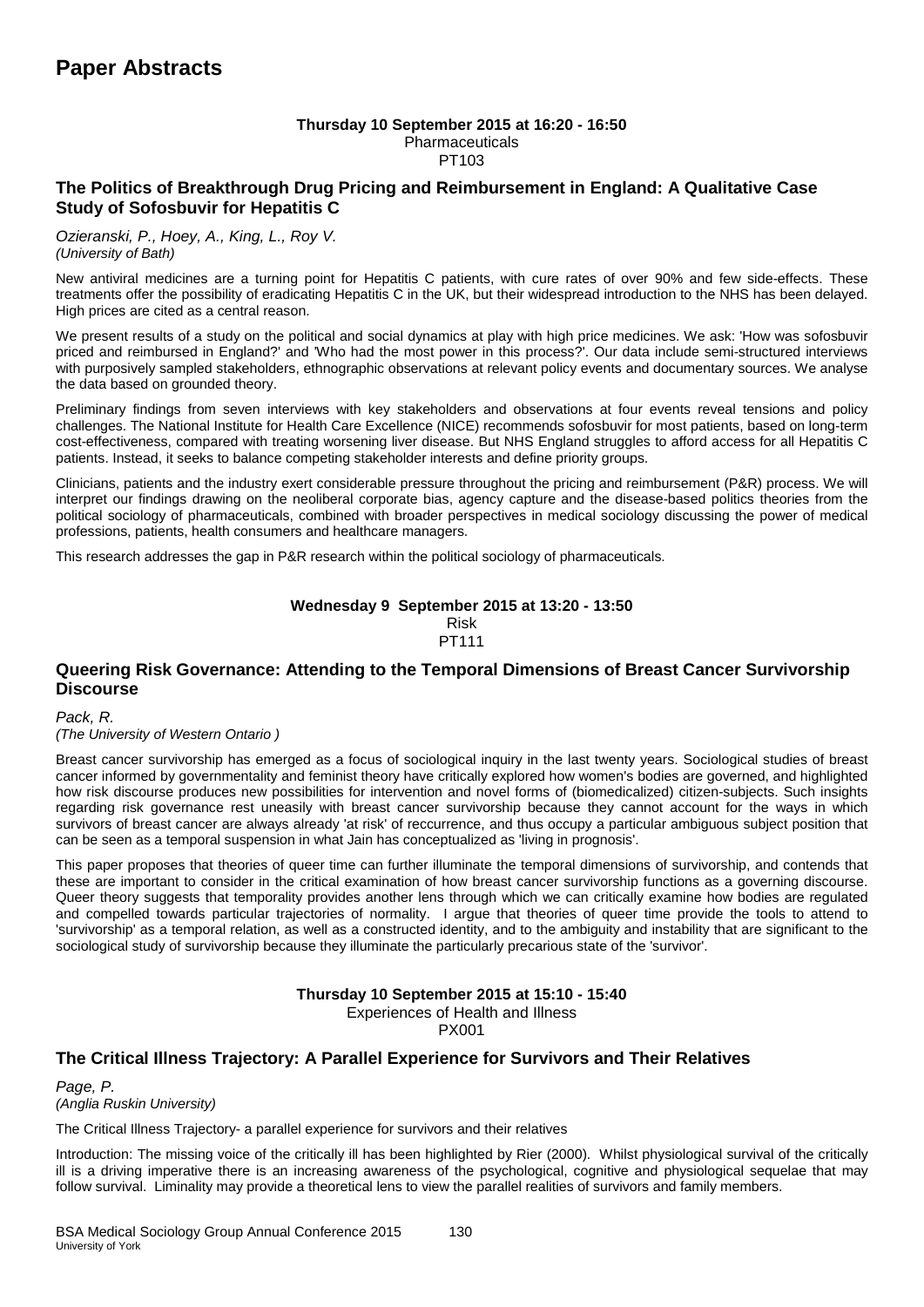### **Thursday 10 September 2015 at 16:20 - 16:50**

Pharmaceuticals PT103

### **The Politics of Breakthrough Drug Pricing and Reimbursement in England: A Qualitative Case Study of Sofosbuvir for Hepatitis C**

*Ozieranski, P., Hoey, A., King, L., Roy V. (University of Bath)*

New antiviral medicines are a turning point for Hepatitis C patients, with cure rates of over 90% and few side-effects. These treatments offer the possibility of eradicating Hepatitis C in the UK, but their widespread introduction to the NHS has been delayed. High prices are cited as a central reason.

We present results of a study on the political and social dynamics at play with high price medicines. We ask: 'How was sofosbuvir priced and reimbursed in England?' and 'Who had the most power in this process?'. Our data include semi-structured interviews with purposively sampled stakeholders, ethnographic observations at relevant policy events and documentary sources. We analyse the data based on grounded theory.

Preliminary findings from seven interviews with key stakeholders and observations at four events reveal tensions and policy challenges. The National Institute for Health Care Excellence (NICE) recommends sofosbuvir for most patients, based on long-term cost-effectiveness, compared with treating worsening liver disease. But NHS England struggles to afford access for all Hepatitis C patients. Instead, it seeks to balance competing stakeholder interests and define priority groups.

Clinicians, patients and the industry exert considerable pressure throughout the pricing and reimbursement (P&R) process. We will interpret our findings drawing on the neoliberal corporate bias, agency capture and the disease-based politics theories from the political sociology of pharmaceuticals, combined with broader perspectives in medical sociology discussing the power of medical professions, patients, health consumers and healthcare managers.

This research addresses the gap in P&R research within the political sociology of pharmaceuticals.

#### **Wednesday 9 September 2015 at 13:20 - 13:50** Risk PT111

### **Queering Risk Governance: Attending to the Temporal Dimensions of Breast Cancer Survivorship Discourse**

*Pack, R. (The University of Western Ontario )*

Breast cancer survivorship has emerged as a focus of sociological inquiry in the last twenty years. Sociological studies of breast cancer informed by governmentality and feminist theory have critically explored how women's bodies are governed, and highlighted how risk discourse produces new possibilities for intervention and novel forms of (biomedicalized) citizen-subjects. Such insights regarding risk governance rest uneasily with breast cancer survivorship because they cannot account for the ways in which survivors of breast cancer are always already 'at risk' of reccurrence, and thus occupy a particular ambiguous subject position that can be seen as a temporal suspension in what Jain has conceptualized as 'living in prognosis'.

This paper proposes that theories of queer time can further illuminate the temporal dimensions of survivorship, and contends that these are important to consider in the critical examination of how breast cancer survivorship functions as a governing discourse. Queer theory suggests that temporality provides another lens through which we can critically examine how bodies are regulated and compelled towards particular trajectories of normality. I argue that theories of queer time provide the tools to attend to 'survivorship' as a temporal relation, as well as a constructed identity, and to the ambiguity and instability that are significant to the sociological study of survivorship because they illuminate the particularly precarious state of the 'survivor'.

### **Thursday 10 September 2015 at 15:10 - 15:40**

Experiences of Health and Illness

PX001

### **The Critical Illness Trajectory: A Parallel Experience for Survivors and Their Relatives**

*Page, P. (Anglia Ruskin University)*

The Critical Illness Trajectory- a parallel experience for survivors and their relatives

Introduction: The missing voice of the critically ill has been highlighted by Rier (2000). Whilst physiological survival of the critically ill is a driving imperative there is an increasing awareness of the psychological, cognitive and physiological sequelae that may follow survival. Liminality may provide a theoretical lens to view the parallel realities of survivors and family members.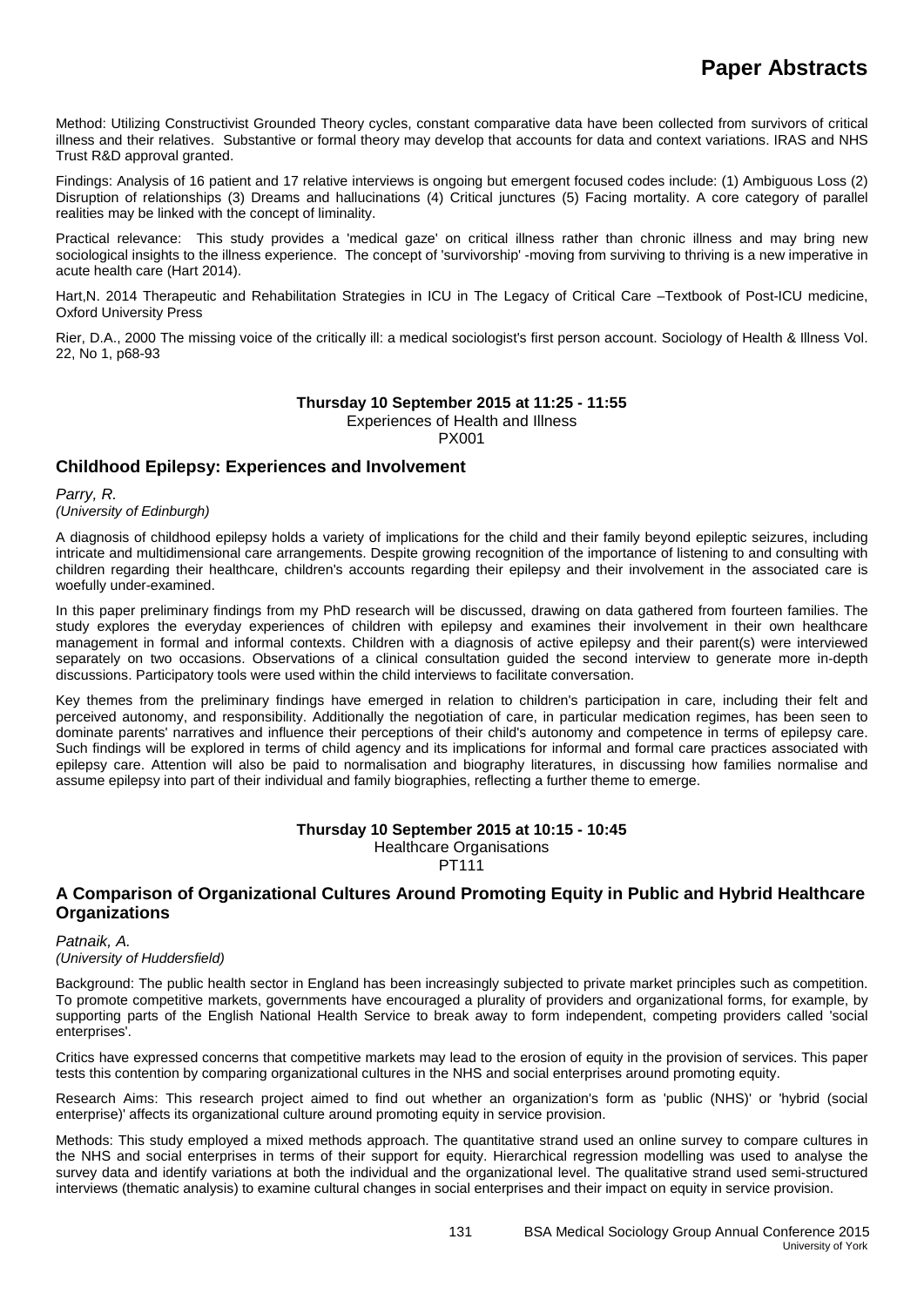Method: Utilizing Constructivist Grounded Theory cycles, constant comparative data have been collected from survivors of critical illness and their relatives. Substantive or formal theory may develop that accounts for data and context variations. IRAS and NHS Trust R&D approval granted.

Findings: Analysis of 16 patient and 17 relative interviews is ongoing but emergent focused codes include: (1) Ambiguous Loss (2) Disruption of relationships (3) Dreams and hallucinations (4) Critical junctures (5) Facing mortality. A core category of parallel realities may be linked with the concept of liminality.

Practical relevance: This study provides a 'medical gaze' on critical illness rather than chronic illness and may bring new sociological insights to the illness experience. The concept of 'survivorship' -moving from surviving to thriving is a new imperative in acute health care (Hart 2014).

Hart, N. 2014 Therapeutic and Rehabilitation Strategies in ICU in The Legacy of Critical Care -Textbook of Post-ICU medicine, Oxford University Press

Rier, D.A., 2000 The missing voice of the critically ill: a medical sociologist's first person account. Sociology of Health & Illness Vol. 22, No 1, p68-93

### **Thursday 10 September 2015 at 11:25 - 11:55**

Experiences of Health and Illness

PX001

### **Childhood Epilepsy: Experiences and Involvement**

*Parry, R.* 

*(University of Edinburgh)*

A diagnosis of childhood epilepsy holds a variety of implications for the child and their family beyond epileptic seizures, including intricate and multidimensional care arrangements. Despite growing recognition of the importance of listening to and consulting with children regarding their healthcare, children's accounts regarding their epilepsy and their involvement in the associated care is woefully under-examined.

In this paper preliminary findings from my PhD research will be discussed, drawing on data gathered from fourteen families. The study explores the everyday experiences of children with epilepsy and examines their involvement in their own healthcare management in formal and informal contexts. Children with a diagnosis of active epilepsy and their parent(s) were interviewed separately on two occasions. Observations of a clinical consultation guided the second interview to generate more in-depth discussions. Participatory tools were used within the child interviews to facilitate conversation.

Key themes from the preliminary findings have emerged in relation to children's participation in care, including their felt and perceived autonomy, and responsibility. Additionally the negotiation of care, in particular medication regimes, has been seen to dominate parents' narratives and influence their perceptions of their child's autonomy and competence in terms of epilepsy care. Such findings will be explored in terms of child agency and its implications for informal and formal care practices associated with epilepsy care. Attention will also be paid to normalisation and biography literatures, in discussing how families normalise and assume epilepsy into part of their individual and family biographies, reflecting a further theme to emerge.

## **Thursday 10 September 2015 at 10:15 - 10:45**

Healthcare Organisations PT111

### **A Comparison of Organizational Cultures Around Promoting Equity in Public and Hybrid Healthcare Organizations**

*Patnaik, A. (University of Huddersfield)*

Background: The public health sector in England has been increasingly subjected to private market principles such as competition. To promote competitive markets, governments have encouraged a plurality of providers and organizational forms, for example, by supporting parts of the English National Health Service to break away to form independent, competing providers called 'social enterprises'.

Critics have expressed concerns that competitive markets may lead to the erosion of equity in the provision of services. This paper tests this contention by comparing organizational cultures in the NHS and social enterprises around promoting equity.

Research Aims: This research project aimed to find out whether an organization's form as 'public (NHS)' or 'hybrid (social enterprise)' affects its organizational culture around promoting equity in service provision.

Methods: This study employed a mixed methods approach. The quantitative strand used an online survey to compare cultures in the NHS and social enterprises in terms of their support for equity. Hierarchical regression modelling was used to analyse the survey data and identify variations at both the individual and the organizational level. The qualitative strand used semi-structured interviews (thematic analysis) to examine cultural changes in social enterprises and their impact on equity in service provision.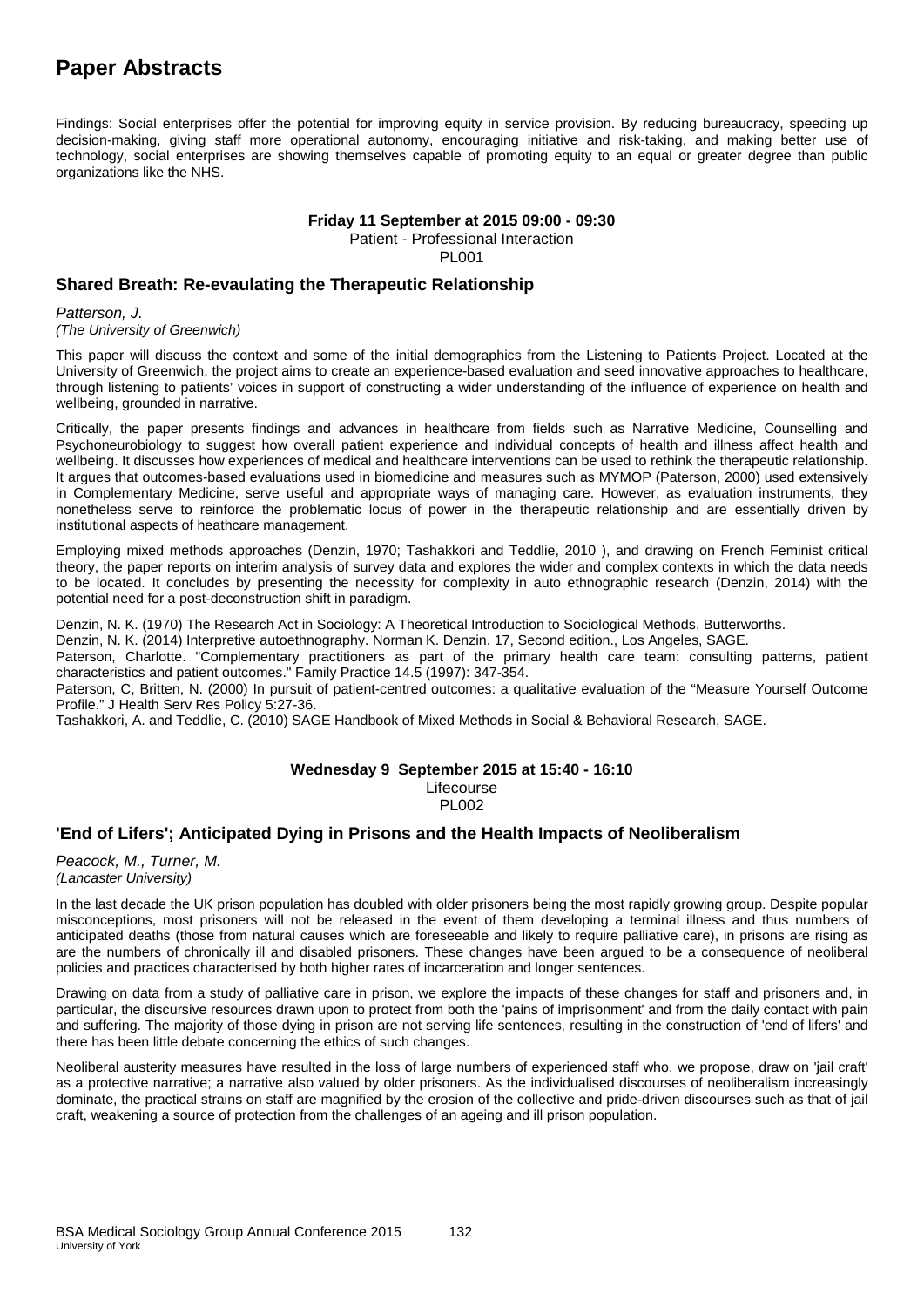Findings: Social enterprises offer the potential for improving equity in service provision. By reducing bureaucracy, speeding up decision-making, giving staff more operational autonomy, encouraging initiative and risk-taking, and making better use of technology, social enterprises are showing themselves capable of promoting equity to an equal or greater degree than public organizations like the NHS.

#### **Friday 11 September at 2015 09:00 - 09:30**

Patient - Professional Interaction

PL001

### **Shared Breath: Re-evaulating the Therapeutic Relationship**

*Patterson, J.* 

*(The University of Greenwich)*

This paper will discuss the context and some of the initial demographics from the Listening to Patients Project. Located at the University of Greenwich, the project aims to create an experience-based evaluation and seed innovative approaches to healthcare, through listening to patients' voices in support of constructing a wider understanding of the influence of experience on health and wellbeing, grounded in narrative.

Critically, the paper presents findings and advances in healthcare from fields such as Narrative Medicine, Counselling and Psychoneurobiology to suggest how overall patient experience and individual concepts of health and illness affect health and wellbeing. It discusses how experiences of medical and healthcare interventions can be used to rethink the therapeutic relationship. It argues that outcomes-based evaluations used in biomedicine and measures such as MYMOP (Paterson, 2000) used extensively in Complementary Medicine, serve useful and appropriate ways of managing care. However, as evaluation instruments, they nonetheless serve to reinforce the problematic locus of power in the therapeutic relationship and are essentially driven by institutional aspects of heathcare management.

Employing mixed methods approaches (Denzin, 1970; Tashakkori and Teddlie, 2010 ), and drawing on French Feminist critical theory, the paper reports on interim analysis of survey data and explores the wider and complex contexts in which the data needs to be located. It concludes by presenting the necessity for complexity in auto ethnographic research (Denzin, 2014) with the potential need for a post-deconstruction shift in paradigm.

Denzin, N. K. (1970) The Research Act in Sociology: A Theoretical Introduction to Sociological Methods, Butterworths.

Denzin, N. K. (2014) Interpretive autoethnography. Norman K. Denzin. 17, Second edition., Los Angeles, SAGE.

Paterson, Charlotte. "Complementary practitioners as part of the primary health care team: consulting patterns, patient characteristics and patient outcomes." Family Practice 14.5 (1997): 347-354.

Paterson, C, Britten, N. (2000) In pursuit of patient-centred outcomes: a qualitative evaluation of the "Measure Yourself Outcome Profile." J Health Serv Res Policy 5:27-36.

Tashakkori, A. and Teddlie, C. (2010) SAGE Handbook of Mixed Methods in Social & Behavioral Research, SAGE.

#### **Wednesday 9 September 2015 at 15:40 - 16:10** Lifecourse PL002

### **'End of Lifers'; Anticipated Dying in Prisons and the Health Impacts of Neoliberalism**

*Peacock, M., Turner, M. (Lancaster University)*

In the last decade the UK prison population has doubled with older prisoners being the most rapidly growing group. Despite popular misconceptions, most prisoners will not be released in the event of them developing a terminal illness and thus numbers of anticipated deaths (those from natural causes which are foreseeable and likely to require palliative care), in prisons are rising as are the numbers of chronically ill and disabled prisoners. These changes have been argued to be a consequence of neoliberal policies and practices characterised by both higher rates of incarceration and longer sentences.

Drawing on data from a study of palliative care in prison, we explore the impacts of these changes for staff and prisoners and, in particular, the discursive resources drawn upon to protect from both the 'pains of imprisonment' and from the daily contact with pain and suffering. The majority of those dying in prison are not serving life sentences, resulting in the construction of 'end of lifers' and there has been little debate concerning the ethics of such changes.

Neoliberal austerity measures have resulted in the loss of large numbers of experienced staff who, we propose, draw on 'jail craft' as a protective narrative; a narrative also valued by older prisoners. As the individualised discourses of neoliberalism increasingly dominate, the practical strains on staff are magnified by the erosion of the collective and pride-driven discourses such as that of jail craft, weakening a source of protection from the challenges of an ageing and ill prison population.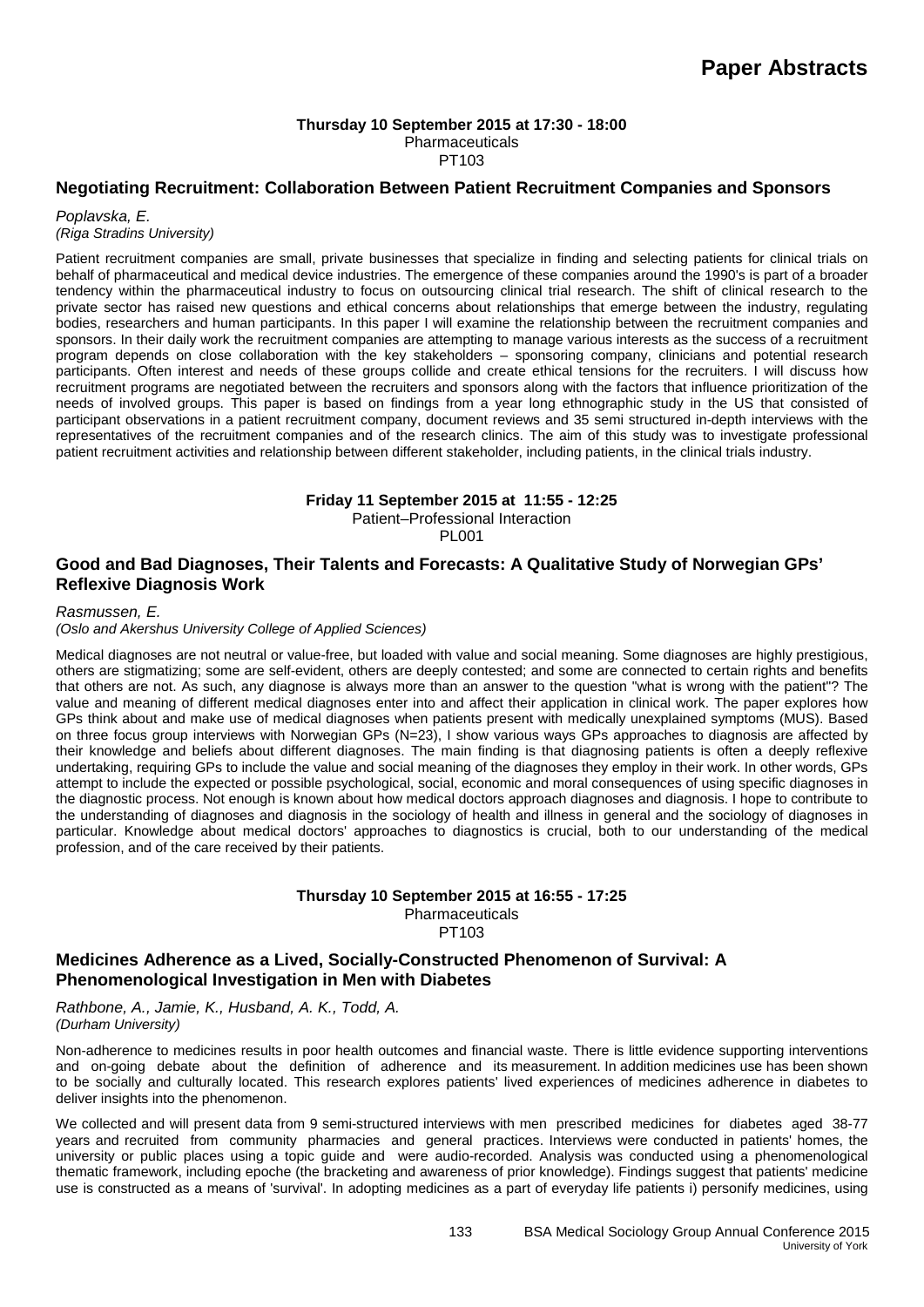### **Thursday 10 September 2015 at 17:30 - 18:00 Pharmaceuticals**

PT103

#### **Negotiating Recruitment: Collaboration Between Patient Recruitment Companies and Sponsors**

*Poplavska, E. (Riga Stradins University)*

Patient recruitment companies are small, private businesses that specialize in finding and selecting patients for clinical trials on behalf of pharmaceutical and medical device industries. The emergence of these companies around the 1990's is part of a broader tendency within the pharmaceutical industry to focus on outsourcing clinical trial research. The shift of clinical research to the private sector has raised new questions and ethical concerns about relationships that emerge between the industry, regulating bodies, researchers and human participants. In this paper I will examine the relationship between the recruitment companies and sponsors. In their daily work the recruitment companies are attempting to manage various interests as the success of a recruitment program depends on close collaboration with the key stakeholders – sponsoring company, clinicians and potential research participants. Often interest and needs of these groups collide and create ethical tensions for the recruiters. I will discuss how recruitment programs are negotiated between the recruiters and sponsors along with the factors that influence prioritization of the needs of involved groups. This paper is based on findings from a year long ethnographic study in the US that consisted of participant observations in a patient recruitment company, document reviews and 35 semi structured in-depth interviews with the representatives of the recruitment companies and of the research clinics. The aim of this study was to investigate professional patient recruitment activities and relationship between different stakeholder, including patients, in the clinical trials industry.

#### **Friday 11 September 2015 at 11:55 - 12:25**

Patient–Professional Interaction

**PL001** 

### **Good and Bad Diagnoses, Their Talents and Forecasts: A Qualitative Study of Norwegian GPs' Reflexive Diagnosis Work**

*Rasmussen, E.*

*(Oslo and Akershus University College of Applied Sciences)*

Medical diagnoses are not neutral or value-free, but loaded with value and social meaning. Some diagnoses are highly prestigious, others are stigmatizing; some are self-evident, others are deeply contested; and some are connected to certain rights and benefits that others are not. As such, any diagnose is always more than an answer to the question "what is wrong with the patient"? The value and meaning of different medical diagnoses enter into and affect their application in clinical work. The paper explores how GPs think about and make use of medical diagnoses when patients present with medically unexplained symptoms (MUS). Based on three focus group interviews with Norwegian GPs (N=23), I show various ways GPs approaches to diagnosis are affected by their knowledge and beliefs about different diagnoses. The main finding is that diagnosing patients is often a deeply reflexive undertaking, requiring GPs to include the value and social meaning of the diagnoses they employ in their work. In other words, GPs attempt to include the expected or possible psychological, social, economic and moral consequences of using specific diagnoses in the diagnostic process. Not enough is known about how medical doctors approach diagnoses and diagnosis. I hope to contribute to the understanding of diagnoses and diagnosis in the sociology of health and illness in general and the sociology of diagnoses in particular. Knowledge about medical doctors' approaches to diagnostics is crucial, both to our understanding of the medical profession, and of the care received by their patients.

#### **Thursday 10 September 2015 at 16:55 - 17:25** Pharmaceuticals

PT103

### **Medicines Adherence as a Lived, Socially-Constructed Phenomenon of Survival: A Phenomenological Investigation in Men with Diabetes**

*Rathbone, A., Jamie, K., Husband, A. K., Todd, A. (Durham University)*

Non-adherence to medicines results in poor health outcomes and financial waste. There is little evidence supporting interventions and on-going debate about the definition of adherence and its measurement. In addition medicines use has been shown to be socially and culturally located. This research explores patients' lived experiences of medicines adherence in diabetes to deliver insights into the phenomenon.

We collected and will present data from 9 semi-structured interviews with men prescribed medicines for diabetes aged 38-77 years and recruited from community pharmacies and general practices. Interviews were conducted in patients' homes, the university or public places using a topic guide and were audio-recorded. Analysis was conducted using a phenomenological thematic framework, including epoche (the bracketing and awareness of prior knowledge). Findings suggest that patients' medicine use is constructed as a means of 'survival'. In adopting medicines as a part of everyday life patients i) personify medicines, using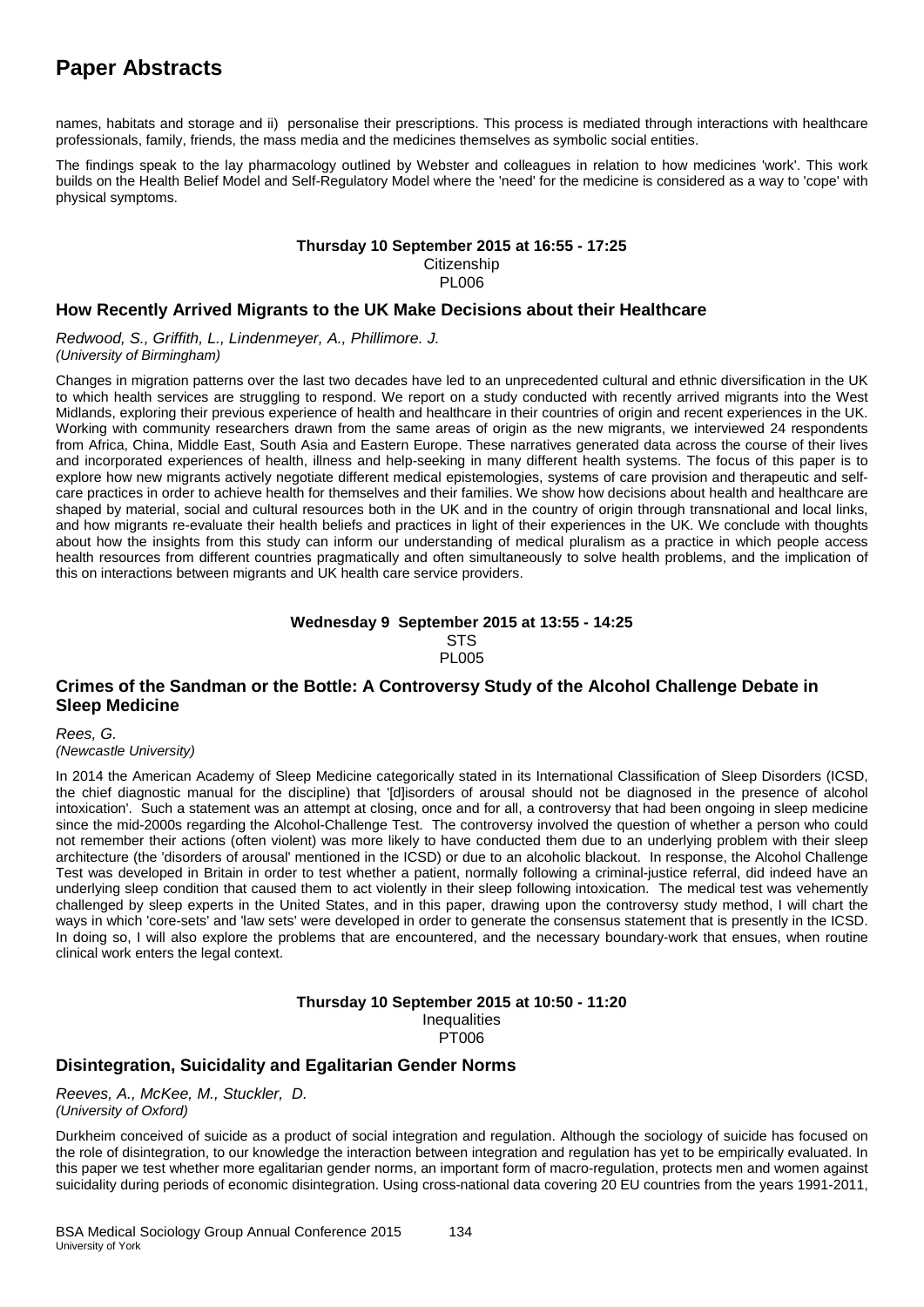names, habitats and storage and ii) personalise their prescriptions. This process is mediated through interactions with healthcare professionals, family, friends, the mass media and the medicines themselves as symbolic social entities.

The findings speak to the lay pharmacology outlined by Webster and colleagues in relation to how medicines 'work'. This work builds on the Health Belief Model and Self-Regulatory Model where the 'need' for the medicine is considered as a way to 'cope' with physical symptoms.

#### **Thursday 10 September 2015 at 16:55 - 17:25 Citizenship**

PL006

#### **How Recently Arrived Migrants to the UK Make Decisions about their Healthcare**

*Redwood, S., Griffith, L., Lindenmeyer, A., Phillimore. J. (University of Birmingham)*

Changes in migration patterns over the last two decades have led to an unprecedented cultural and ethnic diversification in the UK to which health services are struggling to respond. We report on a study conducted with recently arrived migrants into the West Midlands, exploring their previous experience of health and healthcare in their countries of origin and recent experiences in the UK. Working with community researchers drawn from the same areas of origin as the new migrants, we interviewed 24 respondents from Africa, China, Middle East, South Asia and Eastern Europe. These narratives generated data across the course of their lives and incorporated experiences of health, illness and help-seeking in many different health systems. The focus of this paper is to explore how new migrants actively negotiate different medical epistemologies, systems of care provision and therapeutic and selfcare practices in order to achieve health for themselves and their families. We show how decisions about health and healthcare are shaped by material, social and cultural resources both in the UK and in the country of origin through transnational and local links, and how migrants re-evaluate their health beliefs and practices in light of their experiences in the UK. We conclude with thoughts about how the insights from this study can inform our understanding of medical pluralism as a practice in which people access health resources from different countries pragmatically and often simultaneously to solve health problems, and the implication of this on interactions between migrants and UK health care service providers.

#### **Wednesday 9 September 2015 at 13:55 - 14:25 STS PL005**

### **Crimes of the Sandman or the Bottle: A Controversy Study of the Alcohol Challenge Debate in Sleep Medicine**

#### *Rees, G.*

*(Newcastle University)*

In 2014 the American Academy of Sleep Medicine categorically stated in its International Classification of Sleep Disorders (ICSD, the chief diagnostic manual for the discipline) that '[d]isorders of arousal should not be diagnosed in the presence of alcohol intoxication'. Such a statement was an attempt at closing, once and for all, a controversy that had been ongoing in sleep medicine since the mid-2000s regarding the Alcohol-Challenge Test. The controversy involved the question of whether a person who could not remember their actions (often violent) was more likely to have conducted them due to an underlying problem with their sleep architecture (the 'disorders of arousal' mentioned in the ICSD) or due to an alcoholic blackout. In response, the Alcohol Challenge Test was developed in Britain in order to test whether a patient, normally following a criminal-justice referral, did indeed have an underlying sleep condition that caused them to act violently in their sleep following intoxication. The medical test was vehemently challenged by sleep experts in the United States, and in this paper, drawing upon the controversy study method, I will chart the ways in which 'core-sets' and 'law sets' were developed in order to generate the consensus statement that is presently in the ICSD. In doing so, I will also explore the problems that are encountered, and the necessary boundary-work that ensues, when routine clinical work enters the legal context.

## **Thursday 10 September 2015 at 10:50 - 11:20**

**Inequalities** 

PT006

### **Disintegration, Suicidality and Egalitarian Gender Norms**

*Reeves, A., McKee, M., Stuckler, D. (University of Oxford)*

Durkheim conceived of suicide as a product of social integration and regulation. Although the sociology of suicide has focused on the role of disintegration, to our knowledge the interaction between integration and regulation has yet to be empirically evaluated. In this paper we test whether more egalitarian gender norms, an important form of macro-regulation, protects men and women against suicidality during periods of economic disintegration. Using cross-national data covering 20 EU countries from the years 1991-2011,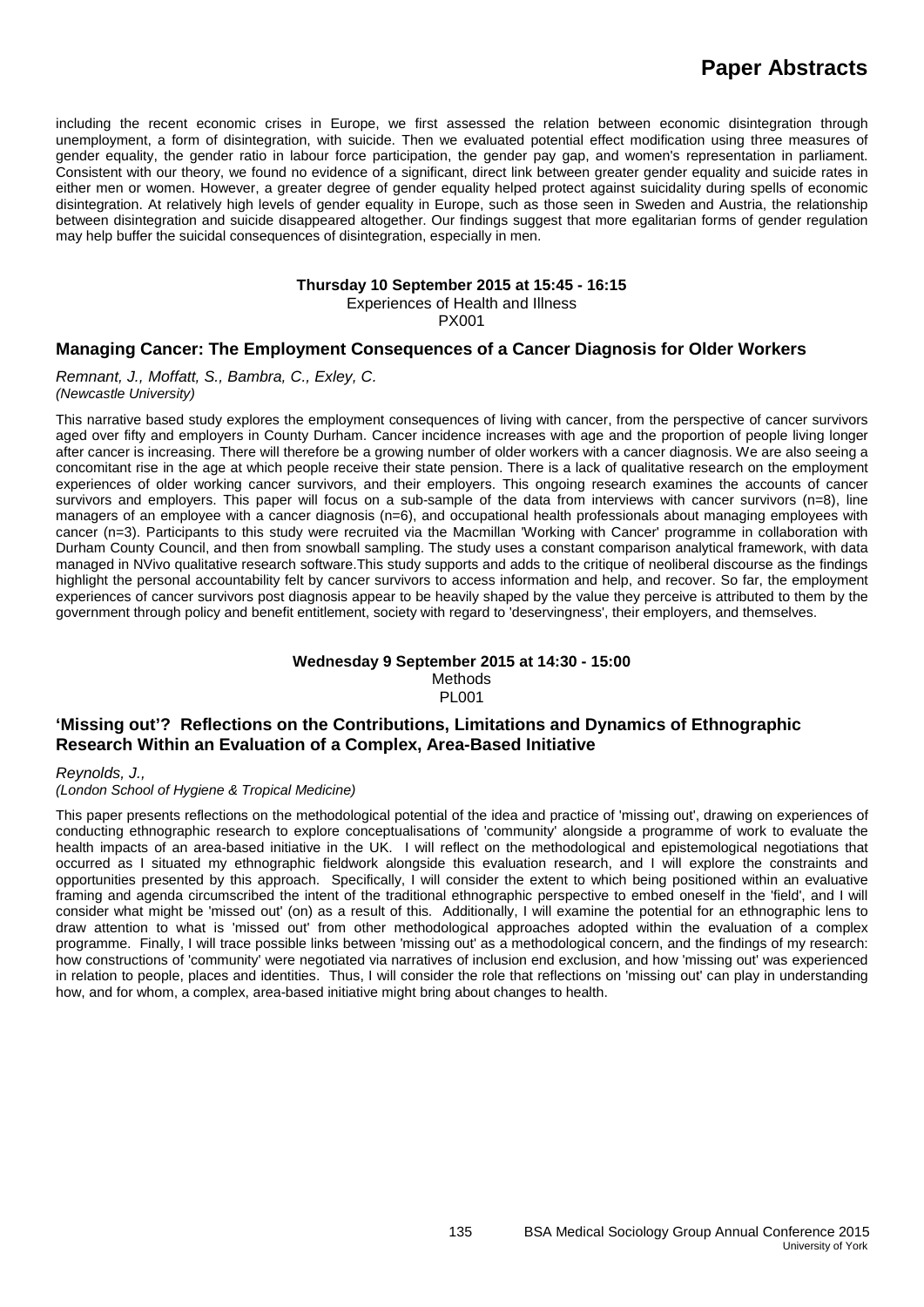including the recent economic crises in Europe, we first assessed the relation between economic disintegration through unemployment, a form of disintegration, with suicide. Then we evaluated potential effect modification using three measures of gender equality, the gender ratio in labour force participation, the gender pay gap, and women's representation in parliament. Consistent with our theory, we found no evidence of a significant, direct link between greater gender equality and suicide rates in either men or women. However, a greater degree of gender equality helped protect against suicidality during spells of economic disintegration. At relatively high levels of gender equality in Europe, such as those seen in Sweden and Austria, the relationship between disintegration and suicide disappeared altogether. Our findings suggest that more egalitarian forms of gender regulation may help buffer the suicidal consequences of disintegration, especially in men.

#### **Thursday 10 September 2015 at 15:45 - 16:15**

Experiences of Health and Illness

PX001

#### **Managing Cancer: The Employment Consequences of a Cancer Diagnosis for Older Workers**

*Remnant, J., Moffatt, S., Bambra, C., Exley, C. (Newcastle University)*

This narrative based study explores the employment consequences of living with cancer, from the perspective of cancer survivors aged over fifty and employers in County Durham. Cancer incidence increases with age and the proportion of people living longer after cancer is increasing. There will therefore be a growing number of older workers with a cancer diagnosis. We are also seeing a concomitant rise in the age at which people receive their state pension. There is a lack of qualitative research on the employment experiences of older working cancer survivors, and their employers. This ongoing research examines the accounts of cancer survivors and employers. This paper will focus on a sub-sample of the data from interviews with cancer survivors (n=8), line managers of an employee with a cancer diagnosis (n=6), and occupational health professionals about managing employees with cancer (n=3). Participants to this study were recruited via the Macmillan 'Working with Cancer' programme in collaboration with Durham County Council, and then from snowball sampling. The study uses a constant comparison analytical framework, with data managed in NVivo qualitative research software.This study supports and adds to the critique of neoliberal discourse as the findings highlight the personal accountability felt by cancer survivors to access information and help, and recover. So far, the employment experiences of cancer survivors post diagnosis appear to be heavily shaped by the value they perceive is attributed to them by the government through policy and benefit entitlement, society with regard to 'deservingness', their employers, and themselves.

#### **Wednesday 9 September 2015 at 14:30 - 15:00** Methods PL001

### **'Missing out'? Reflections on the Contributions, Limitations and Dynamics of Ethnographic Research Within an Evaluation of a Complex, Area-Based Initiative**

*Reynolds, J.,*

*(London School of Hygiene & Tropical Medicine)*

This paper presents reflections on the methodological potential of the idea and practice of 'missing out', drawing on experiences of conducting ethnographic research to explore conceptualisations of 'community' alongside a programme of work to evaluate the health impacts of an area-based initiative in the UK. I will reflect on the methodological and epistemological negotiations that occurred as I situated my ethnographic fieldwork alongside this evaluation research, and I will explore the constraints and opportunities presented by this approach. Specifically, I will consider the extent to which being positioned within an evaluative framing and agenda circumscribed the intent of the traditional ethnographic perspective to embed oneself in the 'field', and I will consider what might be 'missed out' (on) as a result of this. Additionally, I will examine the potential for an ethnographic lens to draw attention to what is 'missed out' from other methodological approaches adopted within the evaluation of a complex programme. Finally, I will trace possible links between 'missing out' as a methodological concern, and the findings of my research: how constructions of 'community' were negotiated via narratives of inclusion end exclusion, and how 'missing out' was experienced in relation to people, places and identities. Thus, I will consider the role that reflections on 'missing out' can play in understanding how, and for whom, a complex, area-based initiative might bring about changes to health.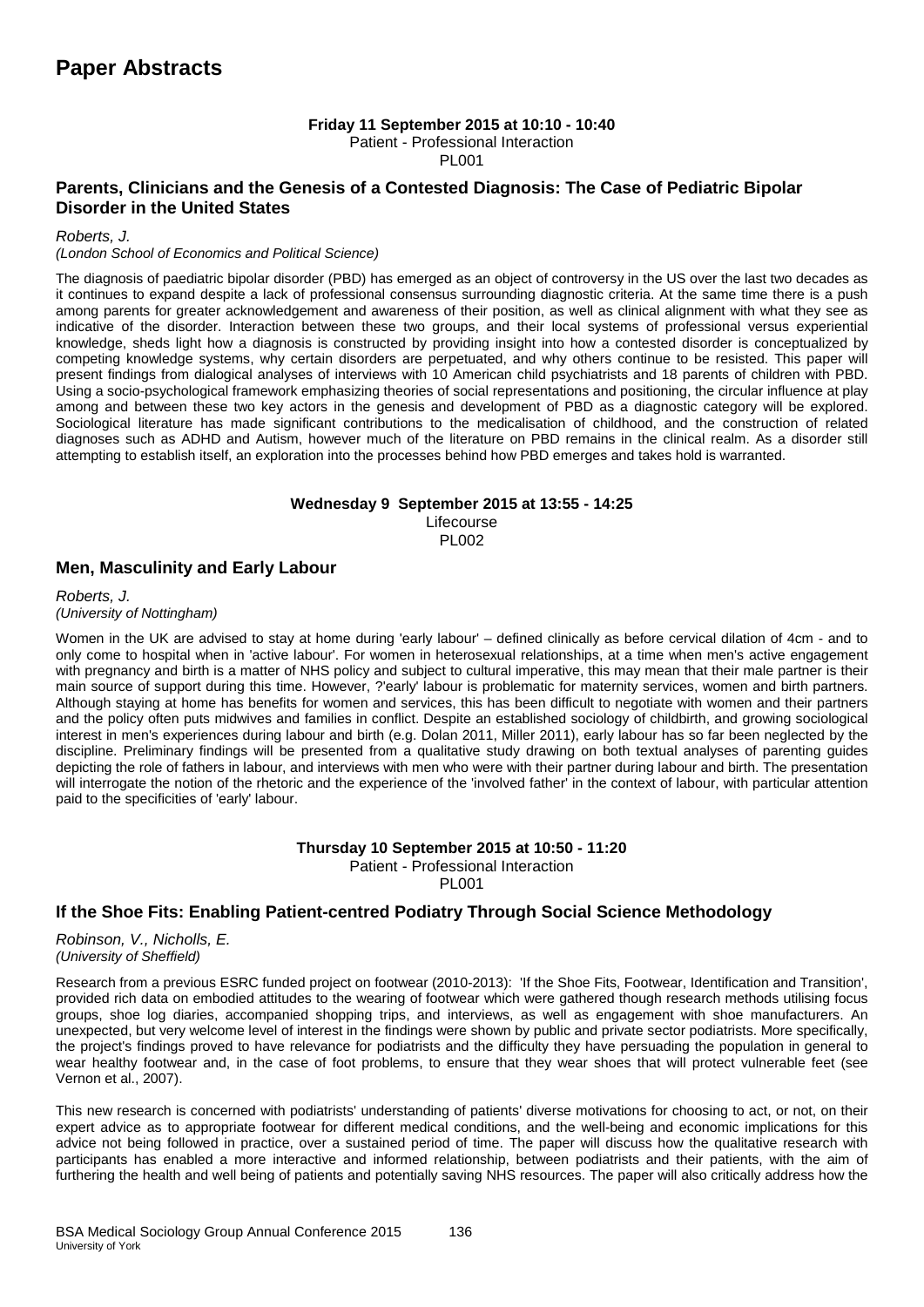### **Friday 11 September 2015 at 10:10 - 10:40**

Patient - Professional Interaction

PL001

### **Parents, Clinicians and the Genesis of a Contested Diagnosis: The Case of Pediatric Bipolar Disorder in the United States**

*Roberts, J.* 

#### *(London School of Economics and Political Science)*

The diagnosis of paediatric bipolar disorder (PBD) has emerged as an object of controversy in the US over the last two decades as it continues to expand despite a lack of professional consensus surrounding diagnostic criteria. At the same time there is a push among parents for greater acknowledgement and awareness of their position, as well as clinical alignment with what they see as indicative of the disorder. Interaction between these two groups, and their local systems of professional versus experiential knowledge, sheds light how a diagnosis is constructed by providing insight into how a contested disorder is conceptualized by competing knowledge systems, why certain disorders are perpetuated, and why others continue to be resisted. This paper will present findings from dialogical analyses of interviews with 10 American child psychiatrists and 18 parents of children with PBD. Using a socio-psychological framework emphasizing theories of social representations and positioning, the circular influence at play among and between these two key actors in the genesis and development of PBD as a diagnostic category will be explored. Sociological literature has made significant contributions to the medicalisation of childhood, and the construction of related diagnoses such as ADHD and Autism, however much of the literature on PBD remains in the clinical realm. As a disorder still attempting to establish itself, an exploration into the processes behind how PBD emerges and takes hold is warranted.

#### **Wednesday 9 September 2015 at 13:55 - 14:25** Lifecourse

PL002

### **Men, Masculinity and Early Labour**

*Roberts, J. (University of Nottingham)*

Women in the UK are advised to stay at home during 'early labour' – defined clinically as before cervical dilation of 4cm - and to only come to hospital when in 'active labour'. For women in heterosexual relationships, at a time when men's active engagement with pregnancy and birth is a matter of NHS policy and subject to cultural imperative, this may mean that their male partner is their main source of support during this time. However, ?'early' labour is problematic for maternity services, women and birth partners. Although staying at home has benefits for women and services, this has been difficult to negotiate with women and their partners and the policy often puts midwives and families in conflict. Despite an established sociology of childbirth, and growing sociological interest in men's experiences during labour and birth (e.g. Dolan 2011, Miller 2011), early labour has so far been neglected by the discipline. Preliminary findings will be presented from a qualitative study drawing on both textual analyses of parenting guides depicting the role of fathers in labour, and interviews with men who were with their partner during labour and birth. The presentation will interrogate the notion of the rhetoric and the experience of the 'involved father' in the context of labour, with particular attention paid to the specificities of 'early' labour.

> **Thursday 10 September 2015 at 10:50 - 11:20** Patient - Professional Interaction PL001

### **If the Shoe Fits: Enabling Patient-centred Podiatry Through Social Science Methodology**

*Robinson, V., Nicholls, E. (University of Sheffield)*

Research from a previous ESRC funded project on footwear (2010-2013): 'If the Shoe Fits, Footwear, Identification and Transition', provided rich data on embodied attitudes to the wearing of footwear which were gathered though research methods utilising focus groups, shoe log diaries, accompanied shopping trips, and interviews, as well as engagement with shoe manufacturers. An unexpected, but very welcome level of interest in the findings were shown by public and private sector podiatrists. More specifically, the project's findings proved to have relevance for podiatrists and the difficulty they have persuading the population in general to wear healthy footwear and, in the case of foot problems, to ensure that they wear shoes that will protect vulnerable feet (see Vernon et al., 2007).

This new research is concerned with podiatrists' understanding of patients' diverse motivations for choosing to act, or not, on their expert advice as to appropriate footwear for different medical conditions, and the well-being and economic implications for this advice not being followed in practice, over a sustained period of time. The paper will discuss how the qualitative research with participants has enabled a more interactive and informed relationship, between podiatrists and their patients, with the aim of furthering the health and well being of patients and potentially saving NHS resources. The paper will also critically address how the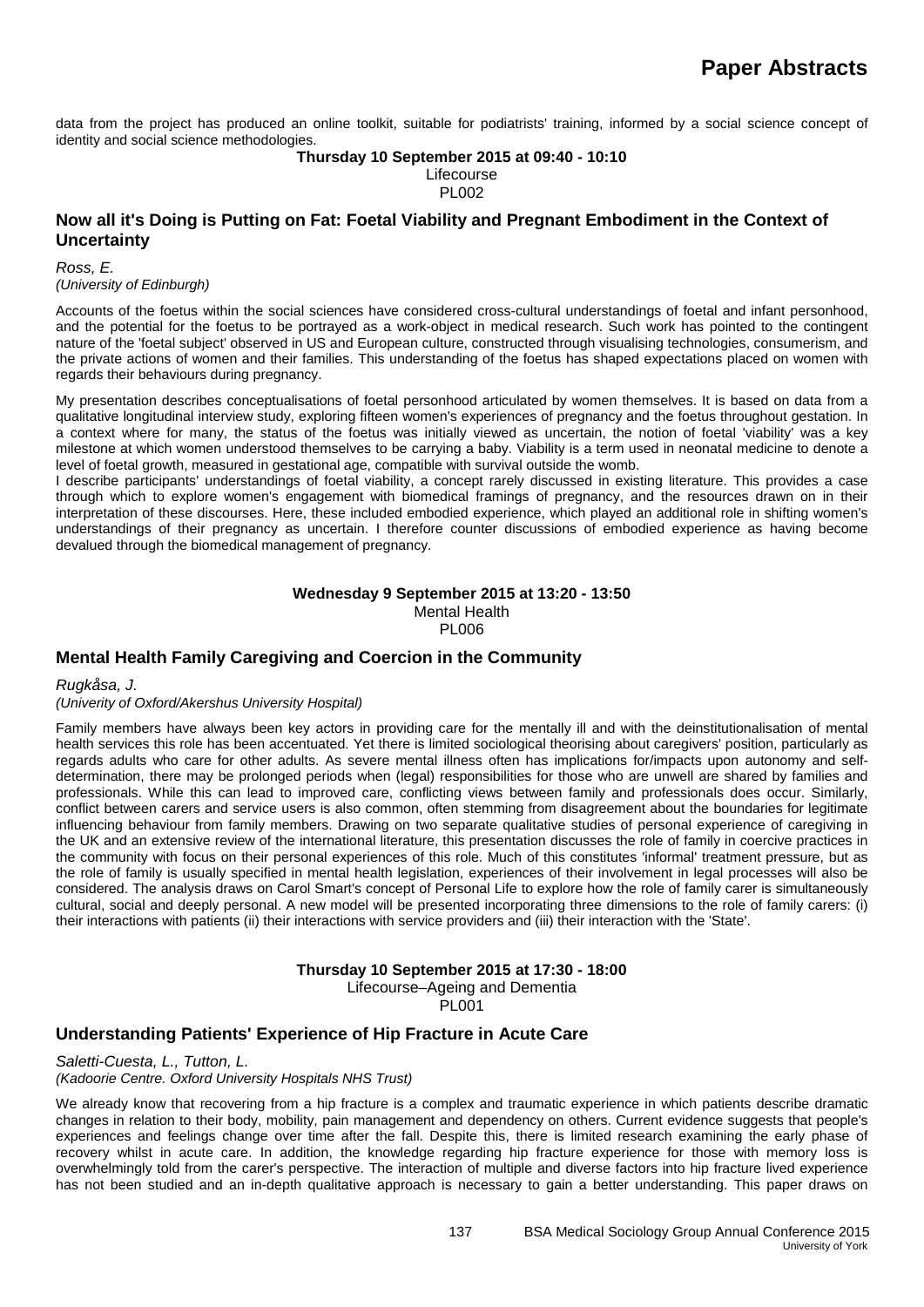data from the project has produced an online toolkit, suitable for podiatrists' training, informed by a social science concept of identity and social science methodologies.

#### **Thursday 10 September 2015 at 09:40 - 10:10** Lifecourse PL002

#### **Now all it's Doing is Putting on Fat: Foetal Viability and Pregnant Embodiment in the Context of Uncertainty**

*Ross, E. (University of Edinburgh)*

Accounts of the foetus within the social sciences have considered cross-cultural understandings of foetal and infant personhood, and the potential for the foetus to be portrayed as a work-object in medical research. Such work has pointed to the contingent nature of the 'foetal subject' observed in US and European culture, constructed through visualising technologies, consumerism, and the private actions of women and their families. This understanding of the foetus has shaped expectations placed on women with regards their behaviours during pregnancy.

My presentation describes conceptualisations of foetal personhood articulated by women themselves. It is based on data from a qualitative longitudinal interview study, exploring fifteen women's experiences of pregnancy and the foetus throughout gestation. In a context where for many, the status of the foetus was initially viewed as uncertain, the notion of foetal 'viability' was a key milestone at which women understood themselves to be carrying a baby. Viability is a term used in neonatal medicine to denote a level of foetal growth, measured in gestational age, compatible with survival outside the womb.

I describe participants' understandings of foetal viability, a concept rarely discussed in existing literature. This provides a case through which to explore women's engagement with biomedical framings of pregnancy, and the resources drawn on in their interpretation of these discourses. Here, these included embodied experience, which played an additional role in shifting women's understandings of their pregnancy as uncertain. I therefore counter discussions of embodied experience as having become devalued through the biomedical management of pregnancy.

#### **Wednesday 9 September 2015 at 13:20 - 13:50** Mental Health PL006

### **Mental Health Family Caregiving and Coercion in the Community**

*Rugkåsa, J.* 

*(Univerity of Oxford/Akershus University Hospital)*

Family members have always been key actors in providing care for the mentally ill and with the deinstitutionalisation of mental health services this role has been accentuated. Yet there is limited sociological theorising about caregivers' position, particularly as regards adults who care for other adults. As severe mental illness often has implications for/impacts upon autonomy and selfdetermination, there may be prolonged periods when (legal) responsibilities for those who are unwell are shared by families and professionals. While this can lead to improved care, conflicting views between family and professionals does occur. Similarly, conflict between carers and service users is also common, often stemming from disagreement about the boundaries for legitimate influencing behaviour from family members. Drawing on two separate qualitative studies of personal experience of caregiving in the UK and an extensive review of the international literature, this presentation discusses the role of family in coercive practices in the community with focus on their personal experiences of this role. Much of this constitutes 'informal' treatment pressure, but as the role of family is usually specified in mental health legislation, experiences of their involvement in legal processes will also be considered. The analysis draws on Carol Smart's concept of Personal Life to explore how the role of family carer is simultaneously cultural, social and deeply personal. A new model will be presented incorporating three dimensions to the role of family carers: (i) their interactions with patients (ii) their interactions with service providers and (iii) their interaction with the 'State'.

#### **Thursday 10 September 2015 at 17:30 - 18:00**

Lifecourse–Ageing and Dementia

PL001

### **Understanding Patients' Experience of Hip Fracture in Acute Care**

*Saletti-Cuesta, L., Tutton, L.*

*(Kadoorie Centre. Oxford University Hospitals NHS Trust)*

We already know that recovering from a hip fracture is a complex and traumatic experience in which patients describe dramatic changes in relation to their body, mobility, pain management and dependency on others. Current evidence suggests that people's experiences and feelings change over time after the fall. Despite this, there is limited research examining the early phase of recovery whilst in acute care. In addition, the knowledge regarding hip fracture experience for those with memory loss is overwhelmingly told from the carer's perspective. The interaction of multiple and diverse factors into hip fracture lived experience has not been studied and an in-depth qualitative approach is necessary to gain a better understanding. This paper draws on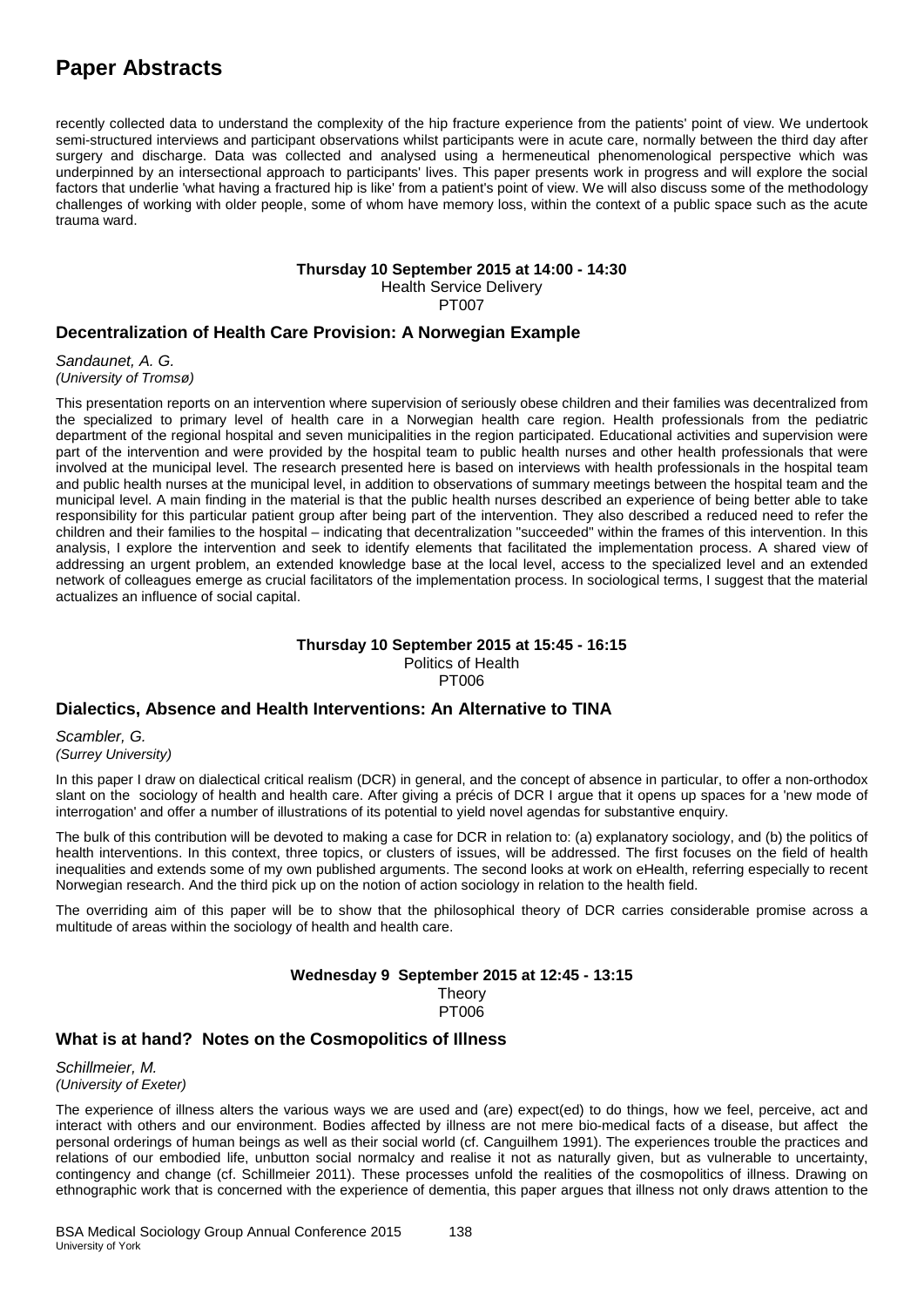recently collected data to understand the complexity of the hip fracture experience from the patients' point of view. We undertook semi-structured interviews and participant observations whilst participants were in acute care, normally between the third day after surgery and discharge. Data was collected and analysed using a hermeneutical phenomenological perspective which was underpinned by an intersectional approach to participants' lives. This paper presents work in progress and will explore the social factors that underlie 'what having a fractured hip is like' from a patient's point of view. We will also discuss some of the methodology challenges of working with older people, some of whom have memory loss, within the context of a public space such as the acute trauma ward.

#### **Thursday 10 September 2015 at 14:00 - 14:30**

Health Service Delivery PT007

### **Decentralization of Health Care Provision: A Norwegian Example**

*Sandaunet, A. G. (University of Tromsø)*

This presentation reports on an intervention where supervision of seriously obese children and their families was decentralized from the specialized to primary level of health care in a Norwegian health care region. Health professionals from the pediatric department of the regional hospital and seven municipalities in the region participated. Educational activities and supervision were part of the intervention and were provided by the hospital team to public health nurses and other health professionals that were involved at the municipal level. The research presented here is based on interviews with health professionals in the hospital team and public health nurses at the municipal level, in addition to observations of summary meetings between the hospital team and the municipal level. A main finding in the material is that the public health nurses described an experience of being better able to take responsibility for this particular patient group after being part of the intervention. They also described a reduced need to refer the children and their families to the hospital – indicating that decentralization "succeeded" within the frames of this intervention. In this analysis, I explore the intervention and seek to identify elements that facilitated the implementation process. A shared view of addressing an urgent problem, an extended knowledge base at the local level, access to the specialized level and an extended network of colleagues emerge as crucial facilitators of the implementation process. In sociological terms, I suggest that the material actualizes an influence of social capital.

### **Thursday 10 September 2015 at 15:45 - 16:15**

Politics of Health PT006

### **Dialectics, Absence and Health Interventions: An Alternative to TINA**

*Scambler, G. (Surrey University)*

In this paper I draw on dialectical critical realism (DCR) in general, and the concept of absence in particular, to offer a non-orthodox slant on the sociology of health and health care. After giving a précis of DCR I argue that it opens up spaces for a 'new mode of interrogation' and offer a number of illustrations of its potential to yield novel agendas for substantive enquiry.

The bulk of this contribution will be devoted to making a case for DCR in relation to: (a) explanatory sociology, and (b) the politics of health interventions. In this context, three topics, or clusters of issues, will be addressed. The first focuses on the field of health inequalities and extends some of my own published arguments. The second looks at work on eHealth, referring especially to recent Norwegian research. And the third pick up on the notion of action sociology in relation to the health field.

The overriding aim of this paper will be to show that the philosophical theory of DCR carries considerable promise across a multitude of areas within the sociology of health and health care.

### **Wednesday 9 September 2015 at 12:45 - 13:15**

**Theory** PT006

### **What is at hand? Notes on the Cosmopolitics of Illness**

*Schillmeier, M. (University of Exeter)*

The experience of illness alters the various ways we are used and (are) expect(ed) to do things, how we feel, perceive, act and interact with others and our environment. Bodies affected by illness are not mere bio-medical facts of a disease, but affect the personal orderings of human beings as well as their social world (cf. Canguilhem 1991). The experiences trouble the practices and relations of our embodied life, unbutton social normalcy and realise it not as naturally given, but as vulnerable to uncertainty, contingency and change (cf. Schillmeier 2011). These processes unfold the realities of the cosmopolitics of illness. Drawing on ethnographic work that is concerned with the experience of dementia, this paper argues that illness not only draws attention to the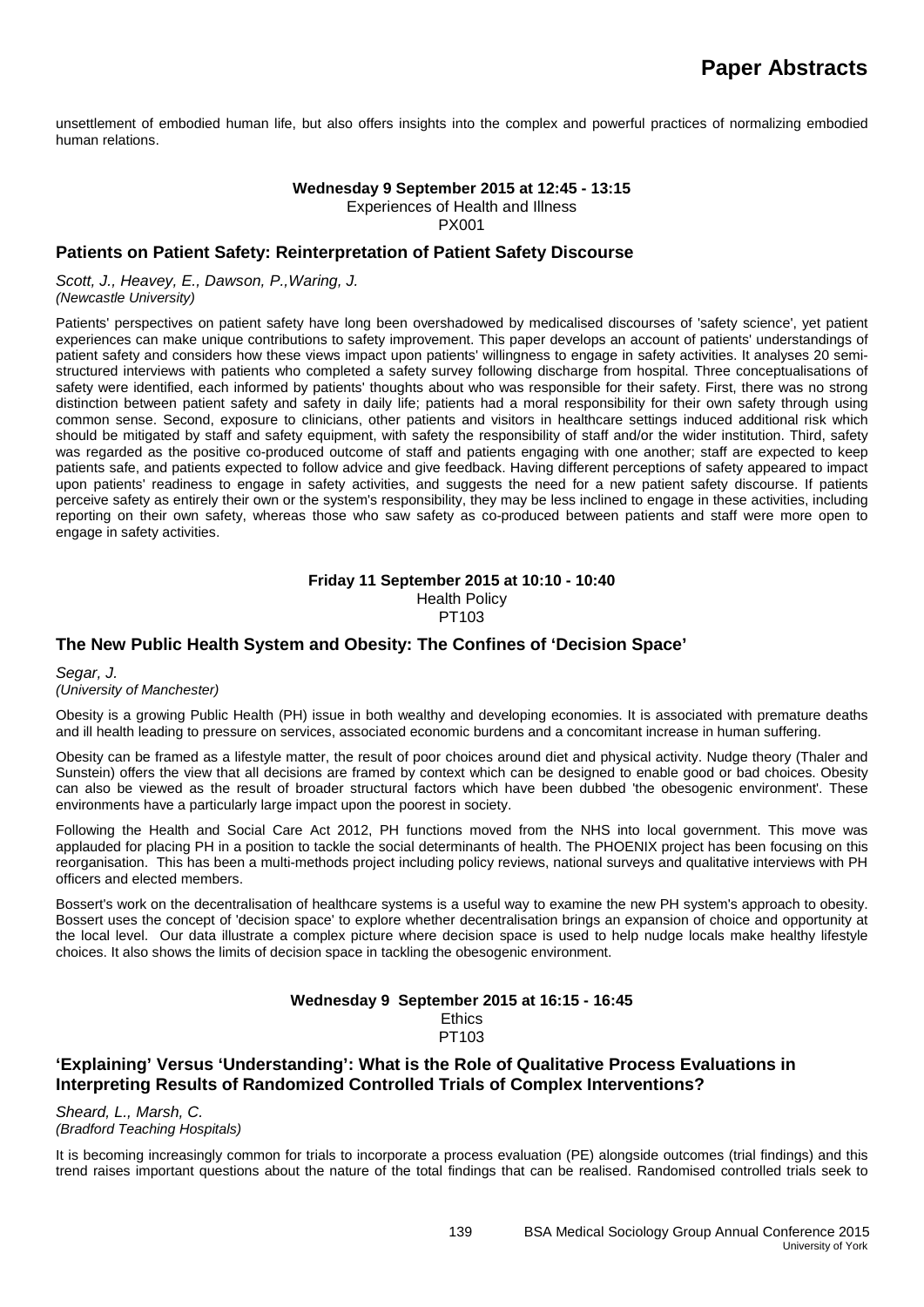unsettlement of embodied human life, but also offers insights into the complex and powerful practices of normalizing embodied human relations.

#### **Wednesday 9 September 2015 at 12:45 - 13:15**

Experiences of Health and Illness

PX001

#### **Patients on Patient Safety: Reinterpretation of Patient Safety Discourse**

*Scott, J., Heavey, E., Dawson, P.,Waring, J. (Newcastle University)*

Patients' perspectives on patient safety have long been overshadowed by medicalised discourses of 'safety science', yet patient experiences can make unique contributions to safety improvement. This paper develops an account of patients' understandings of patient safety and considers how these views impact upon patients' willingness to engage in safety activities. It analyses 20 semistructured interviews with patients who completed a safety survey following discharge from hospital. Three conceptualisations of safety were identified, each informed by patients' thoughts about who was responsible for their safety. First, there was no strong distinction between patient safety and safety in daily life; patients had a moral responsibility for their own safety through using common sense. Second, exposure to clinicians, other patients and visitors in healthcare settings induced additional risk which should be mitigated by staff and safety equipment, with safety the responsibility of staff and/or the wider institution. Third, safety was regarded as the positive co-produced outcome of staff and patients engaging with one another; staff are expected to keep patients safe, and patients expected to follow advice and give feedback. Having different perceptions of safety appeared to impact upon patients' readiness to engage in safety activities, and suggests the need for a new patient safety discourse. If patients perceive safety as entirely their own or the system's responsibility, they may be less inclined to engage in these activities, including reporting on their own safety, whereas those who saw safety as co-produced between patients and staff were more open to engage in safety activities.

#### **Friday 11 September 2015 at 10:10 - 10:40** Health Policy PT103

#### **The New Public Health System and Obesity: The Confines of 'Decision Space'**

#### *Segar, J. (University of Manchester)*

Obesity is a growing Public Health (PH) issue in both wealthy and developing economies. It is associated with premature deaths and ill health leading to pressure on services, associated economic burdens and a concomitant increase in human suffering.

Obesity can be framed as a lifestyle matter, the result of poor choices around diet and physical activity. Nudge theory (Thaler and Sunstein) offers the view that all decisions are framed by context which can be designed to enable good or bad choices. Obesity can also be viewed as the result of broader structural factors which have been dubbed 'the obesogenic environment'. These environments have a particularly large impact upon the poorest in society.

Following the Health and Social Care Act 2012, PH functions moved from the NHS into local government. This move was applauded for placing PH in a position to tackle the social determinants of health. The PHOENIX project has been focusing on this reorganisation. This has been a multi-methods project including policy reviews, national surveys and qualitative interviews with PH officers and elected members.

Bossert's work on the decentralisation of healthcare systems is a useful way to examine the new PH system's approach to obesity. Bossert uses the concept of 'decision space' to explore whether decentralisation brings an expansion of choice and opportunity at the local level. Our data illustrate a complex picture where decision space is used to help nudge locals make healthy lifestyle choices. It also shows the limits of decision space in tackling the obesogenic environment.

#### **Wednesday 9 September 2015 at 16:15 - 16:45 Ethics** PT103

### **'Explaining' Versus 'Understanding': What is the Role of Qualitative Process Evaluations in Interpreting Results of Randomized Controlled Trials of Complex Interventions?**

*Sheard, L., Marsh, C. (Bradford Teaching Hospitals)*

It is becoming increasingly common for trials to incorporate a process evaluation (PE) alongside outcomes (trial findings) and this trend raises important questions about the nature of the total findings that can be realised. Randomised controlled trials seek to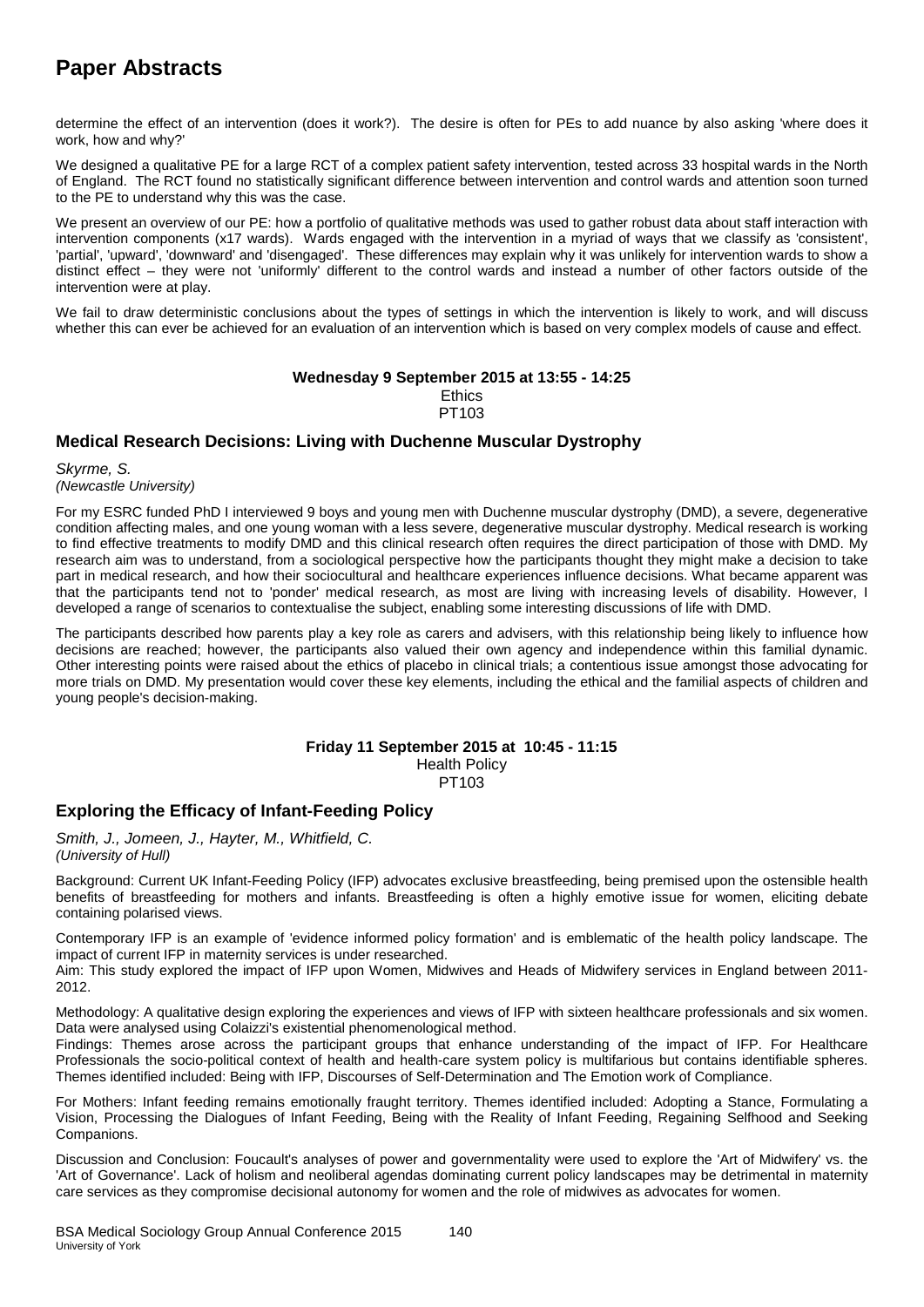determine the effect of an intervention (does it work?). The desire is often for PEs to add nuance by also asking 'where does it work, how and why?'

We designed a qualitative PE for a large RCT of a complex patient safety intervention, tested across 33 hospital wards in the North of England. The RCT found no statistically significant difference between intervention and control wards and attention soon turned to the PE to understand why this was the case.

We present an overview of our PE: how a portfolio of qualitative methods was used to gather robust data about staff interaction with intervention components (x17 wards). Wards engaged with the intervention in a myriad of ways that we classify as 'consistent', 'partial', 'upward', 'downward' and 'disengaged'. These differences may explain why it was unlikely for intervention wards to show a distinct effect – they were not 'uniformly' different to the control wards and instead a number of other factors outside of the intervention were at play.

We fail to draw deterministic conclusions about the types of settings in which the intervention is likely to work, and will discuss whether this can ever be achieved for an evaluation of an intervention which is based on very complex models of cause and effect.

#### **Wednesday 9 September 2015 at 13:55 - 14:25**

**Ethics** PT103

### **Medical Research Decisions: Living with Duchenne Muscular Dystrophy**

*Skyrme, S. (Newcastle University)*

For my ESRC funded PhD I interviewed 9 boys and young men with Duchenne muscular dystrophy (DMD), a severe, degenerative condition affecting males, and one young woman with a less severe, degenerative muscular dystrophy. Medical research is working to find effective treatments to modify DMD and this clinical research often requires the direct participation of those with DMD. My research aim was to understand, from a sociological perspective how the participants thought they might make a decision to take part in medical research, and how their sociocultural and healthcare experiences influence decisions. What became apparent was that the participants tend not to 'ponder' medical research, as most are living with increasing levels of disability. However, I developed a range of scenarios to contextualise the subject, enabling some interesting discussions of life with DMD.

The participants described how parents play a key role as carers and advisers, with this relationship being likely to influence how decisions are reached; however, the participants also valued their own agency and independence within this familial dynamic. Other interesting points were raised about the ethics of placebo in clinical trials; a contentious issue amongst those advocating for more trials on DMD. My presentation would cover these key elements, including the ethical and the familial aspects of children and young people's decision-making.

#### **Friday 11 September 2015 at 10:45 - 11:15** Health Policy PT103

### **Exploring the Efficacy of Infant-Feeding Policy**

*Smith, J., Jomeen, J., Hayter, M., Whitfield, C. (University of Hull)*

Background: Current UK Infant-Feeding Policy (IFP) advocates exclusive breastfeeding, being premised upon the ostensible health benefits of breastfeeding for mothers and infants. Breastfeeding is often a highly emotive issue for women, eliciting debate containing polarised views.

Contemporary IFP is an example of 'evidence informed policy formation' and is emblematic of the health policy landscape. The impact of current IFP in maternity services is under researched.

Aim: This study explored the impact of IFP upon Women, Midwives and Heads of Midwifery services in England between 2011- 2012.

Methodology: A qualitative design exploring the experiences and views of IFP with sixteen healthcare professionals and six women. Data were analysed using Colaizzi's existential phenomenological method.

Findings: Themes arose across the participant groups that enhance understanding of the impact of IFP. For Healthcare Professionals the socio-political context of health and health-care system policy is multifarious but contains identifiable spheres. Themes identified included: Being with IFP, Discourses of Self-Determination and The Emotion work of Compliance.

For Mothers: Infant feeding remains emotionally fraught territory. Themes identified included: Adopting a Stance, Formulating a Vision, Processing the Dialogues of Infant Feeding, Being with the Reality of Infant Feeding, Regaining Selfhood and Seeking Companions.

Discussion and Conclusion: Foucault's analyses of power and governmentality were used to explore the 'Art of Midwifery' vs. the 'Art of Governance'. Lack of holism and neoliberal agendas dominating current policy landscapes may be detrimental in maternity care services as they compromise decisional autonomy for women and the role of midwives as advocates for women.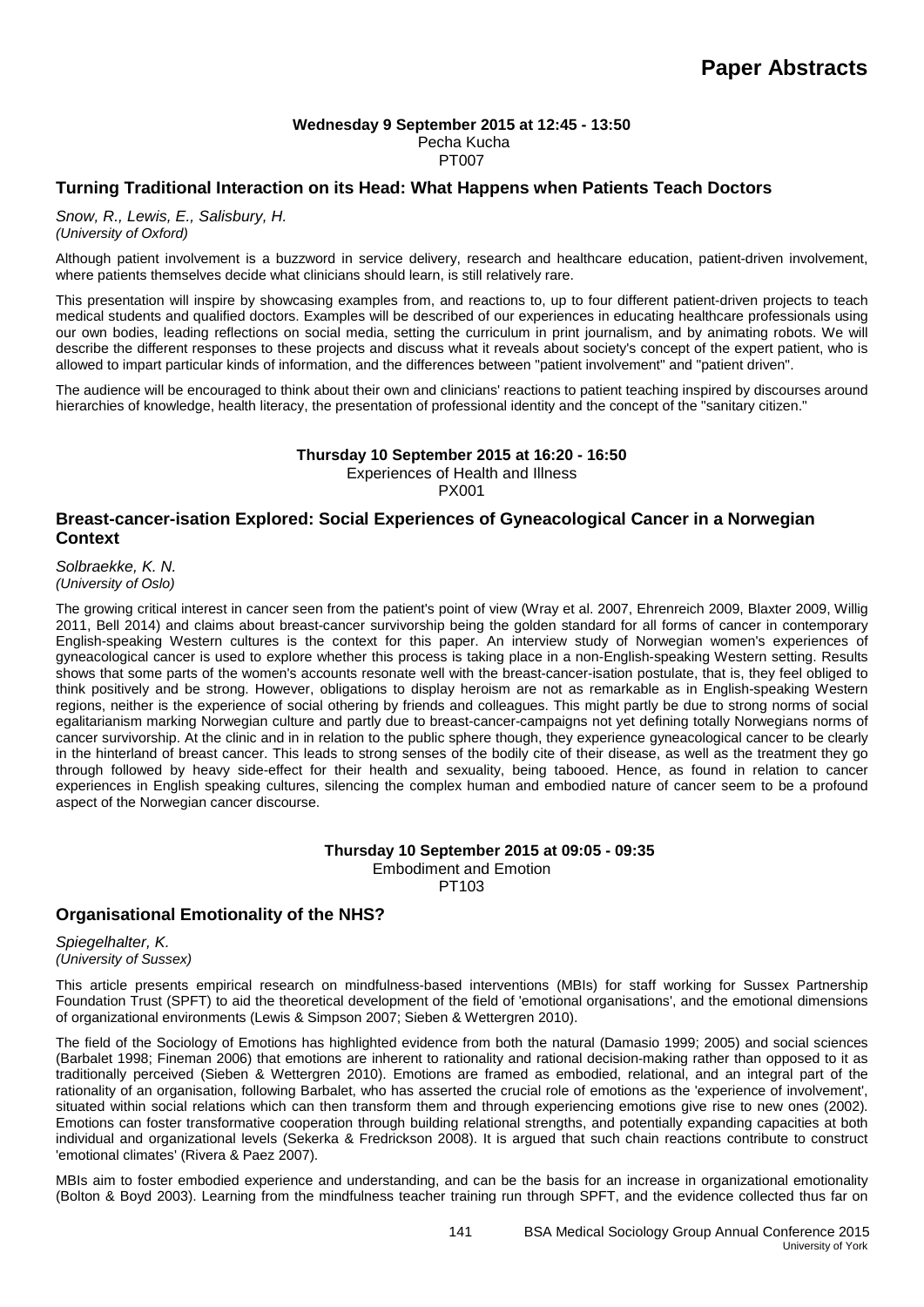#### **Wednesday 9 September 2015 at 12:45 - 13:50** Pecha Kucha PT007

### **Turning Traditional Interaction on its Head: What Happens when Patients Teach Doctors**

*Snow, R., Lewis, E., Salisbury, H. (University of Oxford)*

Although patient involvement is a buzzword in service delivery, research and healthcare education, patient-driven involvement, where patients themselves decide what clinicians should learn, is still relatively rare.

This presentation will inspire by showcasing examples from, and reactions to, up to four different patient-driven projects to teach medical students and qualified doctors. Examples will be described of our experiences in educating healthcare professionals using our own bodies, leading reflections on social media, setting the curriculum in print journalism, and by animating robots. We will describe the different responses to these projects and discuss what it reveals about society's concept of the expert patient, who is allowed to impart particular kinds of information, and the differences between "patient involvement" and "patient driven".

The audience will be encouraged to think about their own and clinicians' reactions to patient teaching inspired by discourses around hierarchies of knowledge, health literacy, the presentation of professional identity and the concept of the "sanitary citizen."

#### **Thursday 10 September 2015 at 16:20 - 16:50**

Experiences of Health and Illness

PX001

#### **Breast-cancer-isation Explored: Social Experiences of Gyneacological Cancer in a Norwegian Context**

*Solbraekke, K. N. (University of Oslo)*

The growing critical interest in cancer seen from the patient's point of view (Wray et al. 2007, Ehrenreich 2009, Blaxter 2009, Willig 2011, Bell 2014) and claims about breast-cancer survivorship being the golden standard for all forms of cancer in contemporary English-speaking Western cultures is the context for this paper. An interview study of Norwegian women's experiences of gyneacological cancer is used to explore whether this process is taking place in a non-English-speaking Western setting. Results shows that some parts of the women's accounts resonate well with the breast-cancer-isation postulate, that is, they feel obliged to think positively and be strong. However, obligations to display heroism are not as remarkable as in English-speaking Western regions, neither is the experience of social othering by friends and colleagues. This might partly be due to strong norms of social egalitarianism marking Norwegian culture and partly due to breast-cancer-campaigns not yet defining totally Norwegians norms of cancer survivorship. At the clinic and in in relation to the public sphere though, they experience gyneacological cancer to be clearly in the hinterland of breast cancer. This leads to strong senses of the bodily cite of their disease, as well as the treatment they go through followed by heavy side-effect for their health and sexuality, being tabooed. Hence, as found in relation to cancer experiences in English speaking cultures, silencing the complex human and embodied nature of cancer seem to be a profound aspect of the Norwegian cancer discourse.

> **Thursday 10 September 2015 at 09:05 - 09:35** Embodiment and Emotion PT103

### **Organisational Emotionality of the NHS?**

*Spiegelhalter, K. (University of Sussex)*

This article presents empirical research on mindfulness-based interventions (MBIs) for staff working for Sussex Partnership Foundation Trust (SPFT) to aid the theoretical development of the field of 'emotional organisations', and the emotional dimensions of organizational environments (Lewis & Simpson 2007; Sieben & Wettergren 2010).

The field of the Sociology of Emotions has highlighted evidence from both the natural (Damasio 1999; 2005) and social sciences (Barbalet 1998; Fineman 2006) that emotions are inherent to rationality and rational decision-making rather than opposed to it as traditionally perceived (Sieben & Wettergren 2010). Emotions are framed as embodied, relational, and an integral part of the rationality of an organisation, following Barbalet, who has asserted the crucial role of emotions as the 'experience of involvement', situated within social relations which can then transform them and through experiencing emotions give rise to new ones (2002). Emotions can foster transformative cooperation through building relational strengths, and potentially expanding capacities at both individual and organizational levels (Sekerka & Fredrickson 2008). It is argued that such chain reactions contribute to construct 'emotional climates' (Rivera & Paez 2007).

MBIs aim to foster embodied experience and understanding, and can be the basis for an increase in organizational emotionality (Bolton & Boyd 2003). Learning from the mindfulness teacher training run through SPFT, and the evidence collected thus far on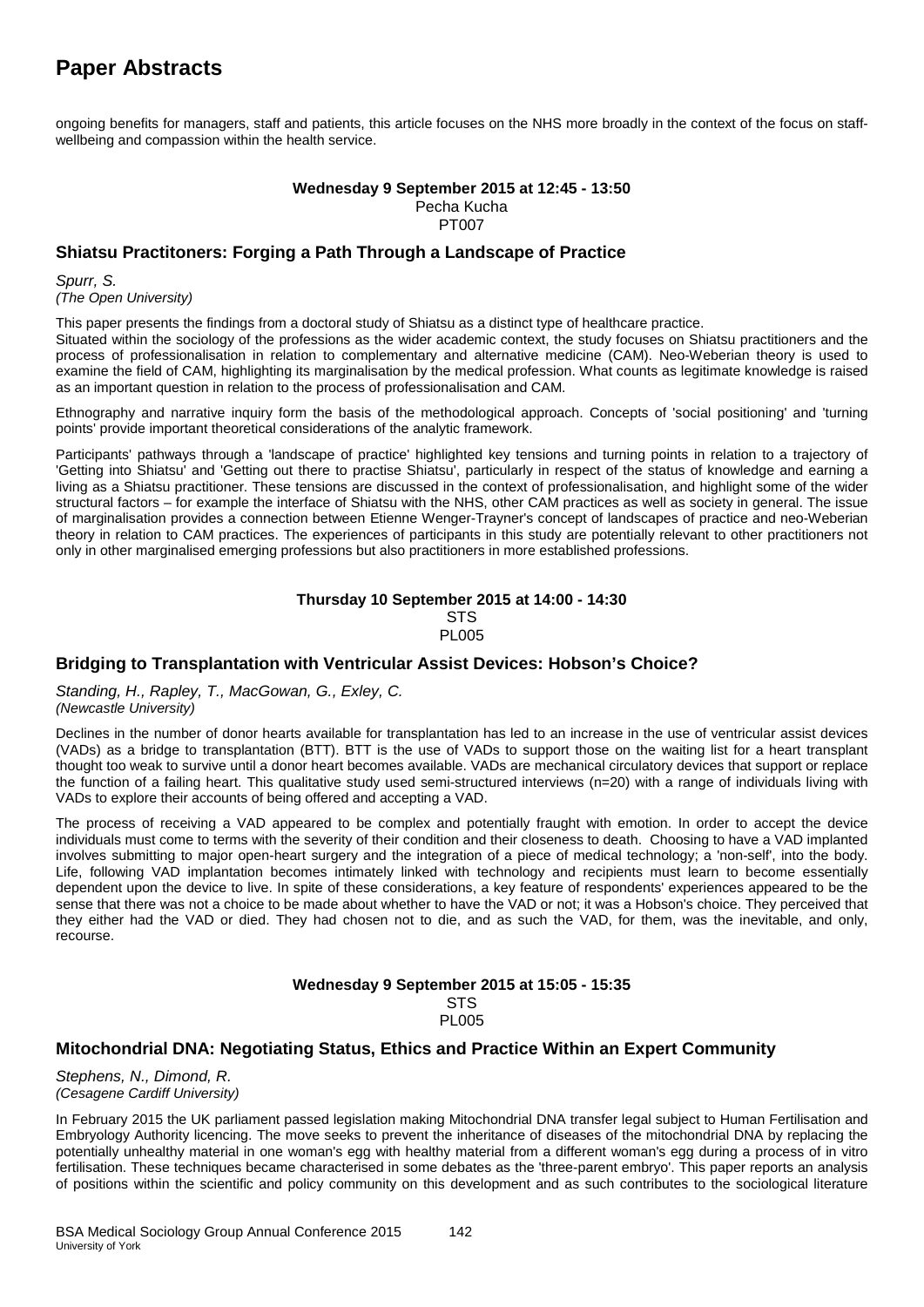ongoing benefits for managers, staff and patients, this article focuses on the NHS more broadly in the context of the focus on staffwellbeing and compassion within the health service.

#### **Wednesday 9 September 2015 at 12:45 - 13:50** Pecha Kucha PT007

### **Shiatsu Practitoners: Forging a Path Through a Landscape of Practice**

*Spurr, S. (The Open University)*

This paper presents the findings from a doctoral study of Shiatsu as a distinct type of healthcare practice.

Situated within the sociology of the professions as the wider academic context, the study focuses on Shiatsu practitioners and the process of professionalisation in relation to complementary and alternative medicine (CAM). Neo-Weberian theory is used to examine the field of CAM, highlighting its marginalisation by the medical profession. What counts as legitimate knowledge is raised as an important question in relation to the process of professionalisation and CAM.

Ethnography and narrative inquiry form the basis of the methodological approach. Concepts of 'social positioning' and 'turning points' provide important theoretical considerations of the analytic framework.

Participants' pathways through a 'landscape of practice' highlighted key tensions and turning points in relation to a trajectory of 'Getting into Shiatsu' and 'Getting out there to practise Shiatsu', particularly in respect of the status of knowledge and earning a living as a Shiatsu practitioner. These tensions are discussed in the context of professionalisation, and highlight some of the wider structural factors – for example the interface of Shiatsu with the NHS, other CAM practices as well as society in general. The issue of marginalisation provides a connection between Etienne Wenger-Trayner's concept of landscapes of practice and neo-Weberian theory in relation to CAM practices. The experiences of participants in this study are potentially relevant to other practitioners not only in other marginalised emerging professions but also practitioners in more established professions.

#### **Thursday 10 September 2015 at 14:00 - 14:30** STS PL005

### **Bridging to Transplantation with Ventricular Assist Devices: Hobson's Choice?**

*Standing, H., Rapley, T., MacGowan, G., Exley, C. (Newcastle University)*

Declines in the number of donor hearts available for transplantation has led to an increase in the use of ventricular assist devices (VADs) as a bridge to transplantation (BTT). BTT is the use of VADs to support those on the waiting list for a heart transplant thought too weak to survive until a donor heart becomes available. VADs are mechanical circulatory devices that support or replace the function of a failing heart. This qualitative study used semi-structured interviews (n=20) with a range of individuals living with VADs to explore their accounts of being offered and accepting a VAD.

The process of receiving a VAD appeared to be complex and potentially fraught with emotion. In order to accept the device individuals must come to terms with the severity of their condition and their closeness to death. Choosing to have a VAD implanted involves submitting to major open-heart surgery and the integration of a piece of medical technology; a 'non-self', into the body. Life, following VAD implantation becomes intimately linked with technology and recipients must learn to become essentially dependent upon the device to live. In spite of these considerations, a key feature of respondents' experiences appeared to be the sense that there was not a choice to be made about whether to have the VAD or not; it was a Hobson's choice. They perceived that they either had the VAD or died. They had chosen not to die, and as such the VAD, for them, was the inevitable, and only, recourse.

#### **Wednesday 9 September 2015 at 15:05 - 15:35 STS PL005**

### **Mitochondrial DNA: Negotiating Status, Ethics and Practice Within an Expert Community**

*Stephens, N., Dimond, R. (Cesagene Cardiff University)*

In February 2015 the UK parliament passed legislation making Mitochondrial DNA transfer legal subject to Human Fertilisation and Embryology Authority licencing. The move seeks to prevent the inheritance of diseases of the mitochondrial DNA by replacing the potentially unhealthy material in one woman's egg with healthy material from a different woman's egg during a process of in vitro fertilisation. These techniques became characterised in some debates as the 'three-parent embryo'. This paper reports an analysis of positions within the scientific and policy community on this development and as such contributes to the sociological literature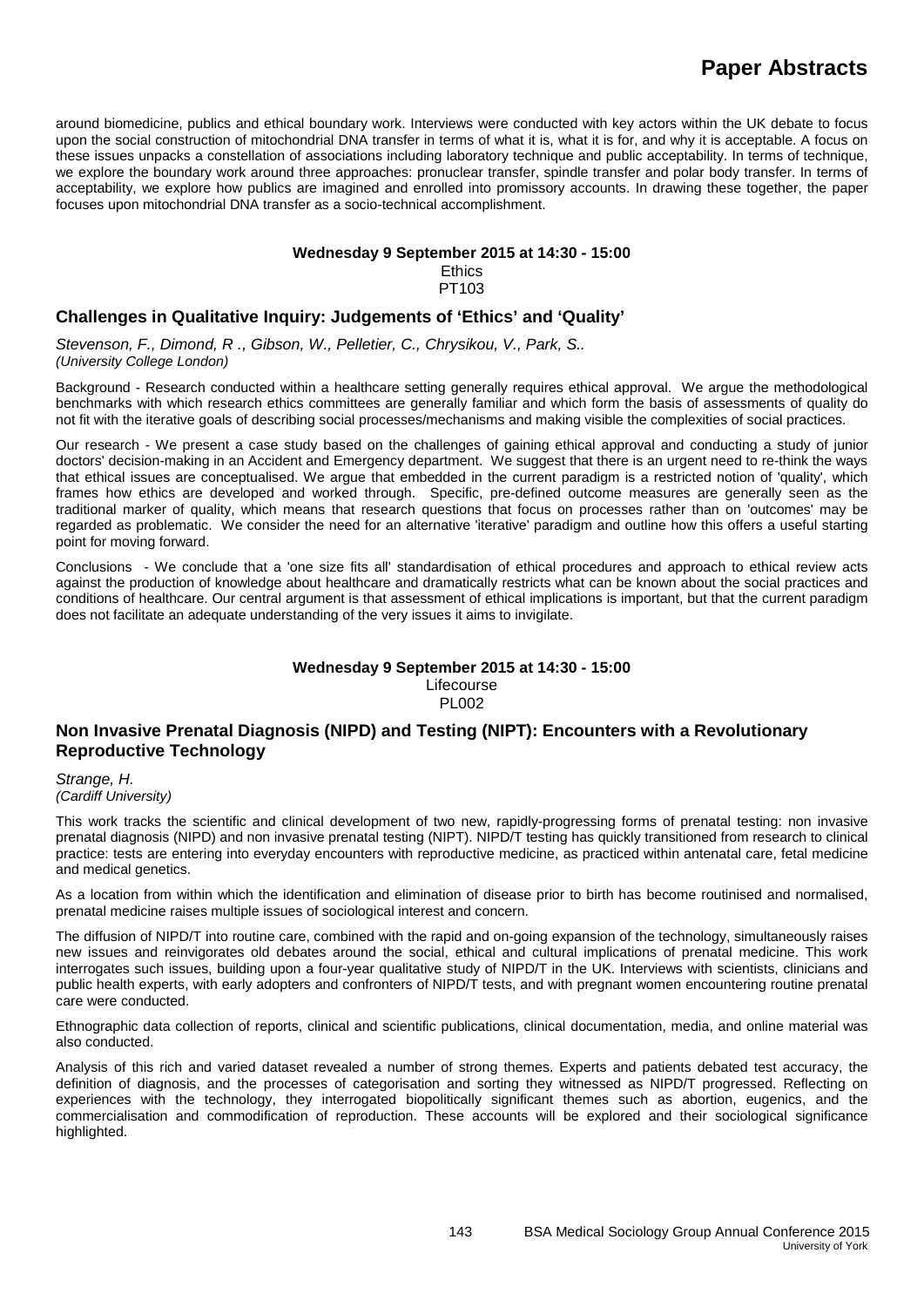around biomedicine, publics and ethical boundary work. Interviews were conducted with key actors within the UK debate to focus upon the social construction of mitochondrial DNA transfer in terms of what it is, what it is for, and why it is acceptable. A focus on these issues unpacks a constellation of associations including laboratory technique and public acceptability. In terms of technique, we explore the boundary work around three approaches: pronuclear transfer, spindle transfer and polar body transfer. In terms of acceptability, we explore how publics are imagined and enrolled into promissory accounts. In drawing these together, the paper focuses upon mitochondrial DNA transfer as a socio-technical accomplishment.

#### **Wednesday 9 September 2015 at 14:30 - 15:00**

**Ethics** PT103

### **Challenges in Qualitative Inquiry: Judgements of 'Ethics' and 'Quality'**

*Stevenson, F., Dimond, R ., Gibson, W., Pelletier, C., Chrysikou, V., Park, S.. (University College London)*

Background - Research conducted within a healthcare setting generally requires ethical approval. We argue the methodological benchmarks with which research ethics committees are generally familiar and which form the basis of assessments of quality do not fit with the iterative goals of describing social processes/mechanisms and making visible the complexities of social practices.

Our research - We present a case study based on the challenges of gaining ethical approval and conducting a study of junior doctors' decision-making in an Accident and Emergency department. We suggest that there is an urgent need to re-think the ways that ethical issues are conceptualised. We argue that embedded in the current paradigm is a restricted notion of 'quality', which frames how ethics are developed and worked through. Specific, pre-defined outcome measures are generally seen as the traditional marker of quality, which means that research questions that focus on processes rather than on 'outcomes' may be regarded as problematic. We consider the need for an alternative 'iterative' paradigm and outline how this offers a useful starting point for moving forward.

Conclusions - We conclude that a 'one size fits all' standardisation of ethical procedures and approach to ethical review acts against the production of knowledge about healthcare and dramatically restricts what can be known about the social practices and conditions of healthcare. Our central argument is that assessment of ethical implications is important, but that the current paradigm does not facilitate an adequate understanding of the very issues it aims to invigilate.

### **Wednesday 9 September 2015 at 14:30 - 15:00**

Lifecourse PL002

### **Non Invasive Prenatal Diagnosis (NIPD) and Testing (NIPT): Encounters with a Revolutionary Reproductive Technology**

*Strange, H. (Cardiff University)*

This work tracks the scientific and clinical development of two new, rapidly-progressing forms of prenatal testing: non invasive prenatal diagnosis (NIPD) and non invasive prenatal testing (NIPT). NIPD/T testing has quickly transitioned from research to clinical practice: tests are entering into everyday encounters with reproductive medicine, as practiced within antenatal care, fetal medicine and medical genetics.

As a location from within which the identification and elimination of disease prior to birth has become routinised and normalised, prenatal medicine raises multiple issues of sociological interest and concern.

The diffusion of NIPD/T into routine care, combined with the rapid and on-going expansion of the technology, simultaneously raises new issues and reinvigorates old debates around the social, ethical and cultural implications of prenatal medicine. This work interrogates such issues, building upon a four-year qualitative study of NIPD/T in the UK. Interviews with scientists, clinicians and public health experts, with early adopters and confronters of NIPD/T tests, and with pregnant women encountering routine prenatal care were conducted.

Ethnographic data collection of reports, clinical and scientific publications, clinical documentation, media, and online material was also conducted.

Analysis of this rich and varied dataset revealed a number of strong themes. Experts and patients debated test accuracy, the definition of diagnosis, and the processes of categorisation and sorting they witnessed as NIPD/T progressed. Reflecting on experiences with the technology, they interrogated biopolitically significant themes such as abortion, eugenics, and the commercialisation and commodification of reproduction. These accounts will be explored and their sociological significance highlighted.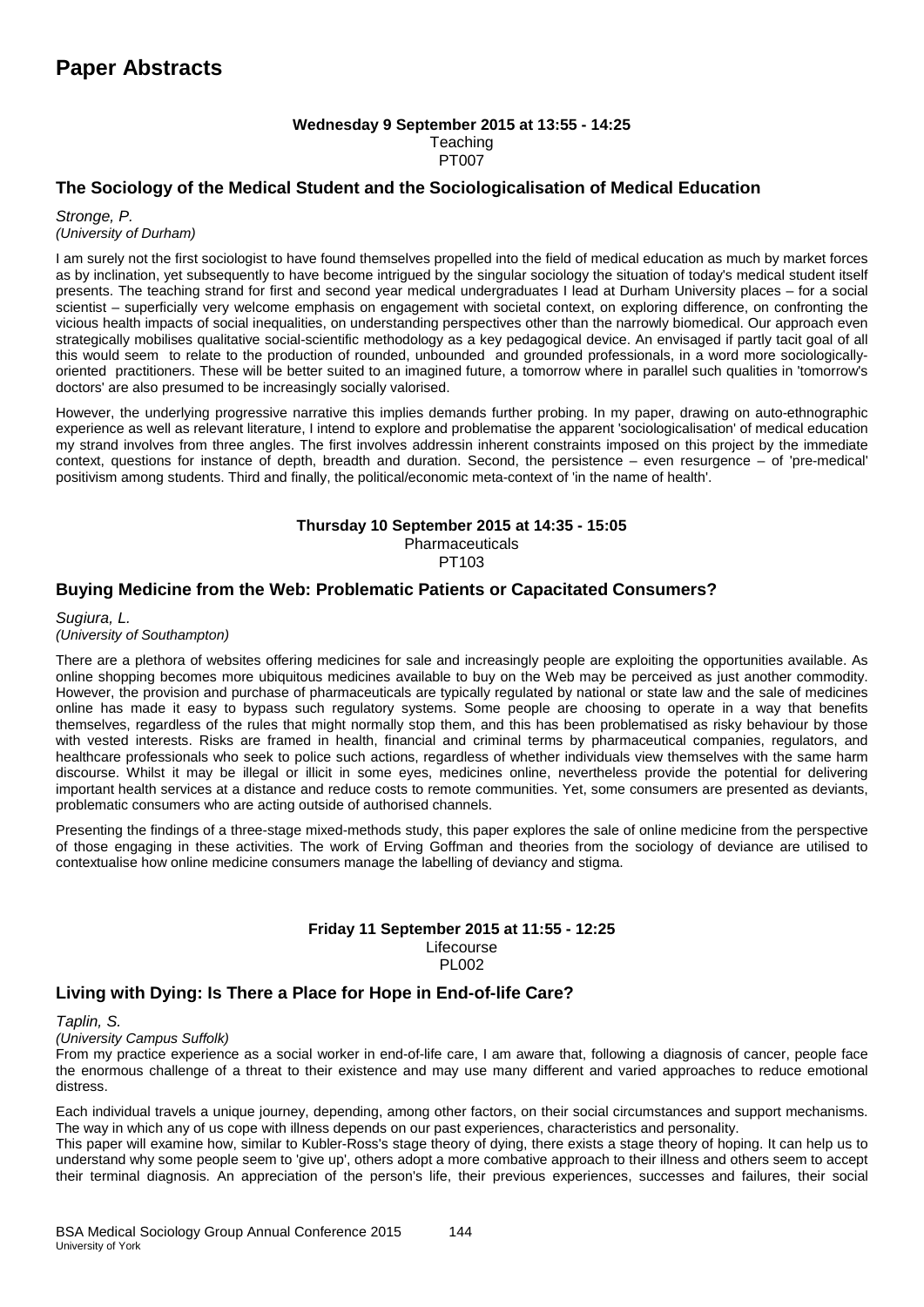#### **Wednesday 9 September 2015 at 13:55 - 14:25 Teaching** PT007

### **The Sociology of the Medical Student and the Sociologicalisation of Medical Education**

*Stronge, P. (University of Durham)*

I am surely not the first sociologist to have found themselves propelled into the field of medical education as much by market forces as by inclination, yet subsequently to have become intrigued by the singular sociology the situation of today's medical student itself presents. The teaching strand for first and second year medical undergraduates I lead at Durham University places – for a social scientist – superficially very welcome emphasis on engagement with societal context, on exploring difference, on confronting the vicious health impacts of social inequalities, on understanding perspectives other than the narrowly biomedical. Our approach even strategically mobilises qualitative social-scientific methodology as a key pedagogical device. An envisaged if partly tacit goal of all this would seem to relate to the production of rounded, unbounded and grounded professionals, in a word more sociologicallyoriented practitioners. These will be better suited to an imagined future, a tomorrow where in parallel such qualities in 'tomorrow's doctors' are also presumed to be increasingly socially valorised.

However, the underlying progressive narrative this implies demands further probing. In my paper, drawing on auto-ethnographic experience as well as relevant literature, I intend to explore and problematise the apparent 'sociologicalisation' of medical education my strand involves from three angles. The first involves addressin inherent constraints imposed on this project by the immediate context, questions for instance of depth, breadth and duration. Second, the persistence – even resurgence – of 'pre-medical' positivism among students. Third and finally, the political/economic meta-context of 'in the name of health'.

#### **Thursday 10 September 2015 at 14:35 - 15:05** Pharmaceuticals

PT103

### **Buying Medicine from the Web: Problematic Patients or Capacitated Consumers?**

*Sugiura, L.* 

*(University of Southampton)*

There are a plethora of websites offering medicines for sale and increasingly people are exploiting the opportunities available. As online shopping becomes more ubiquitous medicines available to buy on the Web may be perceived as just another commodity. However, the provision and purchase of pharmaceuticals are typically regulated by national or state law and the sale of medicines online has made it easy to bypass such regulatory systems. Some people are choosing to operate in a way that benefits themselves, regardless of the rules that might normally stop them, and this has been problematised as risky behaviour by those with vested interests. Risks are framed in health, financial and criminal terms by pharmaceutical companies, regulators, and healthcare professionals who seek to police such actions, regardless of whether individuals view themselves with the same harm discourse. Whilst it may be illegal or illicit in some eyes, medicines online, nevertheless provide the potential for delivering important health services at a distance and reduce costs to remote communities. Yet, some consumers are presented as deviants, problematic consumers who are acting outside of authorised channels.

Presenting the findings of a three-stage mixed-methods study, this paper explores the sale of online medicine from the perspective of those engaging in these activities. The work of Erving Goffman and theories from the sociology of deviance are utilised to contextualise how online medicine consumers manage the labelling of deviancy and stigma.

#### **Friday 11 September 2015 at 11:55 - 12:25** Lifecourse **PL002**

### **Living with Dying: Is There a Place for Hope in End-of-life Care?**

*Taplin, S.* 

*(University Campus Suffolk)*

From my practice experience as a social worker in end-of-life care, I am aware that, following a diagnosis of cancer, people face the enormous challenge of a threat to their existence and may use many different and varied approaches to reduce emotional distress.

Each individual travels a unique journey, depending, among other factors, on their social circumstances and support mechanisms. The way in which any of us cope with illness depends on our past experiences, characteristics and personality.

This paper will examine how, similar to Kubler-Ross's stage theory of dying, there exists a stage theory of hoping. It can help us to understand why some people seem to 'give up', others adopt a more combative approach to their illness and others seem to accept their terminal diagnosis. An appreciation of the person's life, their previous experiences, successes and failures, their social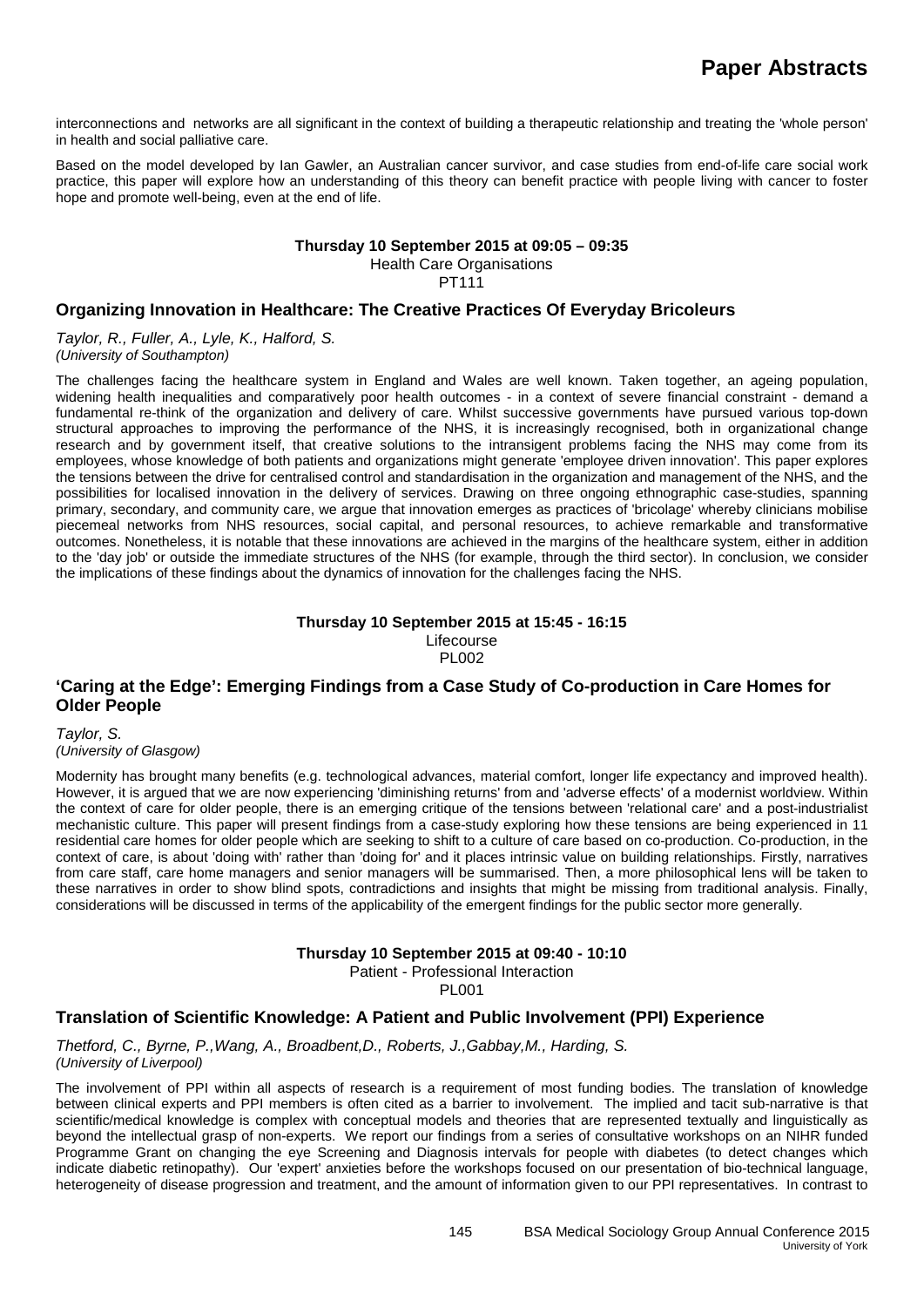interconnections and networks are all significant in the context of building a therapeutic relationship and treating the 'whole person' in health and social palliative care.

Based on the model developed by Ian Gawler, an Australian cancer survivor, and case studies from end-of-life care social work practice, this paper will explore how an understanding of this theory can benefit practice with people living with cancer to foster hope and promote well-being, even at the end of life.

#### **Thursday 10 September 2015 at 09:05 – 09:35** Health Care Organisations

PT111

### **Organizing Innovation in Healthcare: The Creative Practices Of Everyday Bricoleurs**

*Taylor, R., Fuller, A., Lyle, K., Halford, S. (University of Southampton)*

The challenges facing the healthcare system in England and Wales are well known. Taken together, an ageing population, widening health inequalities and comparatively poor health outcomes - in a context of severe financial constraint - demand a fundamental re-think of the organization and delivery of care. Whilst successive governments have pursued various top-down structural approaches to improving the performance of the NHS, it is increasingly recognised, both in organizational change research and by government itself, that creative solutions to the intransigent problems facing the NHS may come from its employees, whose knowledge of both patients and organizations might generate 'employee driven innovation'. This paper explores the tensions between the drive for centralised control and standardisation in the organization and management of the NHS, and the possibilities for localised innovation in the delivery of services. Drawing on three ongoing ethnographic case-studies, spanning primary, secondary, and community care, we argue that innovation emerges as practices of 'bricolage' whereby clinicians mobilise piecemeal networks from NHS resources, social capital, and personal resources, to achieve remarkable and transformative outcomes. Nonetheless, it is notable that these innovations are achieved in the margins of the healthcare system, either in addition to the 'day job' or outside the immediate structures of the NHS (for example, through the third sector). In conclusion, we consider the implications of these findings about the dynamics of innovation for the challenges facing the NHS.

#### **Thursday 10 September 2015 at 15:45 - 16:15** Lifecourse PL002

### **'Caring at the Edge': Emerging Findings from a Case Study of Co-production in Care Homes for Older People**

*Taylor, S. (University of Glasgow)*

Modernity has brought many benefits (e.g. technological advances, material comfort, longer life expectancy and improved health). However, it is argued that we are now experiencing 'diminishing returns' from and 'adverse effects' of a modernist worldview. Within the context of care for older people, there is an emerging critique of the tensions between 'relational care' and a post-industrialist mechanistic culture. This paper will present findings from a case-study exploring how these tensions are being experienced in 11 residential care homes for older people which are seeking to shift to a culture of care based on co-production. Co-production, in the context of care, is about 'doing with' rather than 'doing for' and it places intrinsic value on building relationships. Firstly, narratives from care staff, care home managers and senior managers will be summarised. Then, a more philosophical lens will be taken to these narratives in order to show blind spots, contradictions and insights that might be missing from traditional analysis. Finally, considerations will be discussed in terms of the applicability of the emergent findings for the public sector more generally.

#### **Thursday 10 September 2015 at 09:40 - 10:10**

Patient - Professional Interaction

PL001

### **Translation of Scientific Knowledge: A Patient and Public Involvement (PPI) Experience**

*Thetford, C., Byrne, P.,Wang, A., Broadbent,D., Roberts, J.,Gabbay,M., Harding, S. (University of Liverpool)*

The involvement of PPI within all aspects of research is a requirement of most funding bodies. The translation of knowledge between clinical experts and PPI members is often cited as a barrier to involvement. The implied and tacit sub-narrative is that scientific/medical knowledge is complex with conceptual models and theories that are represented textually and linguistically as beyond the intellectual grasp of non-experts. We report our findings from a series of consultative workshops on an NIHR funded Programme Grant on changing the eye Screening and Diagnosis intervals for people with diabetes (to detect changes which indicate diabetic retinopathy). Our 'expert' anxieties before the workshops focused on our presentation of bio-technical language, heterogeneity of disease progression and treatment, and the amount of information given to our PPI representatives. In contrast to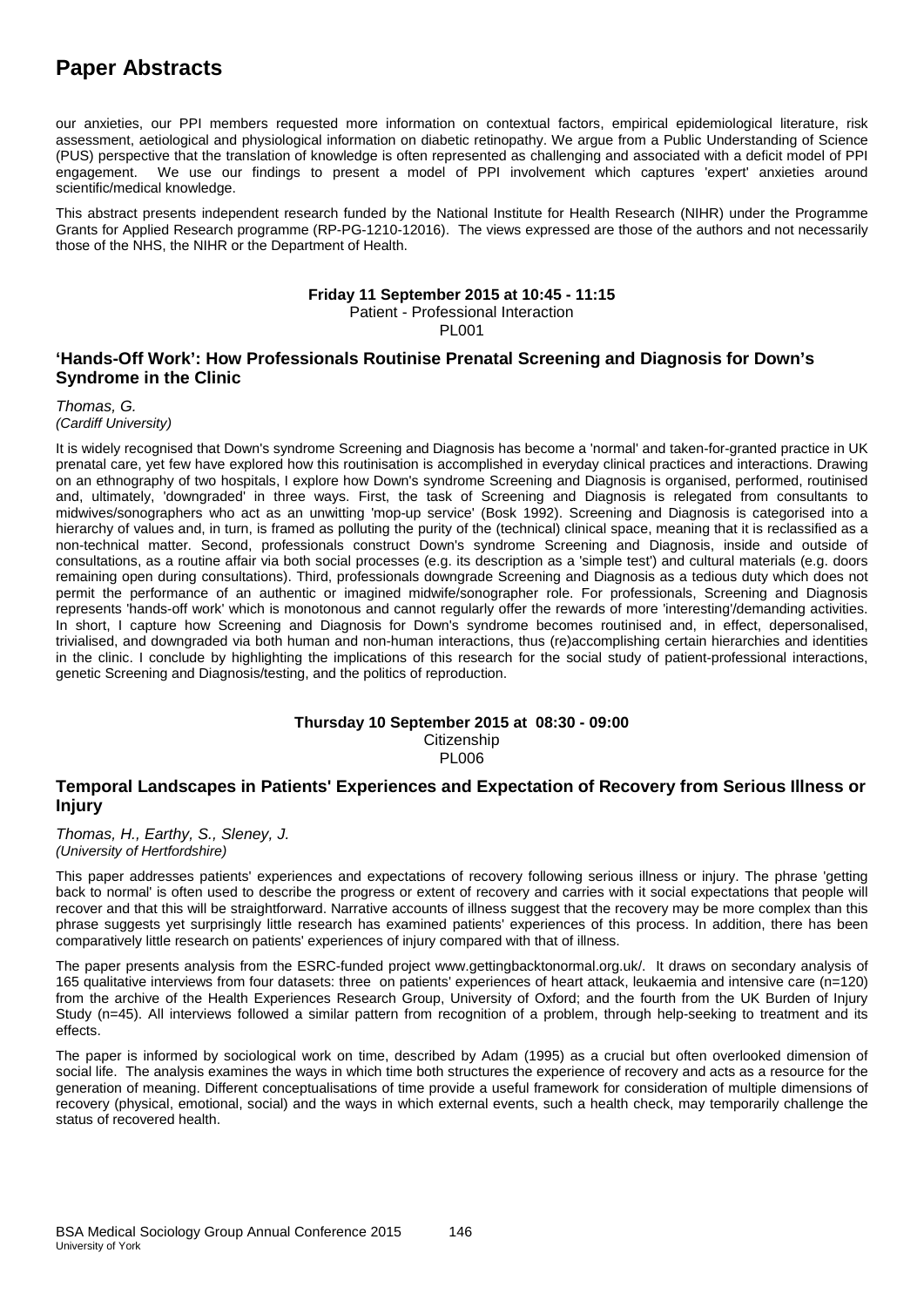our anxieties, our PPI members requested more information on contextual factors, empirical epidemiological literature, risk assessment, aetiological and physiological information on diabetic retinopathy. We argue from a Public Understanding of Science (PUS) perspective that the translation of knowledge is often represented as challenging and associated with a deficit model of PPI engagement. We use our findings to present a model of PPI involvement which captures 'expert' anxieties around scientific/medical knowledge.

This abstract presents independent research funded by the National Institute for Health Research (NIHR) under the Programme Grants for Applied Research programme (RP-PG-1210-12016). The views expressed are those of the authors and not necessarily those of the NHS, the NIHR or the Department of Health.

#### **Friday 11 September 2015 at 10:45 - 11:15**

Patient - Professional Interaction

PL001

### **'Hands-Off Work': How Professionals Routinise Prenatal Screening and Diagnosis for Down's Syndrome in the Clinic**

*Thomas, G. (Cardiff University)*

It is widely recognised that Down's syndrome Screening and Diagnosis has become a 'normal' and taken-for-granted practice in UK prenatal care, yet few have explored how this routinisation is accomplished in everyday clinical practices and interactions. Drawing on an ethnography of two hospitals, I explore how Down's syndrome Screening and Diagnosis is organised, performed, routinised and, ultimately, 'downgraded' in three ways. First, the task of Screening and Diagnosis is relegated from consultants to midwives/sonographers who act as an unwitting 'mop-up service' (Bosk 1992). Screening and Diagnosis is categorised into a hierarchy of values and, in turn, is framed as polluting the purity of the (technical) clinical space, meaning that it is reclassified as a non-technical matter. Second, professionals construct Down's syndrome Screening and Diagnosis, inside and outside of consultations, as a routine affair via both social processes (e.g. its description as a 'simple test') and cultural materials (e.g. doors remaining open during consultations). Third, professionals downgrade Screening and Diagnosis as a tedious duty which does not permit the performance of an authentic or imagined midwife/sonographer role. For professionals, Screening and Diagnosis represents 'hands-off work' which is monotonous and cannot regularly offer the rewards of more 'interesting'/demanding activities. In short, I capture how Screening and Diagnosis for Down's syndrome becomes routinised and, in effect, depersonalised, trivialised, and downgraded via both human and non-human interactions, thus (re)accomplishing certain hierarchies and identities in the clinic. I conclude by highlighting the implications of this research for the social study of patient-professional interactions, genetic Screening and Diagnosis/testing, and the politics of reproduction.

### **Thursday 10 September 2015 at 08:30 - 09:00**

**Citizenship** 

#### PL006

### **Temporal Landscapes in Patients' Experiences and Expectation of Recovery from Serious Illness or Injury**

*Thomas, H., Earthy, S., Sleney, J. (University of Hertfordshire)*

This paper addresses patients' experiences and expectations of recovery following serious illness or injury. The phrase 'getting back to normal' is often used to describe the progress or extent of recovery and carries with it social expectations that people will recover and that this will be straightforward. Narrative accounts of illness suggest that the recovery may be more complex than this phrase suggests yet surprisingly little research has examined patients' experiences of this process. In addition, there has been comparatively little research on patients' experiences of injury compared with that of illness.

The paper presents analysis from the ESRC-funded project www.gettingbacktonormal.org.uk/. It draws on secondary analysis of 165 qualitative interviews from four datasets: three on patients' experiences of heart attack, leukaemia and intensive care (n=120) from the archive of the Health Experiences Research Group, University of Oxford; and the fourth from the UK Burden of Injury Study (n=45). All interviews followed a similar pattern from recognition of a problem, through help-seeking to treatment and its effects.

The paper is informed by sociological work on time, described by Adam (1995) as a crucial but often overlooked dimension of social life. The analysis examines the ways in which time both structures the experience of recovery and acts as a resource for the generation of meaning. Different conceptualisations of time provide a useful framework for consideration of multiple dimensions of recovery (physical, emotional, social) and the ways in which external events, such a health check, may temporarily challenge the status of recovered health.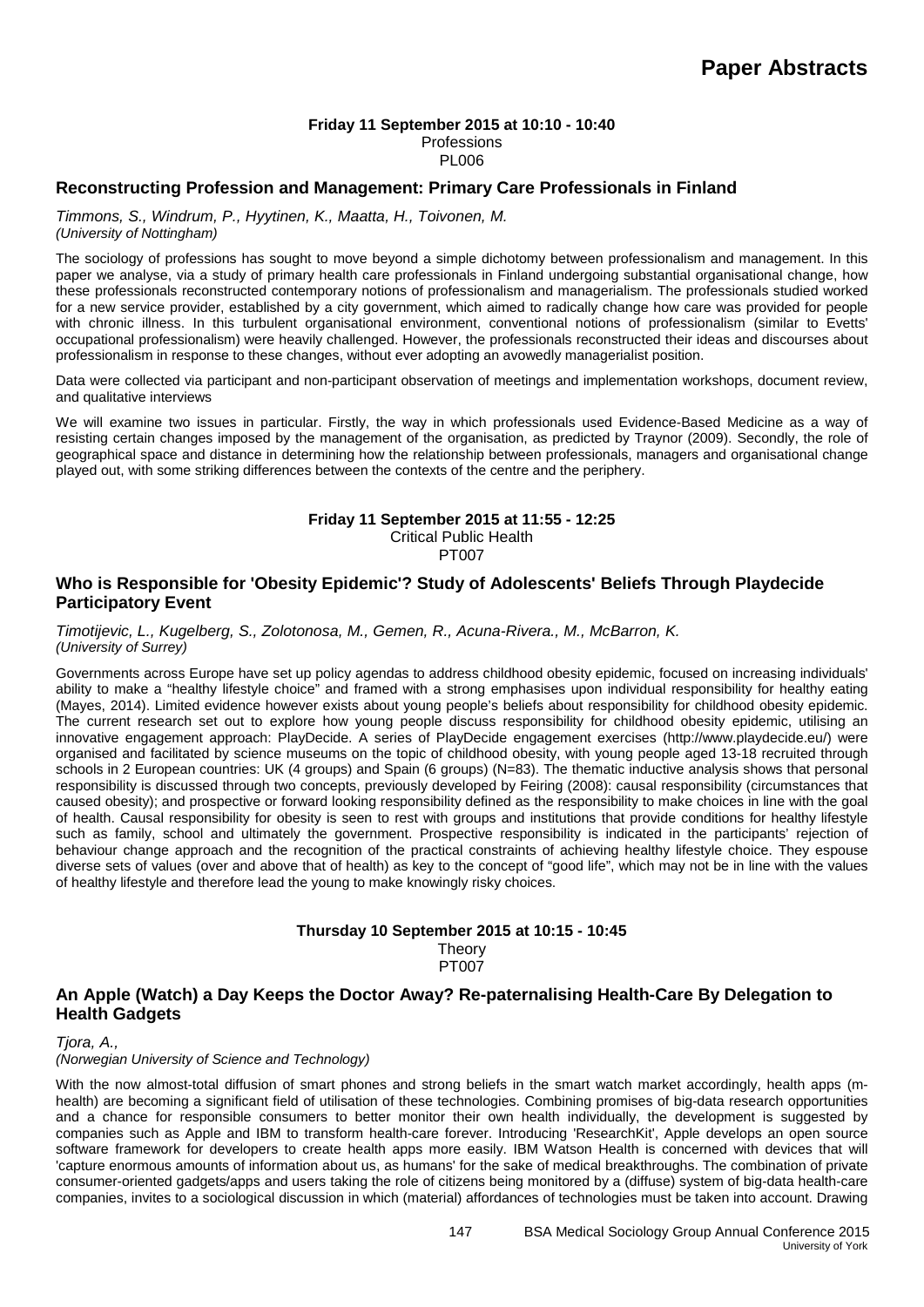### **Friday 11 September 2015 at 10:10 - 10:40**

Professions PL006

#### **Reconstructing Profession and Management: Primary Care Professionals in Finland**

*Timmons, S., Windrum, P., Hyytinen, K., Maatta, H., Toivonen, M. (University of Nottingham)*

The sociology of professions has sought to move beyond a simple dichotomy between professionalism and management. In this paper we analyse, via a study of primary health care professionals in Finland undergoing substantial organisational change, how these professionals reconstructed contemporary notions of professionalism and managerialism. The professionals studied worked for a new service provider, established by a city government, which aimed to radically change how care was provided for people with chronic illness. In this turbulent organisational environment, conventional notions of professionalism (similar to Evetts' occupational professionalism) were heavily challenged. However, the professionals reconstructed their ideas and discourses about professionalism in response to these changes, without ever adopting an avowedly managerialist position.

Data were collected via participant and non-participant observation of meetings and implementation workshops, document review, and qualitative interviews

We will examine two issues in particular. Firstly, the way in which professionals used Evidence-Based Medicine as a way of resisting certain changes imposed by the management of the organisation, as predicted by Traynor (2009). Secondly, the role of geographical space and distance in determining how the relationship between professionals, managers and organisational change played out, with some striking differences between the contexts of the centre and the periphery.

#### **Friday 11 September 2015 at 11:55 - 12:25** Critical Public Health

PT007

#### **Who is Responsible for 'Obesity Epidemic'? Study of Adolescents' Beliefs Through Playdecide Participatory Event**

*Timotijevic, L., Kugelberg, S., Zolotonosa, M., Gemen, R., Acuna-Rivera., M., McBarron, K. (University of Surrey)*

Governments across Europe have set up policy agendas to address childhood obesity epidemic, focused on increasing individuals' ability to make a "healthy lifestyle choice" and framed with a strong emphasises upon individual responsibility for healthy eating (Mayes, 2014). Limited evidence however exists about young people's beliefs about responsibility for childhood obesity epidemic. The current research set out to explore how young people discuss responsibility for childhood obesity epidemic, utilising an innovative engagement approach: PlayDecide. A series of PlayDecide engagement exercises (http://www.playdecide.eu/) were organised and facilitated by science museums on the topic of childhood obesity, with young people aged 13-18 recruited through schools in 2 European countries: UK (4 groups) and Spain (6 groups) (N=83). The thematic inductive analysis shows that personal responsibility is discussed through two concepts, previously developed by Feiring (2008): causal responsibility (circumstances that caused obesity); and prospective or forward looking responsibility defined as the responsibility to make choices in line with the goal of health. Causal responsibility for obesity is seen to rest with groups and institutions that provide conditions for healthy lifestyle such as family, school and ultimately the government. Prospective responsibility is indicated in the participants' rejection of behaviour change approach and the recognition of the practical constraints of achieving healthy lifestyle choice. They espouse diverse sets of values (over and above that of health) as key to the concept of "good life", which may not be in line with the values of healthy lifestyle and therefore lead the young to make knowingly risky choices.

### **Thursday 10 September 2015 at 10:15 - 10:45 Theory** PT<sub>007</sub>

### **An Apple (Watch) a Day Keeps the Doctor Away? Re-paternalising Health-Care By Delegation to Health Gadgets**

*Tjora, A.,*

*(Norwegian University of Science and Technology)*

With the now almost-total diffusion of smart phones and strong beliefs in the smart watch market accordingly, health apps (mhealth) are becoming a significant field of utilisation of these technologies. Combining promises of big-data research opportunities and a chance for responsible consumers to better monitor their own health individually, the development is suggested by companies such as Apple and IBM to transform health-care forever. Introducing 'ResearchKit', Apple develops an open source software framework for developers to create health apps more easily. IBM Watson Health is concerned with devices that will 'capture enormous amounts of information about us, as humans' for the sake of medical breakthroughs. The combination of private consumer-oriented gadgets/apps and users taking the role of citizens being monitored by a (diffuse) system of big-data health-care companies, invites to a sociological discussion in which (material) affordances of technologies must be taken into account. Drawing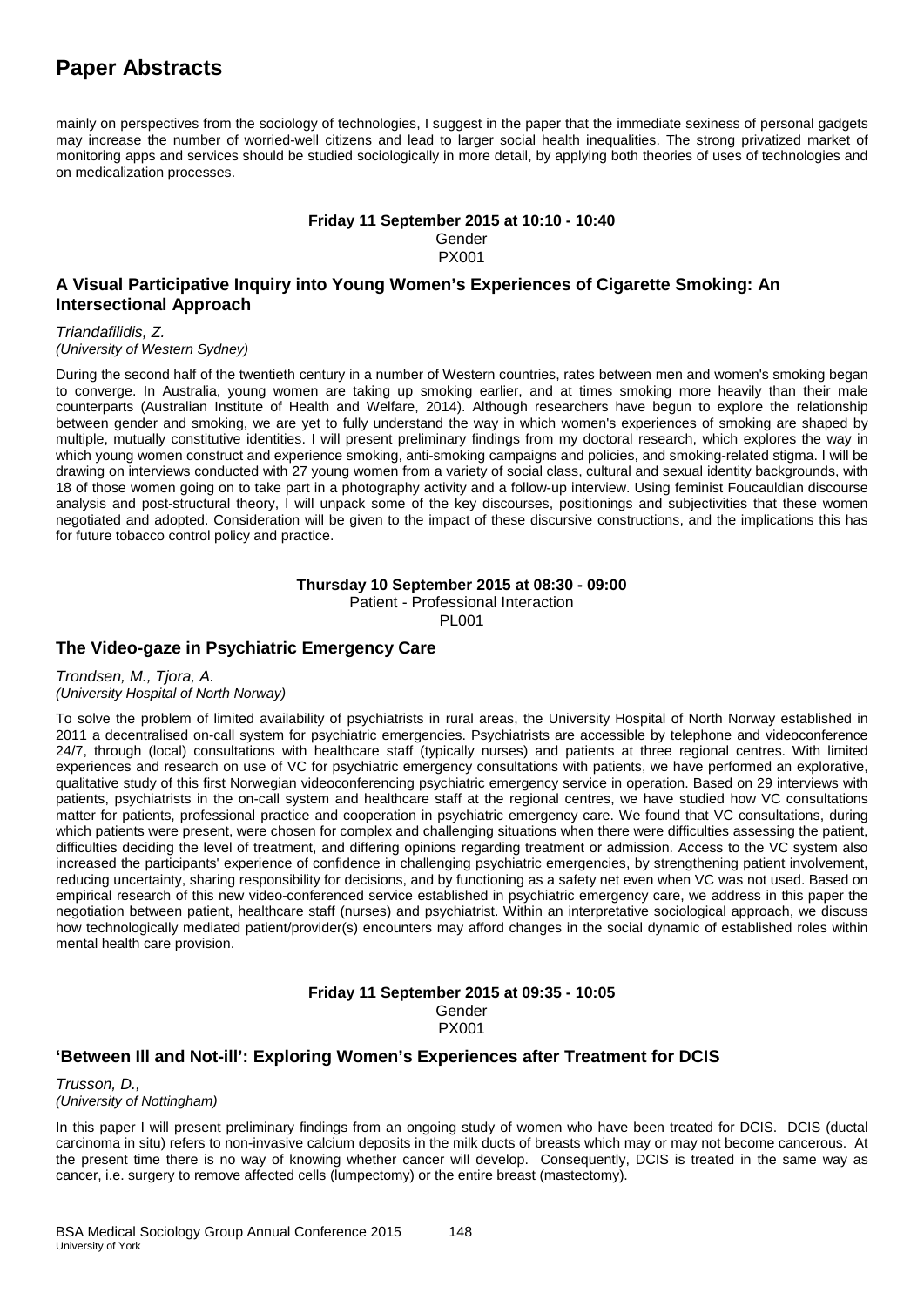mainly on perspectives from the sociology of technologies, I suggest in the paper that the immediate sexiness of personal gadgets may increase the number of worried-well citizens and lead to larger social health inequalities. The strong privatized market of monitoring apps and services should be studied sociologically in more detail, by applying both theories of uses of technologies and on medicalization processes.

**Friday 11 September 2015 at 10:10 - 10:40**

Gender PX001

### **A Visual Participative Inquiry into Young Women's Experiences of Cigarette Smoking: An Intersectional Approach**

*Triandafilidis, Z. (University of Western Sydney)*

During the second half of the twentieth century in a number of Western countries, rates between men and women's smoking began to converge. In Australia, young women are taking up smoking earlier, and at times smoking more heavily than their male counterparts (Australian Institute of Health and Welfare, 2014). Although researchers have begun to explore the relationship between gender and smoking, we are yet to fully understand the way in which women's experiences of smoking are shaped by multiple, mutually constitutive identities. I will present preliminary findings from my doctoral research, which explores the way in which young women construct and experience smoking, anti-smoking campaigns and policies, and smoking-related stigma. I will be drawing on interviews conducted with 27 young women from a variety of social class, cultural and sexual identity backgrounds, with 18 of those women going on to take part in a photography activity and a follow-up interview. Using feminist Foucauldian discourse analysis and post-structural theory, I will unpack some of the key discourses, positionings and subjectivities that these women negotiated and adopted. Consideration will be given to the impact of these discursive constructions, and the implications this has for future tobacco control policy and practice.

#### **Thursday 10 September 2015 at 08:30 - 09:00**

Patient - Professional Interaction

PL001

### **The Video-gaze in Psychiatric Emergency Care**

*Trondsen, M., Tjora, A. (University Hospital of North Norway)*

To solve the problem of limited availability of psychiatrists in rural areas, the University Hospital of North Norway established in 2011 a decentralised on-call system for psychiatric emergencies. Psychiatrists are accessible by telephone and videoconference 24/7, through (local) consultations with healthcare staff (typically nurses) and patients at three regional centres. With limited experiences and research on use of VC for psychiatric emergency consultations with patients, we have performed an explorative, qualitative study of this first Norwegian videoconferencing psychiatric emergency service in operation. Based on 29 interviews with patients, psychiatrists in the on-call system and healthcare staff at the regional centres, we have studied how VC consultations matter for patients, professional practice and cooperation in psychiatric emergency care. We found that VC consultations, during which patients were present, were chosen for complex and challenging situations when there were difficulties assessing the patient, difficulties deciding the level of treatment, and differing opinions regarding treatment or admission. Access to the VC system also increased the participants' experience of confidence in challenging psychiatric emergencies, by strengthening patient involvement, reducing uncertainty, sharing responsibility for decisions, and by functioning as a safety net even when VC was not used. Based on empirical research of this new video-conferenced service established in psychiatric emergency care, we address in this paper the negotiation between patient, healthcare staff (nurses) and psychiatrist. Within an interpretative sociological approach, we discuss how technologically mediated patient/provider(s) encounters may afford changes in the social dynamic of established roles within mental health care provision.

#### **Friday 11 September 2015 at 09:35 - 10:05** Gender PX001

### **'Between Ill and Not-ill': Exploring Women's Experiences after Treatment for DCIS**

*Trusson, D., (University of Nottingham)*

In this paper I will present preliminary findings from an ongoing study of women who have been treated for DCIS. DCIS (ductal carcinoma in situ) refers to non-invasive calcium deposits in the milk ducts of breasts which may or may not become cancerous. At the present time there is no way of knowing whether cancer will develop. Consequently, DCIS is treated in the same way as cancer, i.e. surgery to remove affected cells (lumpectomy) or the entire breast (mastectomy).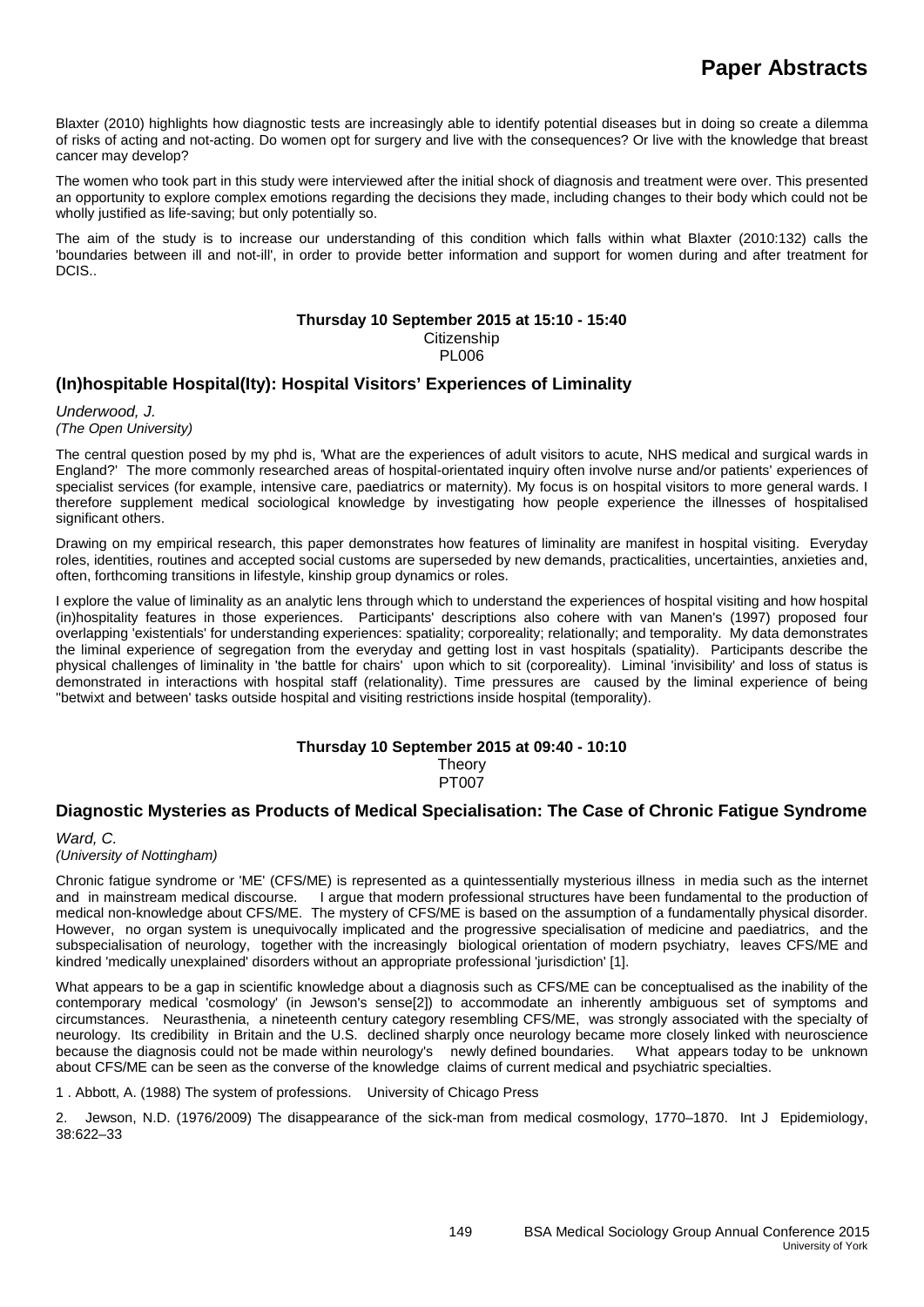Blaxter (2010) highlights how diagnostic tests are increasingly able to identify potential diseases but in doing so create a dilemma of risks of acting and not-acting. Do women opt for surgery and live with the consequences? Or live with the knowledge that breast cancer may develop?

The women who took part in this study were interviewed after the initial shock of diagnosis and treatment were over. This presented an opportunity to explore complex emotions regarding the decisions they made, including changes to their body which could not be wholly justified as life-saving; but only potentially so.

The aim of the study is to increase our understanding of this condition which falls within what Blaxter (2010:132) calls the 'boundaries between ill and not-ill', in order to provide better information and support for women during and after treatment for DCIS..

#### **Thursday 10 September 2015 at 15:10 - 15:40**

**Citizenship** 

**PLOO6** 

## **(In)hospitable Hospital(Ity): Hospital Visitors' Experiences of Liminality**

*Underwood, J. (The Open University)*

The central question posed by my phd is, 'What are the experiences of adult visitors to acute, NHS medical and surgical wards in England?' The more commonly researched areas of hospital-orientated inquiry often involve nurse and/or patients' experiences of specialist services (for example, intensive care, paediatrics or maternity). My focus is on hospital visitors to more general wards. I therefore supplement medical sociological knowledge by investigating how people experience the illnesses of hospitalised significant others.

Drawing on my empirical research, this paper demonstrates how features of liminality are manifest in hospital visiting. Everyday roles, identities, routines and accepted social customs are superseded by new demands, practicalities, uncertainties, anxieties and, often, forthcoming transitions in lifestyle, kinship group dynamics or roles.

I explore the value of liminality as an analytic lens through which to understand the experiences of hospital visiting and how hospital (in)hospitality features in those experiences. Participants' descriptions also cohere with van Manen's (1997) proposed four overlapping 'existentials' for understanding experiences: spatiality; corporeality; relationally; and temporality. My data demonstrates the liminal experience of segregation from the everyday and getting lost in vast hospitals (spatiality). Participants describe the physical challenges of liminality in 'the battle for chairs' upon which to sit (corporeality). Liminal 'invisibility' and loss of status is demonstrated in interactions with hospital staff (relationality). Time pressures are caused by the liminal experience of being ''betwixt and between' tasks outside hospital and visiting restrictions inside hospital (temporality).

# **Thursday 10 September 2015 at 09:40 - 10:10**

Theory PT007

# **Diagnostic Mysteries as Products of Medical Specialisation: The Case of Chronic Fatigue Syndrome**

*Ward, C. (University of Nottingham)*

Chronic fatigue syndrome or 'ME' (CFS/ME) is represented as a quintessentially mysterious illness in media such as the internet I argue that modern professional structures have been fundamental to the production of medical non-knowledge about CFS/ME. The mystery of CFS/ME is based on the assumption of a fundamentally physical disorder. However, no organ system is unequivocally implicated and the progressive specialisation of medicine and paediatrics, and the subspecialisation of neurology, together with the increasingly biological orientation of modern psychiatry, leaves CFS/ME and kindred 'medically unexplained' disorders without an appropriate professional 'jurisdiction' [1].

What appears to be a gap in scientific knowledge about a diagnosis such as CFS/ME can be conceptualised as the inability of the contemporary medical 'cosmology' (in Jewson's sense[2]) to accommodate an inherently ambiguous set of symptoms and circumstances. Neurasthenia, a nineteenth century category resembling CFS/ME, was strongly associated with the specialty of neurology. Its credibility in Britain and the U.S. declined sharply once neurology became more closely linked with neuroscience<br>because the diagnosis could not be made within neurology's newly defined boundaries. What appe because the diagnosis could not be made within neurology's newly defined boundaries. about CFS/ME can be seen as the converse of the knowledge claims of current medical and psychiatric specialties.

1 . Abbott, A. (1988) The system of professions. University of Chicago Press

2. Jewson, N.D. (1976/2009) The disappearance of the sick-man from medical cosmology, 1770–1870. Int J Epidemiology, 38:622–33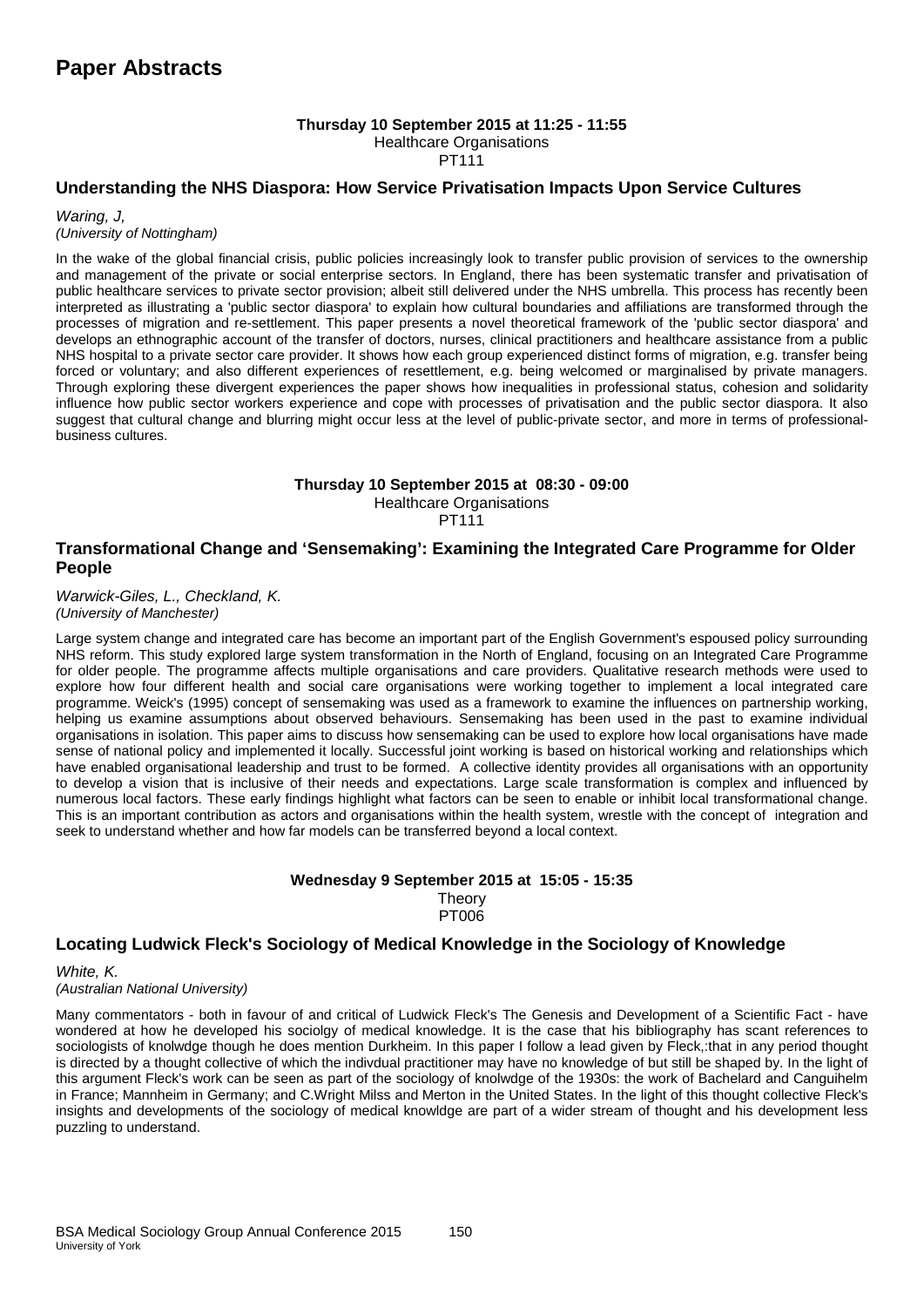#### **Thursday 10 September 2015 at 11:25 - 11:55** Healthcare Organisations

PT111

## **Understanding the NHS Diaspora: How Service Privatisation Impacts Upon Service Cultures**

*Waring, J, (University of Nottingham)*

In the wake of the global financial crisis, public policies increasingly look to transfer public provision of services to the ownership and management of the private or social enterprise sectors. In England, there has been systematic transfer and privatisation of public healthcare services to private sector provision; albeit still delivered under the NHS umbrella. This process has recently been interpreted as illustrating a 'public sector diaspora' to explain how cultural boundaries and affiliations are transformed through the processes of migration and re-settlement. This paper presents a novel theoretical framework of the 'public sector diaspora' and develops an ethnographic account of the transfer of doctors, nurses, clinical practitioners and healthcare assistance from a public NHS hospital to a private sector care provider. It shows how each group experienced distinct forms of migration, e.g. transfer being forced or voluntary; and also different experiences of resettlement, e.g. being welcomed or marginalised by private managers. Through exploring these divergent experiences the paper shows how inequalities in professional status, cohesion and solidarity influence how public sector workers experience and cope with processes of privatisation and the public sector diaspora. It also suggest that cultural change and blurring might occur less at the level of public-private sector, and more in terms of professionalbusiness cultures.

#### **Thursday 10 September 2015 at 08:30 - 09:00** Healthcare Organisations

PT111

# **Transformational Change and 'Sensemaking': Examining the Integrated Care Programme for Older People**

*Warwick-Giles, L., Checkland, K. (University of Manchester)*

Large system change and integrated care has become an important part of the English Government's espoused policy surrounding NHS reform. This study explored large system transformation in the North of England, focusing on an Integrated Care Programme for older people. The programme affects multiple organisations and care providers. Qualitative research methods were used to explore how four different health and social care organisations were working together to implement a local integrated care programme. Weick's (1995) concept of sensemaking was used as a framework to examine the influences on partnership working, helping us examine assumptions about observed behaviours. Sensemaking has been used in the past to examine individual organisations in isolation. This paper aims to discuss how sensemaking can be used to explore how local organisations have made sense of national policy and implemented it locally. Successful joint working is based on historical working and relationships which have enabled organisational leadership and trust to be formed. A collective identity provides all organisations with an opportunity to develop a vision that is inclusive of their needs and expectations. Large scale transformation is complex and influenced by numerous local factors. These early findings highlight what factors can be seen to enable or inhibit local transformational change. This is an important contribution as actors and organisations within the health system, wrestle with the concept of integration and seek to understand whether and how far models can be transferred beyond a local context.

## **Wednesday 9 September 2015 at 15:05 - 15:35 Theory** PT006

# **Locating Ludwick Fleck's Sociology of Medical Knowledge in the Sociology of Knowledge**

*White, K. (Australian National University)*

Many commentators - both in favour of and critical of Ludwick Fleck's The Genesis and Development of a Scientific Fact - have wondered at how he developed his sociolgy of medical knowledge. It is the case that his bibliography has scant references to sociologists of knolwdge though he does mention Durkheim. In this paper I follow a lead given by Fleck,:that in any period thought is directed by a thought collective of which the indivdual practitioner may have no knowledge of but still be shaped by. In the light of this argument Fleck's work can be seen as part of the sociology of knolwdge of the 1930s: the work of Bachelard and Canguihelm in France; Mannheim in Germany; and C.Wright Milss and Merton in the United States. In the light of this thought collective Fleck's insights and developments of the sociology of medical knowldge are part of a wider stream of thought and his development less puzzling to understand.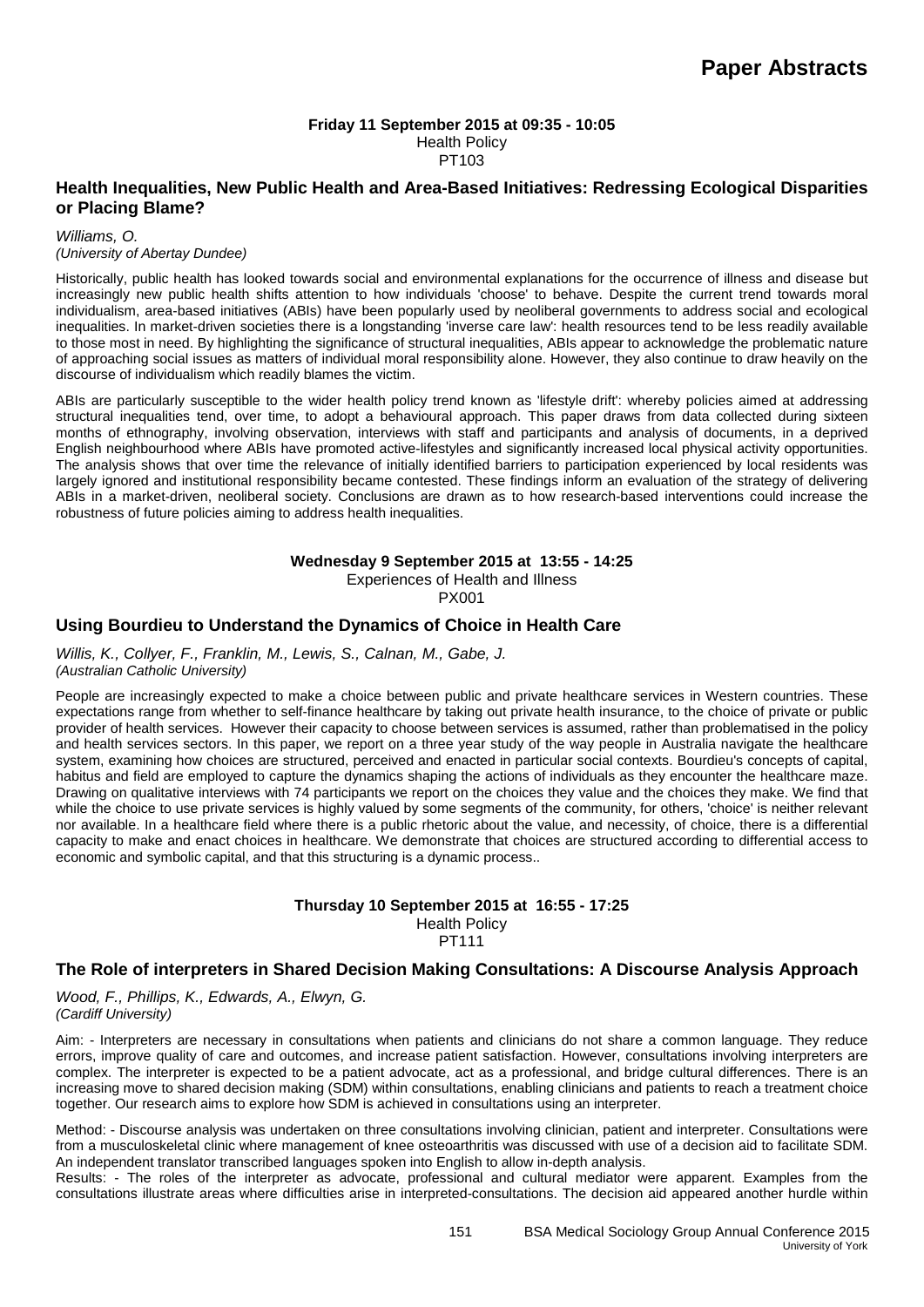#### **Friday 11 September 2015 at 09:35 - 10:05** Health Policy PT103

# **Health Inequalities, New Public Health and Area-Based Initiatives: Redressing Ecological Disparities or Placing Blame?**

*Williams, O. (University of Abertay Dundee)*

Historically, public health has looked towards social and environmental explanations for the occurrence of illness and disease but increasingly new public health shifts attention to how individuals 'choose' to behave. Despite the current trend towards moral individualism, area-based initiatives (ABIs) have been popularly used by neoliberal governments to address social and ecological inequalities. In market-driven societies there is a longstanding 'inverse care law': health resources tend to be less readily available to those most in need. By highlighting the significance of structural inequalities, ABIs appear to acknowledge the problematic nature of approaching social issues as matters of individual moral responsibility alone. However, they also continue to draw heavily on the discourse of individualism which readily blames the victim.

ABIs are particularly susceptible to the wider health policy trend known as 'lifestyle drift': whereby policies aimed at addressing structural inequalities tend, over time, to adopt a behavioural approach. This paper draws from data collected during sixteen months of ethnography, involving observation, interviews with staff and participants and analysis of documents, in a deprived English neighbourhood where ABIs have promoted active-lifestyles and significantly increased local physical activity opportunities. The analysis shows that over time the relevance of initially identified barriers to participation experienced by local residents was largely ignored and institutional responsibility became contested. These findings inform an evaluation of the strategy of delivering ABIs in a market-driven, neoliberal society. Conclusions are drawn as to how research-based interventions could increase the robustness of future policies aiming to address health inequalities.

**Wednesday 9 September 2015 at 13:55 - 14:25**

Experiences of Health and Illness PX001

# **Using Bourdieu to Understand the Dynamics of Choice in Health Care**

*Willis, K., Collyer, F., Franklin, M., Lewis, S., Calnan, M., Gabe, J. (Australian Catholic University)*

People are increasingly expected to make a choice between public and private healthcare services in Western countries. These expectations range from whether to self-finance healthcare by taking out private health insurance, to the choice of private or public provider of health services. However their capacity to choose between services is assumed, rather than problematised in the policy and health services sectors. In this paper, we report on a three year study of the way people in Australia navigate the healthcare system, examining how choices are structured, perceived and enacted in particular social contexts. Bourdieu's concepts of capital, habitus and field are employed to capture the dynamics shaping the actions of individuals as they encounter the healthcare maze. Drawing on qualitative interviews with 74 participants we report on the choices they value and the choices they make. We find that while the choice to use private services is highly valued by some segments of the community, for others, 'choice' is neither relevant nor available. In a healthcare field where there is a public rhetoric about the value, and necessity, of choice, there is a differential capacity to make and enact choices in healthcare. We demonstrate that choices are structured according to differential access to economic and symbolic capital, and that this structuring is a dynamic process..

#### **Thursday 10 September 2015 at 16:55 - 17:25** Health Policy PT111

# **The Role of interpreters in Shared Decision Making Consultations: A Discourse Analysis Approach**

*Wood, F., Phillips, K., Edwards, A., Elwyn, G. (Cardiff University)*

Aim: - Interpreters are necessary in consultations when patients and clinicians do not share a common language. They reduce errors, improve quality of care and outcomes, and increase patient satisfaction. However, consultations involving interpreters are complex. The interpreter is expected to be a patient advocate, act as a professional, and bridge cultural differences. There is an increasing move to shared decision making (SDM) within consultations, enabling clinicians and patients to reach a treatment choice together. Our research aims to explore how SDM is achieved in consultations using an interpreter.

Method: - Discourse analysis was undertaken on three consultations involving clinician, patient and interpreter. Consultations were from a musculoskeletal clinic where management of knee osteoarthritis was discussed with use of a decision aid to facilitate SDM. An independent translator transcribed languages spoken into English to allow in-depth analysis.

Results: - The roles of the interpreter as advocate, professional and cultural mediator were apparent. Examples from the consultations illustrate areas where difficulties arise in interpreted-consultations. The decision aid appeared another hurdle within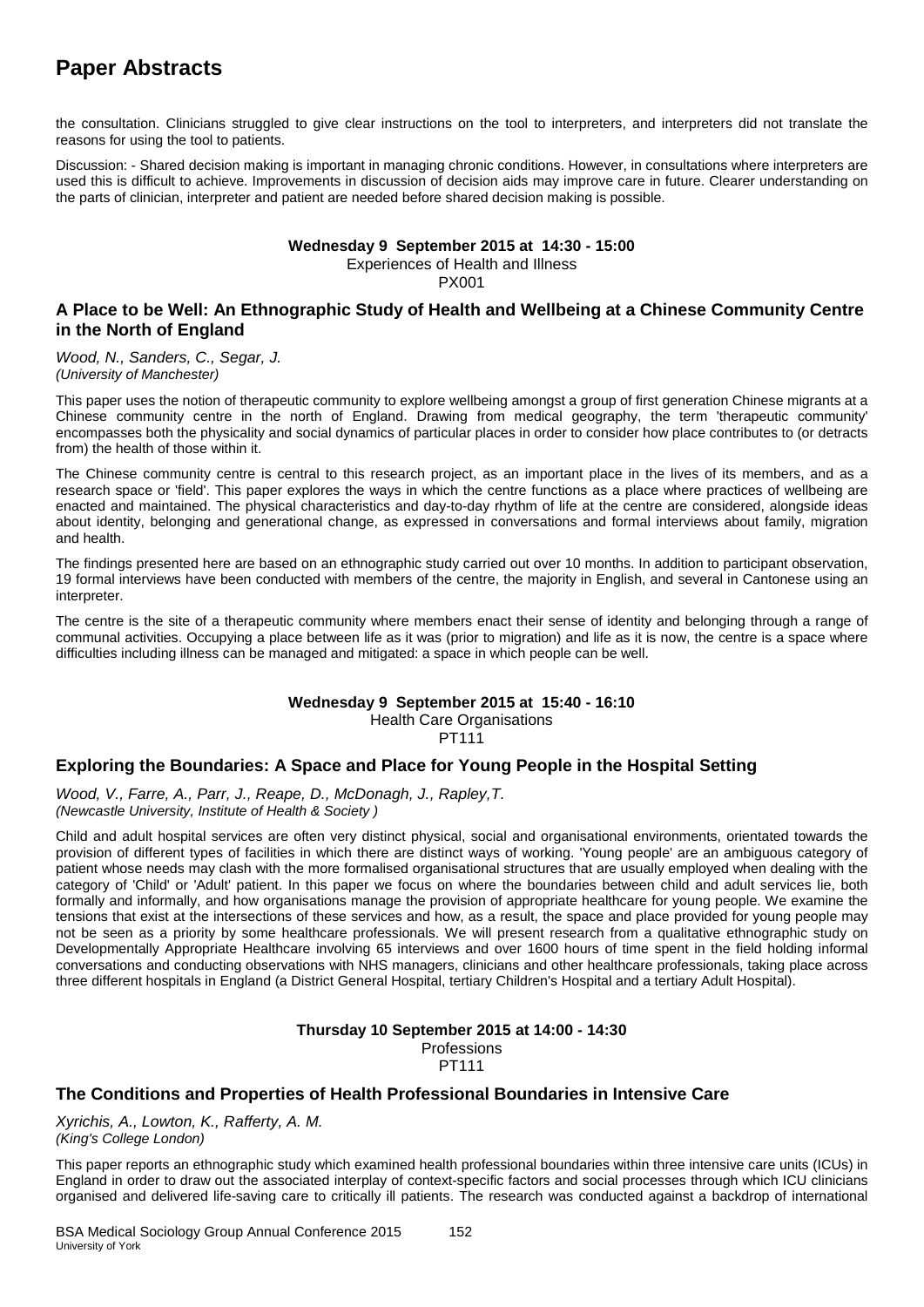# **Paper Abstracts**

the consultation. Clinicians struggled to give clear instructions on the tool to interpreters, and interpreters did not translate the reasons for using the tool to patients.

Discussion: - Shared decision making is important in managing chronic conditions. However, in consultations where interpreters are used this is difficult to achieve. Improvements in discussion of decision aids may improve care in future. Clearer understanding on the parts of clinician, interpreter and patient are needed before shared decision making is possible.

#### **Wednesday 9 September 2015 at 14:30 - 15:00** Experiences of Health and Illness PX001

# **A Place to be Well: An Ethnographic Study of Health and Wellbeing at a Chinese Community Centre in the North of England**

*Wood, N., Sanders, C., Segar, J. (University of Manchester)*

This paper uses the notion of therapeutic community to explore wellbeing amongst a group of first generation Chinese migrants at a Chinese community centre in the north of England. Drawing from medical geography, the term 'therapeutic community' encompasses both the physicality and social dynamics of particular places in order to consider how place contributes to (or detracts from) the health of those within it.

The Chinese community centre is central to this research project, as an important place in the lives of its members, and as a research space or 'field'. This paper explores the ways in which the centre functions as a place where practices of wellbeing are enacted and maintained. The physical characteristics and day-to-day rhythm of life at the centre are considered, alongside ideas about identity, belonging and generational change, as expressed in conversations and formal interviews about family, migration and health.

The findings presented here are based on an ethnographic study carried out over 10 months. In addition to participant observation, 19 formal interviews have been conducted with members of the centre, the majority in English, and several in Cantonese using an interpreter.

The centre is the site of a therapeutic community where members enact their sense of identity and belonging through a range of communal activities. Occupying a place between life as it was (prior to migration) and life as it is now, the centre is a space where difficulties including illness can be managed and mitigated: a space in which people can be well.

# **Wednesday 9 September 2015 at 15:40 - 16:10**

Health Care Organisations

PT111

# **Exploring the Boundaries: A Space and Place for Young People in the Hospital Setting**

*Wood, V., Farre, A., Parr, J., Reape, D., McDonagh, J., Rapley,T. (Newcastle University, Institute of Health & Society )*

Child and adult hospital services are often very distinct physical, social and organisational environments, orientated towards the provision of different types of facilities in which there are distinct ways of working. 'Young people' are an ambiguous category of patient whose needs may clash with the more formalised organisational structures that are usually employed when dealing with the category of 'Child' or 'Adult' patient. In this paper we focus on where the boundaries between child and adult services lie, both formally and informally, and how organisations manage the provision of appropriate healthcare for young people. We examine the tensions that exist at the intersections of these services and how, as a result, the space and place provided for young people may not be seen as a priority by some healthcare professionals. We will present research from a qualitative ethnographic study on Developmentally Appropriate Healthcare involving 65 interviews and over 1600 hours of time spent in the field holding informal conversations and conducting observations with NHS managers, clinicians and other healthcare professionals, taking place across three different hospitals in England (a District General Hospital, tertiary Children's Hospital and a tertiary Adult Hospital).

# **Thursday 10 September 2015 at 14:00 - 14:30** Professions

PT111

# **The Conditions and Properties of Health Professional Boundaries in Intensive Care**

*Xyrichis, A., Lowton, K., Rafferty, A. M. (King's College London)*

This paper reports an ethnographic study which examined health professional boundaries within three intensive care units (ICUs) in England in order to draw out the associated interplay of context-specific factors and social processes through which ICU clinicians organised and delivered life-saving care to critically ill patients. The research was conducted against a backdrop of international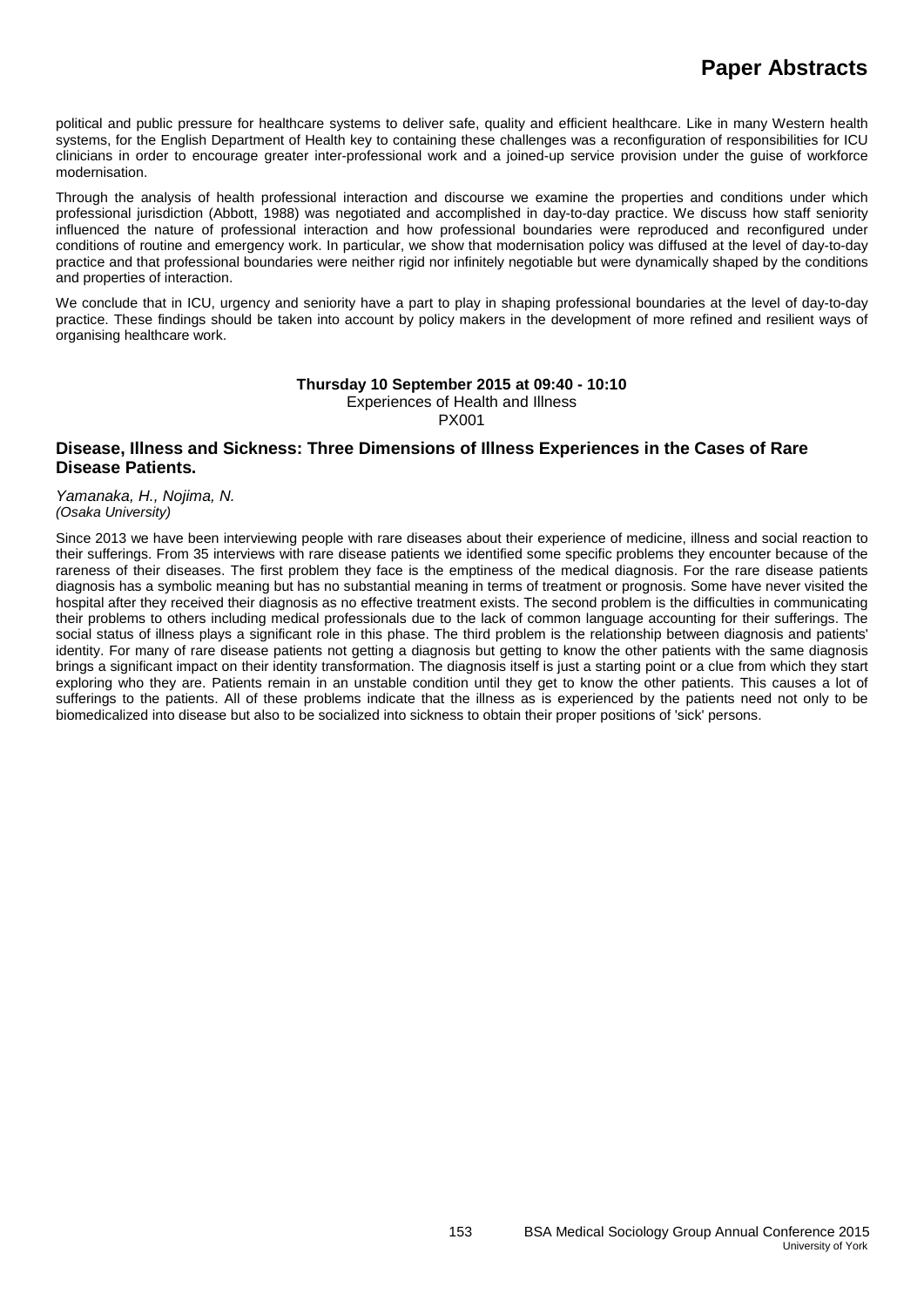political and public pressure for healthcare systems to deliver safe, quality and efficient healthcare. Like in many Western health systems, for the English Department of Health key to containing these challenges was a reconfiguration of responsibilities for ICU clinicians in order to encourage greater inter-professional work and a joined-up service provision under the guise of workforce modernisation.

Through the analysis of health professional interaction and discourse we examine the properties and conditions under which professional jurisdiction (Abbott, 1988) was negotiated and accomplished in day-to-day practice. We discuss how staff seniority influenced the nature of professional interaction and how professional boundaries were reproduced and reconfigured under conditions of routine and emergency work. In particular, we show that modernisation policy was diffused at the level of day-to-day practice and that professional boundaries were neither rigid nor infinitely negotiable but were dynamically shaped by the conditions and properties of interaction.

We conclude that in ICU, urgency and seniority have a part to play in shaping professional boundaries at the level of day-to-day practice. These findings should be taken into account by policy makers in the development of more refined and resilient ways of organising healthcare work.

#### **Thursday 10 September 2015 at 09:40 - 10:10** Experiences of Health and Illness

PX001

# **Disease, Illness and Sickness: Three Dimensions of Illness Experiences in the Cases of Rare Disease Patients.**

*Yamanaka, H., Nojima, N. (Osaka University)*

Since 2013 we have been interviewing people with rare diseases about their experience of medicine, illness and social reaction to their sufferings. From 35 interviews with rare disease patients we identified some specific problems they encounter because of the rareness of their diseases. The first problem they face is the emptiness of the medical diagnosis. For the rare disease patients diagnosis has a symbolic meaning but has no substantial meaning in terms of treatment or prognosis. Some have never visited the hospital after they received their diagnosis as no effective treatment exists. The second problem is the difficulties in communicating their problems to others including medical professionals due to the lack of common language accounting for their sufferings. The social status of illness plays a significant role in this phase. The third problem is the relationship between diagnosis and patients' identity. For many of rare disease patients not getting a diagnosis but getting to know the other patients with the same diagnosis brings a significant impact on their identity transformation. The diagnosis itself is just a starting point or a clue from which they start exploring who they are. Patients remain in an unstable condition until they get to know the other patients. This causes a lot of sufferings to the patients. All of these problems indicate that the illness as is experienced by the patients need not only to be biomedicalized into disease but also to be socialized into sickness to obtain their proper positions of 'sick' persons.